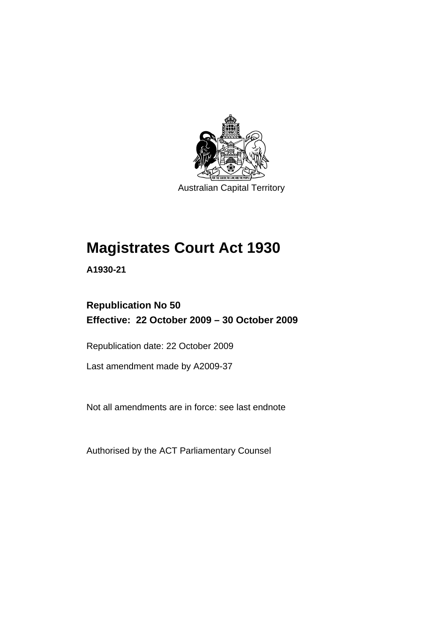

Australian Capital Territory

# **[Magistrates Court Act 1930](#page-16-0)**

**A1930-21** 

## **Republication No 50 Effective: 22 October 2009 – 30 October 2009**

Republication date: 22 October 2009

Last amendment made by A2009-37

Not all amendments are in force: see last endnote

Authorised by the ACT Parliamentary Counsel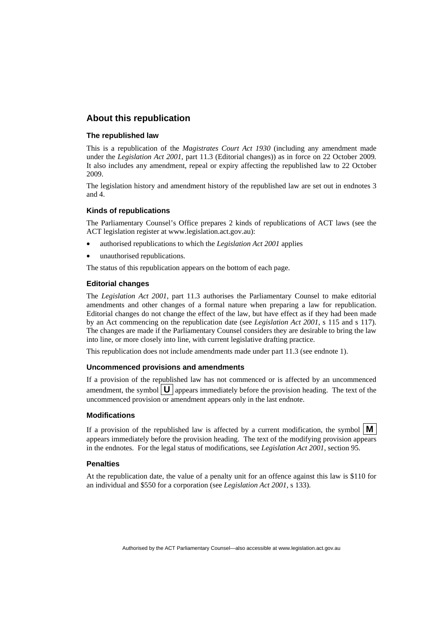## **About this republication**

#### **The republished law**

This is a republication of the *Magistrates Court Act 1930* (including any amendment made under the *Legislation Act 2001*, part 11.3 (Editorial changes)) as in force on 22 October 2009*.*  It also includes any amendment, repeal or expiry affecting the republished law to 22 October 2009.

The legislation history and amendment history of the republished law are set out in endnotes 3 and 4.

#### **Kinds of republications**

The Parliamentary Counsel's Office prepares 2 kinds of republications of ACT laws (see the ACT legislation register at www.legislation.act.gov.au):

- authorised republications to which the *Legislation Act 2001* applies
- unauthorised republications.

The status of this republication appears on the bottom of each page.

#### **Editorial changes**

The *Legislation Act 2001*, part 11.3 authorises the Parliamentary Counsel to make editorial amendments and other changes of a formal nature when preparing a law for republication. Editorial changes do not change the effect of the law, but have effect as if they had been made by an Act commencing on the republication date (see *Legislation Act 2001*, s 115 and s 117). The changes are made if the Parliamentary Counsel considers they are desirable to bring the law into line, or more closely into line, with current legislative drafting practice.

This republication does not include amendments made under part 11.3 (see endnote 1).

#### **Uncommenced provisions and amendments**

If a provision of the republished law has not commenced or is affected by an uncommenced amendment, the symbol  $\mathbf{U}$  appears immediately before the provision heading. The text of the uncommenced provision or amendment appears only in the last endnote.

#### **Modifications**

If a provision of the republished law is affected by a current modification, the symbol  $\mathbf{M}$ appears immediately before the provision heading. The text of the modifying provision appears in the endnotes. For the legal status of modifications, see *Legislation Act 2001*, section 95.

#### **Penalties**

At the republication date, the value of a penalty unit for an offence against this law is \$110 for an individual and \$550 for a corporation (see *Legislation Act 2001*, s 133).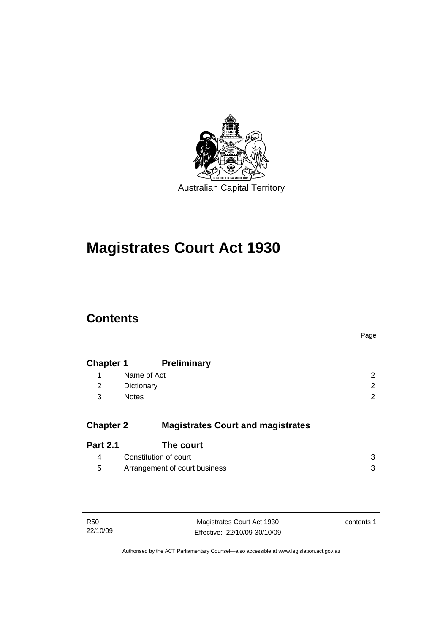

# **[Magistrates Court Act 1930](#page-16-0)**

## **Contents**

|                  |                                          | Page |
|------------------|------------------------------------------|------|
| <b>Chapter 1</b> | <b>Preliminary</b>                       |      |
| 1                | Name of Act                              | 2    |
| 2                | Dictionary                               | 2    |
| 3                | <b>Notes</b>                             | 2    |
| <b>Chapter 2</b> | <b>Magistrates Court and magistrates</b> |      |
| <b>Part 2.1</b>  | The court                                |      |
| 4                | Constitution of court                    | 3    |
| 5                | Arrangement of court business            | 3    |

| R <sub>50</sub> |  |
|-----------------|--|
| 22/10/09        |  |

Magistrates Court Act 1930 Effective: 22/10/09-30/10/09 contents 1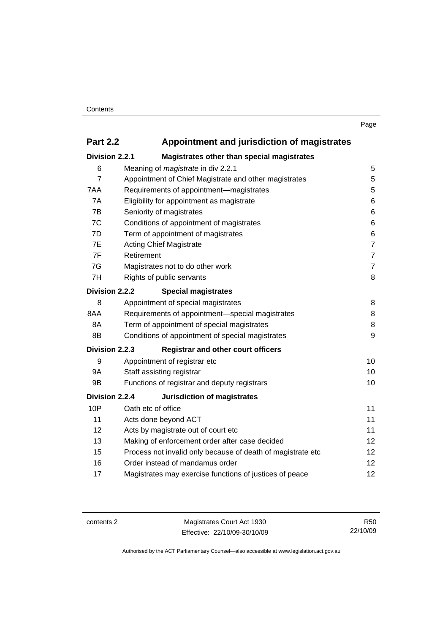## **Part 2.2 Appointment and jurisdiction of magistrates**

| Division 2.2.1    | Magistrates other than special magistrates                  |                   |
|-------------------|-------------------------------------------------------------|-------------------|
| 6                 | Meaning of <i>magistrate</i> in div 2.2.1                   | 5                 |
| $\overline{7}$    | Appointment of Chief Magistrate and other magistrates       | 5                 |
| 7AA               | Requirements of appointment-magistrates                     | 5                 |
| 7A                | Eligibility for appointment as magistrate                   | 6                 |
| 7B                | Seniority of magistrates                                    | 6                 |
| 7C                | Conditions of appointment of magistrates                    | 6                 |
| 7D                | Term of appointment of magistrates                          | 6                 |
| 7E                | <b>Acting Chief Magistrate</b>                              | $\overline{7}$    |
| 7F                | Retirement                                                  | $\overline{7}$    |
| 7G                | Magistrates not to do other work                            | $\overline{7}$    |
| 7H                | Rights of public servants                                   | 8                 |
| Division 2.2.2    | <b>Special magistrates</b>                                  |                   |
| 8                 | Appointment of special magistrates                          | 8                 |
| 8AA               | Requirements of appointment-special magistrates             | 8                 |
| 8A                | Term of appointment of special magistrates                  | 8                 |
| 8B                | Conditions of appointment of special magistrates            | 9                 |
| Division 2.2.3    | <b>Registrar and other court officers</b>                   |                   |
| 9                 | Appointment of registrar etc                                | 10                |
| 9Α                | Staff assisting registrar                                   | 10                |
| 9B                | Functions of registrar and deputy registrars                | 10                |
| Division 2.2.4    | <b>Jurisdiction of magistrates</b>                          |                   |
| 10P               | Oath etc of office                                          | 11                |
| 11                | Acts done beyond ACT                                        | 11                |
| $12 \overline{ }$ | Acts by magistrate out of court etc                         | 11                |
| 13                | Making of enforcement order after case decided              | 12                |
| 15                | Process not invalid only because of death of magistrate etc | $12 \overline{ }$ |
| 16                | Order instead of mandamus order                             | 12                |
| 17                | Magistrates may exercise functions of justices of peace     | 12                |
|                   |                                                             |                   |

contents 2 Magistrates Court Act 1930 Effective: 22/10/09-30/10/09

R50 22/10/09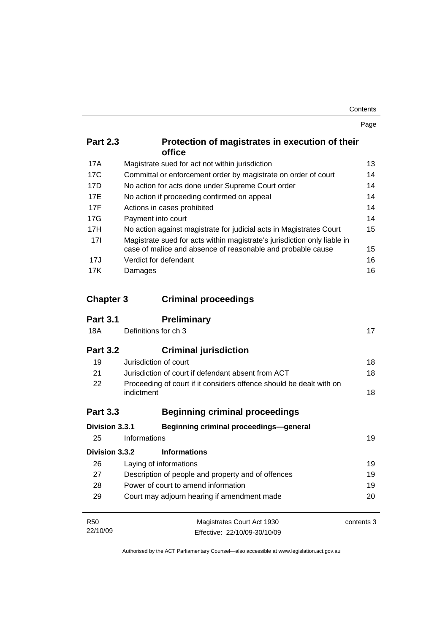| Contents |      |
|----------|------|
|          | Page |

| <b>Part 2.3</b> | Protection of magistrates in execution of their<br><b>office</b> |
|-----------------|------------------------------------------------------------------|
|                 |                                                                  |

| 17A             | Magistrate sued for act not within jurisdiction                                                                                         | 13 |
|-----------------|-----------------------------------------------------------------------------------------------------------------------------------------|----|
| 17C             | Committal or enforcement order by magistrate on order of court                                                                          | 14 |
| 17D             | No action for acts done under Supreme Court order                                                                                       | 14 |
| 17E             | No action if proceeding confirmed on appeal                                                                                             | 14 |
| 17F             | Actions in cases prohibited                                                                                                             | 14 |
| 17G             | Payment into court                                                                                                                      | 14 |
| 17H             | No action against magistrate for judicial acts in Magistrates Court                                                                     | 15 |
| 17 <sup>1</sup> | Magistrate sued for acts within magistrate's jurisdiction only liable in<br>case of malice and absence of reasonable and probable cause | 15 |
| 17J             | Verdict for defendant                                                                                                                   | 16 |
| 17K             | Damages                                                                                                                                 | 16 |

| <b>Chapter 3</b> | <b>Criminal proceedings</b> |
|------------------|-----------------------------|
|                  |                             |

| <b>Part 3.1</b> | <b>Preliminary</b>                                                                |            |
|-----------------|-----------------------------------------------------------------------------------|------------|
| 18A             | Definitions for ch 3                                                              | 17         |
| <b>Part 3.2</b> | <b>Criminal jurisdiction</b>                                                      |            |
| 19              | Jurisdiction of court                                                             | 18         |
| 21              | Jurisdiction of court if defendant absent from ACT                                | 18         |
| 22              | Proceeding of court if it considers offence should be dealt with on<br>indictment | 18         |
| <b>Part 3.3</b> | <b>Beginning criminal proceedings</b>                                             |            |
| Division 3.3.1  | Beginning criminal proceedings-general                                            |            |
| 25              | Informations                                                                      | 19         |
| Division 3.3.2  | <b>Informations</b>                                                               |            |
| 26              | Laying of informations                                                            | 19         |
| 27              | Description of people and property and of offences                                | 19         |
| 28              | Power of court to amend information                                               |            |
| 29              | Court may adjourn hearing if amendment made                                       | 20         |
| <b>R50</b>      | Magistrates Court Act 1930                                                        | contents 3 |
| 22/10/09        | Effective: 22/10/09-30/10/09                                                      |            |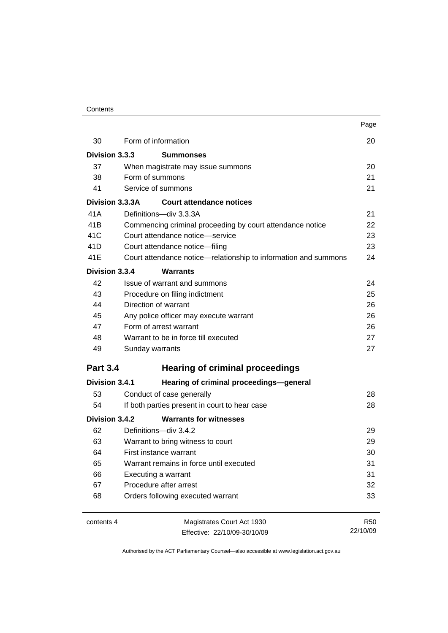### **Contents**

|                                    |                                                                 | Page            |
|------------------------------------|-----------------------------------------------------------------|-----------------|
| 30                                 | Form of information                                             | 20              |
| Division 3.3.3<br><b>Summonses</b> |                                                                 |                 |
| 37                                 | When magistrate may issue summons                               | 20              |
| 38                                 | Form of summons                                                 | 21              |
| 41                                 | Service of summons                                              | 21              |
| Division 3.3.3A                    | <b>Court attendance notices</b>                                 |                 |
| 41 A                               | Definitions-div 3.3.3A                                          | 21              |
| 41 <sub>B</sub>                    | Commencing criminal proceeding by court attendance notice       | 22              |
| 41C                                | Court attendance notice-service                                 | 23              |
| 41D                                | Court attendance notice-filing                                  | 23              |
| 41E                                | Court attendance notice—relationship to information and summons | 24              |
| Division 3.3.4                     | <b>Warrants</b>                                                 |                 |
| 42                                 | Issue of warrant and summons                                    | 24              |
| 43                                 | Procedure on filing indictment                                  | 25              |
| 44                                 | Direction of warrant                                            | 26              |
| 45                                 | Any police officer may execute warrant                          | 26              |
| 47                                 | Form of arrest warrant                                          | 26              |
| 48                                 | Warrant to be in force till executed                            | 27              |
| 49                                 | Sunday warrants                                                 | 27              |
| <b>Part 3.4</b>                    | <b>Hearing of criminal proceedings</b>                          |                 |
| Division 3.4.1                     | Hearing of criminal proceedings-general                         |                 |
| 53                                 | Conduct of case generally                                       | 28              |
| 54                                 | If both parties present in court to hear case                   | 28              |
| Division 3.4.2                     | <b>Warrants for witnesses</b>                                   |                 |
| 62                                 | Definitions-div 3.4.2                                           | 29              |
| 63                                 | Warrant to bring witness to court                               | 29              |
| 64                                 | First instance warrant                                          | 30              |
| 65                                 | Warrant remains in force until executed                         | 31              |
| 66                                 | Executing a warrant                                             | 31              |
| 67                                 | Procedure after arrest                                          | 32              |
| 68                                 | Orders following executed warrant                               | 33              |
| contents 4                         | Magistrates Court Act 1930                                      | R <sub>50</sub> |
|                                    | Effective: 22/10/09-30/10/09                                    | 22/10/09        |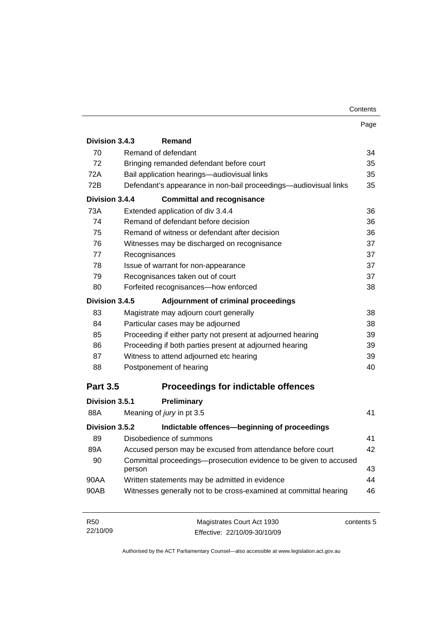| Contents |
|----------|
|----------|

|                 |                                                                             | Page |
|-----------------|-----------------------------------------------------------------------------|------|
| Division 3.4.3  | Remand                                                                      |      |
| 70              | Remand of defendant                                                         | 34   |
| 72              | Bringing remanded defendant before court                                    | 35   |
| 72A             | Bail application hearings-audiovisual links                                 | 35   |
| 72B             | Defendant's appearance in non-bail proceedings-audiovisual links            | 35   |
| Division 3.4.4  | <b>Committal and recognisance</b>                                           |      |
| 73A             | Extended application of div 3.4.4                                           | 36   |
| 74              | Remand of defendant before decision                                         | 36   |
| 75              | Remand of witness or defendant after decision                               | 36   |
| 76              | Witnesses may be discharged on recognisance                                 | 37   |
| 77              | Recognisances                                                               | 37   |
| 78              | Issue of warrant for non-appearance                                         | 37   |
| 79              | Recognisances taken out of court                                            | 37   |
| 80              | Forfeited recognisances-how enforced                                        | 38   |
| Division 3.4.5  | <b>Adjournment of criminal proceedings</b>                                  |      |
| 83              | Magistrate may adjourn court generally                                      | 38   |
| 84              | Particular cases may be adjourned                                           | 38   |
| 85              | Proceeding if either party not present at adjourned hearing                 | 39   |
| 86              | Proceeding if both parties present at adjourned hearing                     | 39   |
| 87              | Witness to attend adjourned etc hearing                                     | 39   |
| 88              | Postponement of hearing                                                     | 40   |
| <b>Part 3.5</b> | <b>Proceedings for indictable offences</b>                                  |      |
| Division 3.5.1  | Preliminary                                                                 |      |
| 88A             | Meaning of jury in pt 3.5                                                   | 41   |
| Division 3.5.2  | Indictable offences-beginning of proceedings                                |      |
| 89              | Disobedience of summons                                                     | 41   |
| 89A             | Accused person may be excused from attendance before court                  | 42   |
| 90              | Committal proceedings-prosecution evidence to be given to accused<br>person | 43   |
| 90AA            | Written statements may be admitted in evidence                              | 44   |
| 90AB            | Witnesses generally not to be cross-examined at committal hearing           | 46   |

| R50      | Magistrates Court Act 1930   | contents 5 |
|----------|------------------------------|------------|
| 22/10/09 | Effective: 22/10/09-30/10/09 |            |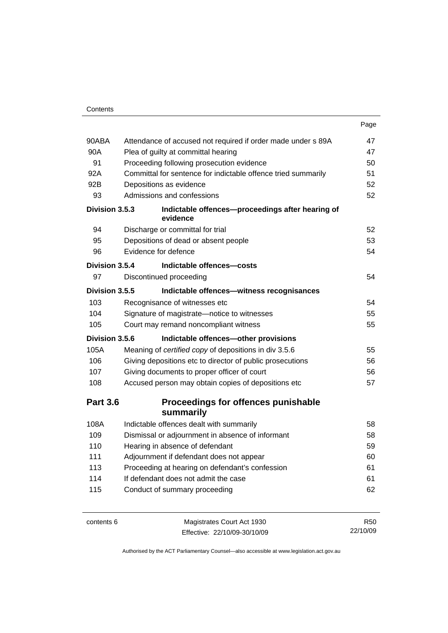### **Contents**

|                 |                                                               | Page |
|-----------------|---------------------------------------------------------------|------|
| 90ABA           | Attendance of accused not required if order made under s 89A  | 47   |
| 90A             | Plea of guilty at committal hearing                           | 47   |
| 91              | Proceeding following prosecution evidence                     | 50   |
| 92A             | Committal for sentence for indictable offence tried summarily | 51   |
| 92B             | Depositions as evidence                                       | 52   |
| 93              | Admissions and confessions                                    | 52   |
| Division 3.5.3  | Indictable offences-proceedings after hearing of<br>evidence  |      |
| 94              | Discharge or committal for trial                              | 52   |
| 95              | Depositions of dead or absent people                          | 53   |
| 96              | Evidence for defence                                          | 54   |
| Division 3.5.4  | Indictable offences-costs                                     |      |
| 97              | Discontinued proceeding                                       | 54   |
| Division 3.5.5  | Indictable offences-witness recognisances                     |      |
| 103             | Recognisance of witnesses etc                                 | 54   |
| 104             | Signature of magistrate-notice to witnesses                   | 55   |
| 105             | Court may remand noncompliant witness                         | 55   |
| Division 3.5.6  | Indictable offences-other provisions                          |      |
| 105A            | Meaning of certified copy of depositions in div 3.5.6         | 55   |
| 106             | Giving depositions etc to director of public prosecutions     | 56   |
| 107             | Giving documents to proper officer of court                   | 56   |
| 108             | Accused person may obtain copies of depositions etc           | 57   |
| <b>Part 3.6</b> | Proceedings for offences punishable<br>summarily              |      |
| 108A            | Indictable offences dealt with summarily                      | 58   |
| 109             | Dismissal or adjournment in absence of informant              | 58   |
| 110             | Hearing in absence of defendant                               | 59   |
| 111             | Adjournment if defendant does not appear                      | 60   |
| 113             | Proceeding at hearing on defendant's confession               | 61   |
| 114             | If defendant does not admit the case                          | 61   |
| 115             | Conduct of summary proceeding                                 | 62   |
|                 |                                                               |      |

contents 6 Magistrates Court Act 1930 Effective: 22/10/09-30/10/09

R50 22/10/09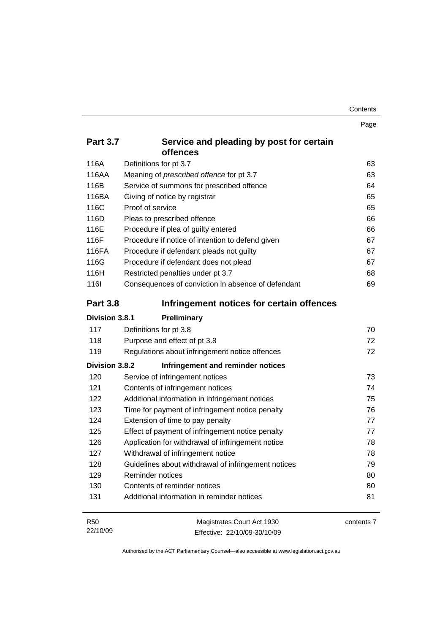|                 |                                                      | Page |
|-----------------|------------------------------------------------------|------|
| <b>Part 3.7</b> | Service and pleading by post for certain<br>offences |      |
| 116A            | Definitions for pt 3.7                               | 63   |
| 116AA           | Meaning of prescribed offence for pt 3.7             | 63   |
| 116B            | Service of summons for prescribed offence            | 64   |
| 116BA           | Giving of notice by registrar                        | 65   |
| 116C            | Proof of service                                     | 65   |
| 116D            | Pleas to prescribed offence                          | 66   |
| 116E            | Procedure if plea of guilty entered                  | 66   |
| 116F            | Procedure if notice of intention to defend given     | 67   |
| 116FA           | Procedure if defendant pleads not guilty             | 67   |
| 116G            | Procedure if defendant does not plead                | 67   |
| 116H            | Restricted penalties under pt 3.7                    | 68   |
| <b>1161</b>     | Consequences of conviction in absence of defendant   | 69   |
| <b>Part 3.8</b> | Infringement notices for certain offences            |      |
|                 |                                                      |      |
| Division 3.8.1  | Preliminary                                          |      |
| 117             | Definitions for pt 3.8                               | 70   |
| 118             | Purpose and effect of pt 3.8                         | 72   |
| 119             | Regulations about infringement notice offences       | 72   |
| Division 3.8.2  | Infringement and reminder notices                    |      |
| 120             | Service of infringement notices                      | 73   |
| 121             | Contents of infringement notices                     | 74   |
| 122             | Additional information in infringement notices       | 75   |
| 123             | Time for payment of infringement notice penalty      | 76   |
| 124             | Extension of time to pay penalty                     | 77   |
| 125             | Effect of payment of infringement notice penalty     | 77   |
| 126             | Application for withdrawal of infringement notice    | 78   |
| 127             | Withdrawal of infringement notice                    | 78   |

| <b>R50</b> | Magistrates Court Act 1930   | contents 7 |
|------------|------------------------------|------------|
| 22/10/09   | Effective: 22/10/09-30/10/09 |            |

129 Reminder notices [80](#page-95-0) 130 Contents of reminder notices [80](#page-95-0) 131 Additional information in reminder notices [81](#page-96-0)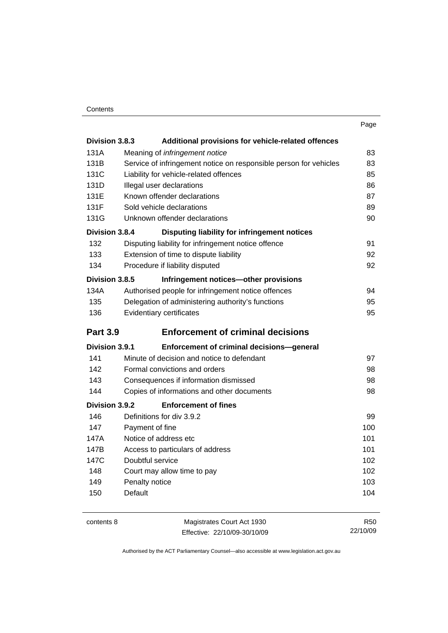|                       |                                                                   | Page |
|-----------------------|-------------------------------------------------------------------|------|
| Division 3.8.3        | Additional provisions for vehicle-related offences                |      |
| 131A                  | Meaning of infringement notice                                    | 83   |
| 131B                  | Service of infringement notice on responsible person for vehicles | 83   |
| 131C                  | Liability for vehicle-related offences                            | 85   |
| 131D                  | Illegal user declarations                                         | 86   |
| 131E                  | Known offender declarations                                       | 87   |
| 131F                  | Sold vehicle declarations                                         | 89   |
| 131G                  | Unknown offender declarations                                     | 90   |
| Division 3.8.4        | Disputing liability for infringement notices                      |      |
| 132                   | Disputing liability for infringement notice offence               | 91   |
| 133                   | Extension of time to dispute liability                            | 92   |
| 134                   | Procedure if liability disputed                                   | 92   |
| Division 3.8.5        | Infringement notices-other provisions                             |      |
| 134A                  | Authorised people for infringement notice offences                | 94   |
| 135                   | Delegation of administering authority's functions                 | 95   |
| 136                   | Evidentiary certificates                                          | 95   |
| <b>Part 3.9</b>       | <b>Enforcement of criminal decisions</b>                          |      |
| <b>Division 3.9.1</b> | Enforcement of criminal decisions-general                         |      |
| 141                   | Minute of decision and notice to defendant                        | 97   |
| 142                   | Formal convictions and orders                                     | 98   |
| 143                   | Consequences if information dismissed                             | 98   |
| 144                   | Copies of informations and other documents                        | 98   |
| Division 3.9.2        | <b>Enforcement of fines</b>                                       |      |
| 146                   | Definitions for div 3.9.2                                         | 99   |
| 147                   | Payment of fine                                                   | 100  |
| 147A                  | Notice of address etc                                             | 101  |
| 147B                  | Access to particulars of address                                  | 101  |
| 147C                  | Doubtful service                                                  | 102  |
| 148                   | Court may allow time to pay                                       | 102  |
| 149                   | Penalty notice                                                    | 103  |
| 150                   | Default                                                           | 104  |

contents 8 Magistrates Court Act 1930 Effective: 22/10/09-30/10/09

R50 22/10/09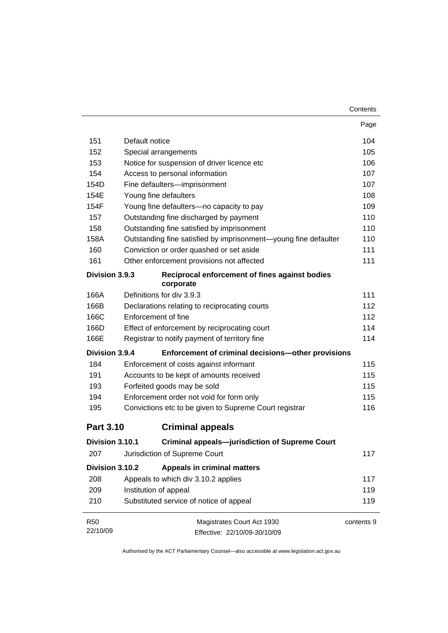|                  |                                |                                                                 | Page       |
|------------------|--------------------------------|-----------------------------------------------------------------|------------|
| 151              | Default notice                 |                                                                 | 104        |
| 152              | Special arrangements           |                                                                 | 105        |
| 153              |                                | Notice for suspension of driver licence etc                     | 106        |
| 154              | Access to personal information |                                                                 | 107        |
| 154D             | Fine defaulters-imprisonment   |                                                                 | 107        |
| 154E             | Young fine defaulters          |                                                                 | 108        |
| 154F             |                                | Young fine defaulters-no capacity to pay                        | 109        |
| 157              |                                | Outstanding fine discharged by payment                          | 110        |
| 158              |                                | Outstanding fine satisfied by imprisonment                      | 110        |
| 158A             |                                | Outstanding fine satisfied by imprisonment-young fine defaulter | 110        |
| 160              |                                | Conviction or order quashed or set aside                        | 111        |
| 161              |                                | Other enforcement provisions not affected                       | 111        |
| Division 3.9.3   |                                | Reciprocal enforcement of fines against bodies<br>corporate     |            |
| 166A             | Definitions for div 3.9.3      |                                                                 | 111        |
| 166B             |                                | Declarations relating to reciprocating courts                   | 112        |
| 166C             | Enforcement of fine            |                                                                 | 112        |
| 166D             |                                | Effect of enforcement by reciprocating court                    | 114        |
| 166E             |                                | Registrar to notify payment of territory fine                   | 114        |
| Division 3.9.4   |                                | Enforcement of criminal decisions-other provisions              |            |
| 184              |                                | Enforcement of costs against informant                          | 115        |
| 191              |                                | Accounts to be kept of amounts received                         | 115        |
| 193              | Forfeited goods may be sold    |                                                                 | 115        |
| 194              |                                | Enforcement order not void for form only                        | 115        |
| 195              |                                | Convictions etc to be given to Supreme Court registrar          | 116        |
| <b>Part 3.10</b> |                                | <b>Criminal appeals</b>                                         |            |
| Division 3.10.1  |                                | <b>Criminal appeals-jurisdiction of Supreme Court</b>           |            |
| 207              | Jurisdiction of Supreme Court  |                                                                 | 117        |
| Division 3.10.2  |                                | <b>Appeals in criminal matters</b>                              |            |
| 208              |                                | Appeals to which div 3.10.2 applies                             | 117        |
| 209              | Institution of appeal          |                                                                 | 119        |
| 210              |                                | Substituted service of notice of appeal                         | 119        |
| <b>R50</b>       |                                | Magistrates Court Act 1930                                      | contents 9 |
| 22/10/09         |                                | Effective: 22/10/09-30/10/09                                    |            |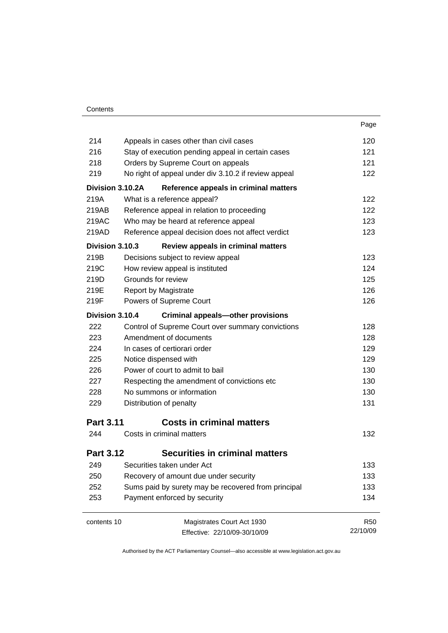| Contents |
|----------|
|----------|

| 214              | Appeals in cases other than civil cases              | 120        |
|------------------|------------------------------------------------------|------------|
| 216              | Stay of execution pending appeal in certain cases    | 121        |
| 218              | Orders by Supreme Court on appeals                   | 121        |
| 219              | No right of appeal under div 3.10.2 if review appeal | 122        |
| Division 3.10.2A | Reference appeals in criminal matters                |            |
| 219A             | What is a reference appeal?                          | 122        |
| 219AB            | Reference appeal in relation to proceeding           | 122        |
| 219AC            | Who may be heard at reference appeal                 | 123        |
| 219AD            | Reference appeal decision does not affect verdict    | 123        |
| Division 3.10.3  | Review appeals in criminal matters                   |            |
| 219B             | Decisions subject to review appeal                   | 123        |
| 219C             | How review appeal is instituted                      | 124        |
| 219D             | Grounds for review                                   | 125        |
| 219E             | <b>Report by Magistrate</b>                          | 126        |
| 219F             | Powers of Supreme Court                              | 126        |
| Division 3.10.4  | <b>Criminal appeals-other provisions</b>             |            |
| 222              | Control of Supreme Court over summary convictions    | 128        |
| 223              | Amendment of documents                               | 128        |
| 224              | In cases of certiorari order                         | 129        |
| 225              | Notice dispensed with                                | 129        |
| 226              | Power of court to admit to bail                      | 130        |
| 227              | Respecting the amendment of convictions etc          | 130        |
| 228              | No summons or information                            | 130        |
| 229              | Distribution of penalty                              | 131        |
| <b>Part 3.11</b> | <b>Costs in criminal matters</b>                     |            |
| 244              | Costs in criminal matters                            | 132        |
| <b>Part 3.12</b> | <b>Securities in criminal matters</b>                |            |
| 249              | Securities taken under Act                           | 133        |
| 250              | Recovery of amount due under security                | 133        |
| 252              | Sums paid by surety may be recovered from principal  | 133        |
| 253              | Payment enforced by security                         | 134        |
| contents 10      | Magistrates Court Act 1930                           | <b>R50</b> |
|                  | Effective: 22/10/09-30/10/09                         | 22/10/09   |
|                  |                                                      |            |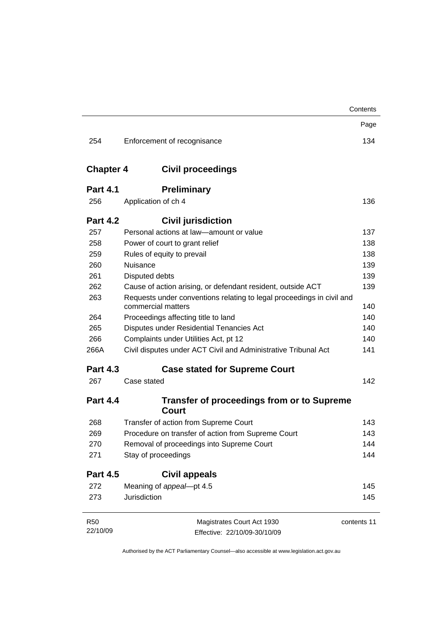|                  |                                                                                             | Contents    |
|------------------|---------------------------------------------------------------------------------------------|-------------|
|                  |                                                                                             | Page        |
| 254              | Enforcement of recognisance                                                                 | 134         |
| <b>Chapter 4</b> | <b>Civil proceedings</b>                                                                    |             |
| <b>Part 4.1</b>  | <b>Preliminary</b>                                                                          |             |
| 256              | Application of ch 4                                                                         | 136         |
| <b>Part 4.2</b>  | <b>Civil jurisdiction</b>                                                                   |             |
| 257              | Personal actions at law-amount or value                                                     | 137         |
| 258              | Power of court to grant relief                                                              | 138         |
| 259              | Rules of equity to prevail                                                                  | 138         |
| 260              | Nuisance                                                                                    | 139         |
| 261              | Disputed debts                                                                              | 139         |
| 262              | Cause of action arising, or defendant resident, outside ACT                                 | 139         |
| 263              | Requests under conventions relating to legal proceedings in civil and<br>commercial matters | 140         |
| 264              | Proceedings affecting title to land                                                         | 140         |
| 265              | Disputes under Residential Tenancies Act                                                    | 140         |
| 266              | Complaints under Utilities Act, pt 12                                                       | 140         |
| 266A             | Civil disputes under ACT Civil and Administrative Tribunal Act                              | 141         |
| <b>Part 4.3</b>  | <b>Case stated for Supreme Court</b>                                                        |             |
| 267              | Case stated                                                                                 | 142         |
| <b>Part 4.4</b>  | <b>Transfer of proceedings from or to Supreme</b><br>Court                                  |             |
| 268              | Transfer of action from Supreme Court                                                       | 143         |
| 269              | Procedure on transfer of action from Supreme Court                                          | 143         |
| 270              | Removal of proceedings into Supreme Court                                                   | 144         |
| 271              | Stay of proceedings                                                                         | 144         |
| <b>Part 4.5</b>  | <b>Civil appeals</b>                                                                        |             |
| 272              | Meaning of appeal-pt 4.5                                                                    | 145         |
| 273              | <b>Jurisdiction</b>                                                                         | 145         |
| <b>R50</b>       | Magistrates Court Act 1930                                                                  | contents 11 |
| 22/10/09         | Effective: 22/10/09-30/10/09                                                                |             |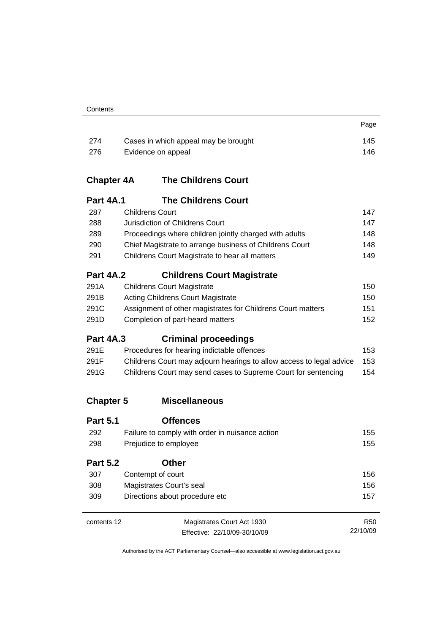| Contents |
|----------|
|----------|

| 274  | Cases in which appeal may be brought | 145 |
|------|--------------------------------------|-----|
| -276 | Evidence on appeal                   | 146 |

Page

## **Chapter 4A The Childrens Court**

|     | <b>Part 4A.1</b> | <b>The Childrens Court</b>                              |     |
|-----|------------------|---------------------------------------------------------|-----|
| 287 |                  | <b>Childrens Court</b>                                  | 147 |
| 288 |                  | Jurisdiction of Childrens Court                         | 147 |
| 289 |                  | Proceedings where children jointly charged with adults  | 148 |
| 290 |                  | Chief Magistrate to arrange business of Childrens Court | 148 |
| 291 |                  | Childrens Court Magistrate to hear all matters          | 149 |
|     |                  |                                                         |     |

## **Part 4A.2 Childrens Court Magistrate**

| 150                                                                                                                                                                              |
|----------------------------------------------------------------------------------------------------------------------------------------------------------------------------------|
| 150                                                                                                                                                                              |
| 151                                                                                                                                                                              |
| 152                                                                                                                                                                              |
| <b>Childrens Court Magistrate</b><br><b>Acting Childrens Court Magistrate</b><br>Assignment of other magistrates for Childrens Court matters<br>Completion of part-heard matters |

## **Part 4A.3 Criminal proceedings**

| 291E | Procedures for hearing indictable offences                           | 153 |
|------|----------------------------------------------------------------------|-----|
| 291F | Childrens Court may adjourn hearings to allow access to legal advice | 153 |
| 291G | Childrens Court may send cases to Supreme Court for sentencing       | 154 |

## **Chapter 5 Miscellaneous**

| <b>Part 5.1</b> | <b>Offences</b>                                 |                 |
|-----------------|-------------------------------------------------|-----------------|
| 292             | Failure to comply with order in nuisance action | 155             |
| 298             | Prejudice to employee                           | 155             |
| <b>Part 5.2</b> | Other                                           |                 |
| 307             | Contempt of court                               | 156             |
| 308             | Magistrates Court's seal                        | 156             |
| 309             | Directions about procedure etc                  | 157             |
|                 |                                                 |                 |
| contents 12     | Magistrates Court Act 1930                      | R <sub>50</sub> |
|                 | Effective: 22/10/09-30/10/09                    | 22/10/09        |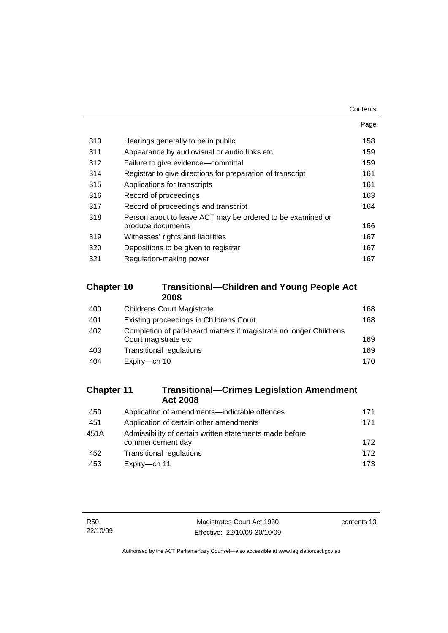**Contents** 

|                                                                                 | Page |
|---------------------------------------------------------------------------------|------|
| Hearings generally to be in public                                              | 158  |
| Appearance by audiovisual or audio links etc                                    | 159  |
| Failure to give evidence—committal                                              | 159  |
| Registrar to give directions for preparation of transcript                      | 161  |
| Applications for transcripts                                                    | 161  |
| Record of proceedings                                                           | 163. |
| Record of proceedings and transcript                                            | 164  |
| Person about to leave ACT may be ordered to be examined or<br>produce documents | 166  |
| Witnesses' rights and liabilities                                               | 167  |
| Depositions to be given to registrar                                            | 167  |
| Regulation-making power                                                         | 167  |
|                                                                                 |      |

## **Chapter 10 Transitional—Children and Young People Act 2008**

| 400 | <b>Childrens Court Magistrate</b>                                                          | 168 |
|-----|--------------------------------------------------------------------------------------------|-----|
| 401 | Existing proceedings in Childrens Court                                                    | 168 |
| 402 | Completion of part-heard matters if magistrate no longer Childrens<br>Court magistrate etc | 169 |
| 403 | <b>Transitional regulations</b>                                                            | 169 |
| 404 | Expiry-ch 10                                                                               | 170 |

## **Chapter 11 Transitional—Crimes Legislation Amendment Act 2008**

| Application of amendments—indictable offences                               | 171 |
|-----------------------------------------------------------------------------|-----|
| Application of certain other amendments                                     | 171 |
| Admissibility of certain written statements made before<br>commencement day | 172 |
| <b>Transitional regulations</b>                                             | 172 |
| Expiry-ch 11                                                                | 173 |
|                                                                             |     |

contents 13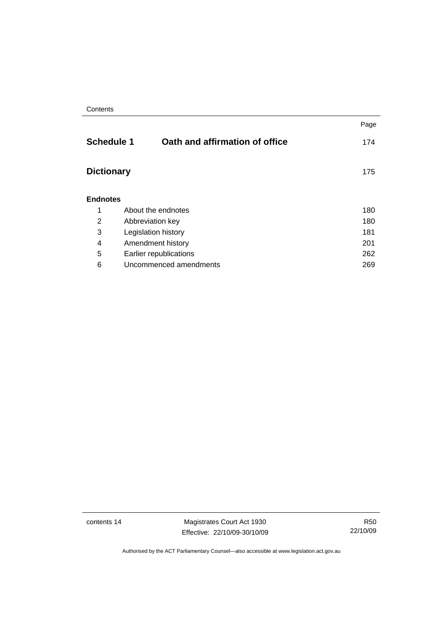|                   |                                | Page |
|-------------------|--------------------------------|------|
| <b>Schedule 1</b> | Oath and affirmation of office | 174  |
| <b>Dictionary</b> |                                | 175  |
| <b>Endnotes</b>   |                                |      |
| 1                 | About the endnotes             | 180  |
| 2                 | Abbreviation key               | 180  |
| 3                 | Legislation history            | 181  |
| 4                 | Amendment history              | 201  |
| 5                 | Earlier republications         | 262  |
| 6                 | Uncommenced amendments<br>269  |      |

contents 14 Magistrates Court Act 1930 Effective: 22/10/09-30/10/09

R50 22/10/09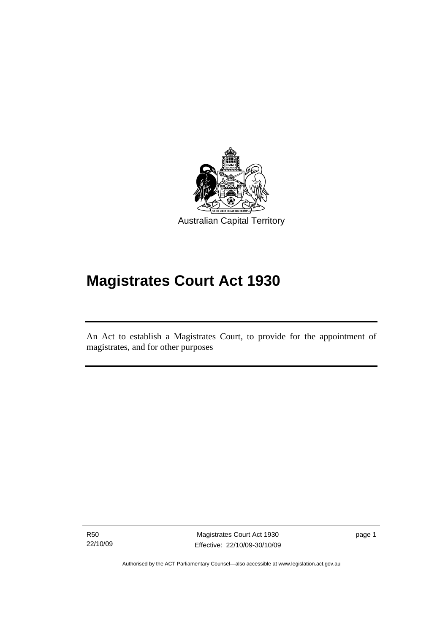<span id="page-16-0"></span>

# **Magistrates Court Act 1930**

An Act to establish a Magistrates Court, to provide for the appointment of magistrates, and for other purposes

R50 22/10/09

Ī

Magistrates Court Act 1930 Effective: 22/10/09-30/10/09 page 1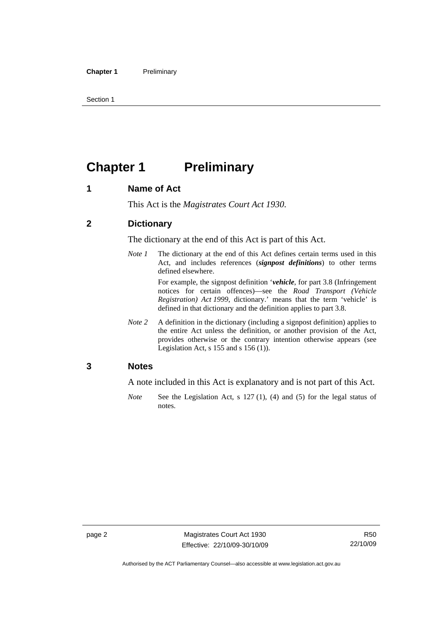<span id="page-17-0"></span>Section 1

## **Chapter 1** Preliminary

## **1 Name of Act**

This Act is the *Magistrates Court Act 1930*.

## **2 Dictionary**

The dictionary at the end of this Act is part of this Act.

*Note 1* The dictionary at the end of this Act defines certain terms used in this Act, and includes references (*signpost definitions*) to other terms defined elsewhere.

> For example, the signpost definition '*vehicle*, for part 3.8 (Infringement notices for certain offences)—see the *Road Transport (Vehicle Registration) Act 1999*, dictionary.' means that the term 'vehicle' is defined in that dictionary and the definition applies to part 3.8.

*Note 2* A definition in the dictionary (including a signpost definition) applies to the entire Act unless the definition, or another provision of the Act, provides otherwise or the contrary intention otherwise appears (see Legislation Act, s 155 and s 156 (1)).

## **3 Notes**

A note included in this Act is explanatory and is not part of this Act.

*Note* See the Legislation Act, s 127 (1), (4) and (5) for the legal status of notes.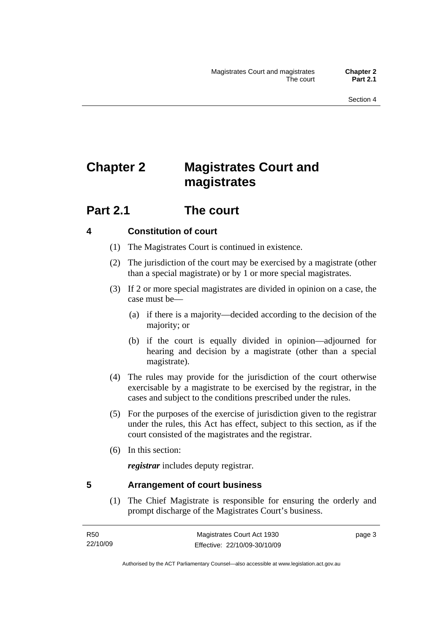## <span id="page-18-0"></span>**Chapter 2 Magistrates Court and magistrates**

## **Part 2.1 The court**

## **4 Constitution of court**

- (1) The Magistrates Court is continued in existence.
- (2) The jurisdiction of the court may be exercised by a magistrate (other than a special magistrate) or by 1 or more special magistrates.
- (3) If 2 or more special magistrates are divided in opinion on a case, the case must be—
	- (a) if there is a majority—decided according to the decision of the majority; or
	- (b) if the court is equally divided in opinion—adjourned for hearing and decision by a magistrate (other than a special magistrate).
- (4) The rules may provide for the jurisdiction of the court otherwise exercisable by a magistrate to be exercised by the registrar, in the cases and subject to the conditions prescribed under the rules.
- (5) For the purposes of the exercise of jurisdiction given to the registrar under the rules, this Act has effect, subject to this section, as if the court consisted of the magistrates and the registrar.
- (6) In this section:

*registrar* includes deputy registrar.

## **5 Arrangement of court business**

 (1) The Chief Magistrate is responsible for ensuring the orderly and prompt discharge of the Magistrates Court's business.

page 3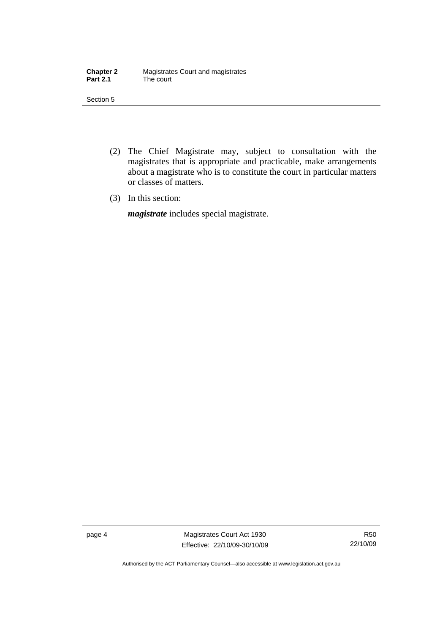| <b>Chapter 2</b> | Magistrates Court and magistrates |
|------------------|-----------------------------------|
| <b>Part 2.1</b>  | The court                         |

Section 5

- (2) The Chief Magistrate may, subject to consultation with the magistrates that is appropriate and practicable, make arrangements about a magistrate who is to constitute the court in particular matters or classes of matters.
- (3) In this section:

*magistrate* includes special magistrate.

page 4 Magistrates Court Act 1930 Effective: 22/10/09-30/10/09

R50 22/10/09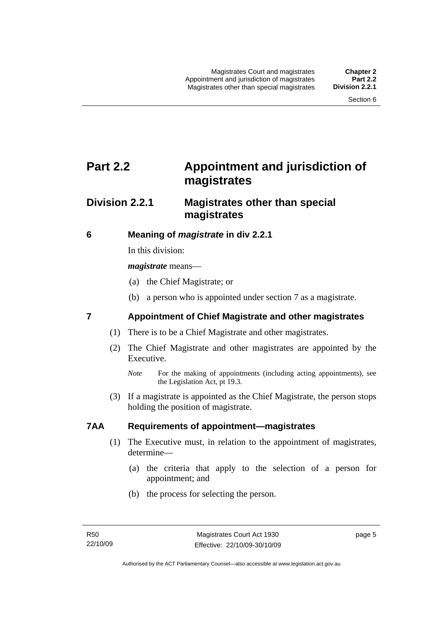## <span id="page-20-0"></span>**Part 2.2 Appointment and jurisdiction of magistrates**

## **Division 2.2.1 Magistrates other than special magistrates**

## **6 Meaning of** *magistrate* **in div 2.2.1**

In this division:

*magistrate* means—

- (a) the Chief Magistrate; or
- (b) a person who is appointed under section 7 as a magistrate.

## **7 Appointment of Chief Magistrate and other magistrates**

- (1) There is to be a Chief Magistrate and other magistrates.
- (2) The Chief Magistrate and other magistrates are appointed by the Executive.

 (3) If a magistrate is appointed as the Chief Magistrate, the person stops holding the position of magistrate.

## **7AA Requirements of appointment—magistrates**

- (1) The Executive must, in relation to the appointment of magistrates, determine—
	- (a) the criteria that apply to the selection of a person for appointment; and
	- (b) the process for selecting the person.

*Note* For the making of appointments (including acting appointments), see the Legislation Act, pt 19.3.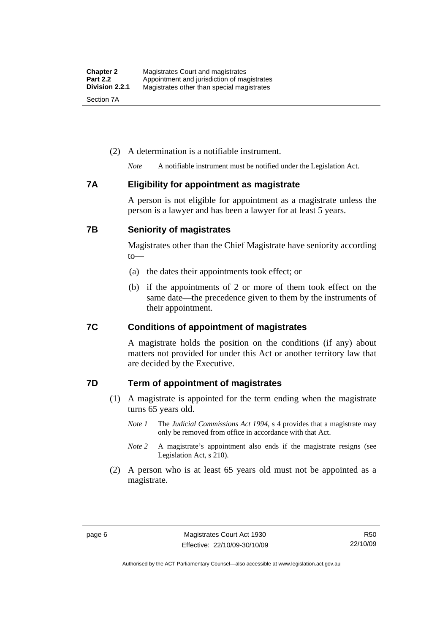### <span id="page-21-0"></span>(2) A determination is a notifiable instrument.

*Note* A notifiable instrument must be notified under the Legislation Act.

### **7A Eligibility for appointment as magistrate**

A person is not eligible for appointment as a magistrate unless the person is a lawyer and has been a lawyer for at least 5 years.

### **7B Seniority of magistrates**

Magistrates other than the Chief Magistrate have seniority according to—

- (a) the dates their appointments took effect; or
- (b) if the appointments of 2 or more of them took effect on the same date—the precedence given to them by the instruments of their appointment.

## **7C Conditions of appointment of magistrates**

A magistrate holds the position on the conditions (if any) about matters not provided for under this Act or another territory law that are decided by the Executive.

## **7D Term of appointment of magistrates**

- (1) A magistrate is appointed for the term ending when the magistrate turns 65 years old.
	- *Note 1* The *Judicial Commissions Act 1994*, s 4 provides that a magistrate may only be removed from office in accordance with that Act.
	- *Note 2* A magistrate's appointment also ends if the magistrate resigns (see Legislation Act, s 210).
- (2) A person who is at least 65 years old must not be appointed as a magistrate.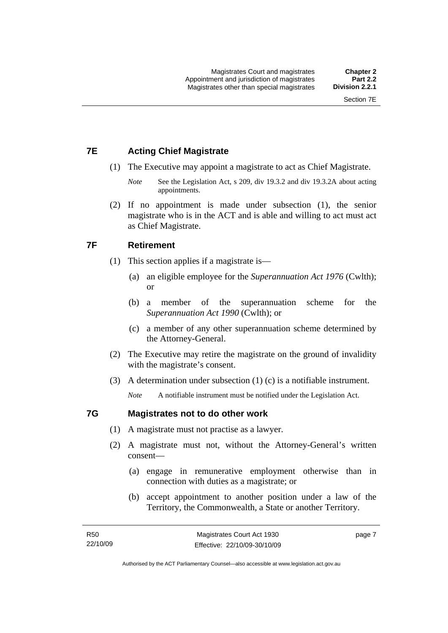## <span id="page-22-0"></span>**7E Acting Chief Magistrate**

- (1) The Executive may appoint a magistrate to act as Chief Magistrate.
	- *Note* See the Legislation Act, s 209, div 19.3.2 and div 19.3.2A about acting appointments.
- (2) If no appointment is made under subsection (1), the senior magistrate who is in the ACT and is able and willing to act must act as Chief Magistrate.

## **7F Retirement**

- (1) This section applies if a magistrate is—
	- (a) an eligible employee for the *Superannuation Act 1976* (Cwlth); or
	- (b) a member of the superannuation scheme for the *Superannuation Act 1990* (Cwlth); or
	- (c) a member of any other superannuation scheme determined by the Attorney-General.
- (2) The Executive may retire the magistrate on the ground of invalidity with the magistrate's consent.
- (3) A determination under subsection (1) (c) is a notifiable instrument.

*Note* A notifiable instrument must be notified under the Legislation Act.

## **7G Magistrates not to do other work**

- (1) A magistrate must not practise as a lawyer.
- (2) A magistrate must not, without the Attorney-General's written consent—
	- (a) engage in remunerative employment otherwise than in connection with duties as a magistrate; or
	- (b) accept appointment to another position under a law of the Territory, the Commonwealth, a State or another Territory.

page 7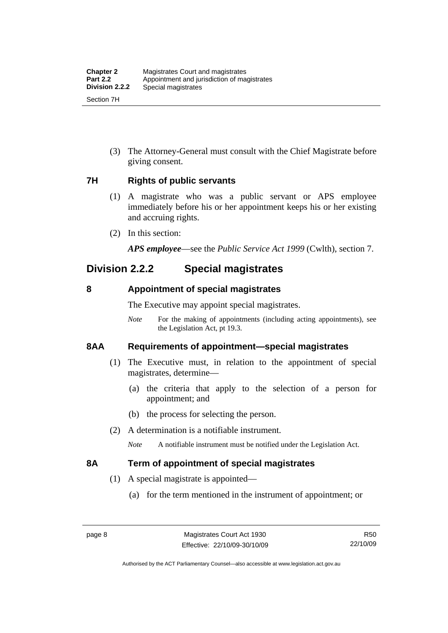<span id="page-23-0"></span> (3) The Attorney-General must consult with the Chief Magistrate before giving consent.

## **7H Rights of public servants**

- (1) A magistrate who was a public servant or APS employee immediately before his or her appointment keeps his or her existing and accruing rights.
- (2) In this section:

*APS employee*—see the *Public Service Act 1999* (Cwlth), section 7.

## **Division 2.2.2 Special magistrates**

## **8 Appointment of special magistrates**

The Executive may appoint special magistrates.

*Note* For the making of appointments (including acting appointments), see the Legislation Act, pt 19.3.

## **8AA Requirements of appointment—special magistrates**

- (1) The Executive must, in relation to the appointment of special magistrates, determine—
	- (a) the criteria that apply to the selection of a person for appointment; and
	- (b) the process for selecting the person.
- (2) A determination is a notifiable instrument.

*Note* A notifiable instrument must be notified under the Legislation Act.

## **8A Term of appointment of special magistrates**

- (1) A special magistrate is appointed—
	- (a) for the term mentioned in the instrument of appointment; or

Authorised by the ACT Parliamentary Counsel—also accessible at www.legislation.act.gov.au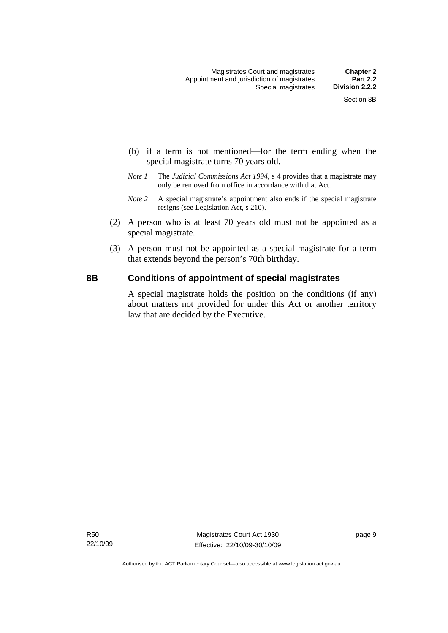- <span id="page-24-0"></span> (b) if a term is not mentioned—for the term ending when the special magistrate turns 70 years old.
- *Note 1* The *Judicial Commissions Act 1994*, s 4 provides that a magistrate may only be removed from office in accordance with that Act.
- *Note 2* A special magistrate's appointment also ends if the special magistrate resigns (see Legislation Act, s 210).
- (2) A person who is at least 70 years old must not be appointed as a special magistrate.
- (3) A person must not be appointed as a special magistrate for a term that extends beyond the person's 70th birthday.

## **8B Conditions of appointment of special magistrates**

A special magistrate holds the position on the conditions (if any) about matters not provided for under this Act or another territory law that are decided by the Executive.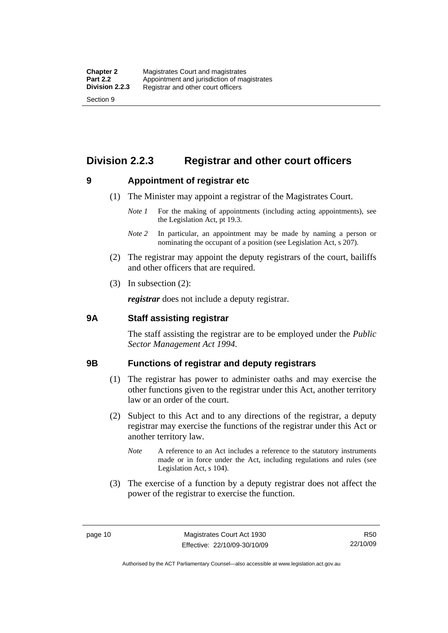## <span id="page-25-0"></span>**Division 2.2.3 Registrar and other court officers**

## **9 Appointment of registrar etc**

- (1) The Minister may appoint a registrar of the Magistrates Court.
	- *Note 1* For the making of appointments (including acting appointments), see the Legislation Act, pt 19.3.
	- *Note 2* In particular, an appointment may be made by naming a person or nominating the occupant of a position (see Legislation Act, s 207).
- (2) The registrar may appoint the deputy registrars of the court, bailiffs and other officers that are required.
- (3) In subsection (2):

*registrar* does not include a deputy registrar.

### **9A Staff assisting registrar**

The staff assisting the registrar are to be employed under the *Public Sector Management Act 1994*.

### **9B Functions of registrar and deputy registrars**

- (1) The registrar has power to administer oaths and may exercise the other functions given to the registrar under this Act, another territory law or an order of the court.
- (2) Subject to this Act and to any directions of the registrar, a deputy registrar may exercise the functions of the registrar under this Act or another territory law.
	- *Note* A reference to an Act includes a reference to the statutory instruments made or in force under the Act, including regulations and rules (see Legislation Act, s 104).
- (3) The exercise of a function by a deputy registrar does not affect the power of the registrar to exercise the function.

R50 22/10/09

Authorised by the ACT Parliamentary Counsel—also accessible at www.legislation.act.gov.au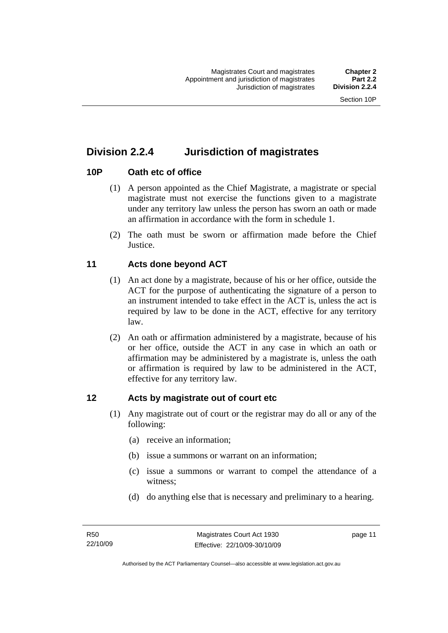## <span id="page-26-0"></span>**Division 2.2.4 Jurisdiction of magistrates**

## **10P Oath etc of office**

- (1) A person appointed as the Chief Magistrate, a magistrate or special magistrate must not exercise the functions given to a magistrate under any territory law unless the person has sworn an oath or made an affirmation in accordance with the form in schedule 1.
- (2) The oath must be sworn or affirmation made before the Chief **Justice**.

## **11 Acts done beyond ACT**

- (1) An act done by a magistrate, because of his or her office, outside the ACT for the purpose of authenticating the signature of a person to an instrument intended to take effect in the ACT is, unless the act is required by law to be done in the ACT, effective for any territory law.
- (2) An oath or affirmation administered by a magistrate, because of his or her office, outside the ACT in any case in which an oath or affirmation may be administered by a magistrate is, unless the oath or affirmation is required by law to be administered in the ACT, effective for any territory law.

## **12 Acts by magistrate out of court etc**

- (1) Any magistrate out of court or the registrar may do all or any of the following:
	- (a) receive an information;
	- (b) issue a summons or warrant on an information;
	- (c) issue a summons or warrant to compel the attendance of a witness;
	- (d) do anything else that is necessary and preliminary to a hearing.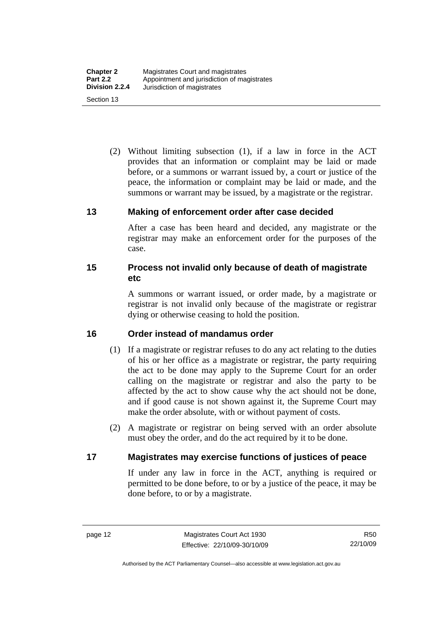<span id="page-27-0"></span> (2) Without limiting subsection (1), if a law in force in the ACT provides that an information or complaint may be laid or made before, or a summons or warrant issued by, a court or justice of the peace, the information or complaint may be laid or made, and the summons or warrant may be issued, by a magistrate or the registrar.

### **13 Making of enforcement order after case decided**

After a case has been heard and decided, any magistrate or the registrar may make an enforcement order for the purposes of the case.

## **15 Process not invalid only because of death of magistrate etc**

A summons or warrant issued, or order made, by a magistrate or registrar is not invalid only because of the magistrate or registrar dying or otherwise ceasing to hold the position.

## **16 Order instead of mandamus order**

- (1) If a magistrate or registrar refuses to do any act relating to the duties of his or her office as a magistrate or registrar, the party requiring the act to be done may apply to the Supreme Court for an order calling on the magistrate or registrar and also the party to be affected by the act to show cause why the act should not be done, and if good cause is not shown against it, the Supreme Court may make the order absolute, with or without payment of costs.
- (2) A magistrate or registrar on being served with an order absolute must obey the order, and do the act required by it to be done.

## **17 Magistrates may exercise functions of justices of peace**

If under any law in force in the ACT, anything is required or permitted to be done before, to or by a justice of the peace, it may be done before, to or by a magistrate.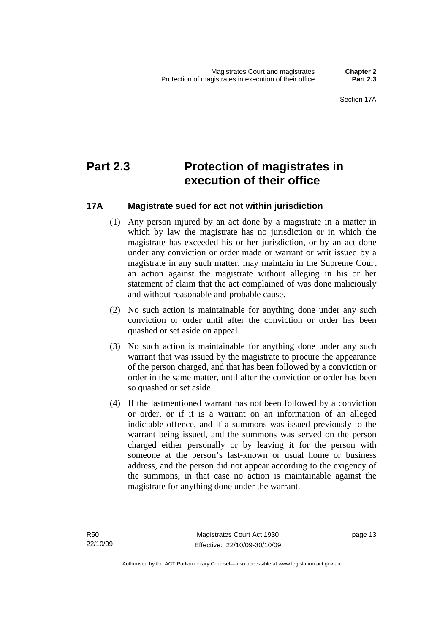## <span id="page-28-0"></span>**Part 2.3 Protection of magistrates in execution of their office**

## **17A Magistrate sued for act not within jurisdiction**

- (1) Any person injured by an act done by a magistrate in a matter in which by law the magistrate has no jurisdiction or in which the magistrate has exceeded his or her jurisdiction, or by an act done under any conviction or order made or warrant or writ issued by a magistrate in any such matter, may maintain in the Supreme Court an action against the magistrate without alleging in his or her statement of claim that the act complained of was done maliciously and without reasonable and probable cause.
- (2) No such action is maintainable for anything done under any such conviction or order until after the conviction or order has been quashed or set aside on appeal.
- (3) No such action is maintainable for anything done under any such warrant that was issued by the magistrate to procure the appearance of the person charged, and that has been followed by a conviction or order in the same matter, until after the conviction or order has been so quashed or set aside.
- (4) If the lastmentioned warrant has not been followed by a conviction or order, or if it is a warrant on an information of an alleged indictable offence, and if a summons was issued previously to the warrant being issued, and the summons was served on the person charged either personally or by leaving it for the person with someone at the person's last-known or usual home or business address, and the person did not appear according to the exigency of the summons, in that case no action is maintainable against the magistrate for anything done under the warrant.

page 13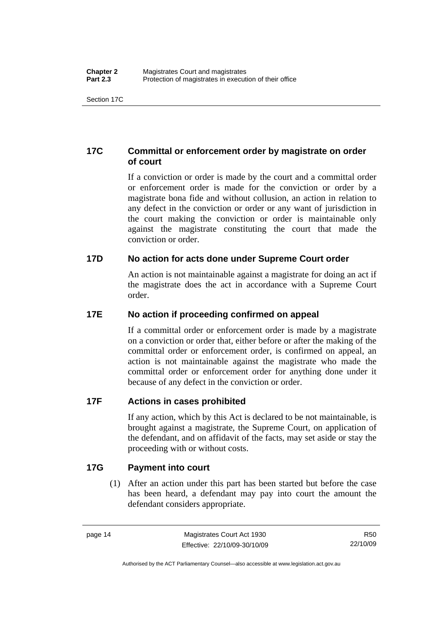## <span id="page-29-0"></span>**17C Committal or enforcement order by magistrate on order of court**

If a conviction or order is made by the court and a committal order or enforcement order is made for the conviction or order by a magistrate bona fide and without collusion, an action in relation to any defect in the conviction or order or any want of jurisdiction in the court making the conviction or order is maintainable only against the magistrate constituting the court that made the conviction or order.

## **17D No action for acts done under Supreme Court order**

An action is not maintainable against a magistrate for doing an act if the magistrate does the act in accordance with a Supreme Court order.

## **17E No action if proceeding confirmed on appeal**

If a committal order or enforcement order is made by a magistrate on a conviction or order that, either before or after the making of the committal order or enforcement order, is confirmed on appeal, an action is not maintainable against the magistrate who made the committal order or enforcement order for anything done under it because of any defect in the conviction or order.

## **17F Actions in cases prohibited**

If any action, which by this Act is declared to be not maintainable, is brought against a magistrate, the Supreme Court, on application of the defendant, and on affidavit of the facts, may set aside or stay the proceeding with or without costs.

## **17G Payment into court**

 (1) After an action under this part has been started but before the case has been heard, a defendant may pay into court the amount the defendant considers appropriate.

R50 22/10/09

Authorised by the ACT Parliamentary Counsel—also accessible at www.legislation.act.gov.au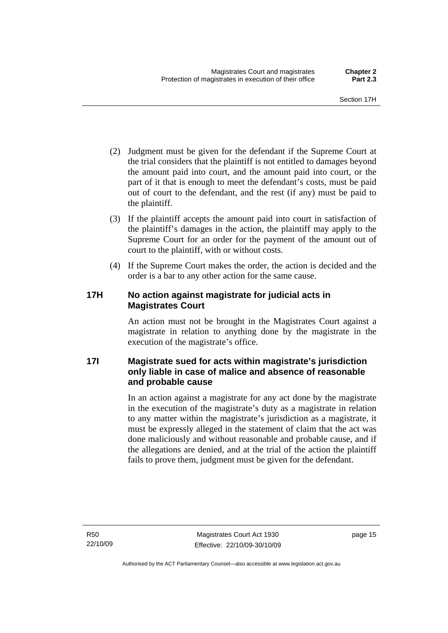- <span id="page-30-0"></span> (2) Judgment must be given for the defendant if the Supreme Court at the trial considers that the plaintiff is not entitled to damages beyond the amount paid into court, and the amount paid into court, or the part of it that is enough to meet the defendant's costs, must be paid out of court to the defendant, and the rest (if any) must be paid to the plaintiff.
- (3) If the plaintiff accepts the amount paid into court in satisfaction of the plaintiff's damages in the action, the plaintiff may apply to the Supreme Court for an order for the payment of the amount out of court to the plaintiff, with or without costs.
- (4) If the Supreme Court makes the order, the action is decided and the order is a bar to any other action for the same cause.

## **17H No action against magistrate for judicial acts in Magistrates Court**

An action must not be brought in the Magistrates Court against a magistrate in relation to anything done by the magistrate in the execution of the magistrate's office.

## **17I Magistrate sued for acts within magistrate's jurisdiction only liable in case of malice and absence of reasonable and probable cause**

In an action against a magistrate for any act done by the magistrate in the execution of the magistrate's duty as a magistrate in relation to any matter within the magistrate's jurisdiction as a magistrate, it must be expressly alleged in the statement of claim that the act was done maliciously and without reasonable and probable cause, and if the allegations are denied, and at the trial of the action the plaintiff fails to prove them, judgment must be given for the defendant.

page 15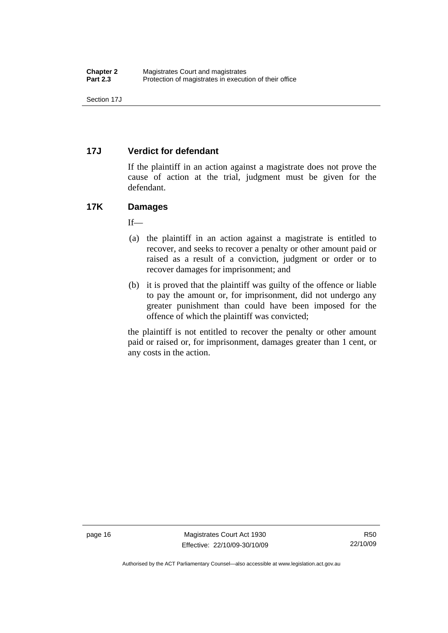## <span id="page-31-0"></span>**17J Verdict for defendant**

If the plaintiff in an action against a magistrate does not prove the cause of action at the trial, judgment must be given for the defendant.

## **17K Damages**

 $If$ —

- (a) the plaintiff in an action against a magistrate is entitled to recover, and seeks to recover a penalty or other amount paid or raised as a result of a conviction, judgment or order or to recover damages for imprisonment; and
- (b) it is proved that the plaintiff was guilty of the offence or liable to pay the amount or, for imprisonment, did not undergo any greater punishment than could have been imposed for the offence of which the plaintiff was convicted;

the plaintiff is not entitled to recover the penalty or other amount paid or raised or, for imprisonment, damages greater than 1 cent, or any costs in the action.

page 16 Magistrates Court Act 1930 Effective: 22/10/09-30/10/09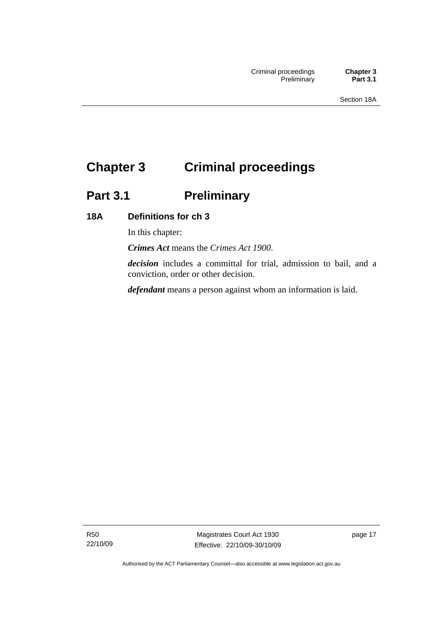## <span id="page-32-0"></span>**Chapter 3 Criminal proceedings**

## **Part 3.1 Preliminary**

## **18A Definitions for ch 3**

In this chapter:

*Crimes Act* means the *Crimes Act 1900*.

*decision* includes a committal for trial, admission to bail, and a conviction, order or other decision.

*defendant* means a person against whom an information is laid.

R50 22/10/09

Magistrates Court Act 1930 Effective: 22/10/09-30/10/09 page 17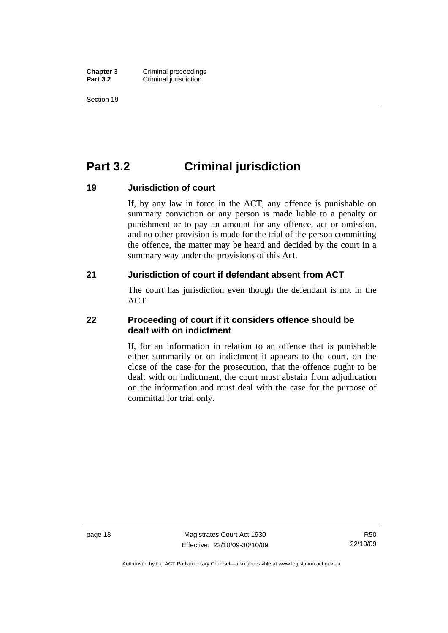<span id="page-33-0"></span>**Chapter 3 Criminal proceedings**<br>**Part 3.2 Criminal iurisdiction Criminal jurisdiction** 

Section 19

## **Part 3.2 Criminal jurisdiction**

### **19 Jurisdiction of court**

If, by any law in force in the ACT, any offence is punishable on summary conviction or any person is made liable to a penalty or punishment or to pay an amount for any offence, act or omission, and no other provision is made for the trial of the person committing the offence, the matter may be heard and decided by the court in a summary way under the provisions of this Act.

### **21 Jurisdiction of court if defendant absent from ACT**

The court has jurisdiction even though the defendant is not in the ACT.

## **22 Proceeding of court if it considers offence should be dealt with on indictment**

If, for an information in relation to an offence that is punishable either summarily or on indictment it appears to the court, on the close of the case for the prosecution, that the offence ought to be dealt with on indictment, the court must abstain from adjudication on the information and must deal with the case for the purpose of committal for trial only.

page 18 Magistrates Court Act 1930 Effective: 22/10/09-30/10/09

Authorised by the ACT Parliamentary Counsel—also accessible at www.legislation.act.gov.au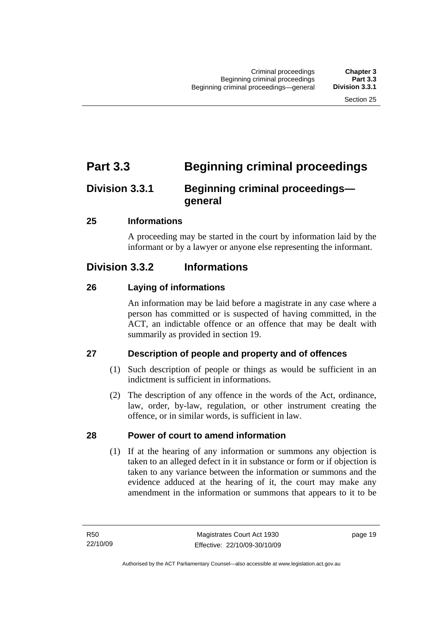## <span id="page-34-0"></span>**Part 3.3 Beginning criminal proceedings**

## **Division 3.3.1 Beginning criminal proceedings general**

## **25 Informations**

A proceeding may be started in the court by information laid by the informant or by a lawyer or anyone else representing the informant.

## **Division 3.3.2 Informations**

## **26 Laying of informations**

An information may be laid before a magistrate in any case where a person has committed or is suspected of having committed, in the ACT, an indictable offence or an offence that may be dealt with summarily as provided in section 19.

## **27 Description of people and property and of offences**

- (1) Such description of people or things as would be sufficient in an indictment is sufficient in informations.
- (2) The description of any offence in the words of the Act, ordinance, law, order, by-law, regulation, or other instrument creating the offence, or in similar words, is sufficient in law.

## **28 Power of court to amend information**

 (1) If at the hearing of any information or summons any objection is taken to an alleged defect in it in substance or form or if objection is taken to any variance between the information or summons and the evidence adduced at the hearing of it, the court may make any amendment in the information or summons that appears to it to be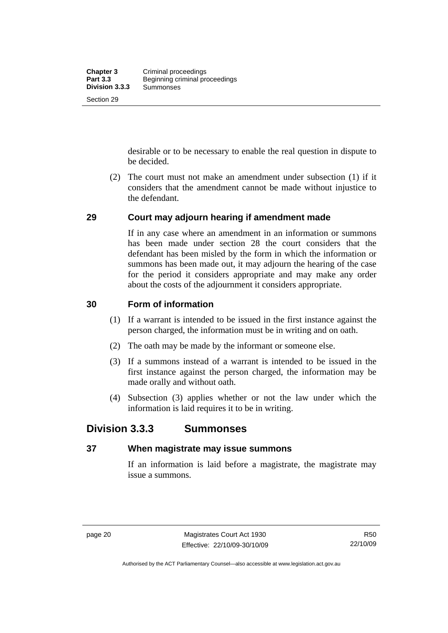<span id="page-35-0"></span>desirable or to be necessary to enable the real question in dispute to be decided.

 (2) The court must not make an amendment under subsection (1) if it considers that the amendment cannot be made without injustice to the defendant.

## **29 Court may adjourn hearing if amendment made**

If in any case where an amendment in an information or summons has been made under section 28 the court considers that the defendant has been misled by the form in which the information or summons has been made out, it may adjourn the hearing of the case for the period it considers appropriate and may make any order about the costs of the adjournment it considers appropriate.

## **30 Form of information**

- (1) If a warrant is intended to be issued in the first instance against the person charged, the information must be in writing and on oath.
- (2) The oath may be made by the informant or someone else.
- (3) If a summons instead of a warrant is intended to be issued in the first instance against the person charged, the information may be made orally and without oath.
- (4) Subsection (3) applies whether or not the law under which the information is laid requires it to be in writing.

## **Division 3.3.3 Summonses**

## **37 When magistrate may issue summons**

If an information is laid before a magistrate, the magistrate may issue a summons.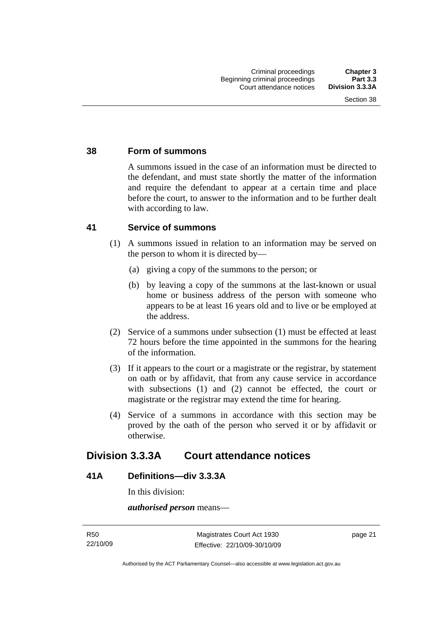## **38 Form of summons**

A summons issued in the case of an information must be directed to the defendant, and must state shortly the matter of the information and require the defendant to appear at a certain time and place before the court, to answer to the information and to be further dealt with according to law.

## **41 Service of summons**

- (1) A summons issued in relation to an information may be served on the person to whom it is directed by—
	- (a) giving a copy of the summons to the person; or
	- (b) by leaving a copy of the summons at the last-known or usual home or business address of the person with someone who appears to be at least 16 years old and to live or be employed at the address.
- (2) Service of a summons under subsection (1) must be effected at least 72 hours before the time appointed in the summons for the hearing of the information.
- (3) If it appears to the court or a magistrate or the registrar, by statement on oath or by affidavit, that from any cause service in accordance with subsections (1) and (2) cannot be effected, the court or magistrate or the registrar may extend the time for hearing.
- (4) Service of a summons in accordance with this section may be proved by the oath of the person who served it or by affidavit or otherwise.

## **Division 3.3.3A Court attendance notices**

## **41A Definitions—div 3.3.3A**

In this division:

*authorised person* means—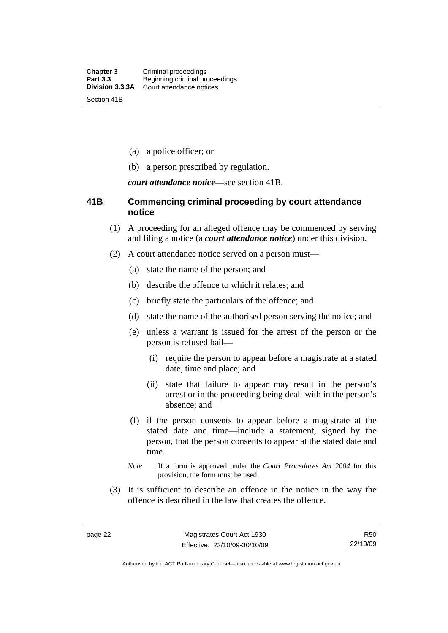- (a) a police officer; or
- (b) a person prescribed by regulation.

*court attendance notice*—see section 41B.

## **41B Commencing criminal proceeding by court attendance notice**

- (1) A proceeding for an alleged offence may be commenced by serving and filing a notice (a *court attendance notice*) under this division.
- (2) A court attendance notice served on a person must––
	- (a) state the name of the person; and
	- (b) describe the offence to which it relates; and
	- (c) briefly state the particulars of the offence; and
	- (d) state the name of the authorised person serving the notice; and
	- (e) unless a warrant is issued for the arrest of the person or the person is refused bail—
		- (i) require the person to appear before a magistrate at a stated date, time and place; and
		- (ii) state that failure to appear may result in the person's arrest or in the proceeding being dealt with in the person's absence; and
	- (f) if the person consents to appear before a magistrate at the stated date and time—include a statement, signed by the person, that the person consents to appear at the stated date and time.
	- *Note* If a form is approved under the *Court Procedures Act 2004* for this provision, the form must be used.
- (3) It is sufficient to describe an offence in the notice in the way the offence is described in the law that creates the offence.

Authorised by the ACT Parliamentary Counsel—also accessible at www.legislation.act.gov.au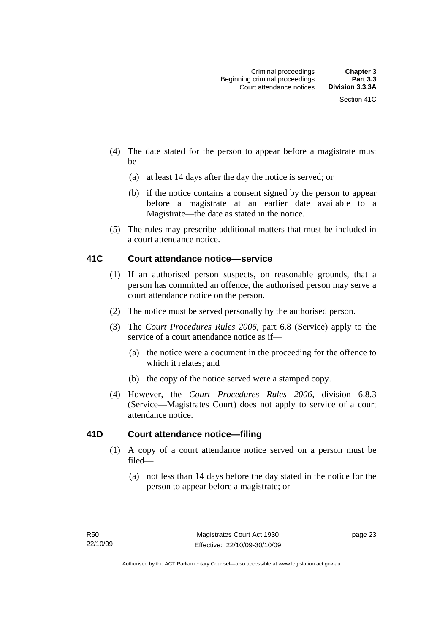- (4) The date stated for the person to appear before a magistrate must be—
	- (a) at least 14 days after the day the notice is served; or
	- (b) if the notice contains a consent signed by the person to appear before a magistrate at an earlier date available to a Magistrate—the date as stated in the notice.
- (5) The rules may prescribe additional matters that must be included in a court attendance notice.

## **41C Court attendance notice––service**

- (1) If an authorised person suspects, on reasonable grounds, that a person has committed an offence, the authorised person may serve a court attendance notice on the person.
- (2) The notice must be served personally by the authorised person.
- (3) The *Court Procedures Rules 2006,* part 6.8 (Service) apply to the service of a court attendance notice as if—
	- (a) the notice were a document in the proceeding for the offence to which it relates; and
	- (b) the copy of the notice served were a stamped copy.
- (4) However, the *Court Procedures Rules 2006,* division 6.8.3 (Service—Magistrates Court) does not apply to service of a court attendance notice.

## **41D Court attendance notice—filing**

- (1) A copy of a court attendance notice served on a person must be filed—
	- (a) not less than 14 days before the day stated in the notice for the person to appear before a magistrate; or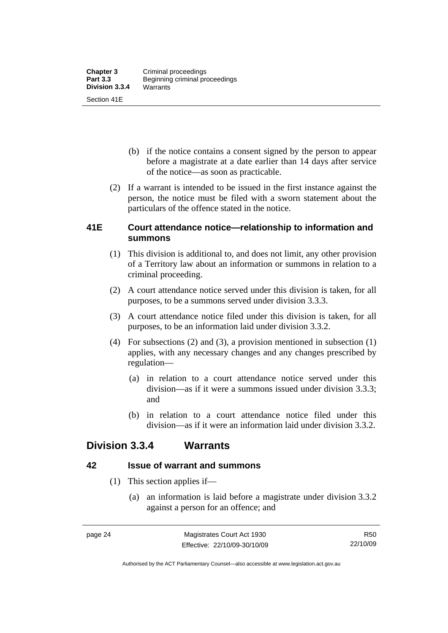- (b) if the notice contains a consent signed by the person to appear before a magistrate at a date earlier than 14 days after service of the notice—as soon as practicable.
- (2) If a warrant is intended to be issued in the first instance against the person, the notice must be filed with a sworn statement about the particulars of the offence stated in the notice.

## **41E Court attendance notice—relationship to information and summons**

- (1) This division is additional to, and does not limit, any other provision of a Territory law about an information or summons in relation to a criminal proceeding.
- (2) A court attendance notice served under this division is taken, for all purposes, to be a summons served under division 3.3.3.
- (3) A court attendance notice filed under this division is taken, for all purposes, to be an information laid under division 3.3.2.
- (4) For subsections (2) and (3), a provision mentioned in subsection (1) applies, with any necessary changes and any changes prescribed by regulation—
	- (a) in relation to a court attendance notice served under this division—as if it were a summons issued under division 3.3.3; and
	- (b) in relation to a court attendance notice filed under this division—as if it were an information laid under division 3.3.2.

## **Division 3.3.4 Warrants**

## **42 Issue of warrant and summons**

- (1) This section applies if—
	- (a) an information is laid before a magistrate under division 3.3.2 against a person for an offence; and

R50 22/10/09

Authorised by the ACT Parliamentary Counsel—also accessible at www.legislation.act.gov.au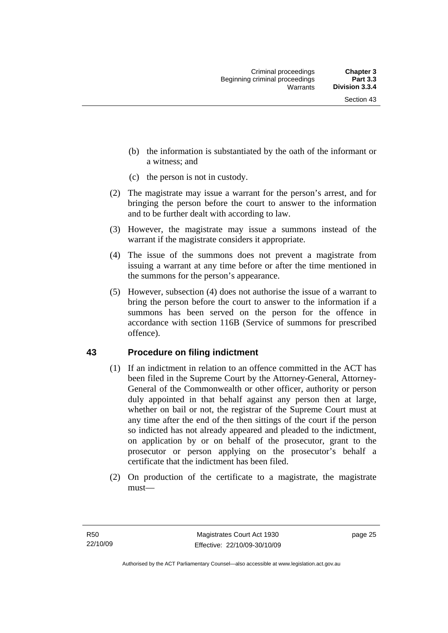- (b) the information is substantiated by the oath of the informant or a witness; and
- (c) the person is not in custody.
- (2) The magistrate may issue a warrant for the person's arrest, and for bringing the person before the court to answer to the information and to be further dealt with according to law.
- (3) However, the magistrate may issue a summons instead of the warrant if the magistrate considers it appropriate.
- (4) The issue of the summons does not prevent a magistrate from issuing a warrant at any time before or after the time mentioned in the summons for the person's appearance.
- (5) However, subsection (4) does not authorise the issue of a warrant to bring the person before the court to answer to the information if a summons has been served on the person for the offence in accordance with section 116B (Service of summons for prescribed offence).

## **43 Procedure on filing indictment**

- (1) If an indictment in relation to an offence committed in the ACT has been filed in the Supreme Court by the Attorney-General, Attorney-General of the Commonwealth or other officer, authority or person duly appointed in that behalf against any person then at large, whether on bail or not, the registrar of the Supreme Court must at any time after the end of the then sittings of the court if the person so indicted has not already appeared and pleaded to the indictment, on application by or on behalf of the prosecutor, grant to the prosecutor or person applying on the prosecutor's behalf a certificate that the indictment has been filed.
- (2) On production of the certificate to a magistrate, the magistrate must—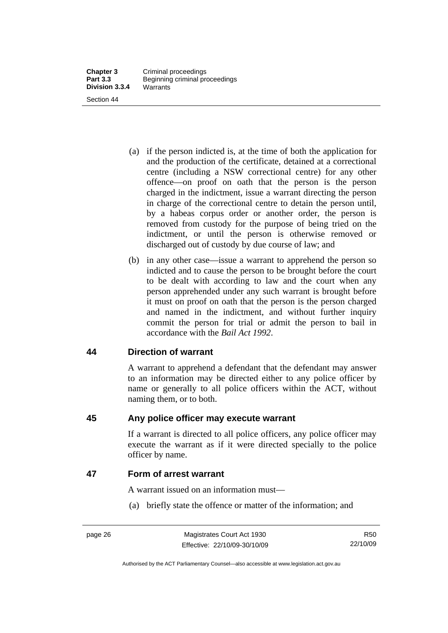- (a) if the person indicted is, at the time of both the application for and the production of the certificate, detained at a correctional centre (including a NSW correctional centre) for any other offence—on proof on oath that the person is the person charged in the indictment, issue a warrant directing the person in charge of the correctional centre to detain the person until, by a habeas corpus order or another order, the person is removed from custody for the purpose of being tried on the indictment, or until the person is otherwise removed or discharged out of custody by due course of law; and
- (b) in any other case—issue a warrant to apprehend the person so indicted and to cause the person to be brought before the court to be dealt with according to law and the court when any person apprehended under any such warrant is brought before it must on proof on oath that the person is the person charged and named in the indictment, and without further inquiry commit the person for trial or admit the person to bail in accordance with the *Bail Act 1992*.

## **44 Direction of warrant**

A warrant to apprehend a defendant that the defendant may answer to an information may be directed either to any police officer by name or generally to all police officers within the ACT, without naming them, or to both.

## **45 Any police officer may execute warrant**

If a warrant is directed to all police officers, any police officer may execute the warrant as if it were directed specially to the police officer by name.

## **47 Form of arrest warrant**

A warrant issued on an information must—

(a) briefly state the offence or matter of the information; and

Authorised by the ACT Parliamentary Counsel—also accessible at www.legislation.act.gov.au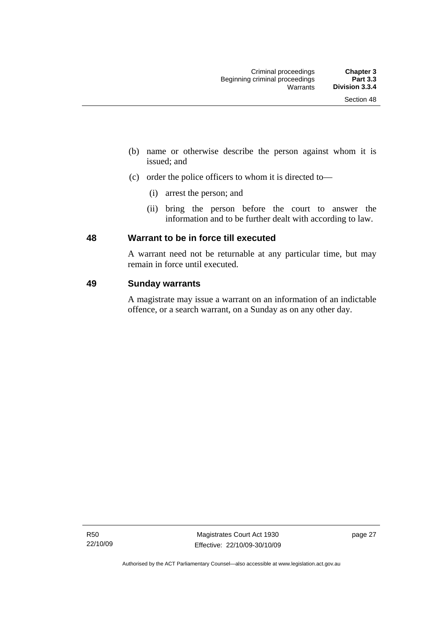- (b) name or otherwise describe the person against whom it is issued; and
- (c) order the police officers to whom it is directed to—
	- (i) arrest the person; and
	- (ii) bring the person before the court to answer the information and to be further dealt with according to law.

## **48 Warrant to be in force till executed**

A warrant need not be returnable at any particular time, but may remain in force until executed.

## **49 Sunday warrants**

A magistrate may issue a warrant on an information of an indictable offence, or a search warrant, on a Sunday as on any other day.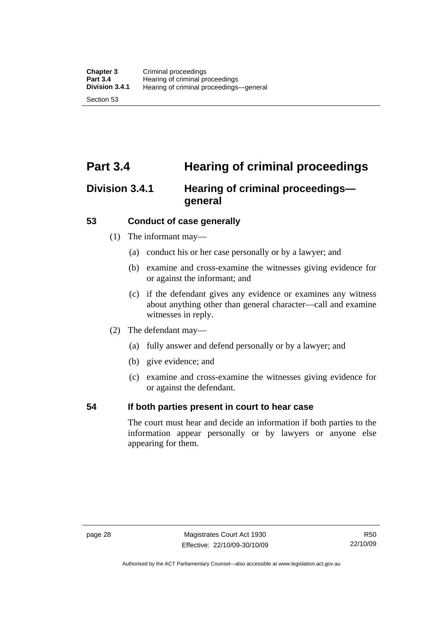# **Part 3.4 Hearing of criminal proceedings**

## **Division 3.4.1 Hearing of criminal proceedings general**

## **53 Conduct of case generally**

- (1) The informant may—
	- (a) conduct his or her case personally or by a lawyer; and
	- (b) examine and cross-examine the witnesses giving evidence for or against the informant; and
	- (c) if the defendant gives any evidence or examines any witness about anything other than general character—call and examine witnesses in reply.
- (2) The defendant may—
	- (a) fully answer and defend personally or by a lawyer; and
	- (b) give evidence; and
	- (c) examine and cross-examine the witnesses giving evidence for or against the defendant.

## **54 If both parties present in court to hear case**

The court must hear and decide an information if both parties to the information appear personally or by lawyers or anyone else appearing for them.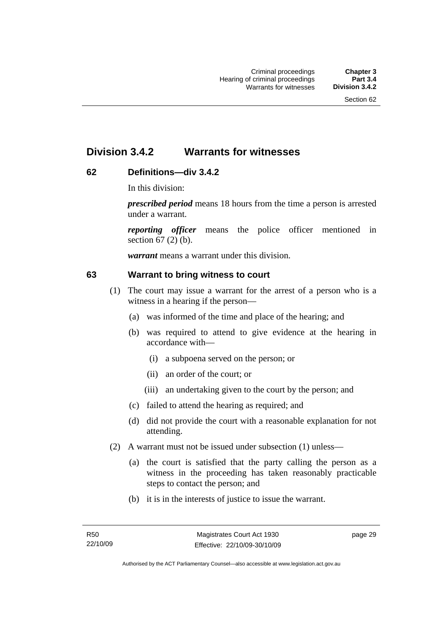## **Division 3.4.2 Warrants for witnesses**

## **62 Definitions—div 3.4.2**

In this division:

*prescribed period* means 18 hours from the time a person is arrested under a warrant.

*reporting officer* means the police officer mentioned in section 67 (2) (b).

*warrant* means a warrant under this division.

## **63 Warrant to bring witness to court**

- (1) The court may issue a warrant for the arrest of a person who is a witness in a hearing if the person—
	- (a) was informed of the time and place of the hearing; and
	- (b) was required to attend to give evidence at the hearing in accordance with—
		- (i) a subpoena served on the person; or
		- (ii) an order of the court; or
		- (iii) an undertaking given to the court by the person; and
	- (c) failed to attend the hearing as required; and
	- (d) did not provide the court with a reasonable explanation for not attending.
- (2) A warrant must not be issued under subsection (1) unless—
	- (a) the court is satisfied that the party calling the person as a witness in the proceeding has taken reasonably practicable steps to contact the person; and
	- (b) it is in the interests of justice to issue the warrant.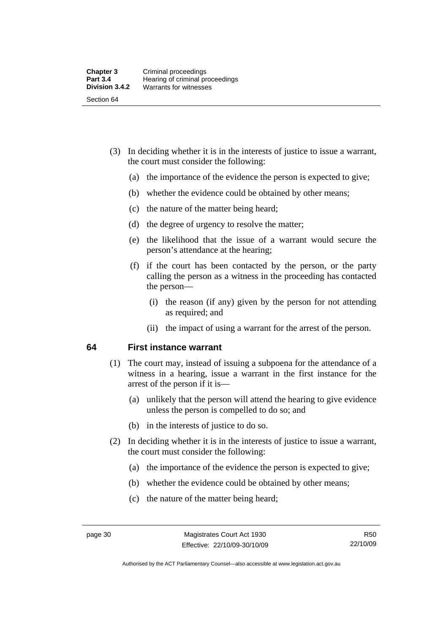- (3) In deciding whether it is in the interests of justice to issue a warrant, the court must consider the following:
	- (a) the importance of the evidence the person is expected to give;
	- (b) whether the evidence could be obtained by other means;
	- (c) the nature of the matter being heard;
	- (d) the degree of urgency to resolve the matter;
	- (e) the likelihood that the issue of a warrant would secure the person's attendance at the hearing;
	- (f) if the court has been contacted by the person, or the party calling the person as a witness in the proceeding has contacted the person—
		- (i) the reason (if any) given by the person for not attending as required; and
		- (ii) the impact of using a warrant for the arrest of the person.

## **64 First instance warrant**

- (1) The court may, instead of issuing a subpoena for the attendance of a witness in a hearing, issue a warrant in the first instance for the arrest of the person if it is—
	- (a) unlikely that the person will attend the hearing to give evidence unless the person is compelled to do so; and
	- (b) in the interests of justice to do so.
- (2) In deciding whether it is in the interests of justice to issue a warrant, the court must consider the following:
	- (a) the importance of the evidence the person is expected to give;
	- (b) whether the evidence could be obtained by other means;
	- (c) the nature of the matter being heard;

Authorised by the ACT Parliamentary Counsel—also accessible at www.legislation.act.gov.au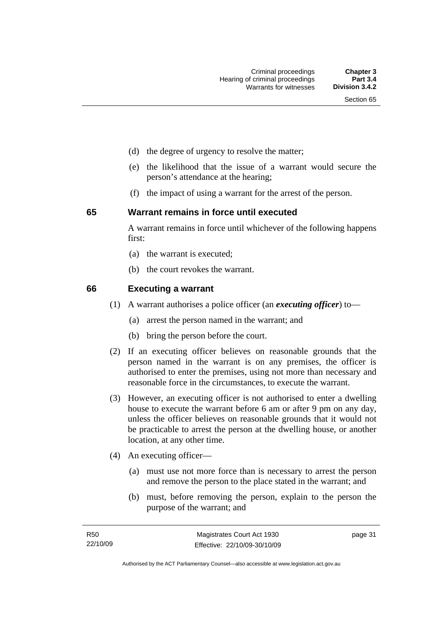- 
- (d) the degree of urgency to resolve the matter;
- (e) the likelihood that the issue of a warrant would secure the person's attendance at the hearing;
- (f) the impact of using a warrant for the arrest of the person.

#### **65 Warrant remains in force until executed**

A warrant remains in force until whichever of the following happens first:

- (a) the warrant is executed;
- (b) the court revokes the warrant.

## **66 Executing a warrant**

- (1) A warrant authorises a police officer (an *executing officer*) to—
	- (a) arrest the person named in the warrant; and
	- (b) bring the person before the court.
- (2) If an executing officer believes on reasonable grounds that the person named in the warrant is on any premises, the officer is authorised to enter the premises, using not more than necessary and reasonable force in the circumstances, to execute the warrant.
- (3) However, an executing officer is not authorised to enter a dwelling house to execute the warrant before 6 am or after 9 pm on any day, unless the officer believes on reasonable grounds that it would not be practicable to arrest the person at the dwelling house, or another location, at any other time.
- (4) An executing officer—
	- (a) must use not more force than is necessary to arrest the person and remove the person to the place stated in the warrant; and
	- (b) must, before removing the person, explain to the person the purpose of the warrant; and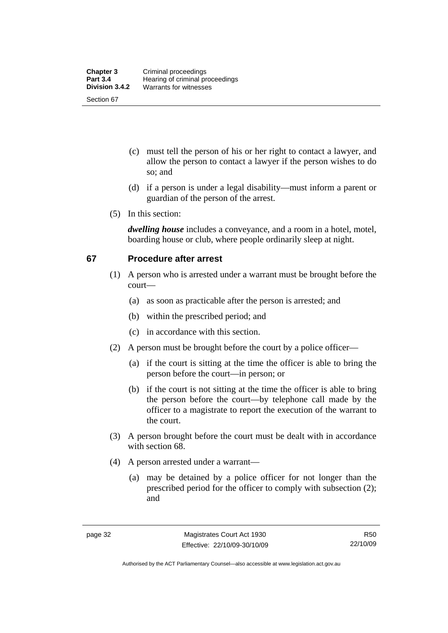- (c) must tell the person of his or her right to contact a lawyer, and allow the person to contact a lawyer if the person wishes to do so; and
- (d) if a person is under a legal disability—must inform a parent or guardian of the person of the arrest.
- (5) In this section:

*dwelling house* includes a conveyance, and a room in a hotel, motel, boarding house or club, where people ordinarily sleep at night.

## **67 Procedure after arrest**

- (1) A person who is arrested under a warrant must be brought before the court—
	- (a) as soon as practicable after the person is arrested; and
	- (b) within the prescribed period; and
	- (c) in accordance with this section.
- (2) A person must be brought before the court by a police officer—
	- (a) if the court is sitting at the time the officer is able to bring the person before the court—in person; or
	- (b) if the court is not sitting at the time the officer is able to bring the person before the court—by telephone call made by the officer to a magistrate to report the execution of the warrant to the court.
- (3) A person brought before the court must be dealt with in accordance with section 68.
- (4) A person arrested under a warrant—
	- (a) may be detained by a police officer for not longer than the prescribed period for the officer to comply with subsection (2); and

Authorised by the ACT Parliamentary Counsel—also accessible at www.legislation.act.gov.au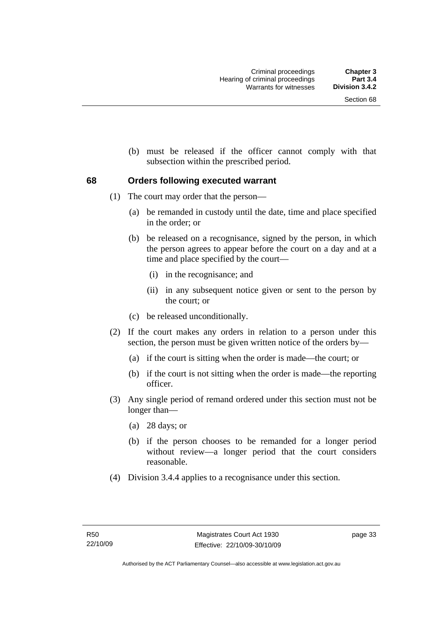(b) must be released if the officer cannot comply with that subsection within the prescribed period.

## **68 Orders following executed warrant**

- (1) The court may order that the person—
	- (a) be remanded in custody until the date, time and place specified in the order; or
	- (b) be released on a recognisance, signed by the person, in which the person agrees to appear before the court on a day and at a time and place specified by the court—
		- (i) in the recognisance; and
		- (ii) in any subsequent notice given or sent to the person by the court; or
	- (c) be released unconditionally.
- (2) If the court makes any orders in relation to a person under this section, the person must be given written notice of the orders by—
	- (a) if the court is sitting when the order is made—the court; or
	- (b) if the court is not sitting when the order is made—the reporting officer.
- (3) Any single period of remand ordered under this section must not be longer than—
	- (a) 28 days; or
	- (b) if the person chooses to be remanded for a longer period without review—a longer period that the court considers reasonable.
- (4) Division 3.4.4 applies to a recognisance under this section.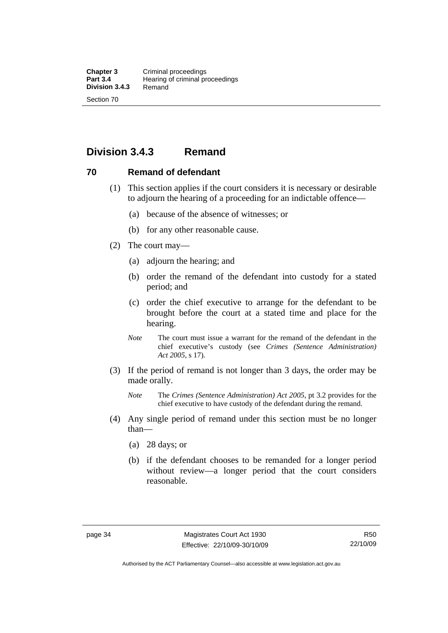## **Division 3.4.3 Remand**

## **70 Remand of defendant**

- (1) This section applies if the court considers it is necessary or desirable to adjourn the hearing of a proceeding for an indictable offence—
	- (a) because of the absence of witnesses; or
	- (b) for any other reasonable cause.
- (2) The court may—
	- (a) adjourn the hearing; and
	- (b) order the remand of the defendant into custody for a stated period; and
	- (c) order the chief executive to arrange for the defendant to be brought before the court at a stated time and place for the hearing.
	- *Note* The court must issue a warrant for the remand of the defendant in the chief executive's custody (see *Crimes (Sentence Administration) Act 2005*, s 17).
- (3) If the period of remand is not longer than 3 days, the order may be made orally.
	- *Note* The *Crimes (Sentence Administration) Act 2005*, pt 3.2 provides for the chief executive to have custody of the defendant during the remand.
- (4) Any single period of remand under this section must be no longer than—
	- (a) 28 days; or
	- (b) if the defendant chooses to be remanded for a longer period without review—a longer period that the court considers reasonable.

Authorised by the ACT Parliamentary Counsel—also accessible at www.legislation.act.gov.au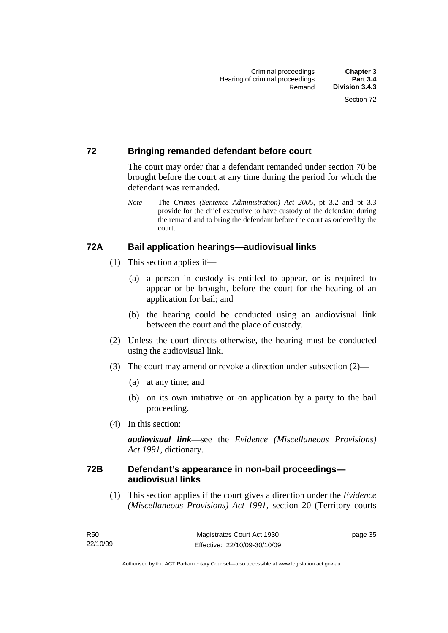## **72 Bringing remanded defendant before court**

The court may order that a defendant remanded under section 70 be brought before the court at any time during the period for which the defendant was remanded.

*Note* The *Crimes (Sentence Administration) Act 2005*, pt 3.2 and pt 3.3 provide for the chief executive to have custody of the defendant during the remand and to bring the defendant before the court as ordered by the court.

## **72A Bail application hearings—audiovisual links**

- (1) This section applies if—
	- (a) a person in custody is entitled to appear, or is required to appear or be brought, before the court for the hearing of an application for bail; and
	- (b) the hearing could be conducted using an audiovisual link between the court and the place of custody.
- (2) Unless the court directs otherwise, the hearing must be conducted using the audiovisual link.
- (3) The court may amend or revoke a direction under subsection (2)—
	- (a) at any time; and
	- (b) on its own initiative or on application by a party to the bail proceeding.
- (4) In this section:

*audiovisual link*—see the *Evidence (Miscellaneous Provisions) Act 1991*, dictionary.

## **72B Defendant's appearance in non-bail proceedings audiovisual links**

 (1) This section applies if the court gives a direction under the *Evidence (Miscellaneous Provisions) Act 1991*, section 20 (Territory courts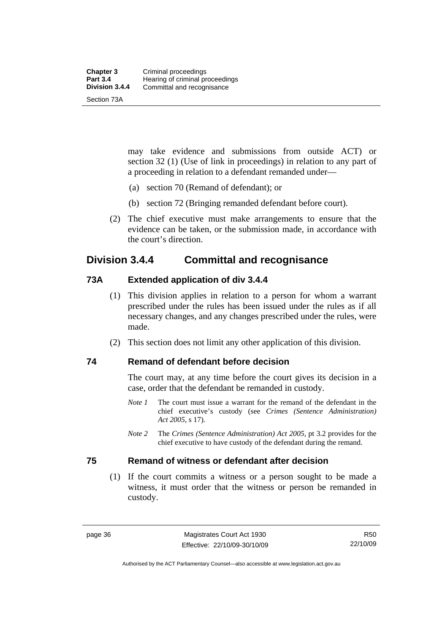| <b>Chapter 3</b> | Criminal proceedings            |
|------------------|---------------------------------|
| <b>Part 3.4</b>  | Hearing of criminal proceedings |
| Division 3.4.4   | Committal and recognisance      |
| Section 73A      |                                 |

may take evidence and submissions from outside ACT) or section 32 (1) (Use of link in proceedings) in relation to any part of a proceeding in relation to a defendant remanded under—

- (a) section 70 (Remand of defendant); or
- (b) section 72 (Bringing remanded defendant before court).
- (2) The chief executive must make arrangements to ensure that the evidence can be taken, or the submission made, in accordance with the court's direction.

## **Division 3.4.4 Committal and recognisance**

## **73A Extended application of div 3.4.4**

- (1) This division applies in relation to a person for whom a warrant prescribed under the rules has been issued under the rules as if all necessary changes, and any changes prescribed under the rules, were made.
- (2) This section does not limit any other application of this division.

**74 Remand of defendant before decision** 

The court may, at any time before the court gives its decision in a case, order that the defendant be remanded in custody.

- *Note 1* The court must issue a warrant for the remand of the defendant in the chief executive's custody (see *Crimes (Sentence Administration) Act 2005*, s 17).
- *Note 2* The *Crimes (Sentence Administration) Act 2005*, pt 3.2 provides for the chief executive to have custody of the defendant during the remand.

## **75 Remand of witness or defendant after decision**

 (1) If the court commits a witness or a person sought to be made a witness, it must order that the witness or person be remanded in custody.

Authorised by the ACT Parliamentary Counsel—also accessible at www.legislation.act.gov.au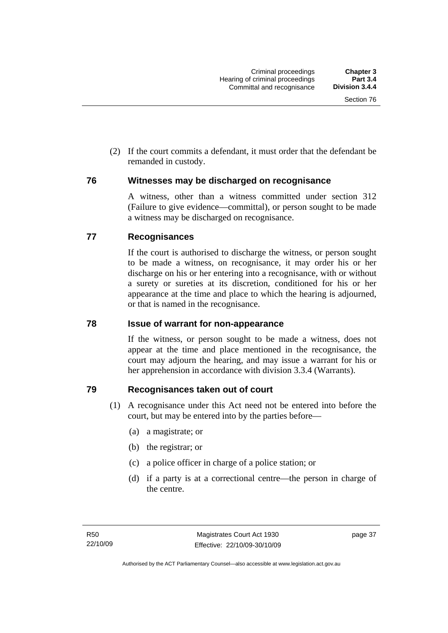(2) If the court commits a defendant, it must order that the defendant be remanded in custody.

## **76 Witnesses may be discharged on recognisance**

A witness, other than a witness committed under section 312 (Failure to give evidence—committal), or person sought to be made a witness may be discharged on recognisance.

## **77 Recognisances**

If the court is authorised to discharge the witness, or person sought to be made a witness, on recognisance, it may order his or her discharge on his or her entering into a recognisance, with or without a surety or sureties at its discretion, conditioned for his or her appearance at the time and place to which the hearing is adjourned, or that is named in the recognisance.

## **78 Issue of warrant for non-appearance**

If the witness, or person sought to be made a witness, does not appear at the time and place mentioned in the recognisance, the court may adjourn the hearing, and may issue a warrant for his or her apprehension in accordance with division 3.3.4 (Warrants).

## **79 Recognisances taken out of court**

- (1) A recognisance under this Act need not be entered into before the court, but may be entered into by the parties before—
	- (a) a magistrate; or
	- (b) the registrar; or
	- (c) a police officer in charge of a police station; or
	- (d) if a party is at a correctional centre—the person in charge of the centre.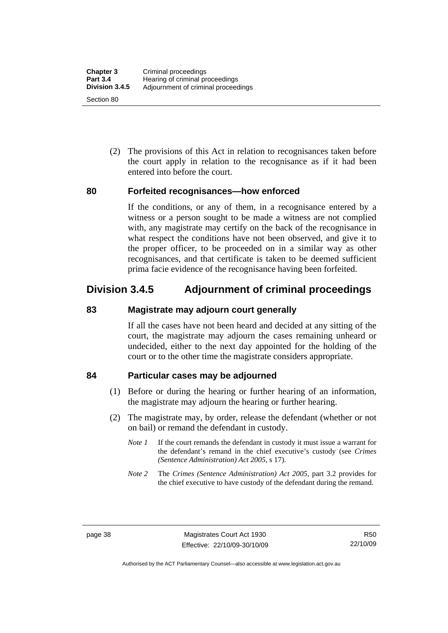(2) The provisions of this Act in relation to recognisances taken before the court apply in relation to the recognisance as if it had been entered into before the court.

## **80 Forfeited recognisances—how enforced**

If the conditions, or any of them, in a recognisance entered by a witness or a person sought to be made a witness are not complied with, any magistrate may certify on the back of the recognisance in what respect the conditions have not been observed, and give it to the proper officer, to be proceeded on in a similar way as other recognisances, and that certificate is taken to be deemed sufficient prima facie evidence of the recognisance having been forfeited.

## **Division 3.4.5 Adjournment of criminal proceedings**

## **83 Magistrate may adjourn court generally**

If all the cases have not been heard and decided at any sitting of the court, the magistrate may adjourn the cases remaining unheard or undecided, either to the next day appointed for the holding of the court or to the other time the magistrate considers appropriate.

## **84 Particular cases may be adjourned**

- (1) Before or during the hearing or further hearing of an information, the magistrate may adjourn the hearing or further hearing.
- (2) The magistrate may, by order, release the defendant (whether or not on bail) or remand the defendant in custody.
	- *Note 1* If the court remands the defendant in custody it must issue a warrant for the defendant's remand in the chief executive's custody (see *Crimes (Sentence Administration) Act 2005*, s 17).
	- *Note 2* The *Crimes (Sentence Administration) Act 2005*, part 3.2 provides for the chief executive to have custody of the defendant during the remand.

Authorised by the ACT Parliamentary Counsel—also accessible at www.legislation.act.gov.au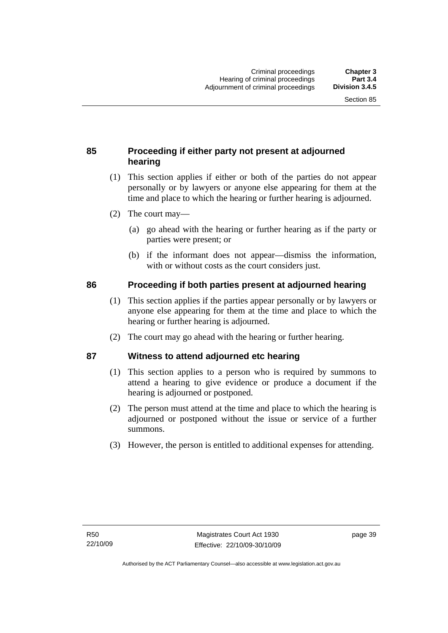## **85 Proceeding if either party not present at adjourned hearing**

- (1) This section applies if either or both of the parties do not appear personally or by lawyers or anyone else appearing for them at the time and place to which the hearing or further hearing is adjourned.
- (2) The court may—
	- (a) go ahead with the hearing or further hearing as if the party or parties were present; or
	- (b) if the informant does not appear—dismiss the information, with or without costs as the court considers just.

## **86 Proceeding if both parties present at adjourned hearing**

- (1) This section applies if the parties appear personally or by lawyers or anyone else appearing for them at the time and place to which the hearing or further hearing is adjourned.
- (2) The court may go ahead with the hearing or further hearing.

## **87 Witness to attend adjourned etc hearing**

- (1) This section applies to a person who is required by summons to attend a hearing to give evidence or produce a document if the hearing is adjourned or postponed.
- (2) The person must attend at the time and place to which the hearing is adjourned or postponed without the issue or service of a further summons.
- (3) However, the person is entitled to additional expenses for attending.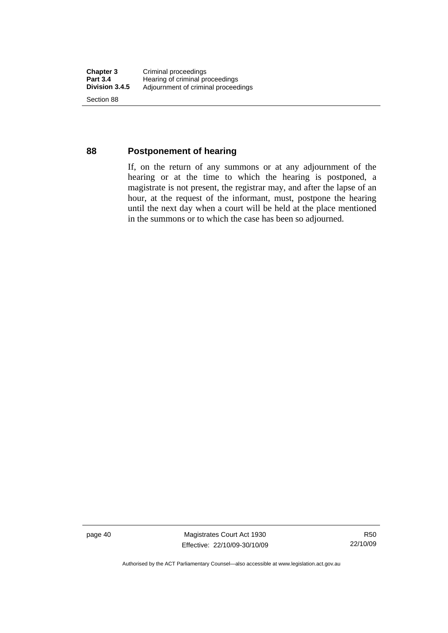## **88 Postponement of hearing**

If, on the return of any summons or at any adjournment of the hearing or at the time to which the hearing is postponed, a magistrate is not present, the registrar may, and after the lapse of an hour, at the request of the informant, must, postpone the hearing until the next day when a court will be held at the place mentioned in the summons or to which the case has been so adjourned.

page 40 Magistrates Court Act 1930 Effective: 22/10/09-30/10/09

R50 22/10/09

Authorised by the ACT Parliamentary Counsel—also accessible at www.legislation.act.gov.au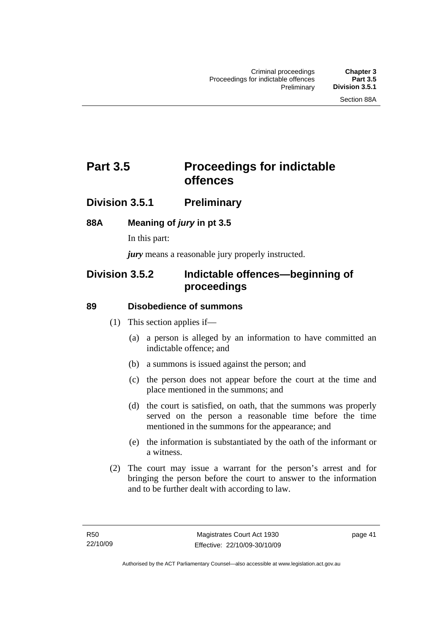## **Part 3.5** Proceedings for indictable **offences**

## **Division 3.5.1 Preliminary**

## **88A Meaning of** *jury* **in pt 3.5**

In this part:

*jury* means a reasonable jury properly instructed.

## **Division 3.5.2 Indictable offences—beginning of proceedings**

## **89 Disobedience of summons**

- (1) This section applies if—
	- (a) a person is alleged by an information to have committed an indictable offence; and
	- (b) a summons is issued against the person; and
	- (c) the person does not appear before the court at the time and place mentioned in the summons; and
	- (d) the court is satisfied, on oath, that the summons was properly served on the person a reasonable time before the time mentioned in the summons for the appearance; and
	- (e) the information is substantiated by the oath of the informant or a witness.
- (2) The court may issue a warrant for the person's arrest and for bringing the person before the court to answer to the information and to be further dealt with according to law.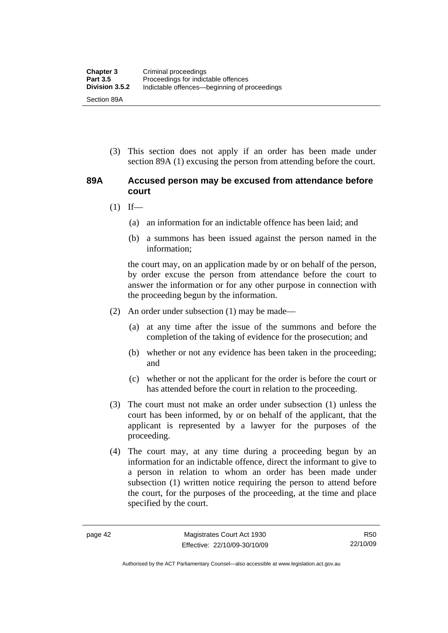(3) This section does not apply if an order has been made under section 89A (1) excusing the person from attending before the court.

## **89A Accused person may be excused from attendance before court**

- $(1)$  If—
	- (a) an information for an indictable offence has been laid; and
	- (b) a summons has been issued against the person named in the information;

the court may, on an application made by or on behalf of the person, by order excuse the person from attendance before the court to answer the information or for any other purpose in connection with the proceeding begun by the information.

- (2) An order under subsection (1) may be made—
	- (a) at any time after the issue of the summons and before the completion of the taking of evidence for the prosecution; and
	- (b) whether or not any evidence has been taken in the proceeding; and
	- (c) whether or not the applicant for the order is before the court or has attended before the court in relation to the proceeding.
- (3) The court must not make an order under subsection (1) unless the court has been informed, by or on behalf of the applicant, that the applicant is represented by a lawyer for the purposes of the proceeding.
- (4) The court may, at any time during a proceeding begun by an information for an indictable offence, direct the informant to give to a person in relation to whom an order has been made under subsection (1) written notice requiring the person to attend before the court, for the purposes of the proceeding, at the time and place specified by the court.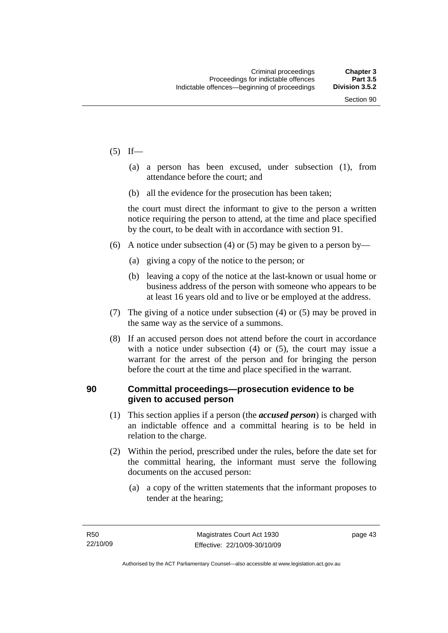- $(5)$  If—
	- (a) a person has been excused, under subsection (1), from attendance before the court; and
	- (b) all the evidence for the prosecution has been taken;

the court must direct the informant to give to the person a written notice requiring the person to attend, at the time and place specified by the court, to be dealt with in accordance with section 91.

- (6) A notice under subsection (4) or (5) may be given to a person by—
	- (a) giving a copy of the notice to the person; or
	- (b) leaving a copy of the notice at the last-known or usual home or business address of the person with someone who appears to be at least 16 years old and to live or be employed at the address.
- (7) The giving of a notice under subsection (4) or (5) may be proved in the same way as the service of a summons.
- (8) If an accused person does not attend before the court in accordance with a notice under subsection (4) or (5), the court may issue a warrant for the arrest of the person and for bringing the person before the court at the time and place specified in the warrant.

## **90 Committal proceedings—prosecution evidence to be given to accused person**

- (1) This section applies if a person (the *accused person*) is charged with an indictable offence and a committal hearing is to be held in relation to the charge.
- (2) Within the period, prescribed under the rules, before the date set for the committal hearing, the informant must serve the following documents on the accused person:
	- (a) a copy of the written statements that the informant proposes to tender at the hearing;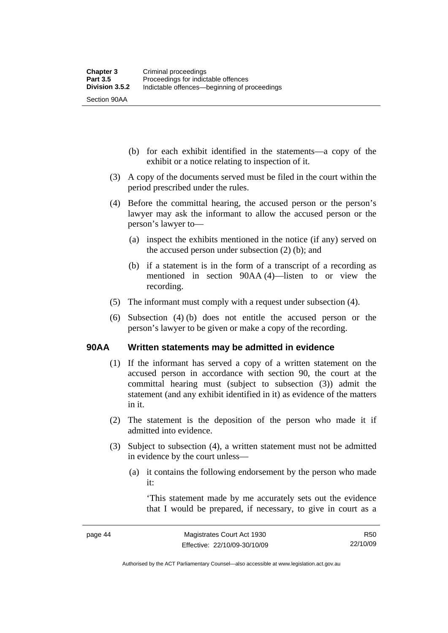(b) for each exhibit identified in the statements—a copy of the exhibit or a notice relating to inspection of it.

- (3) A copy of the documents served must be filed in the court within the period prescribed under the rules.
- (4) Before the committal hearing, the accused person or the person's lawyer may ask the informant to allow the accused person or the person's lawyer to—
	- (a) inspect the exhibits mentioned in the notice (if any) served on the accused person under subsection (2) (b); and
	- (b) if a statement is in the form of a transcript of a recording as mentioned in section 90AA (4)—listen to or view the recording.
- (5) The informant must comply with a request under subsection (4).
- (6) Subsection (4) (b) does not entitle the accused person or the person's lawyer to be given or make a copy of the recording.

## **90AA Written statements may be admitted in evidence**

- (1) If the informant has served a copy of a written statement on the accused person in accordance with section 90, the court at the committal hearing must (subject to subsection (3)) admit the statement (and any exhibit identified in it) as evidence of the matters in it.
- (2) The statement is the deposition of the person who made it if admitted into evidence.
- (3) Subject to subsection (4), a written statement must not be admitted in evidence by the court unless—
	- (a) it contains the following endorsement by the person who made it:

'This statement made by me accurately sets out the evidence that I would be prepared, if necessary, to give in court as a

Authorised by the ACT Parliamentary Counsel—also accessible at www.legislation.act.gov.au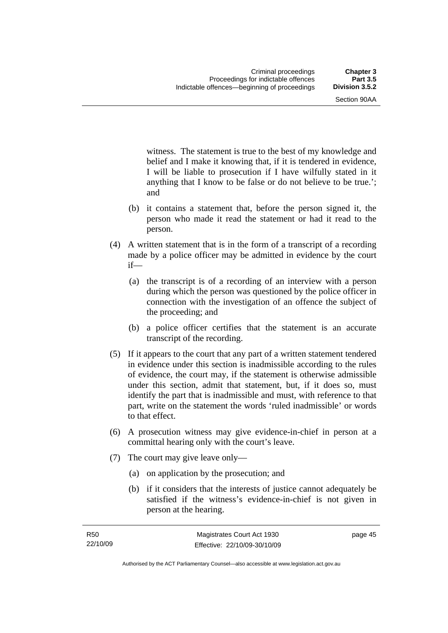witness. The statement is true to the best of my knowledge and belief and I make it knowing that, if it is tendered in evidence, I will be liable to prosecution if I have wilfully stated in it anything that I know to be false or do not believe to be true.'; and

- (b) it contains a statement that, before the person signed it, the person who made it read the statement or had it read to the person.
- (4) A written statement that is in the form of a transcript of a recording made by a police officer may be admitted in evidence by the court if—
	- (a) the transcript is of a recording of an interview with a person during which the person was questioned by the police officer in connection with the investigation of an offence the subject of the proceeding; and
	- (b) a police officer certifies that the statement is an accurate transcript of the recording.
- (5) If it appears to the court that any part of a written statement tendered in evidence under this section is inadmissible according to the rules of evidence, the court may, if the statement is otherwise admissible under this section, admit that statement, but, if it does so, must identify the part that is inadmissible and must, with reference to that part, write on the statement the words 'ruled inadmissible' or words to that effect.
- (6) A prosecution witness may give evidence-in-chief in person at a committal hearing only with the court's leave.
- (7) The court may give leave only—
	- (a) on application by the prosecution; and
	- (b) if it considers that the interests of justice cannot adequately be satisfied if the witness's evidence-in-chief is not given in person at the hearing.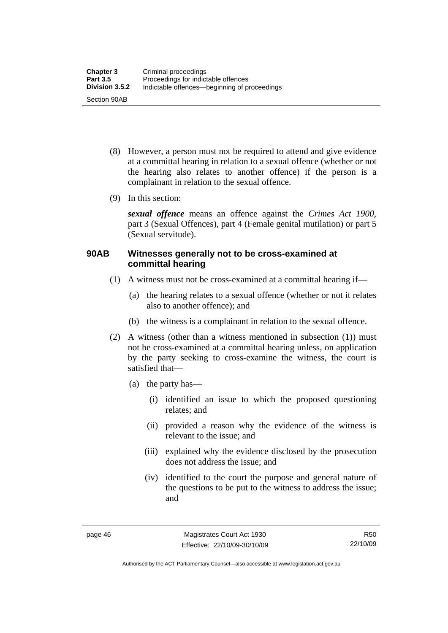- (8) However, a person must not be required to attend and give evidence at a committal hearing in relation to a sexual offence (whether or not the hearing also relates to another offence) if the person is a complainant in relation to the sexual offence.
- (9) In this section:

*sexual offence* means an offence against the *Crimes Act 1900*, part 3 (Sexual Offences), part 4 (Female genital mutilation) or part 5 (Sexual servitude).

## **90AB Witnesses generally not to be cross-examined at committal hearing**

- (1) A witness must not be cross-examined at a committal hearing if—
	- (a) the hearing relates to a sexual offence (whether or not it relates also to another offence); and
	- (b) the witness is a complainant in relation to the sexual offence.
- (2) A witness (other than a witness mentioned in subsection (1)) must not be cross-examined at a committal hearing unless, on application by the party seeking to cross-examine the witness, the court is satisfied that—
	- (a) the party has—
		- (i) identified an issue to which the proposed questioning relates; and
		- (ii) provided a reason why the evidence of the witness is relevant to the issue; and
		- (iii) explained why the evidence disclosed by the prosecution does not address the issue; and
		- (iv) identified to the court the purpose and general nature of the questions to be put to the witness to address the issue; and

Authorised by the ACT Parliamentary Counsel—also accessible at www.legislation.act.gov.au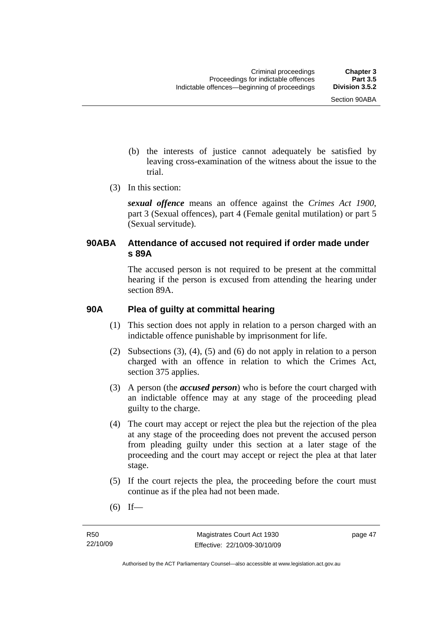- (b) the interests of justice cannot adequately be satisfied by leaving cross-examination of the witness about the issue to the trial.
- (3) In this section:

*sexual offence* means an offence against the *Crimes Act 1900*, part 3 (Sexual offences), part 4 (Female genital mutilation) or part 5 (Sexual servitude).

## **90ABA Attendance of accused not required if order made under s 89A**

The accused person is not required to be present at the committal hearing if the person is excused from attending the hearing under section 89A.

## **90A Plea of guilty at committal hearing**

- (1) This section does not apply in relation to a person charged with an indictable offence punishable by imprisonment for life.
- (2) Subsections (3), (4), (5) and (6) do not apply in relation to a person charged with an offence in relation to which the Crimes Act, section 375 applies.
- (3) A person (the *accused person*) who is before the court charged with an indictable offence may at any stage of the proceeding plead guilty to the charge.
- (4) The court may accept or reject the plea but the rejection of the plea at any stage of the proceeding does not prevent the accused person from pleading guilty under this section at a later stage of the proceeding and the court may accept or reject the plea at that later stage.
- (5) If the court rejects the plea, the proceeding before the court must continue as if the plea had not been made.
- $(6)$  If—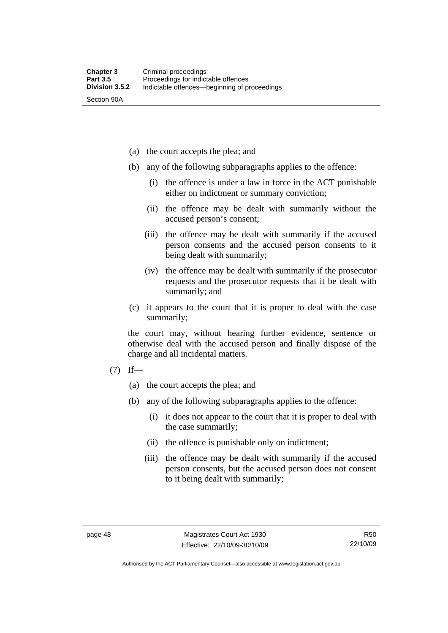Section 90A

- (a) the court accepts the plea; and
- (b) any of the following subparagraphs applies to the offence:
	- (i) the offence is under a law in force in the ACT punishable either on indictment or summary conviction;
	- (ii) the offence may be dealt with summarily without the accused person's consent;
	- (iii) the offence may be dealt with summarily if the accused person consents and the accused person consents to it being dealt with summarily;
	- (iv) the offence may be dealt with summarily if the prosecutor requests and the prosecutor requests that it be dealt with summarily; and
- (c) it appears to the court that it is proper to deal with the case summarily;

the court may, without hearing further evidence, sentence or otherwise deal with the accused person and finally dispose of the charge and all incidental matters.

- $(7)$  If—
	- (a) the court accepts the plea; and
	- (b) any of the following subparagraphs applies to the offence:
		- (i) it does not appear to the court that it is proper to deal with the case summarily;
		- (ii) the offence is punishable only on indictment;
		- (iii) the offence may be dealt with summarily if the accused person consents, but the accused person does not consent to it being dealt with summarily;

Authorised by the ACT Parliamentary Counsel—also accessible at www.legislation.act.gov.au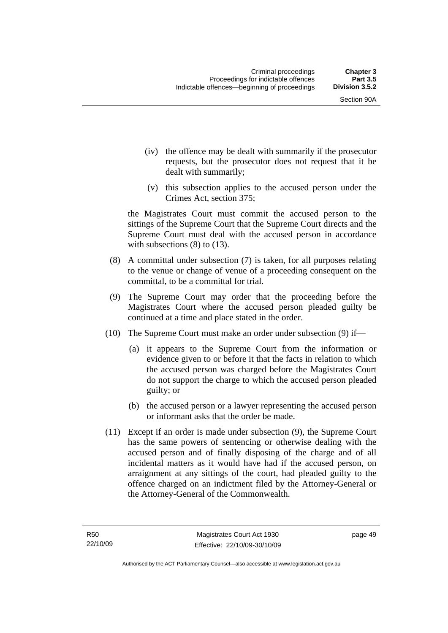- (iv) the offence may be dealt with summarily if the prosecutor requests, but the prosecutor does not request that it be dealt with summarily;
- (v) this subsection applies to the accused person under the Crimes Act, section 375;

the Magistrates Court must commit the accused person to the sittings of the Supreme Court that the Supreme Court directs and the Supreme Court must deal with the accused person in accordance with subsections (8) to (13).

- (8) A committal under subsection (7) is taken, for all purposes relating to the venue or change of venue of a proceeding consequent on the committal, to be a committal for trial.
- (9) The Supreme Court may order that the proceeding before the Magistrates Court where the accused person pleaded guilty be continued at a time and place stated in the order.
- (10) The Supreme Court must make an order under subsection (9) if—
	- (a) it appears to the Supreme Court from the information or evidence given to or before it that the facts in relation to which the accused person was charged before the Magistrates Court do not support the charge to which the accused person pleaded guilty; or
	- (b) the accused person or a lawyer representing the accused person or informant asks that the order be made.
- (11) Except if an order is made under subsection (9), the Supreme Court has the same powers of sentencing or otherwise dealing with the accused person and of finally disposing of the charge and of all incidental matters as it would have had if the accused person, on arraignment at any sittings of the court, had pleaded guilty to the offence charged on an indictment filed by the Attorney-General or the Attorney-General of the Commonwealth.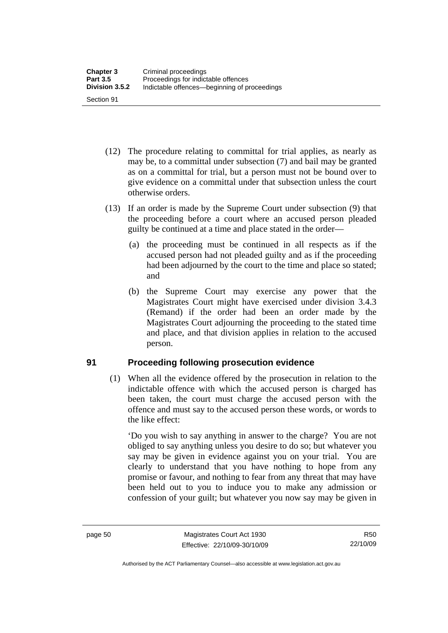- (12) The procedure relating to committal for trial applies, as nearly as may be, to a committal under subsection (7) and bail may be granted as on a committal for trial, but a person must not be bound over to give evidence on a committal under that subsection unless the court otherwise orders.
- (13) If an order is made by the Supreme Court under subsection (9) that the proceeding before a court where an accused person pleaded guilty be continued at a time and place stated in the order—
	- (a) the proceeding must be continued in all respects as if the accused person had not pleaded guilty and as if the proceeding had been adjourned by the court to the time and place so stated; and
	- (b) the Supreme Court may exercise any power that the Magistrates Court might have exercised under division 3.4.3 (Remand) if the order had been an order made by the Magistrates Court adjourning the proceeding to the stated time and place, and that division applies in relation to the accused person.

## **91 Proceeding following prosecution evidence**

 (1) When all the evidence offered by the prosecution in relation to the indictable offence with which the accused person is charged has been taken, the court must charge the accused person with the offence and must say to the accused person these words, or words to the like effect:

'Do you wish to say anything in answer to the charge? You are not obliged to say anything unless you desire to do so; but whatever you say may be given in evidence against you on your trial. You are clearly to understand that you have nothing to hope from any promise or favour, and nothing to fear from any threat that may have been held out to you to induce you to make any admission or confession of your guilt; but whatever you now say may be given in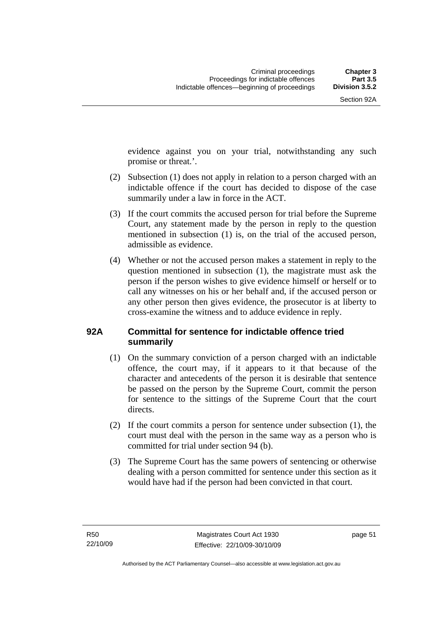evidence against you on your trial, notwithstanding any such promise or threat.'.

- (2) Subsection (1) does not apply in relation to a person charged with an indictable offence if the court has decided to dispose of the case summarily under a law in force in the ACT.
- (3) If the court commits the accused person for trial before the Supreme Court, any statement made by the person in reply to the question mentioned in subsection (1) is, on the trial of the accused person, admissible as evidence.
- (4) Whether or not the accused person makes a statement in reply to the question mentioned in subsection (1), the magistrate must ask the person if the person wishes to give evidence himself or herself or to call any witnesses on his or her behalf and, if the accused person or any other person then gives evidence, the prosecutor is at liberty to cross-examine the witness and to adduce evidence in reply.

## **92A Committal for sentence for indictable offence tried summarily**

- (1) On the summary conviction of a person charged with an indictable offence, the court may, if it appears to it that because of the character and antecedents of the person it is desirable that sentence be passed on the person by the Supreme Court, commit the person for sentence to the sittings of the Supreme Court that the court directs.
- (2) If the court commits a person for sentence under subsection (1), the court must deal with the person in the same way as a person who is committed for trial under section 94 (b).
- (3) The Supreme Court has the same powers of sentencing or otherwise dealing with a person committed for sentence under this section as it would have had if the person had been convicted in that court.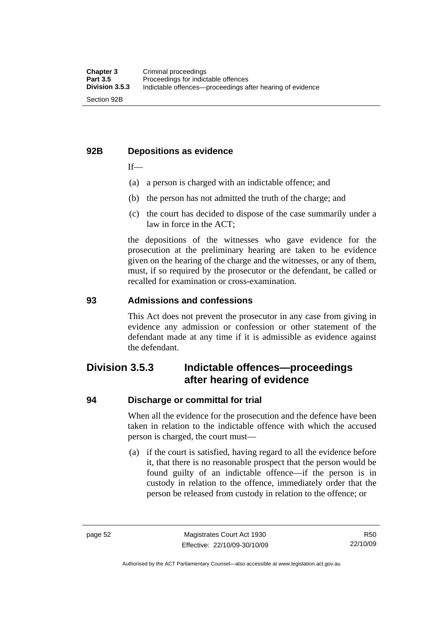## **92B Depositions as evidence**

 $If$ —

- (a) a person is charged with an indictable offence; and
- (b) the person has not admitted the truth of the charge; and
- (c) the court has decided to dispose of the case summarily under a law in force in the ACT;

the depositions of the witnesses who gave evidence for the prosecution at the preliminary hearing are taken to be evidence given on the hearing of the charge and the witnesses, or any of them, must, if so required by the prosecutor or the defendant, be called or recalled for examination or cross-examination.

## **93 Admissions and confessions**

This Act does not prevent the prosecutor in any case from giving in evidence any admission or confession or other statement of the defendant made at any time if it is admissible as evidence against the defendant.

## **Division 3.5.3 Indictable offences—proceedings after hearing of evidence**

## **94 Discharge or committal for trial**

When all the evidence for the prosecution and the defence have been taken in relation to the indictable offence with which the accused person is charged, the court must—

 (a) if the court is satisfied, having regard to all the evidence before it, that there is no reasonable prospect that the person would be found guilty of an indictable offence—if the person is in custody in relation to the offence, immediately order that the person be released from custody in relation to the offence; or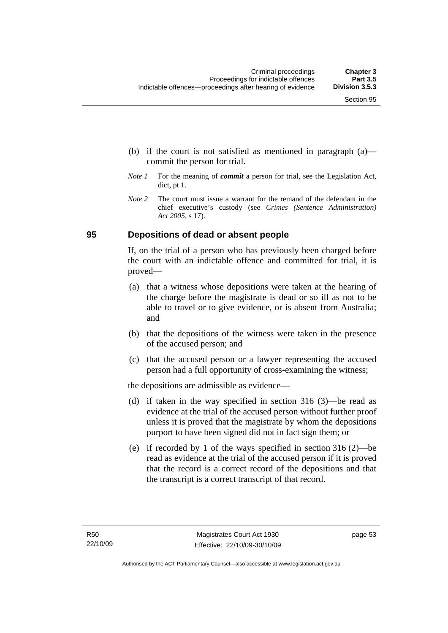- (b) if the court is not satisfied as mentioned in paragraph (a) commit the person for trial.
- *Note 1* For the meaning of *commit* a person for trial, see the Legislation Act, dict, pt 1.
- *Note* 2 The court must issue a warrant for the remand of the defendant in the chief executive's custody (see *Crimes (Sentence Administration) Act 2005*, s 17).

## **95 Depositions of dead or absent people**

If, on the trial of a person who has previously been charged before the court with an indictable offence and committed for trial, it is proved—

- (a) that a witness whose depositions were taken at the hearing of the charge before the magistrate is dead or so ill as not to be able to travel or to give evidence, or is absent from Australia; and
- (b) that the depositions of the witness were taken in the presence of the accused person; and
- (c) that the accused person or a lawyer representing the accused person had a full opportunity of cross-examining the witness;

the depositions are admissible as evidence—

- (d) if taken in the way specified in section 316 (3)—be read as evidence at the trial of the accused person without further proof unless it is proved that the magistrate by whom the depositions purport to have been signed did not in fact sign them; or
- (e) if recorded by 1 of the ways specified in section 316 (2)—be read as evidence at the trial of the accused person if it is proved that the record is a correct record of the depositions and that the transcript is a correct transcript of that record.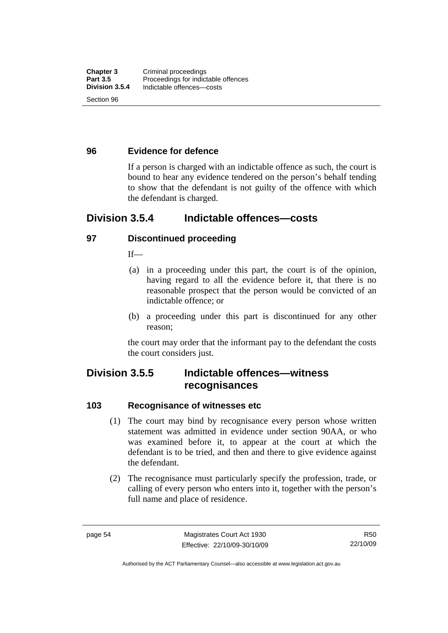## **96 Evidence for defence**

If a person is charged with an indictable offence as such, the court is bound to hear any evidence tendered on the person's behalf tending to show that the defendant is not guilty of the offence with which the defendant is charged.

## **Division 3.5.4 Indictable offences—costs**

#### **97 Discontinued proceeding**

 $If$ <sub>—</sub>

- (a) in a proceeding under this part, the court is of the opinion, having regard to all the evidence before it, that there is no reasonable prospect that the person would be convicted of an indictable offence; or
- (b) a proceeding under this part is discontinued for any other reason;

the court may order that the informant pay to the defendant the costs the court considers just.

## **Division 3.5.5 Indictable offences—witness recognisances**

#### **103 Recognisance of witnesses etc**

- (1) The court may bind by recognisance every person whose written statement was admitted in evidence under section 90AA, or who was examined before it, to appear at the court at which the defendant is to be tried, and then and there to give evidence against the defendant.
- (2) The recognisance must particularly specify the profession, trade, or calling of every person who enters into it, together with the person's full name and place of residence.

Authorised by the ACT Parliamentary Counsel—also accessible at www.legislation.act.gov.au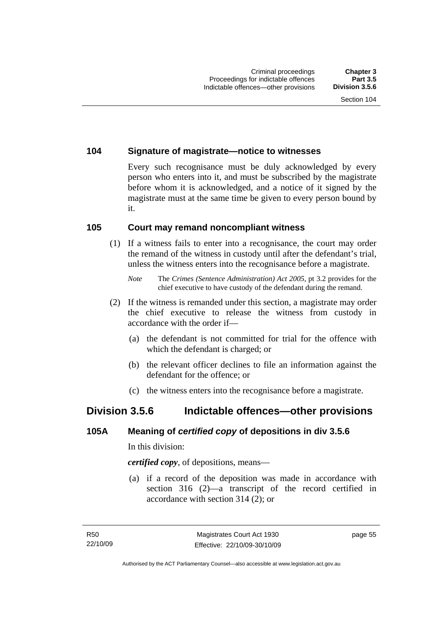## **104 Signature of magistrate—notice to witnesses**

Every such recognisance must be duly acknowledged by every person who enters into it, and must be subscribed by the magistrate before whom it is acknowledged, and a notice of it signed by the magistrate must at the same time be given to every person bound by it.

## **105 Court may remand noncompliant witness**

 (1) If a witness fails to enter into a recognisance, the court may order the remand of the witness in custody until after the defendant's trial, unless the witness enters into the recognisance before a magistrate.

- (2) If the witness is remanded under this section, a magistrate may order the chief executive to release the witness from custody in accordance with the order if—
	- (a) the defendant is not committed for trial for the offence with which the defendant is charged; or
	- (b) the relevant officer declines to file an information against the defendant for the offence; or
	- (c) the witness enters into the recognisance before a magistrate.

## **Division 3.5.6 Indictable offences—other provisions**

## **105A Meaning of** *certified copy* **of depositions in div 3.5.6**

In this division:

*certified copy*, of depositions, means—

 (a) if a record of the deposition was made in accordance with section 316 (2)—a transcript of the record certified in accordance with section 314 (2); or

*Note* The *Crimes (Sentence Administration) Act 2005*, pt 3.2 provides for the chief executive to have custody of the defendant during the remand.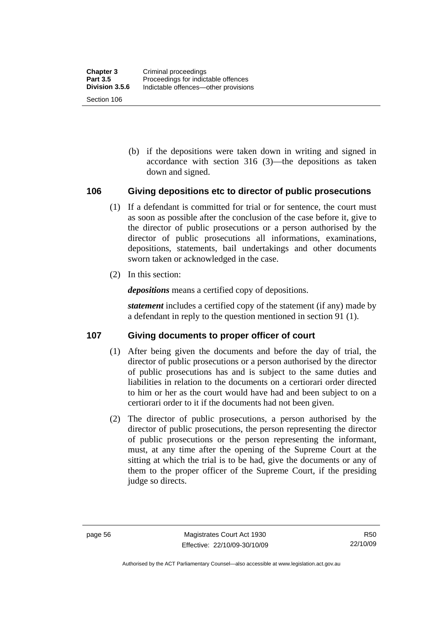(b) if the depositions were taken down in writing and signed in accordance with section 316 (3)—the depositions as taken down and signed.

## **106 Giving depositions etc to director of public prosecutions**

- (1) If a defendant is committed for trial or for sentence, the court must as soon as possible after the conclusion of the case before it, give to the director of public prosecutions or a person authorised by the director of public prosecutions all informations, examinations, depositions, statements, bail undertakings and other documents sworn taken or acknowledged in the case.
- (2) In this section:

*depositions* means a certified copy of depositions.

*statement* includes a certified copy of the statement (if any) made by a defendant in reply to the question mentioned in section 91 (1).

## **107 Giving documents to proper officer of court**

- (1) After being given the documents and before the day of trial, the director of public prosecutions or a person authorised by the director of public prosecutions has and is subject to the same duties and liabilities in relation to the documents on a certiorari order directed to him or her as the court would have had and been subject to on a certiorari order to it if the documents had not been given.
- (2) The director of public prosecutions, a person authorised by the director of public prosecutions, the person representing the director of public prosecutions or the person representing the informant, must, at any time after the opening of the Supreme Court at the sitting at which the trial is to be had, give the documents or any of them to the proper officer of the Supreme Court, if the presiding judge so directs.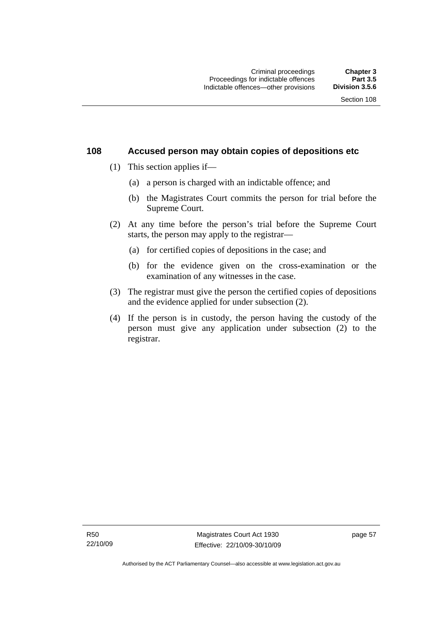### **108 Accused person may obtain copies of depositions etc**

- (1) This section applies if—
	- (a) a person is charged with an indictable offence; and
	- (b) the Magistrates Court commits the person for trial before the Supreme Court.
- (2) At any time before the person's trial before the Supreme Court starts, the person may apply to the registrar—
	- (a) for certified copies of depositions in the case; and
	- (b) for the evidence given on the cross-examination or the examination of any witnesses in the case.
- (3) The registrar must give the person the certified copies of depositions and the evidence applied for under subsection (2).
- (4) If the person is in custody, the person having the custody of the person must give any application under subsection (2) to the registrar.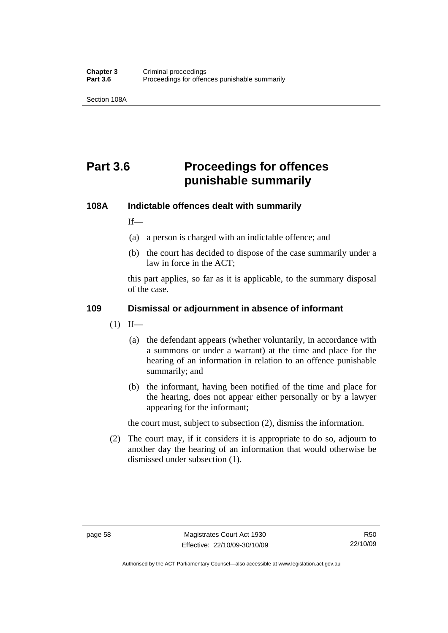Section 108A

# **Part 3.6 Proceedings for offences punishable summarily**

### **108A Indictable offences dealt with summarily**

 $If$ <sub>—</sub>

- (a) a person is charged with an indictable offence; and
- (b) the court has decided to dispose of the case summarily under a law in force in the ACT;

this part applies, so far as it is applicable, to the summary disposal of the case.

### **109 Dismissal or adjournment in absence of informant**

- $(1)$  If—
	- (a) the defendant appears (whether voluntarily, in accordance with a summons or under a warrant) at the time and place for the hearing of an information in relation to an offence punishable summarily; and
	- (b) the informant, having been notified of the time and place for the hearing, does not appear either personally or by a lawyer appearing for the informant;

the court must, subject to subsection (2), dismiss the information.

 (2) The court may, if it considers it is appropriate to do so, adjourn to another day the hearing of an information that would otherwise be dismissed under subsection (1).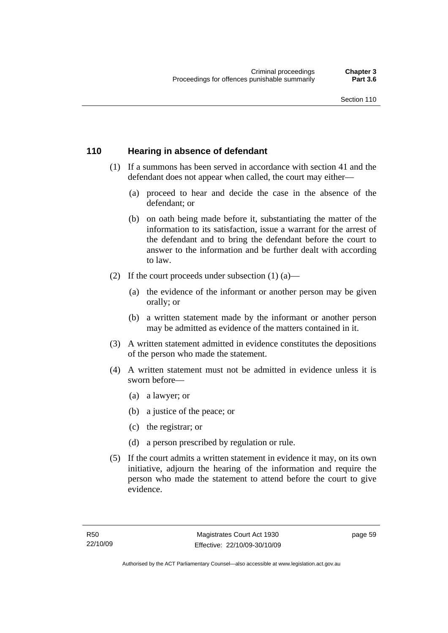### **110 Hearing in absence of defendant**

- (1) If a summons has been served in accordance with section 41 and the defendant does not appear when called, the court may either—
	- (a) proceed to hear and decide the case in the absence of the defendant; or
	- (b) on oath being made before it, substantiating the matter of the information to its satisfaction, issue a warrant for the arrest of the defendant and to bring the defendant before the court to answer to the information and be further dealt with according to law.
- (2) If the court proceeds under subsection  $(1)$   $(a)$ 
	- (a) the evidence of the informant or another person may be given orally; or
	- (b) a written statement made by the informant or another person may be admitted as evidence of the matters contained in it.
- (3) A written statement admitted in evidence constitutes the depositions of the person who made the statement.
- (4) A written statement must not be admitted in evidence unless it is sworn before—
	- (a) a lawyer; or
	- (b) a justice of the peace; or
	- (c) the registrar; or
	- (d) a person prescribed by regulation or rule.
- (5) If the court admits a written statement in evidence it may, on its own initiative, adjourn the hearing of the information and require the person who made the statement to attend before the court to give evidence.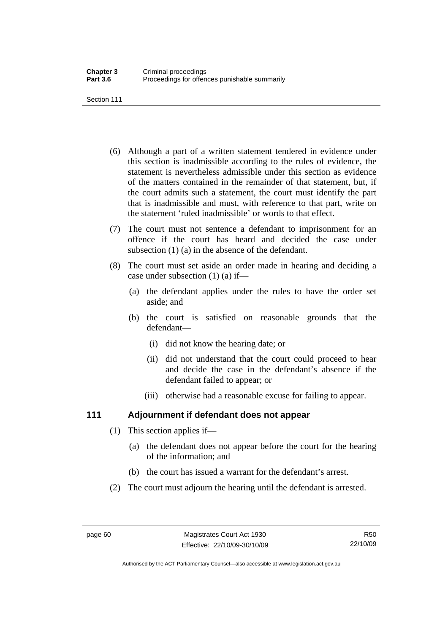Section 111

- (6) Although a part of a written statement tendered in evidence under this section is inadmissible according to the rules of evidence, the statement is nevertheless admissible under this section as evidence of the matters contained in the remainder of that statement, but, if the court admits such a statement, the court must identify the part that is inadmissible and must, with reference to that part, write on the statement 'ruled inadmissible' or words to that effect.
- (7) The court must not sentence a defendant to imprisonment for an offence if the court has heard and decided the case under subsection (1) (a) in the absence of the defendant.
- (8) The court must set aside an order made in hearing and deciding a case under subsection (1) (a) if—
	- (a) the defendant applies under the rules to have the order set aside; and
	- (b) the court is satisfied on reasonable grounds that the defendant—
		- (i) did not know the hearing date; or
		- (ii) did not understand that the court could proceed to hear and decide the case in the defendant's absence if the defendant failed to appear; or
		- (iii) otherwise had a reasonable excuse for failing to appear.

### **111 Adjournment if defendant does not appear**

- (1) This section applies if—
	- (a) the defendant does not appear before the court for the hearing of the information; and
	- (b) the court has issued a warrant for the defendant's arrest.
- (2) The court must adjourn the hearing until the defendant is arrested.

Authorised by the ACT Parliamentary Counsel—also accessible at www.legislation.act.gov.au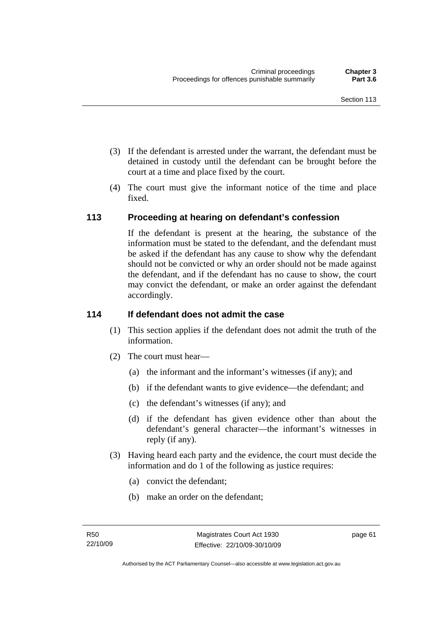- (3) If the defendant is arrested under the warrant, the defendant must be detained in custody until the defendant can be brought before the court at a time and place fixed by the court.
- (4) The court must give the informant notice of the time and place fixed.

### **113 Proceeding at hearing on defendant's confession**

If the defendant is present at the hearing, the substance of the information must be stated to the defendant, and the defendant must be asked if the defendant has any cause to show why the defendant should not be convicted or why an order should not be made against the defendant, and if the defendant has no cause to show, the court may convict the defendant, or make an order against the defendant accordingly.

### **114 If defendant does not admit the case**

- (1) This section applies if the defendant does not admit the truth of the information.
- (2) The court must hear—
	- (a) the informant and the informant's witnesses (if any); and
	- (b) if the defendant wants to give evidence—the defendant; and
	- (c) the defendant's witnesses (if any); and
	- (d) if the defendant has given evidence other than about the defendant's general character—the informant's witnesses in reply (if any).
- (3) Having heard each party and the evidence, the court must decide the information and do 1 of the following as justice requires:
	- (a) convict the defendant;
	- (b) make an order on the defendant;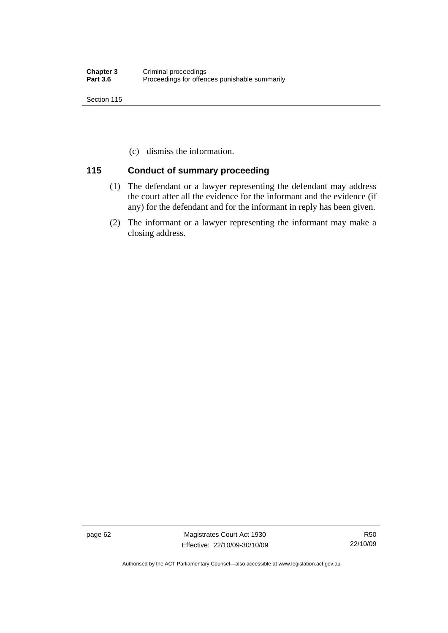Section 115

(c) dismiss the information.

### **115 Conduct of summary proceeding**

- (1) The defendant or a lawyer representing the defendant may address the court after all the evidence for the informant and the evidence (if any) for the defendant and for the informant in reply has been given.
- (2) The informant or a lawyer representing the informant may make a closing address.

page 62 Magistrates Court Act 1930 Effective: 22/10/09-30/10/09

Authorised by the ACT Parliamentary Counsel—also accessible at www.legislation.act.gov.au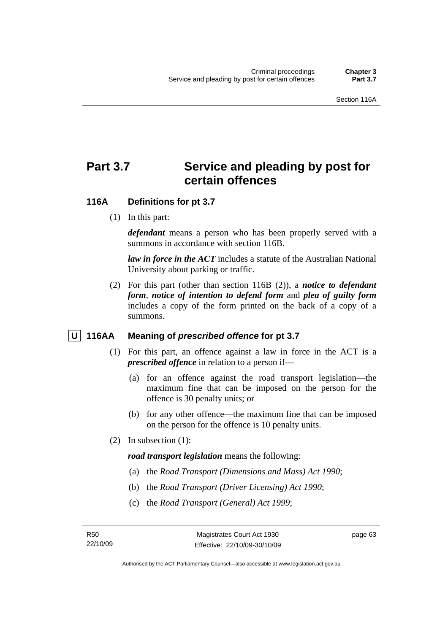## **Part 3.7 Service and pleading by post for certain offences**

### **116A Definitions for pt 3.7**

(1) In this part:

*defendant* means a person who has been properly served with a summons in accordance with section 116B.

*law in force in the ACT* includes a statute of the Australian National University about parking or traffic.

 (2) For this part (other than section 116B (2)), a *notice to defendant form*, *notice of intention to defend form* and *plea of guilty form* includes a copy of the form printed on the back of a copy of a summons.

### **U** 116AA Meaning of *prescribed offence* for pt 3.7

- (1) For this part, an offence against a law in force in the ACT is a *prescribed offence* in relation to a person if—
	- (a) for an offence against the road transport legislation—the maximum fine that can be imposed on the person for the offence is 30 penalty units; or
	- (b) for any other offence—the maximum fine that can be imposed on the person for the offence is 10 penalty units.
- (2) In subsection (1):

*road transport legislation* means the following:

- (a) the *Road Transport (Dimensions and Mass) Act 1990*;
- (b) the *Road Transport (Driver Licensing) Act 1990*;
- (c) the *Road Transport (General) Act 1999*;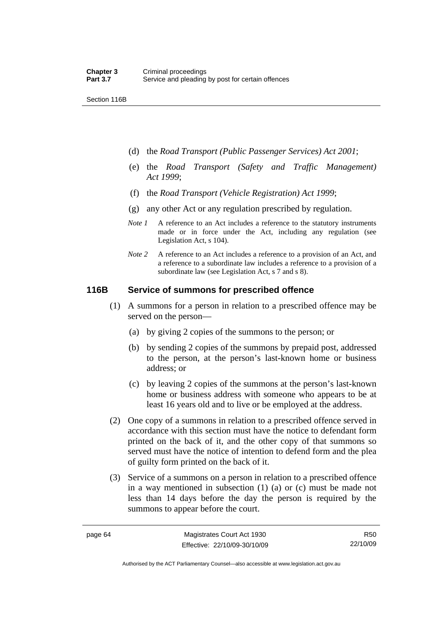Section 116B

- (d) the *Road Transport (Public Passenger Services) Act 2001*;
- (e) the *Road Transport (Safety and Traffic Management) Act 1999*;
- (f) the *Road Transport (Vehicle Registration) Act 1999*;
- (g) any other Act or any regulation prescribed by regulation.
- *Note 1* A reference to an Act includes a reference to the statutory instruments made or in force under the Act, including any regulation (see Legislation Act, s 104).
- *Note 2* A reference to an Act includes a reference to a provision of an Act, and a reference to a subordinate law includes a reference to a provision of a subordinate law (see Legislation Act, s 7 and s 8).

### **116B Service of summons for prescribed offence**

- (1) A summons for a person in relation to a prescribed offence may be served on the person—
	- (a) by giving 2 copies of the summons to the person; or
	- (b) by sending 2 copies of the summons by prepaid post, addressed to the person, at the person's last-known home or business address; or
	- (c) by leaving 2 copies of the summons at the person's last-known home or business address with someone who appears to be at least 16 years old and to live or be employed at the address.
- (2) One copy of a summons in relation to a prescribed offence served in accordance with this section must have the notice to defendant form printed on the back of it, and the other copy of that summons so served must have the notice of intention to defend form and the plea of guilty form printed on the back of it.
- (3) Service of a summons on a person in relation to a prescribed offence in a way mentioned in subsection (1) (a) or (c) must be made not less than 14 days before the day the person is required by the summons to appear before the court.

R50 22/10/09

Authorised by the ACT Parliamentary Counsel—also accessible at www.legislation.act.gov.au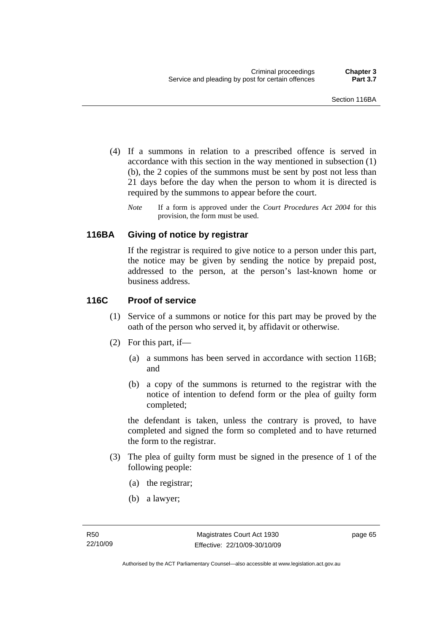- (4) If a summons in relation to a prescribed offence is served in accordance with this section in the way mentioned in subsection (1) (b), the 2 copies of the summons must be sent by post not less than 21 days before the day when the person to whom it is directed is required by the summons to appear before the court.
	- *Note* If a form is approved under the *Court Procedures Act 2004* for this provision, the form must be used.

### **116BA Giving of notice by registrar**

If the registrar is required to give notice to a person under this part, the notice may be given by sending the notice by prepaid post, addressed to the person, at the person's last-known home or business address.

### **116C Proof of service**

- (1) Service of a summons or notice for this part may be proved by the oath of the person who served it, by affidavit or otherwise.
- (2) For this part, if—
	- (a) a summons has been served in accordance with section 116B; and
	- (b) a copy of the summons is returned to the registrar with the notice of intention to defend form or the plea of guilty form completed;

the defendant is taken, unless the contrary is proved, to have completed and signed the form so completed and to have returned the form to the registrar.

- (3) The plea of guilty form must be signed in the presence of 1 of the following people:
	- (a) the registrar;
	- (b) a lawyer;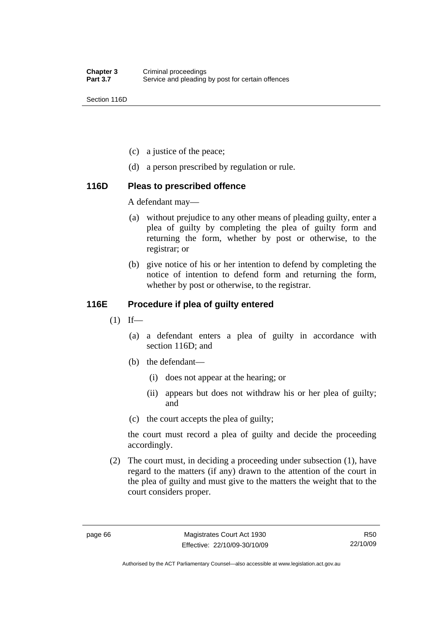Section 116D

- (c) a justice of the peace;
- (d) a person prescribed by regulation or rule.

### **116D Pleas to prescribed offence**

A defendant may—

- (a) without prejudice to any other means of pleading guilty, enter a plea of guilty by completing the plea of guilty form and returning the form, whether by post or otherwise, to the registrar; or
- (b) give notice of his or her intention to defend by completing the notice of intention to defend form and returning the form, whether by post or otherwise, to the registrar.

### **116E Procedure if plea of guilty entered**

- $(1)$  If—
	- (a) a defendant enters a plea of guilty in accordance with section 116D; and
	- (b) the defendant—
		- (i) does not appear at the hearing; or
		- (ii) appears but does not withdraw his or her plea of guilty; and
	- (c) the court accepts the plea of guilty;

the court must record a plea of guilty and decide the proceeding accordingly.

 (2) The court must, in deciding a proceeding under subsection (1), have regard to the matters (if any) drawn to the attention of the court in the plea of guilty and must give to the matters the weight that to the court considers proper.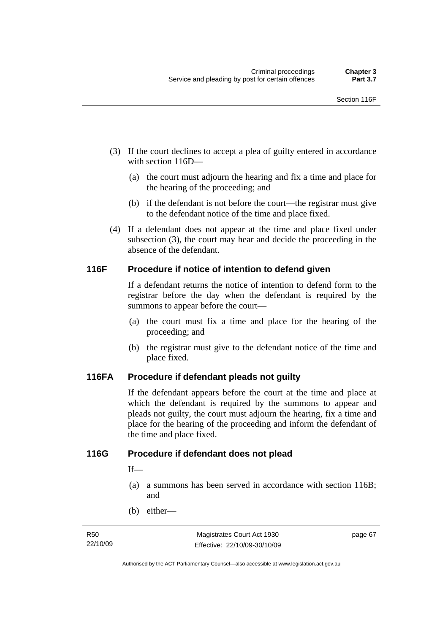- (3) If the court declines to accept a plea of guilty entered in accordance with section 116D—
	- (a) the court must adjourn the hearing and fix a time and place for the hearing of the proceeding; and
	- (b) if the defendant is not before the court—the registrar must give to the defendant notice of the time and place fixed.
- (4) If a defendant does not appear at the time and place fixed under subsection (3), the court may hear and decide the proceeding in the absence of the defendant.

### **116F Procedure if notice of intention to defend given**

If a defendant returns the notice of intention to defend form to the registrar before the day when the defendant is required by the summons to appear before the court—

- (a) the court must fix a time and place for the hearing of the proceeding; and
- (b) the registrar must give to the defendant notice of the time and place fixed.

### **116FA Procedure if defendant pleads not guilty**

If the defendant appears before the court at the time and place at which the defendant is required by the summons to appear and pleads not guilty, the court must adjourn the hearing, fix a time and place for the hearing of the proceeding and inform the defendant of the time and place fixed.

### **116G Procedure if defendant does not plead**

If—

- (a) a summons has been served in accordance with section 116B; and
- (b) either—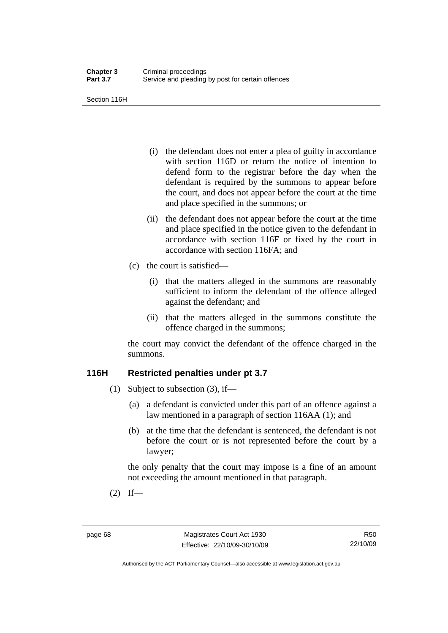Section 116H

- (i) the defendant does not enter a plea of guilty in accordance with section 116D or return the notice of intention to defend form to the registrar before the day when the defendant is required by the summons to appear before the court, and does not appear before the court at the time and place specified in the summons; or
- (ii) the defendant does not appear before the court at the time and place specified in the notice given to the defendant in accordance with section 116F or fixed by the court in accordance with section 116FA; and
- (c) the court is satisfied—
	- (i) that the matters alleged in the summons are reasonably sufficient to inform the defendant of the offence alleged against the defendant; and
	- (ii) that the matters alleged in the summons constitute the offence charged in the summons;

the court may convict the defendant of the offence charged in the summons.

### **116H Restricted penalties under pt 3.7**

- (1) Subject to subsection (3), if—
	- (a) a defendant is convicted under this part of an offence against a law mentioned in a paragraph of section 116AA (1); and
	- (b) at the time that the defendant is sentenced, the defendant is not before the court or is not represented before the court by a lawyer;

the only penalty that the court may impose is a fine of an amount not exceeding the amount mentioned in that paragraph.

 $(2)$  If—

Authorised by the ACT Parliamentary Counsel—also accessible at www.legislation.act.gov.au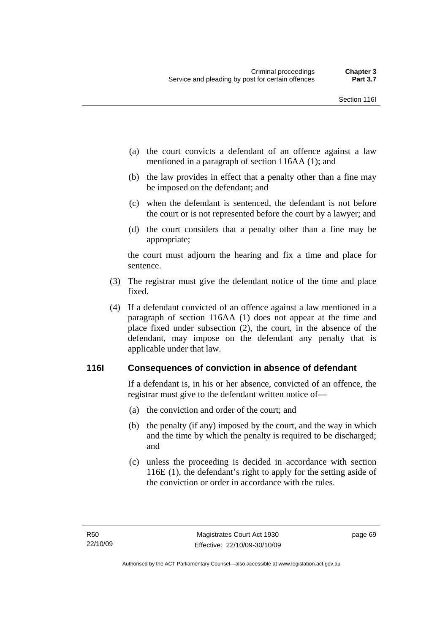- (a) the court convicts a defendant of an offence against a law mentioned in a paragraph of section 116AA (1); and
- (b) the law provides in effect that a penalty other than a fine may be imposed on the defendant; and
- (c) when the defendant is sentenced, the defendant is not before the court or is not represented before the court by a lawyer; and
- (d) the court considers that a penalty other than a fine may be appropriate;

the court must adjourn the hearing and fix a time and place for sentence.

- (3) The registrar must give the defendant notice of the time and place fixed.
- (4) If a defendant convicted of an offence against a law mentioned in a paragraph of section 116AA (1) does not appear at the time and place fixed under subsection (2), the court, in the absence of the defendant, may impose on the defendant any penalty that is applicable under that law.

### **116I Consequences of conviction in absence of defendant**

If a defendant is, in his or her absence, convicted of an offence, the registrar must give to the defendant written notice of—

- (a) the conviction and order of the court; and
- (b) the penalty (if any) imposed by the court, and the way in which and the time by which the penalty is required to be discharged; and
- (c) unless the proceeding is decided in accordance with section 116E (1), the defendant's right to apply for the setting aside of the conviction or order in accordance with the rules.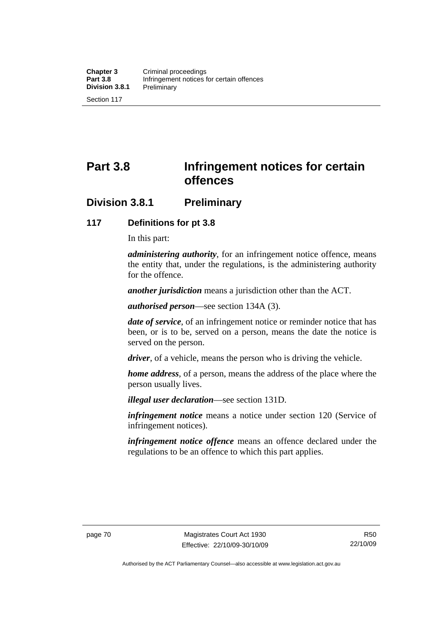# **Part 3.8 Infringement notices for certain offences**

### **Division 3.8.1 Preliminary**

### **117 Definitions for pt 3.8**

In this part:

*administering authority*, for an infringement notice offence, means the entity that, under the regulations, is the administering authority for the offence.

*another jurisdiction* means a jurisdiction other than the ACT.

*authorised person*—see section 134A (3).

*date of service*, of an infringement notice or reminder notice that has been, or is to be, served on a person, means the date the notice is served on the person.

*driver*, of a vehicle, means the person who is driving the vehicle.

*home address*, of a person, means the address of the place where the person usually lives.

*illegal user declaration*—see section 131D.

*infringement notice* means a notice under section 120 (Service of infringement notices).

*infringement notice offence* means an offence declared under the regulations to be an offence to which this part applies.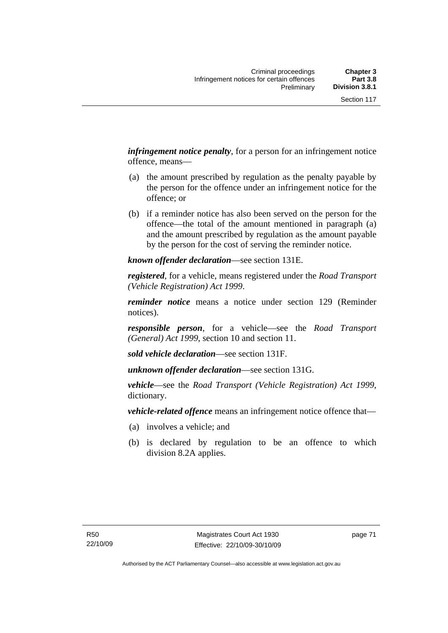*infringement notice penalty*, for a person for an infringement notice offence, means—

- (a) the amount prescribed by regulation as the penalty payable by the person for the offence under an infringement notice for the offence; or
- (b) if a reminder notice has also been served on the person for the offence—the total of the amount mentioned in paragraph (a) and the amount prescribed by regulation as the amount payable by the person for the cost of serving the reminder notice.

*known offender declaration*—see section 131E.

*registered*, for a vehicle, means registered under the *Road Transport (Vehicle Registration) Act 1999*.

*reminder notice* means a notice under section 129 (Reminder notices).

*responsible person*, for a vehicle—see the *Road Transport (General) Act 1999*, section 10 and section 11.

*sold vehicle declaration*—see section 131F.

*unknown offender declaration*—see section 131G.

*vehicle*—see the *Road Transport (Vehicle Registration) Act 1999*, dictionary.

*vehicle-related offence* means an infringement notice offence that—

- (a) involves a vehicle; and
- (b) is declared by regulation to be an offence to which division 8.2A applies.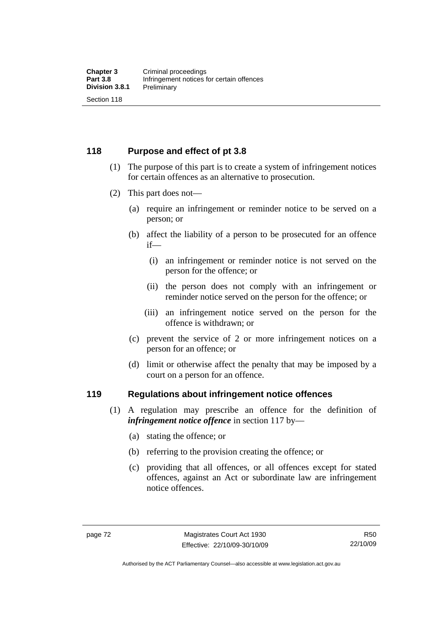### **118 Purpose and effect of pt 3.8**

- (1) The purpose of this part is to create a system of infringement notices for certain offences as an alternative to prosecution.
- (2) This part does not—
	- (a) require an infringement or reminder notice to be served on a person; or
	- (b) affect the liability of a person to be prosecuted for an offence if—
		- (i) an infringement or reminder notice is not served on the person for the offence; or
		- (ii) the person does not comply with an infringement or reminder notice served on the person for the offence; or
		- (iii) an infringement notice served on the person for the offence is withdrawn; or
	- (c) prevent the service of 2 or more infringement notices on a person for an offence; or
	- (d) limit or otherwise affect the penalty that may be imposed by a court on a person for an offence.

#### **119 Regulations about infringement notice offences**

- (1) A regulation may prescribe an offence for the definition of *infringement notice offence* in section 117 by—
	- (a) stating the offence; or
	- (b) referring to the provision creating the offence; or
	- (c) providing that all offences, or all offences except for stated offences, against an Act or subordinate law are infringement notice offences.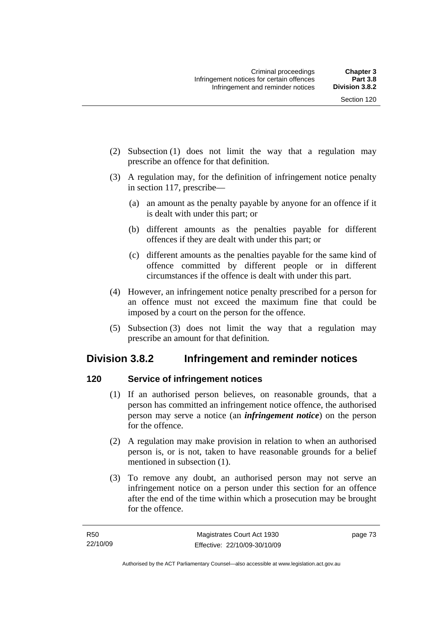- (2) Subsection (1) does not limit the way that a regulation may prescribe an offence for that definition.
- (3) A regulation may, for the definition of infringement notice penalty in section 117, prescribe—
	- (a) an amount as the penalty payable by anyone for an offence if it is dealt with under this part; or
	- (b) different amounts as the penalties payable for different offences if they are dealt with under this part; or
	- (c) different amounts as the penalties payable for the same kind of offence committed by different people or in different circumstances if the offence is dealt with under this part.
- (4) However, an infringement notice penalty prescribed for a person for an offence must not exceed the maximum fine that could be imposed by a court on the person for the offence.
- (5) Subsection (3) does not limit the way that a regulation may prescribe an amount for that definition.

## **Division 3.8.2 Infringement and reminder notices**

### **120 Service of infringement notices**

- (1) If an authorised person believes, on reasonable grounds, that a person has committed an infringement notice offence, the authorised person may serve a notice (an *infringement notice*) on the person for the offence.
- (2) A regulation may make provision in relation to when an authorised person is, or is not, taken to have reasonable grounds for a belief mentioned in subsection (1).
- (3) To remove any doubt, an authorised person may not serve an infringement notice on a person under this section for an offence after the end of the time within which a prosecution may be brought for the offence.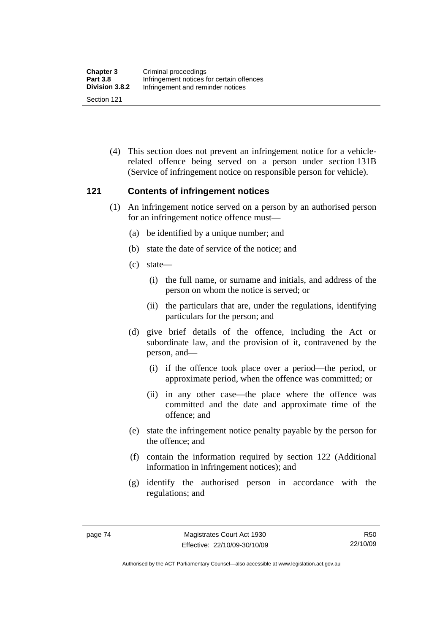(4) This section does not prevent an infringement notice for a vehiclerelated offence being served on a person under section 131B (Service of infringement notice on responsible person for vehicle).

### **121 Contents of infringement notices**

- (1) An infringement notice served on a person by an authorised person for an infringement notice offence must—
	- (a) be identified by a unique number; and
	- (b) state the date of service of the notice; and
	- (c) state—
		- (i) the full name, or surname and initials, and address of the person on whom the notice is served; or
		- (ii) the particulars that are, under the regulations, identifying particulars for the person; and
	- (d) give brief details of the offence, including the Act or subordinate law, and the provision of it, contravened by the person, and—
		- (i) if the offence took place over a period—the period, or approximate period, when the offence was committed; or
		- (ii) in any other case—the place where the offence was committed and the date and approximate time of the offence; and
	- (e) state the infringement notice penalty payable by the person for the offence; and
	- (f) contain the information required by section 122 (Additional information in infringement notices); and
	- (g) identify the authorised person in accordance with the regulations; and

Authorised by the ACT Parliamentary Counsel—also accessible at www.legislation.act.gov.au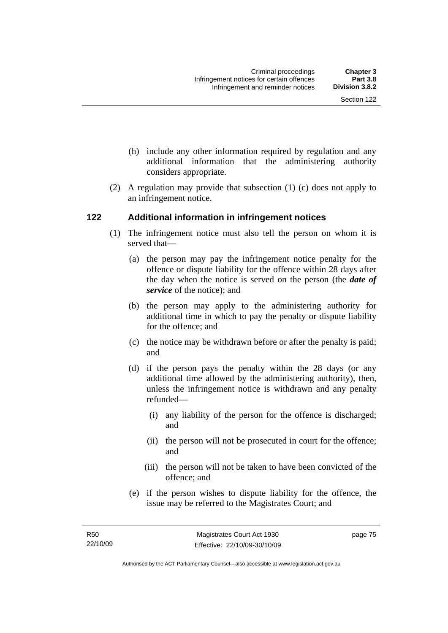- (h) include any other information required by regulation and any additional information that the administering authority considers appropriate.
- (2) A regulation may provide that subsection (1) (c) does not apply to an infringement notice.

### **122 Additional information in infringement notices**

- (1) The infringement notice must also tell the person on whom it is served that—
	- (a) the person may pay the infringement notice penalty for the offence or dispute liability for the offence within 28 days after the day when the notice is served on the person (the *date of service* of the notice); and
	- (b) the person may apply to the administering authority for additional time in which to pay the penalty or dispute liability for the offence; and
	- (c) the notice may be withdrawn before or after the penalty is paid; and
	- (d) if the person pays the penalty within the 28 days (or any additional time allowed by the administering authority), then, unless the infringement notice is withdrawn and any penalty refunded—
		- (i) any liability of the person for the offence is discharged; and
		- (ii) the person will not be prosecuted in court for the offence; and
		- (iii) the person will not be taken to have been convicted of the offence; and
	- (e) if the person wishes to dispute liability for the offence, the issue may be referred to the Magistrates Court; and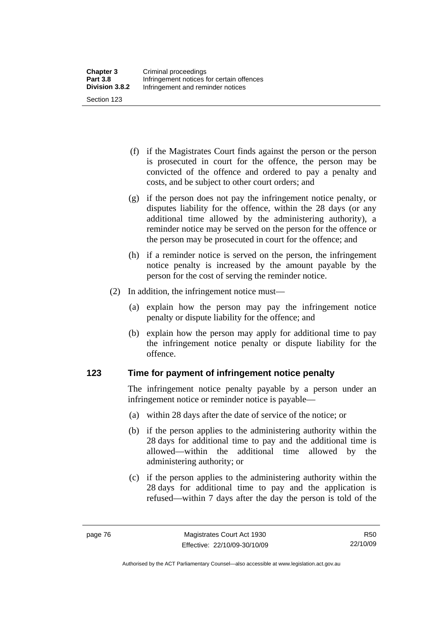(f) if the Magistrates Court finds against the person or the person is prosecuted in court for the offence, the person may be convicted of the offence and ordered to pay a penalty and costs, and be subject to other court orders; and

- (g) if the person does not pay the infringement notice penalty, or disputes liability for the offence, within the 28 days (or any additional time allowed by the administering authority), a reminder notice may be served on the person for the offence or the person may be prosecuted in court for the offence; and
- (h) if a reminder notice is served on the person, the infringement notice penalty is increased by the amount payable by the person for the cost of serving the reminder notice.
- (2) In addition, the infringement notice must—
	- (a) explain how the person may pay the infringement notice penalty or dispute liability for the offence; and
	- (b) explain how the person may apply for additional time to pay the infringement notice penalty or dispute liability for the offence.

### **123 Time for payment of infringement notice penalty**

The infringement notice penalty payable by a person under an infringement notice or reminder notice is payable—

- (a) within 28 days after the date of service of the notice; or
- (b) if the person applies to the administering authority within the 28 days for additional time to pay and the additional time is allowed—within the additional time allowed by the administering authority; or
- (c) if the person applies to the administering authority within the 28 days for additional time to pay and the application is refused—within 7 days after the day the person is told of the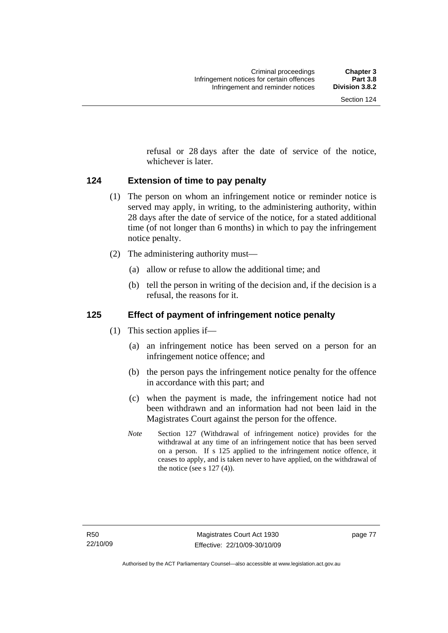refusal or 28 days after the date of service of the notice, whichever is later.

### **124 Extension of time to pay penalty**

- (1) The person on whom an infringement notice or reminder notice is served may apply, in writing, to the administering authority, within 28 days after the date of service of the notice, for a stated additional time (of not longer than 6 months) in which to pay the infringement notice penalty.
- (2) The administering authority must—
	- (a) allow or refuse to allow the additional time; and
	- (b) tell the person in writing of the decision and, if the decision is a refusal, the reasons for it.

### **125 Effect of payment of infringement notice penalty**

- (1) This section applies if—
	- (a) an infringement notice has been served on a person for an infringement notice offence; and
	- (b) the person pays the infringement notice penalty for the offence in accordance with this part; and
	- (c) when the payment is made, the infringement notice had not been withdrawn and an information had not been laid in the Magistrates Court against the person for the offence.
	- *Note* Section 127 (Withdrawal of infringement notice) provides for the withdrawal at any time of an infringement notice that has been served on a person. If s 125 applied to the infringement notice offence, it ceases to apply, and is taken never to have applied, on the withdrawal of the notice (see s  $127(4)$ ).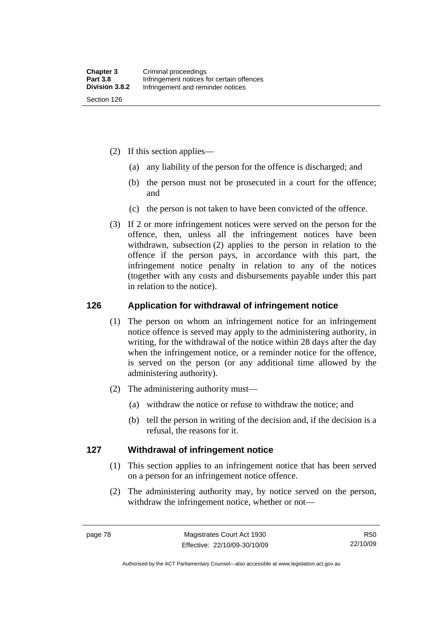- (2) If this section applies—
	- (a) any liability of the person for the offence is discharged; and
	- (b) the person must not be prosecuted in a court for the offence; and
	- (c) the person is not taken to have been convicted of the offence.
- (3) If 2 or more infringement notices were served on the person for the offence, then, unless all the infringement notices have been withdrawn, subsection (2) applies to the person in relation to the offence if the person pays, in accordance with this part, the infringement notice penalty in relation to any of the notices (together with any costs and disbursements payable under this part in relation to the notice).

### **126 Application for withdrawal of infringement notice**

- (1) The person on whom an infringement notice for an infringement notice offence is served may apply to the administering authority, in writing, for the withdrawal of the notice within 28 days after the day when the infringement notice, or a reminder notice for the offence, is served on the person (or any additional time allowed by the administering authority).
- (2) The administering authority must—
	- (a) withdraw the notice or refuse to withdraw the notice; and
	- (b) tell the person in writing of the decision and, if the decision is a refusal, the reasons for it.

### **127 Withdrawal of infringement notice**

- (1) This section applies to an infringement notice that has been served on a person for an infringement notice offence.
- (2) The administering authority may, by notice served on the person, withdraw the infringement notice, whether or not—

R50 22/10/09

Authorised by the ACT Parliamentary Counsel—also accessible at www.legislation.act.gov.au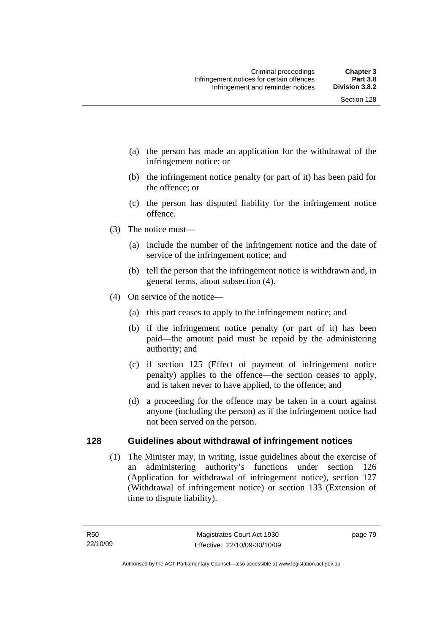- (a) the person has made an application for the withdrawal of the infringement notice; or
- (b) the infringement notice penalty (or part of it) has been paid for the offence; or
- (c) the person has disputed liability for the infringement notice offence.
- (3) The notice must—
	- (a) include the number of the infringement notice and the date of service of the infringement notice; and
	- (b) tell the person that the infringement notice is withdrawn and, in general terms, about subsection (4).
- (4) On service of the notice—
	- (a) this part ceases to apply to the infringement notice; and
	- (b) if the infringement notice penalty (or part of it) has been paid—the amount paid must be repaid by the administering authority; and
	- (c) if section 125 (Effect of payment of infringement notice penalty) applies to the offence—the section ceases to apply, and is taken never to have applied, to the offence; and
	- (d) a proceeding for the offence may be taken in a court against anyone (including the person) as if the infringement notice had not been served on the person.

### **128 Guidelines about withdrawal of infringement notices**

 (1) The Minister may, in writing, issue guidelines about the exercise of an administering authority's functions under section 126 (Application for withdrawal of infringement notice), section 127 (Withdrawal of infringement notice) or section 133 (Extension of time to dispute liability).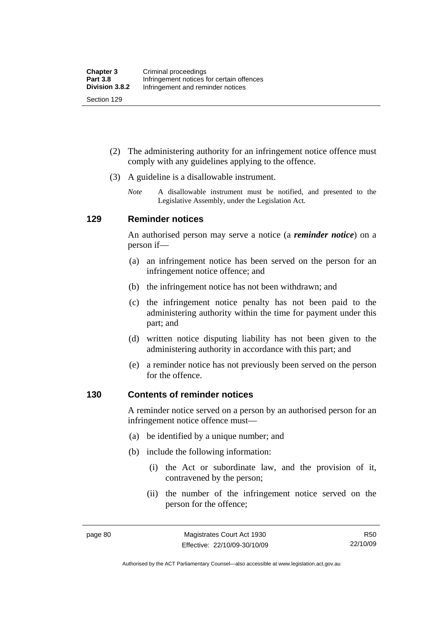(2) The administering authority for an infringement notice offence must comply with any guidelines applying to the offence.

- (3) A guideline is a disallowable instrument.
	- *Note* A disallowable instrument must be notified, and presented to the Legislative Assembly, under the Legislation Act*.*

### **129 Reminder notices**

An authorised person may serve a notice (a *reminder notice*) on a person if—

- (a) an infringement notice has been served on the person for an infringement notice offence; and
- (b) the infringement notice has not been withdrawn; and
- (c) the infringement notice penalty has not been paid to the administering authority within the time for payment under this part; and
- (d) written notice disputing liability has not been given to the administering authority in accordance with this part; and
- (e) a reminder notice has not previously been served on the person for the offence.

#### **130 Contents of reminder notices**

A reminder notice served on a person by an authorised person for an infringement notice offence must—

- (a) be identified by a unique number; and
- (b) include the following information:
	- (i) the Act or subordinate law, and the provision of it, contravened by the person;
	- (ii) the number of the infringement notice served on the person for the offence;

R50 22/10/09

Authorised by the ACT Parliamentary Counsel—also accessible at www.legislation.act.gov.au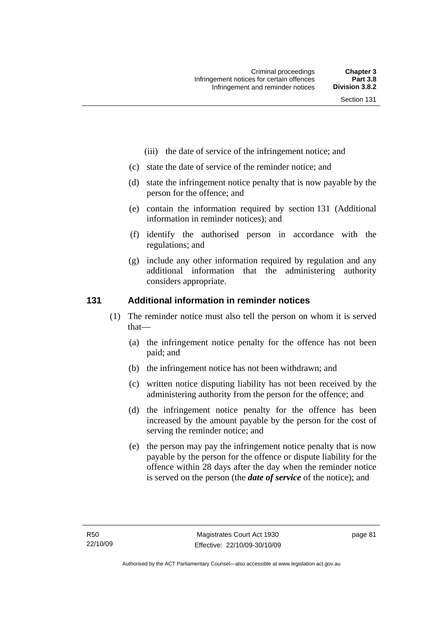- (iii) the date of service of the infringement notice; and
- (c) state the date of service of the reminder notice; and
- (d) state the infringement notice penalty that is now payable by the person for the offence; and
- (e) contain the information required by section 131 (Additional information in reminder notices); and
- (f) identify the authorised person in accordance with the regulations; and
- (g) include any other information required by regulation and any additional information that the administering authority considers appropriate.

### **131 Additional information in reminder notices**

- (1) The reminder notice must also tell the person on whom it is served that—
	- (a) the infringement notice penalty for the offence has not been paid; and
	- (b) the infringement notice has not been withdrawn; and
	- (c) written notice disputing liability has not been received by the administering authority from the person for the offence; and
	- (d) the infringement notice penalty for the offence has been increased by the amount payable by the person for the cost of serving the reminder notice; and
	- (e) the person may pay the infringement notice penalty that is now payable by the person for the offence or dispute liability for the offence within 28 days after the day when the reminder notice is served on the person (the *date of service* of the notice); and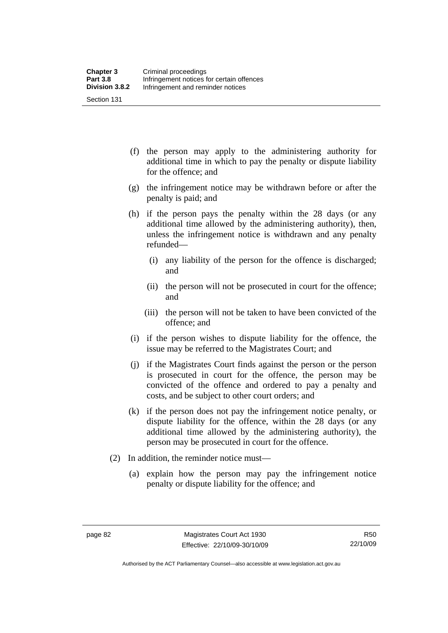- (f) the person may apply to the administering authority for additional time in which to pay the penalty or dispute liability for the offence; and
- (g) the infringement notice may be withdrawn before or after the penalty is paid; and
- (h) if the person pays the penalty within the 28 days (or any additional time allowed by the administering authority), then, unless the infringement notice is withdrawn and any penalty refunded—
	- (i) any liability of the person for the offence is discharged; and
	- (ii) the person will not be prosecuted in court for the offence; and
	- (iii) the person will not be taken to have been convicted of the offence; and
- (i) if the person wishes to dispute liability for the offence, the issue may be referred to the Magistrates Court; and
- (j) if the Magistrates Court finds against the person or the person is prosecuted in court for the offence, the person may be convicted of the offence and ordered to pay a penalty and costs, and be subject to other court orders; and
- (k) if the person does not pay the infringement notice penalty, or dispute liability for the offence, within the 28 days (or any additional time allowed by the administering authority), the person may be prosecuted in court for the offence.
- (2) In addition, the reminder notice must—
	- (a) explain how the person may pay the infringement notice penalty or dispute liability for the offence; and

Authorised by the ACT Parliamentary Counsel—also accessible at www.legislation.act.gov.au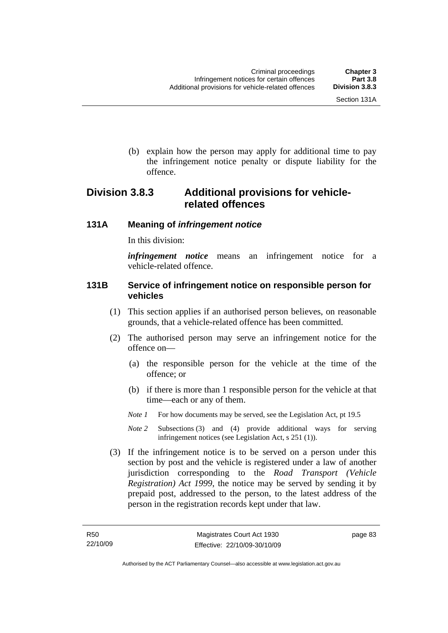(b) explain how the person may apply for additional time to pay the infringement notice penalty or dispute liability for the offence.

## **Division 3.8.3 Additional provisions for vehiclerelated offences**

### **131A Meaning of** *infringement notice*

In this division:

*infringement notice* means an infringement notice for a vehicle-related offence.

### **131B Service of infringement notice on responsible person for vehicles**

- (1) This section applies if an authorised person believes, on reasonable grounds, that a vehicle-related offence has been committed.
- (2) The authorised person may serve an infringement notice for the offence on—
	- (a) the responsible person for the vehicle at the time of the offence; or
	- (b) if there is more than 1 responsible person for the vehicle at that time—each or any of them.
	- *Note 1* For how documents may be served, see the Legislation Act, pt 19.5
	- *Note 2* Subsections (3) and (4) provide additional ways for serving infringement notices (see Legislation Act, s 251 (1)).
- (3) If the infringement notice is to be served on a person under this section by post and the vehicle is registered under a law of another jurisdiction corresponding to the *Road Transport (Vehicle Registration) Act 1999*, the notice may be served by sending it by prepaid post, addressed to the person, to the latest address of the person in the registration records kept under that law.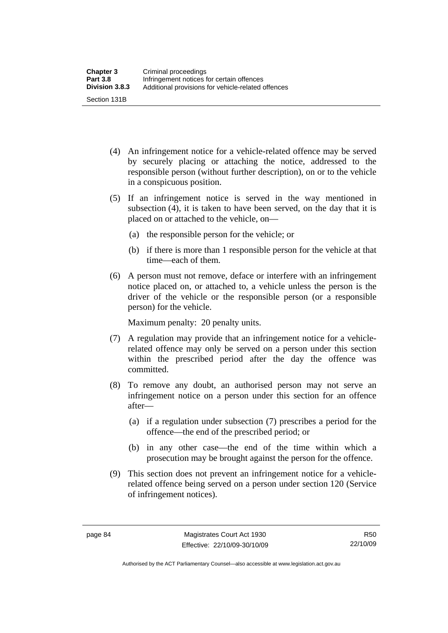- (4) An infringement notice for a vehicle-related offence may be served by securely placing or attaching the notice, addressed to the responsible person (without further description), on or to the vehicle in a conspicuous position.
- (5) If an infringement notice is served in the way mentioned in subsection (4), it is taken to have been served, on the day that it is placed on or attached to the vehicle, on—
	- (a) the responsible person for the vehicle; or
	- (b) if there is more than 1 responsible person for the vehicle at that time—each of them.
- (6) A person must not remove, deface or interfere with an infringement notice placed on, or attached to, a vehicle unless the person is the driver of the vehicle or the responsible person (or a responsible person) for the vehicle.

Maximum penalty: 20 penalty units.

- (7) A regulation may provide that an infringement notice for a vehiclerelated offence may only be served on a person under this section within the prescribed period after the day the offence was committed.
- (8) To remove any doubt, an authorised person may not serve an infringement notice on a person under this section for an offence after—
	- (a) if a regulation under subsection (7) prescribes a period for the offence—the end of the prescribed period; or
	- (b) in any other case—the end of the time within which a prosecution may be brought against the person for the offence.
- (9) This section does not prevent an infringement notice for a vehiclerelated offence being served on a person under section 120 (Service of infringement notices).

Authorised by the ACT Parliamentary Counsel—also accessible at www.legislation.act.gov.au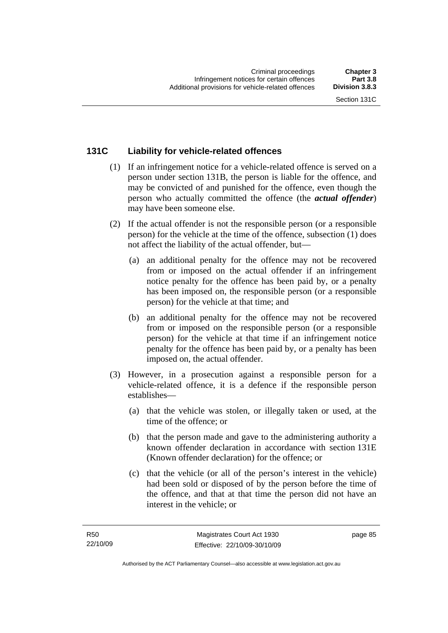### **131C Liability for vehicle-related offences**

- (1) If an infringement notice for a vehicle-related offence is served on a person under section 131B, the person is liable for the offence, and may be convicted of and punished for the offence, even though the person who actually committed the offence (the *actual offender*) may have been someone else.
- (2) If the actual offender is not the responsible person (or a responsible person) for the vehicle at the time of the offence, subsection (1) does not affect the liability of the actual offender, but—
	- (a) an additional penalty for the offence may not be recovered from or imposed on the actual offender if an infringement notice penalty for the offence has been paid by, or a penalty has been imposed on, the responsible person (or a responsible person) for the vehicle at that time; and
	- (b) an additional penalty for the offence may not be recovered from or imposed on the responsible person (or a responsible person) for the vehicle at that time if an infringement notice penalty for the offence has been paid by, or a penalty has been imposed on, the actual offender.
- (3) However, in a prosecution against a responsible person for a vehicle-related offence, it is a defence if the responsible person establishes—
	- (a) that the vehicle was stolen, or illegally taken or used, at the time of the offence; or
	- (b) that the person made and gave to the administering authority a known offender declaration in accordance with section 131E (Known offender declaration) for the offence; or
	- (c) that the vehicle (or all of the person's interest in the vehicle) had been sold or disposed of by the person before the time of the offence, and that at that time the person did not have an interest in the vehicle; or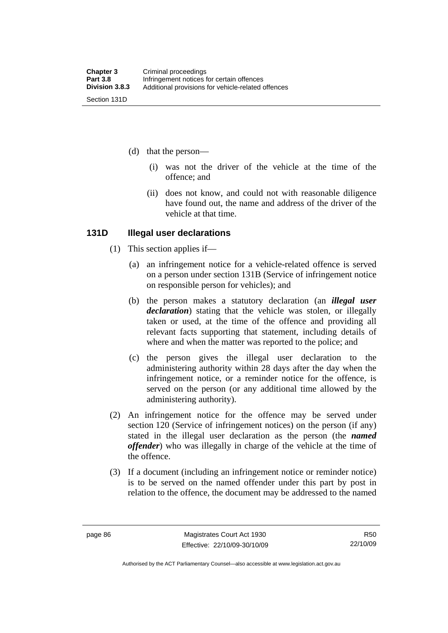- (d) that the person—
	- (i) was not the driver of the vehicle at the time of the offence; and
	- (ii) does not know, and could not with reasonable diligence have found out, the name and address of the driver of the vehicle at that time.

#### **131D Illegal user declarations**

- (1) This section applies if—
	- (a) an infringement notice for a vehicle-related offence is served on a person under section 131B (Service of infringement notice on responsible person for vehicles); and
	- (b) the person makes a statutory declaration (an *illegal user declaration*) stating that the vehicle was stolen, or illegally taken or used, at the time of the offence and providing all relevant facts supporting that statement, including details of where and when the matter was reported to the police; and
	- (c) the person gives the illegal user declaration to the administering authority within 28 days after the day when the infringement notice, or a reminder notice for the offence, is served on the person (or any additional time allowed by the administering authority).
- (2) An infringement notice for the offence may be served under section 120 (Service of infringement notices) on the person (if any) stated in the illegal user declaration as the person (the *named offender*) who was illegally in charge of the vehicle at the time of the offence.
- (3) If a document (including an infringement notice or reminder notice) is to be served on the named offender under this part by post in relation to the offence, the document may be addressed to the named

Authorised by the ACT Parliamentary Counsel—also accessible at www.legislation.act.gov.au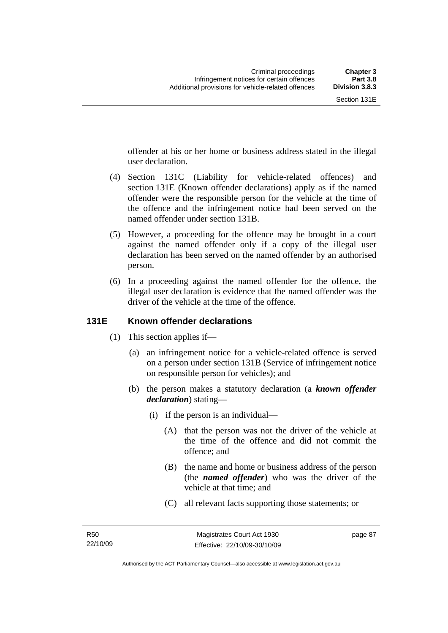offender at his or her home or business address stated in the illegal user declaration.

- (4) Section 131C (Liability for vehicle-related offences) and section 131E (Known offender declarations) apply as if the named offender were the responsible person for the vehicle at the time of the offence and the infringement notice had been served on the named offender under section 131B.
- (5) However, a proceeding for the offence may be brought in a court against the named offender only if a copy of the illegal user declaration has been served on the named offender by an authorised person.
- (6) In a proceeding against the named offender for the offence, the illegal user declaration is evidence that the named offender was the driver of the vehicle at the time of the offence.

### **131E Known offender declarations**

- (1) This section applies if—
	- (a) an infringement notice for a vehicle-related offence is served on a person under section 131B (Service of infringement notice on responsible person for vehicles); and
	- (b) the person makes a statutory declaration (a *known offender declaration*) stating—
		- (i) if the person is an individual—
			- (A) that the person was not the driver of the vehicle at the time of the offence and did not commit the offence; and
			- (B) the name and home or business address of the person (the *named offender*) who was the driver of the vehicle at that time; and
			- (C) all relevant facts supporting those statements; or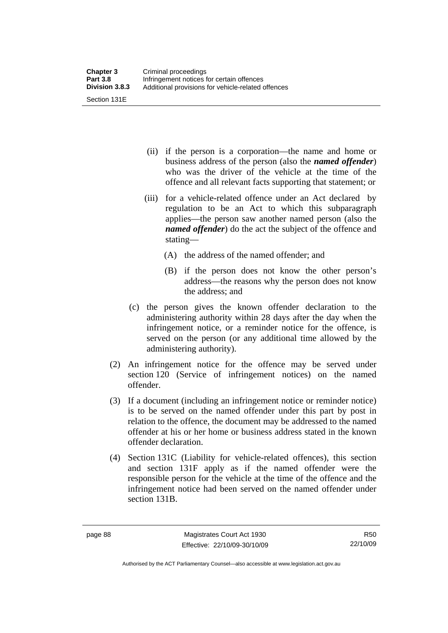Section 131E

- (ii) if the person is a corporation—the name and home or business address of the person (also the *named offender*) who was the driver of the vehicle at the time of the offence and all relevant facts supporting that statement; or
- (iii) for a vehicle-related offence under an Act declared by regulation to be an Act to which this subparagraph applies—the person saw another named person (also the *named offender*) do the act the subject of the offence and stating—
	- (A) the address of the named offender; and
	- (B) if the person does not know the other person's address—the reasons why the person does not know the address; and
- (c) the person gives the known offender declaration to the administering authority within 28 days after the day when the infringement notice, or a reminder notice for the offence, is served on the person (or any additional time allowed by the administering authority).
- (2) An infringement notice for the offence may be served under section 120 (Service of infringement notices) on the named offender.
- (3) If a document (including an infringement notice or reminder notice) is to be served on the named offender under this part by post in relation to the offence, the document may be addressed to the named offender at his or her home or business address stated in the known offender declaration.
- (4) Section 131C (Liability for vehicle-related offences), this section and section 131F apply as if the named offender were the responsible person for the vehicle at the time of the offence and the infringement notice had been served on the named offender under section 131B.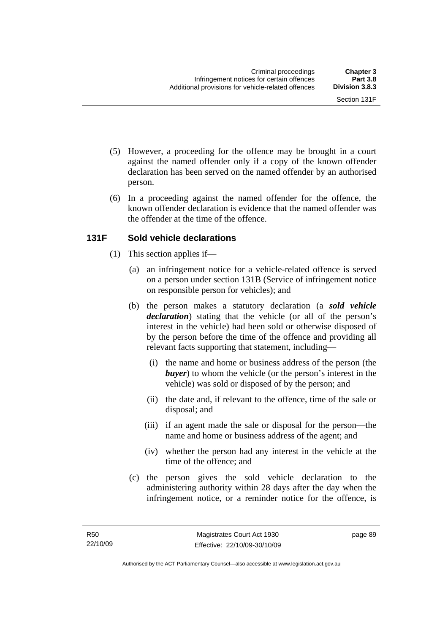- (5) However, a proceeding for the offence may be brought in a court against the named offender only if a copy of the known offender declaration has been served on the named offender by an authorised person.
- (6) In a proceeding against the named offender for the offence, the known offender declaration is evidence that the named offender was the offender at the time of the offence.

### **131F Sold vehicle declarations**

- (1) This section applies if—
	- (a) an infringement notice for a vehicle-related offence is served on a person under section 131B (Service of infringement notice on responsible person for vehicles); and
	- (b) the person makes a statutory declaration (a *sold vehicle declaration*) stating that the vehicle (or all of the person's interest in the vehicle) had been sold or otherwise disposed of by the person before the time of the offence and providing all relevant facts supporting that statement, including—
		- (i) the name and home or business address of the person (the *buyer*) to whom the vehicle (or the person's interest in the vehicle) was sold or disposed of by the person; and
		- (ii) the date and, if relevant to the offence, time of the sale or disposal; and
		- (iii) if an agent made the sale or disposal for the person—the name and home or business address of the agent; and
		- (iv) whether the person had any interest in the vehicle at the time of the offence; and
	- (c) the person gives the sold vehicle declaration to the administering authority within 28 days after the day when the infringement notice, or a reminder notice for the offence, is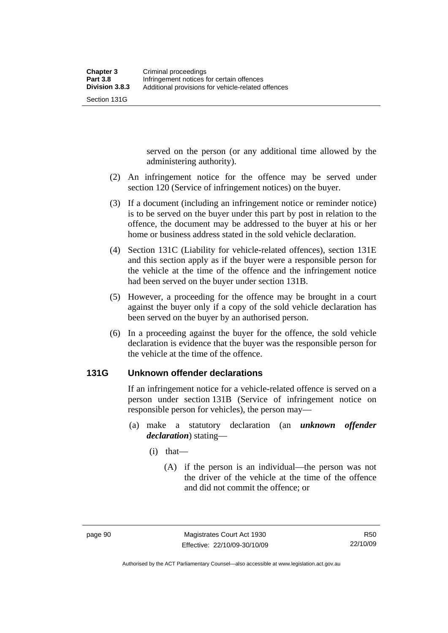Section 131G

served on the person (or any additional time allowed by the administering authority).

- (2) An infringement notice for the offence may be served under section 120 (Service of infringement notices) on the buyer.
- (3) If a document (including an infringement notice or reminder notice) is to be served on the buyer under this part by post in relation to the offence, the document may be addressed to the buyer at his or her home or business address stated in the sold vehicle declaration.
- (4) Section 131C (Liability for vehicle-related offences), section 131E and this section apply as if the buyer were a responsible person for the vehicle at the time of the offence and the infringement notice had been served on the buyer under section 131B.
- (5) However, a proceeding for the offence may be brought in a court against the buyer only if a copy of the sold vehicle declaration has been served on the buyer by an authorised person.
- (6) In a proceeding against the buyer for the offence, the sold vehicle declaration is evidence that the buyer was the responsible person for the vehicle at the time of the offence.

### **131G Unknown offender declarations**

If an infringement notice for a vehicle-related offence is served on a person under section 131B (Service of infringement notice on responsible person for vehicles), the person may—

- (a) make a statutory declaration (an *unknown offender declaration*) stating—
	- (i) that—
		- (A) if the person is an individual—the person was not the driver of the vehicle at the time of the offence and did not commit the offence; or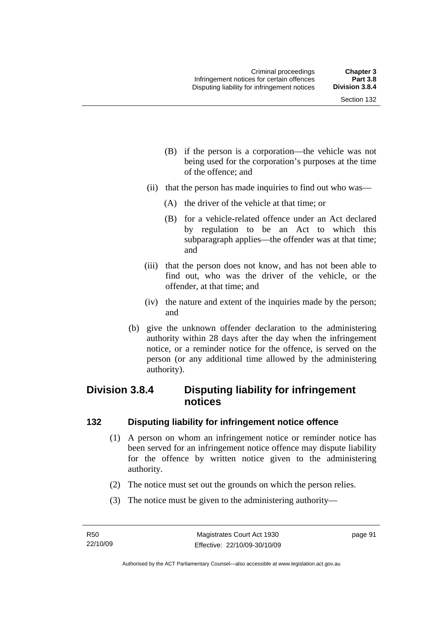- (B) if the person is a corporation—the vehicle was not being used for the corporation's purposes at the time of the offence; and
- (ii) that the person has made inquiries to find out who was—
	- (A) the driver of the vehicle at that time; or
	- (B) for a vehicle-related offence under an Act declared by regulation to be an Act to which this subparagraph applies—the offender was at that time; and
- (iii) that the person does not know, and has not been able to find out, who was the driver of the vehicle, or the offender, at that time; and
- (iv) the nature and extent of the inquiries made by the person; and
- (b) give the unknown offender declaration to the administering authority within 28 days after the day when the infringement notice, or a reminder notice for the offence, is served on the person (or any additional time allowed by the administering authority).

### **Division 3.8.4 Disputing liability for infringement notices**

### **132 Disputing liability for infringement notice offence**

- (1) A person on whom an infringement notice or reminder notice has been served for an infringement notice offence may dispute liability for the offence by written notice given to the administering authority.
- (2) The notice must set out the grounds on which the person relies.
- (3) The notice must be given to the administering authority—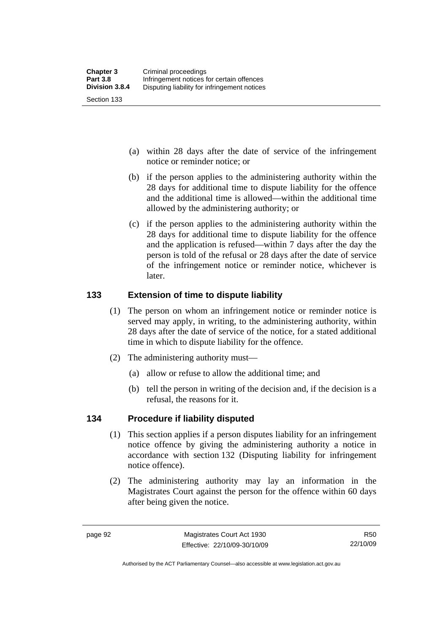- (a) within 28 days after the date of service of the infringement notice or reminder notice; or
- (b) if the person applies to the administering authority within the 28 days for additional time to dispute liability for the offence and the additional time is allowed—within the additional time allowed by the administering authority; or
- (c) if the person applies to the administering authority within the 28 days for additional time to dispute liability for the offence and the application is refused—within 7 days after the day the person is told of the refusal or 28 days after the date of service of the infringement notice or reminder notice, whichever is later.

### **133 Extension of time to dispute liability**

- (1) The person on whom an infringement notice or reminder notice is served may apply, in writing, to the administering authority, within 28 days after the date of service of the notice, for a stated additional time in which to dispute liability for the offence.
- (2) The administering authority must—
	- (a) allow or refuse to allow the additional time; and
	- (b) tell the person in writing of the decision and, if the decision is a refusal, the reasons for it.

### **134 Procedure if liability disputed**

- (1) This section applies if a person disputes liability for an infringement notice offence by giving the administering authority a notice in accordance with section 132 (Disputing liability for infringement notice offence).
- (2) The administering authority may lay an information in the Magistrates Court against the person for the offence within 60 days after being given the notice.

Authorised by the ACT Parliamentary Counsel—also accessible at www.legislation.act.gov.au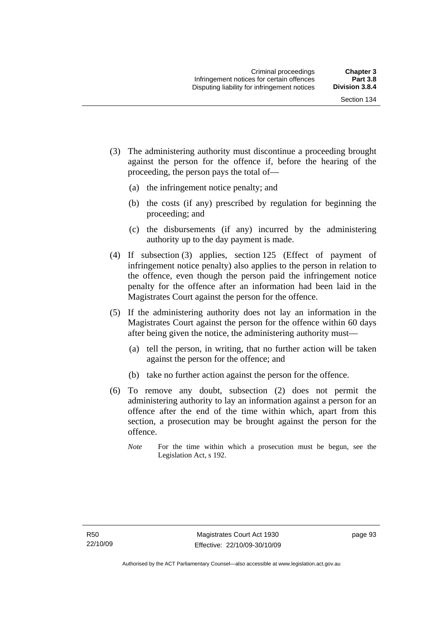- (3) The administering authority must discontinue a proceeding brought against the person for the offence if, before the hearing of the proceeding, the person pays the total of—
	- (a) the infringement notice penalty; and
	- (b) the costs (if any) prescribed by regulation for beginning the proceeding; and
	- (c) the disbursements (if any) incurred by the administering authority up to the day payment is made.
- (4) If subsection (3) applies, section 125 (Effect of payment of infringement notice penalty) also applies to the person in relation to the offence, even though the person paid the infringement notice penalty for the offence after an information had been laid in the Magistrates Court against the person for the offence.
- (5) If the administering authority does not lay an information in the Magistrates Court against the person for the offence within 60 days after being given the notice, the administering authority must—
	- (a) tell the person, in writing, that no further action will be taken against the person for the offence; and
	- (b) take no further action against the person for the offence.
- (6) To remove any doubt, subsection (2) does not permit the administering authority to lay an information against a person for an offence after the end of the time within which, apart from this section, a prosecution may be brought against the person for the offence.
	- *Note* For the time within which a prosecution must be begun, see the Legislation Act, s 192.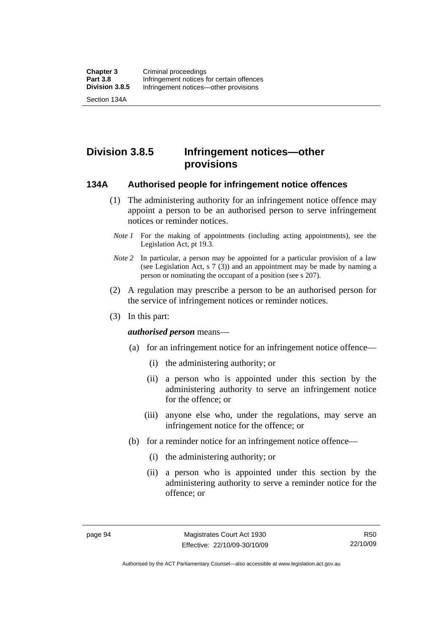Section 134A

**Division 3.8.5 Infringement notices—other provisions** 

#### **134A Authorised people for infringement notice offences**

- (1) The administering authority for an infringement notice offence may appoint a person to be an authorised person to serve infringement notices or reminder notices.
- *Note 1* For the making of appointments (including acting appointments), see the Legislation Act, pt 19.3.
- *Note 2* In particular, a person may be appointed for a particular provision of a law (see Legislation Act, s 7 (3)) and an appointment may be made by naming a person or nominating the occupant of a position (see s 207).
- (2) A regulation may prescribe a person to be an authorised person for the service of infringement notices or reminder notices.
- (3) In this part:

*authorised person* means—

- (a) for an infringement notice for an infringement notice offence—
	- (i) the administering authority; or
	- (ii) a person who is appointed under this section by the administering authority to serve an infringement notice for the offence; or
	- (iii) anyone else who, under the regulations, may serve an infringement notice for the offence; or
- (b) for a reminder notice for an infringement notice offence—
	- (i) the administering authority; or
	- (ii) a person who is appointed under this section by the administering authority to serve a reminder notice for the offence; or

R50 22/10/09

Authorised by the ACT Parliamentary Counsel—also accessible at www.legislation.act.gov.au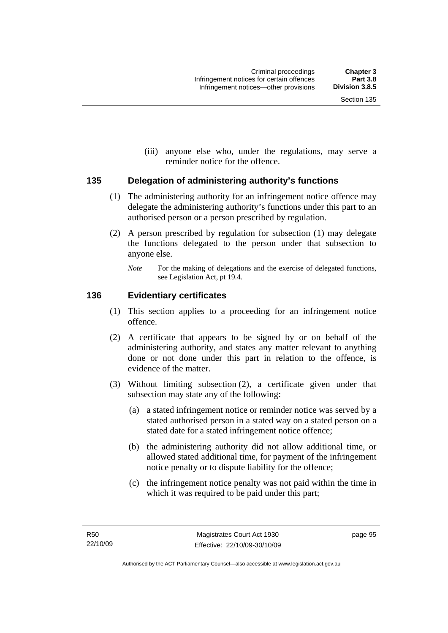(iii) anyone else who, under the regulations, may serve a reminder notice for the offence.

## **135 Delegation of administering authority's functions**

- (1) The administering authority for an infringement notice offence may delegate the administering authority's functions under this part to an authorised person or a person prescribed by regulation.
- (2) A person prescribed by regulation for subsection (1) may delegate the functions delegated to the person under that subsection to anyone else.
	- *Note* For the making of delegations and the exercise of delegated functions, see Legislation Act, pt 19.4.

## **136 Evidentiary certificates**

- (1) This section applies to a proceeding for an infringement notice offence.
- (2) A certificate that appears to be signed by or on behalf of the administering authority, and states any matter relevant to anything done or not done under this part in relation to the offence, is evidence of the matter.
- (3) Without limiting subsection (2), a certificate given under that subsection may state any of the following:
	- (a) a stated infringement notice or reminder notice was served by a stated authorised person in a stated way on a stated person on a stated date for a stated infringement notice offence;
	- (b) the administering authority did not allow additional time, or allowed stated additional time, for payment of the infringement notice penalty or to dispute liability for the offence;
	- (c) the infringement notice penalty was not paid within the time in which it was required to be paid under this part;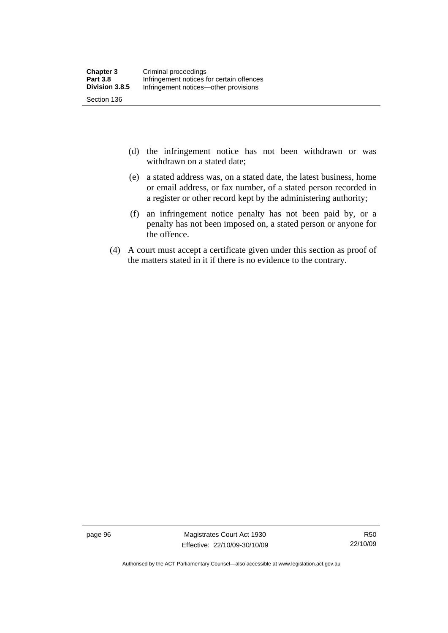- (d) the infringement notice has not been withdrawn or was withdrawn on a stated date;
- (e) a stated address was, on a stated date, the latest business, home or email address, or fax number, of a stated person recorded in a register or other record kept by the administering authority;
- (f) an infringement notice penalty has not been paid by, or a penalty has not been imposed on, a stated person or anyone for the offence.
- (4) A court must accept a certificate given under this section as proof of the matters stated in it if there is no evidence to the contrary.

page 96 Magistrates Court Act 1930 Effective: 22/10/09-30/10/09

Authorised by the ACT Parliamentary Counsel—also accessible at www.legislation.act.gov.au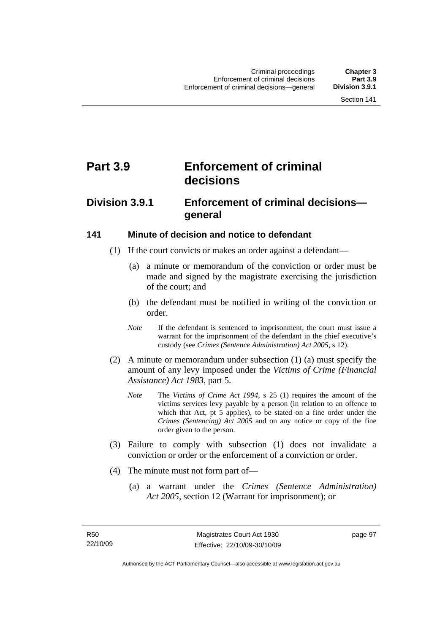# **Part 3.9 Enforcement of criminal decisions**

# **Division 3.9.1 Enforcement of criminal decisions general**

## **141 Minute of decision and notice to defendant**

- (1) If the court convicts or makes an order against a defendant—
	- (a) a minute or memorandum of the conviction or order must be made and signed by the magistrate exercising the jurisdiction of the court; and
	- (b) the defendant must be notified in writing of the conviction or order.
	- *Note* If the defendant is sentenced to imprisonment, the court must issue a warrant for the imprisonment of the defendant in the chief executive's custody (see *Crimes (Sentence Administration) Act 2005*, s 12).
- (2) A minute or memorandum under subsection (1) (a) must specify the amount of any levy imposed under the *Victims of Crime (Financial Assistance) Act 1983*, part 5.
	- *Note* The *Victims of Crime Act 1994*, s 25 (1) requires the amount of the victims services levy payable by a person (in relation to an offence to which that Act, pt 5 applies), to be stated on a fine order under the *Crimes (Sentencing) Act 2005* and on any notice or copy of the fine order given to the person.
- (3) Failure to comply with subsection (1) does not invalidate a conviction or order or the enforcement of a conviction or order.
- (4) The minute must not form part of—
	- (a) a warrant under the *Crimes (Sentence Administration) Act 2005*, section 12 (Warrant for imprisonment); or

page 97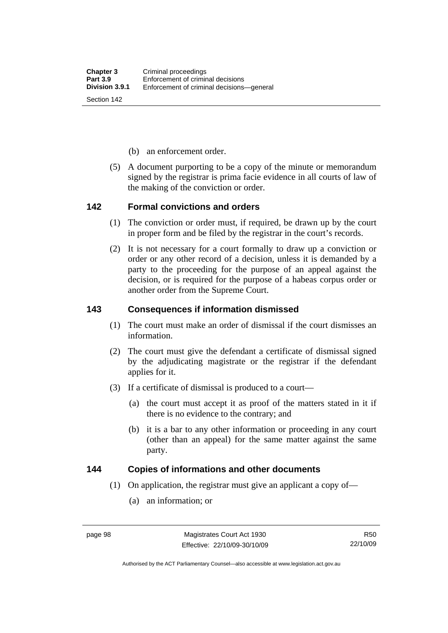- (b) an enforcement order.
- (5) A document purporting to be a copy of the minute or memorandum signed by the registrar is prima facie evidence in all courts of law of the making of the conviction or order.

#### **142 Formal convictions and orders**

- (1) The conviction or order must, if required, be drawn up by the court in proper form and be filed by the registrar in the court's records.
- (2) It is not necessary for a court formally to draw up a conviction or order or any other record of a decision, unless it is demanded by a party to the proceeding for the purpose of an appeal against the decision, or is required for the purpose of a habeas corpus order or another order from the Supreme Court.

## **143 Consequences if information dismissed**

- (1) The court must make an order of dismissal if the court dismisses an information.
- (2) The court must give the defendant a certificate of dismissal signed by the adjudicating magistrate or the registrar if the defendant applies for it.
- (3) If a certificate of dismissal is produced to a court—
	- (a) the court must accept it as proof of the matters stated in it if there is no evidence to the contrary; and
	- (b) it is a bar to any other information or proceeding in any court (other than an appeal) for the same matter against the same party.

## **144 Copies of informations and other documents**

- (1) On application, the registrar must give an applicant a copy of—
	- (a) an information; or

R50 22/10/09

Authorised by the ACT Parliamentary Counsel—also accessible at www.legislation.act.gov.au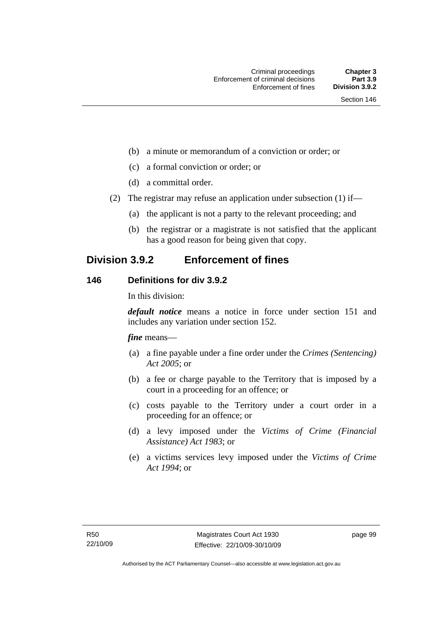- (b) a minute or memorandum of a conviction or order; or
- (c) a formal conviction or order; or
- (d) a committal order.
- (2) The registrar may refuse an application under subsection (1) if—
	- (a) the applicant is not a party to the relevant proceeding; and
	- (b) the registrar or a magistrate is not satisfied that the applicant has a good reason for being given that copy.

# **Division 3.9.2 Enforcement of fines**

## **146 Definitions for div 3.9.2**

In this division:

*default notice* means a notice in force under section 151 and includes any variation under section 152.

*fine* means—

- (a) a fine payable under a fine order under the *Crimes (Sentencing) Act 2005*; or
- (b) a fee or charge payable to the Territory that is imposed by a court in a proceeding for an offence; or
- (c) costs payable to the Territory under a court order in a proceeding for an offence; or
- (d) a levy imposed under the *Victims of Crime (Financial Assistance) Act 1983*; or
- (e) a victims services levy imposed under the *Victims of Crime Act 1994*; or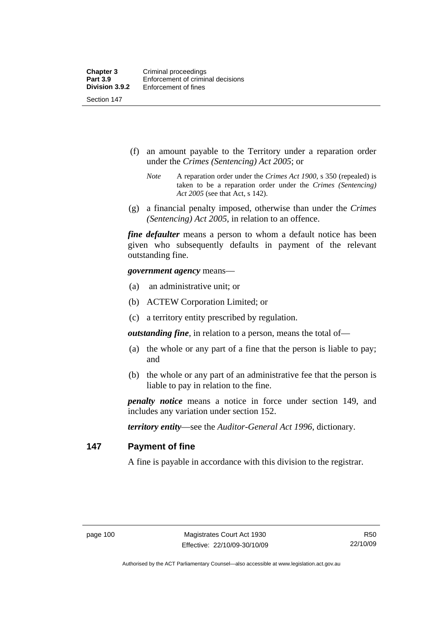Section 147

- (f) an amount payable to the Territory under a reparation order under the *Crimes (Sentencing) Act 2005*; or
	- *Note* A reparation order under the *Crimes Act 1900*, s 350 (repealed) is taken to be a reparation order under the *Crimes (Sentencing) Act 2005* (see that Act, s 142).
- (g) a financial penalty imposed, otherwise than under the *Crimes (Sentencing) Act 2005*, in relation to an offence.

*fine defaulter* means a person to whom a default notice has been given who subsequently defaults in payment of the relevant outstanding fine.

*government agency* means—

- (a) an administrative unit; or
- (b) ACTEW Corporation Limited; or
- (c) a territory entity prescribed by regulation.

*outstanding fine*, in relation to a person, means the total of—

- (a) the whole or any part of a fine that the person is liable to pay; and
- (b) the whole or any part of an administrative fee that the person is liable to pay in relation to the fine.

*penalty notice* means a notice in force under section 149, and includes any variation under section 152.

*territory entity*—see the *Auditor-General Act 1996*, dictionary.

#### **147 Payment of fine**

A fine is payable in accordance with this division to the registrar.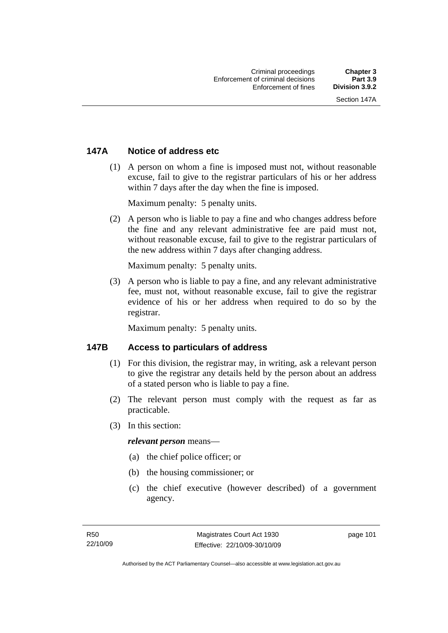# **147A Notice of address etc**

 (1) A person on whom a fine is imposed must not, without reasonable excuse, fail to give to the registrar particulars of his or her address within 7 days after the day when the fine is imposed.

Maximum penalty: 5 penalty units.

 (2) A person who is liable to pay a fine and who changes address before the fine and any relevant administrative fee are paid must not, without reasonable excuse, fail to give to the registrar particulars of the new address within 7 days after changing address.

Maximum penalty: 5 penalty units.

 (3) A person who is liable to pay a fine, and any relevant administrative fee, must not, without reasonable excuse, fail to give the registrar evidence of his or her address when required to do so by the registrar.

Maximum penalty: 5 penalty units.

## **147B Access to particulars of address**

- (1) For this division, the registrar may, in writing, ask a relevant person to give the registrar any details held by the person about an address of a stated person who is liable to pay a fine.
- (2) The relevant person must comply with the request as far as practicable.
- (3) In this section:

#### *relevant person* means—

- (a) the chief police officer; or
- (b) the housing commissioner; or
- (c) the chief executive (however described) of a government agency.

page 101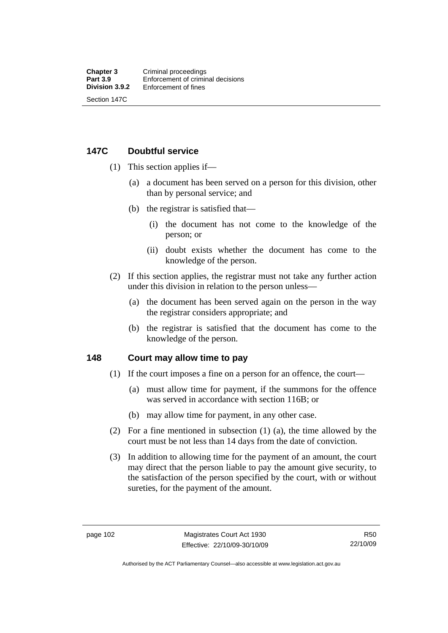# **147C Doubtful service**

- (1) This section applies if—
	- (a) a document has been served on a person for this division, other than by personal service; and
	- (b) the registrar is satisfied that—
		- (i) the document has not come to the knowledge of the person; or
		- (ii) doubt exists whether the document has come to the knowledge of the person.
- (2) If this section applies, the registrar must not take any further action under this division in relation to the person unless—
	- (a) the document has been served again on the person in the way the registrar considers appropriate; and
	- (b) the registrar is satisfied that the document has come to the knowledge of the person.

## **148 Court may allow time to pay**

- (1) If the court imposes a fine on a person for an offence, the court—
	- (a) must allow time for payment, if the summons for the offence was served in accordance with section 116B; or
	- (b) may allow time for payment, in any other case.
- (2) For a fine mentioned in subsection (1) (a), the time allowed by the court must be not less than 14 days from the date of conviction.
- (3) In addition to allowing time for the payment of an amount, the court may direct that the person liable to pay the amount give security, to the satisfaction of the person specified by the court, with or without sureties, for the payment of the amount.

Authorised by the ACT Parliamentary Counsel—also accessible at www.legislation.act.gov.au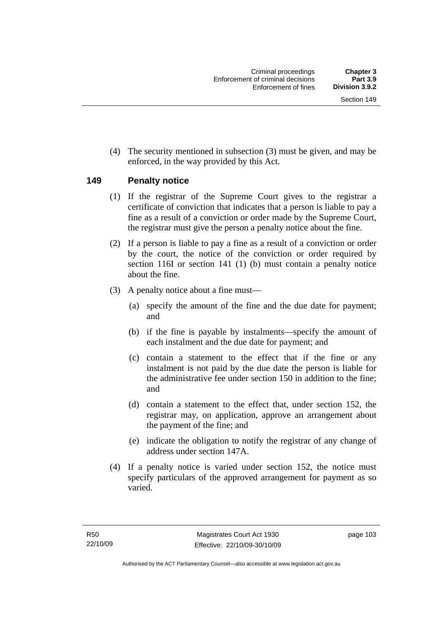(4) The security mentioned in subsection (3) must be given, and may be enforced, in the way provided by this Act.

## **149 Penalty notice**

- (1) If the registrar of the Supreme Court gives to the registrar a certificate of conviction that indicates that a person is liable to pay a fine as a result of a conviction or order made by the Supreme Court, the registrar must give the person a penalty notice about the fine.
- (2) If a person is liable to pay a fine as a result of a conviction or order by the court, the notice of the conviction or order required by section 116I or section 141 (1) (b) must contain a penalty notice about the fine.
- (3) A penalty notice about a fine must—
	- (a) specify the amount of the fine and the due date for payment; and
	- (b) if the fine is payable by instalments—specify the amount of each instalment and the due date for payment; and
	- (c) contain a statement to the effect that if the fine or any instalment is not paid by the due date the person is liable for the administrative fee under section 150 in addition to the fine; and
	- (d) contain a statement to the effect that, under section 152, the registrar may, on application, approve an arrangement about the payment of the fine; and
	- (e) indicate the obligation to notify the registrar of any change of address under section 147A.
- (4) If a penalty notice is varied under section 152, the notice must specify particulars of the approved arrangement for payment as so varied.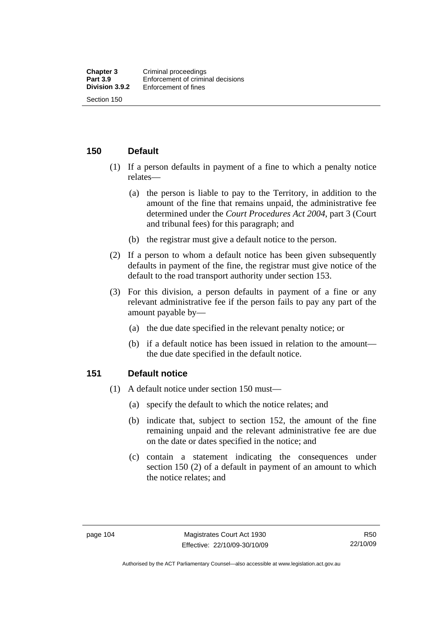## **150 Default**

- (1) If a person defaults in payment of a fine to which a penalty notice relates—
	- (a) the person is liable to pay to the Territory, in addition to the amount of the fine that remains unpaid, the administrative fee determined under the *Court Procedures Act 2004*, part 3 (Court and tribunal fees) for this paragraph; and
	- (b) the registrar must give a default notice to the person.
- (2) If a person to whom a default notice has been given subsequently defaults in payment of the fine, the registrar must give notice of the default to the road transport authority under section 153.
- (3) For this division, a person defaults in payment of a fine or any relevant administrative fee if the person fails to pay any part of the amount payable by—
	- (a) the due date specified in the relevant penalty notice; or
	- (b) if a default notice has been issued in relation to the amount the due date specified in the default notice.

## **151 Default notice**

- (1) A default notice under section 150 must—
	- (a) specify the default to which the notice relates; and
	- (b) indicate that, subject to section 152, the amount of the fine remaining unpaid and the relevant administrative fee are due on the date or dates specified in the notice; and
	- (c) contain a statement indicating the consequences under section 150 (2) of a default in payment of an amount to which the notice relates; and

Authorised by the ACT Parliamentary Counsel—also accessible at www.legislation.act.gov.au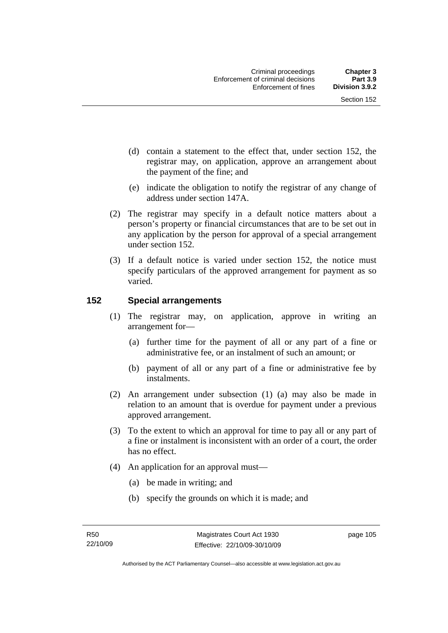- (d) contain a statement to the effect that, under section 152, the registrar may, on application, approve an arrangement about the payment of the fine; and
- (e) indicate the obligation to notify the registrar of any change of address under section 147A.
- (2) The registrar may specify in a default notice matters about a person's property or financial circumstances that are to be set out in any application by the person for approval of a special arrangement under section 152.
- (3) If a default notice is varied under section 152, the notice must specify particulars of the approved arrangement for payment as so varied.

# **152 Special arrangements**

- (1) The registrar may, on application, approve in writing an arrangement for—
	- (a) further time for the payment of all or any part of a fine or administrative fee, or an instalment of such an amount; or
	- (b) payment of all or any part of a fine or administrative fee by instalments.
- (2) An arrangement under subsection (1) (a) may also be made in relation to an amount that is overdue for payment under a previous approved arrangement.
- (3) To the extent to which an approval for time to pay all or any part of a fine or instalment is inconsistent with an order of a court, the order has no effect.
- (4) An application for an approval must—
	- (a) be made in writing; and
	- (b) specify the grounds on which it is made; and

page 105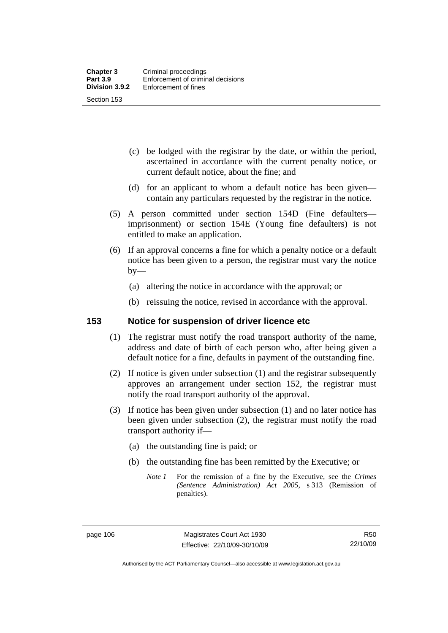- (c) be lodged with the registrar by the date, or within the period, ascertained in accordance with the current penalty notice, or current default notice, about the fine; and
- (d) for an applicant to whom a default notice has been given contain any particulars requested by the registrar in the notice.
- (5) A person committed under section 154D (Fine defaulters imprisonment) or section 154E (Young fine defaulters) is not entitled to make an application.
- (6) If an approval concerns a fine for which a penalty notice or a default notice has been given to a person, the registrar must vary the notice  $by-$ 
	- (a) altering the notice in accordance with the approval; or
	- (b) reissuing the notice, revised in accordance with the approval.

## **153 Notice for suspension of driver licence etc**

- (1) The registrar must notify the road transport authority of the name, address and date of birth of each person who, after being given a default notice for a fine, defaults in payment of the outstanding fine.
- (2) If notice is given under subsection (1) and the registrar subsequently approves an arrangement under section 152, the registrar must notify the road transport authority of the approval.
- (3) If notice has been given under subsection (1) and no later notice has been given under subsection (2), the registrar must notify the road transport authority if—
	- (a) the outstanding fine is paid; or
	- (b) the outstanding fine has been remitted by the Executive; or
		- *Note 1* For the remission of a fine by the Executive, see the *Crimes (Sentence Administration) Act 2005*, s 313 (Remission of penalties).

Authorised by the ACT Parliamentary Counsel—also accessible at www.legislation.act.gov.au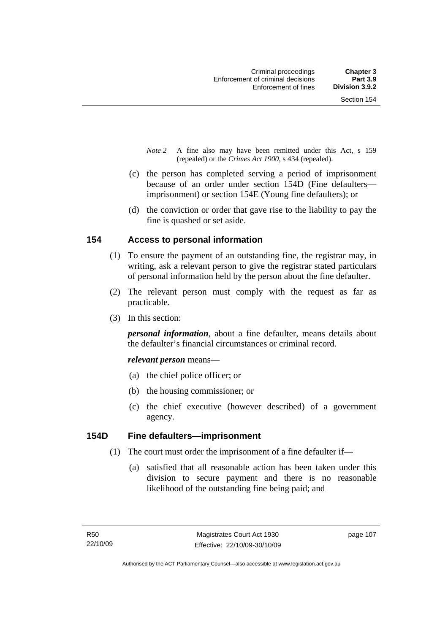- *Note 2* A fine also may have been remitted under this Act, s 159 (repealed) or the *Crimes Act 1900*, s 434 (repealed).
- (c) the person has completed serving a period of imprisonment because of an order under section 154D (Fine defaulters imprisonment) or section 154E (Young fine defaulters); or
- (d) the conviction or order that gave rise to the liability to pay the fine is quashed or set aside.

## **154 Access to personal information**

- (1) To ensure the payment of an outstanding fine, the registrar may, in writing, ask a relevant person to give the registrar stated particulars of personal information held by the person about the fine defaulter.
- (2) The relevant person must comply with the request as far as practicable.
- (3) In this section:

*personal information*, about a fine defaulter, means details about the defaulter's financial circumstances or criminal record.

*relevant person* means—

- (a) the chief police officer; or
- (b) the housing commissioner; or
- (c) the chief executive (however described) of a government agency.

## **154D Fine defaulters—imprisonment**

- (1) The court must order the imprisonment of a fine defaulter if—
	- (a) satisfied that all reasonable action has been taken under this division to secure payment and there is no reasonable likelihood of the outstanding fine being paid; and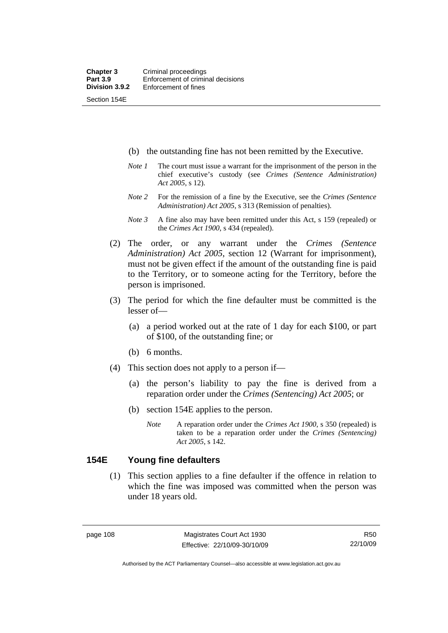Section 154E

- (b) the outstanding fine has not been remitted by the Executive.
- *Note 1* The court must issue a warrant for the imprisonment of the person in the chief executive's custody (see *Crimes (Sentence Administration) Act 2005*, s 12).
- *Note 2* For the remission of a fine by the Executive, see the *Crimes (Sentence Administration) Act 2005*, s 313 (Remission of penalties).
- *Note 3* A fine also may have been remitted under this Act, s 159 (repealed) or the *Crimes Act 1900*, s 434 (repealed).
- (2) The order, or any warrant under the *Crimes (Sentence Administration) Act 2005*, section 12 (Warrant for imprisonment), must not be given effect if the amount of the outstanding fine is paid to the Territory, or to someone acting for the Territory, before the person is imprisoned.
- (3) The period for which the fine defaulter must be committed is the lesser of—
	- (a) a period worked out at the rate of 1 day for each \$100, or part of \$100, of the outstanding fine; or
	- (b) 6 months.
- (4) This section does not apply to a person if—
	- (a) the person's liability to pay the fine is derived from a reparation order under the *Crimes (Sentencing) Act 2005*; or
	- (b) section 154E applies to the person.
		- *Note* A reparation order under the *Crimes Act 1900,* s 350 (repealed) is taken to be a reparation order under the *Crimes (Sentencing) Act 2005*, s 142.

#### **154E Young fine defaulters**

 (1) This section applies to a fine defaulter if the offence in relation to which the fine was imposed was committed when the person was under 18 years old.

R50 22/10/09

Authorised by the ACT Parliamentary Counsel—also accessible at www.legislation.act.gov.au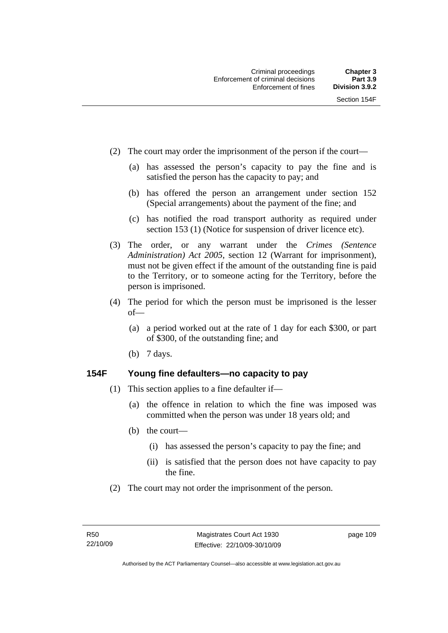- (2) The court may order the imprisonment of the person if the court—
	- (a) has assessed the person's capacity to pay the fine and is satisfied the person has the capacity to pay; and
	- (b) has offered the person an arrangement under section 152 (Special arrangements) about the payment of the fine; and
	- (c) has notified the road transport authority as required under section 153 (1) (Notice for suspension of driver licence etc).
- (3) The order, or any warrant under the *Crimes (Sentence Administration) Act 2005*, section 12 (Warrant for imprisonment), must not be given effect if the amount of the outstanding fine is paid to the Territory, or to someone acting for the Territory, before the person is imprisoned.
- (4) The period for which the person must be imprisoned is the lesser of—
	- (a) a period worked out at the rate of 1 day for each \$300, or part of \$300, of the outstanding fine; and
	- (b) 7 days.

## **154F Young fine defaulters—no capacity to pay**

- (1) This section applies to a fine defaulter if—
	- (a) the offence in relation to which the fine was imposed was committed when the person was under 18 years old; and
	- (b) the court—
		- (i) has assessed the person's capacity to pay the fine; and
		- (ii) is satisfied that the person does not have capacity to pay the fine.
- (2) The court may not order the imprisonment of the person.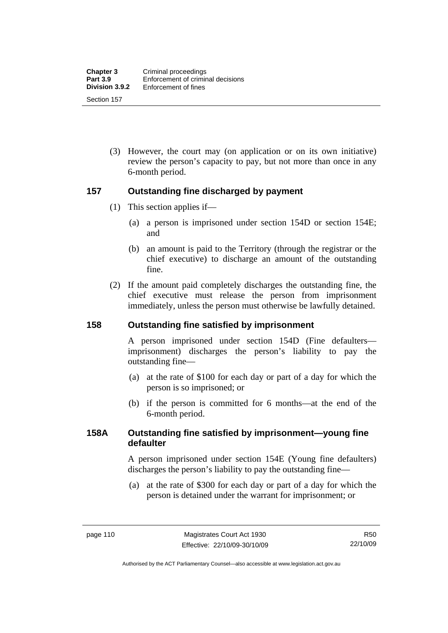(3) However, the court may (on application or on its own initiative) review the person's capacity to pay, but not more than once in any 6-month period.

## **157 Outstanding fine discharged by payment**

- (1) This section applies if—
	- (a) a person is imprisoned under section 154D or section 154E; and
	- (b) an amount is paid to the Territory (through the registrar or the chief executive) to discharge an amount of the outstanding fine.
- (2) If the amount paid completely discharges the outstanding fine, the chief executive must release the person from imprisonment immediately, unless the person must otherwise be lawfully detained.

## **158 Outstanding fine satisfied by imprisonment**

A person imprisoned under section 154D (Fine defaulters imprisonment) discharges the person's liability to pay the outstanding fine—

- (a) at the rate of \$100 for each day or part of a day for which the person is so imprisoned; or
- (b) if the person is committed for 6 months—at the end of the 6-month period.

## **158A Outstanding fine satisfied by imprisonment—young fine defaulter**

A person imprisoned under section 154E (Young fine defaulters) discharges the person's liability to pay the outstanding fine—

 (a) at the rate of \$300 for each day or part of a day for which the person is detained under the warrant for imprisonment; or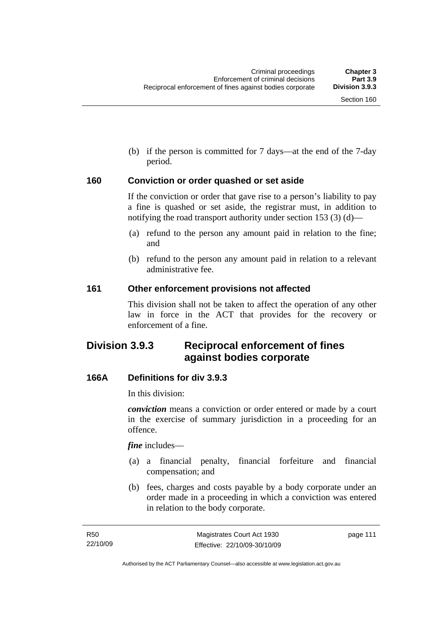(b) if the person is committed for 7 days—at the end of the 7-day period.

## **160 Conviction or order quashed or set aside**

If the conviction or order that gave rise to a person's liability to pay a fine is quashed or set aside, the registrar must, in addition to notifying the road transport authority under section 153 (3) (d)—

- (a) refund to the person any amount paid in relation to the fine; and
- (b) refund to the person any amount paid in relation to a relevant administrative fee.

#### **161 Other enforcement provisions not affected**

This division shall not be taken to affect the operation of any other law in force in the ACT that provides for the recovery or enforcement of a fine.

# **Division 3.9.3 Reciprocal enforcement of fines against bodies corporate**

## **166A Definitions for div 3.9.3**

In this division:

*conviction* means a conviction or order entered or made by a court in the exercise of summary jurisdiction in a proceeding for an offence.

*fine* includes—

- (a) a financial penalty, financial forfeiture and financial compensation; and
- (b) fees, charges and costs payable by a body corporate under an order made in a proceeding in which a conviction was entered in relation to the body corporate.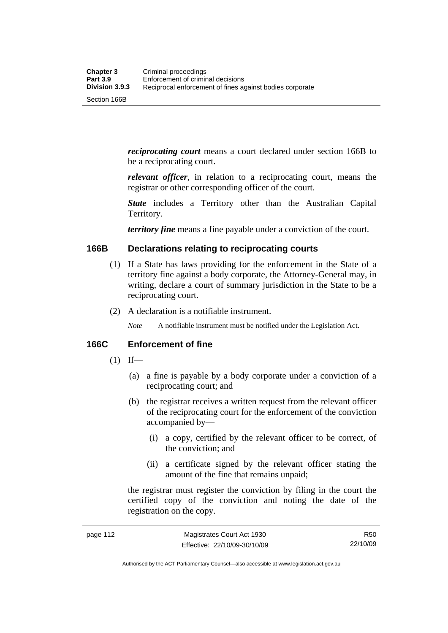*reciprocating court* means a court declared under section 166B to be a reciprocating court.

*relevant officer*, in relation to a reciprocating court, means the registrar or other corresponding officer of the court.

*State* includes a Territory other than the Australian Capital Territory.

*territory fine* means a fine payable under a conviction of the court.

## **166B Declarations relating to reciprocating courts**

- (1) If a State has laws providing for the enforcement in the State of a territory fine against a body corporate, the Attorney-General may, in writing, declare a court of summary jurisdiction in the State to be a reciprocating court.
- (2) A declaration is a notifiable instrument.

*Note* A notifiable instrument must be notified under the Legislation Act.

## **166C Enforcement of fine**

- $(1)$  If—
	- (a) a fine is payable by a body corporate under a conviction of a reciprocating court; and
	- (b) the registrar receives a written request from the relevant officer of the reciprocating court for the enforcement of the conviction accompanied by—
		- (i) a copy, certified by the relevant officer to be correct, of the conviction; and
		- (ii) a certificate signed by the relevant officer stating the amount of the fine that remains unpaid;

the registrar must register the conviction by filing in the court the certified copy of the conviction and noting the date of the registration on the copy.

Authorised by the ACT Parliamentary Counsel—also accessible at www.legislation.act.gov.au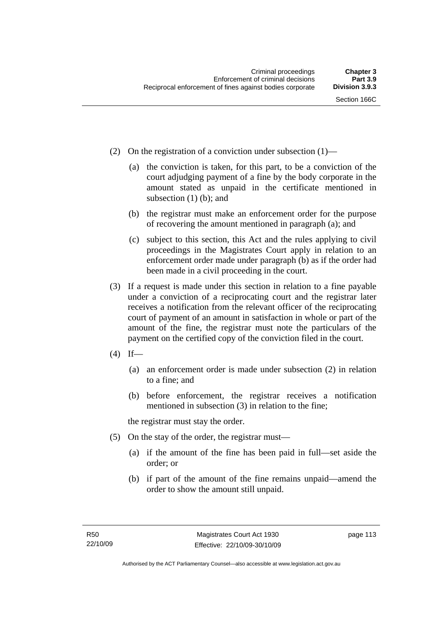- (2) On the registration of a conviction under subsection (1)—
	- (a) the conviction is taken, for this part, to be a conviction of the court adjudging payment of a fine by the body corporate in the amount stated as unpaid in the certificate mentioned in subsection  $(1)$  (b); and
	- (b) the registrar must make an enforcement order for the purpose of recovering the amount mentioned in paragraph (a); and
	- (c) subject to this section, this Act and the rules applying to civil proceedings in the Magistrates Court apply in relation to an enforcement order made under paragraph (b) as if the order had been made in a civil proceeding in the court.
- (3) If a request is made under this section in relation to a fine payable under a conviction of a reciprocating court and the registrar later receives a notification from the relevant officer of the reciprocating court of payment of an amount in satisfaction in whole or part of the amount of the fine, the registrar must note the particulars of the payment on the certified copy of the conviction filed in the court.
- $(4)$  If—
	- (a) an enforcement order is made under subsection (2) in relation to a fine; and
	- (b) before enforcement, the registrar receives a notification mentioned in subsection (3) in relation to the fine;

the registrar must stay the order.

- (5) On the stay of the order, the registrar must—
	- (a) if the amount of the fine has been paid in full—set aside the order; or
	- (b) if part of the amount of the fine remains unpaid—amend the order to show the amount still unpaid.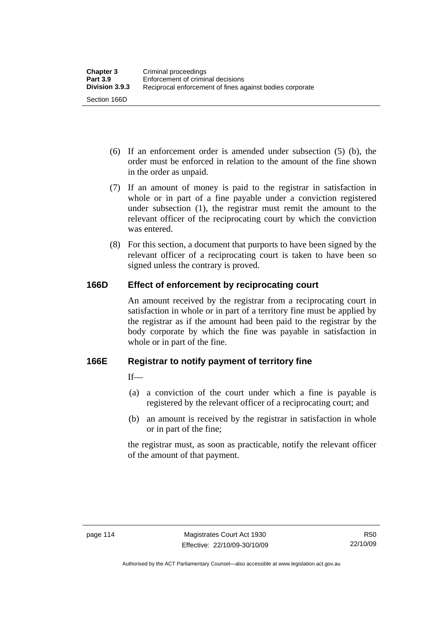- (6) If an enforcement order is amended under subsection (5) (b), the order must be enforced in relation to the amount of the fine shown in the order as unpaid.
- (7) If an amount of money is paid to the registrar in satisfaction in whole or in part of a fine payable under a conviction registered under subsection (1), the registrar must remit the amount to the relevant officer of the reciprocating court by which the conviction was entered.
- (8) For this section, a document that purports to have been signed by the relevant officer of a reciprocating court is taken to have been so signed unless the contrary is proved.

# **166D Effect of enforcement by reciprocating court**

An amount received by the registrar from a reciprocating court in satisfaction in whole or in part of a territory fine must be applied by the registrar as if the amount had been paid to the registrar by the body corporate by which the fine was payable in satisfaction in whole or in part of the fine.

# **166E Registrar to notify payment of territory fine**

 $If$ 

- (a) a conviction of the court under which a fine is payable is registered by the relevant officer of a reciprocating court; and
- (b) an amount is received by the registrar in satisfaction in whole or in part of the fine;

the registrar must, as soon as practicable, notify the relevant officer of the amount of that payment.

R50 22/10/09

Authorised by the ACT Parliamentary Counsel—also accessible at www.legislation.act.gov.au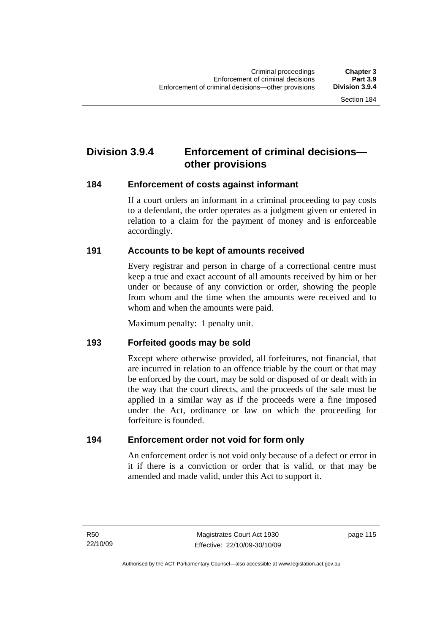# **Division 3.9.4 Enforcement of criminal decisions other provisions**

## **184 Enforcement of costs against informant**

If a court orders an informant in a criminal proceeding to pay costs to a defendant, the order operates as a judgment given or entered in relation to a claim for the payment of money and is enforceable accordingly.

# **191 Accounts to be kept of amounts received**

Every registrar and person in charge of a correctional centre must keep a true and exact account of all amounts received by him or her under or because of any conviction or order, showing the people from whom and the time when the amounts were received and to whom and when the amounts were paid.

Maximum penalty: 1 penalty unit.

# **193 Forfeited goods may be sold**

Except where otherwise provided, all forfeitures, not financial, that are incurred in relation to an offence triable by the court or that may be enforced by the court, may be sold or disposed of or dealt with in the way that the court directs, and the proceeds of the sale must be applied in a similar way as if the proceeds were a fine imposed under the Act, ordinance or law on which the proceeding for forfeiture is founded.

# **194 Enforcement order not void for form only**

An enforcement order is not void only because of a defect or error in it if there is a conviction or order that is valid, or that may be amended and made valid, under this Act to support it.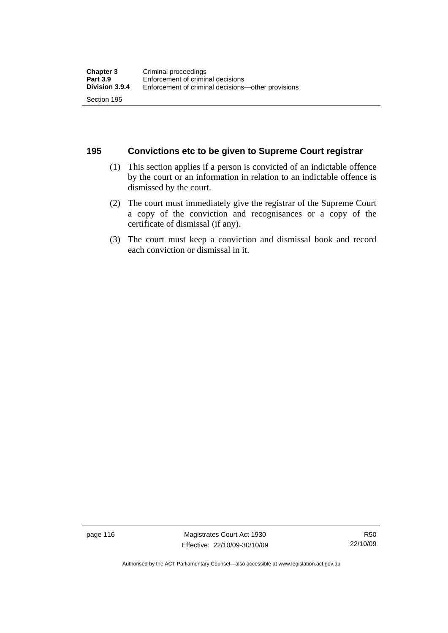## **195 Convictions etc to be given to Supreme Court registrar**

- (1) This section applies if a person is convicted of an indictable offence by the court or an information in relation to an indictable offence is dismissed by the court.
- (2) The court must immediately give the registrar of the Supreme Court a copy of the conviction and recognisances or a copy of the certificate of dismissal (if any).
- (3) The court must keep a conviction and dismissal book and record each conviction or dismissal in it.

page 116 Magistrates Court Act 1930 Effective: 22/10/09-30/10/09

Authorised by the ACT Parliamentary Counsel—also accessible at www.legislation.act.gov.au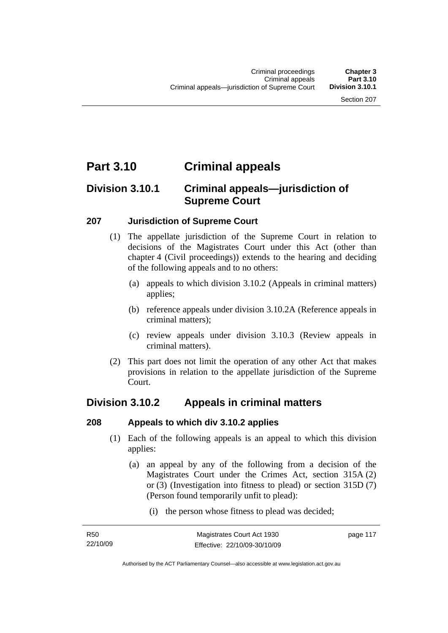# **Part 3.10 Criminal appeals**

# **Division 3.10.1 Criminal appeals—jurisdiction of Supreme Court**

## **207 Jurisdiction of Supreme Court**

- (1) The appellate jurisdiction of the Supreme Court in relation to decisions of the Magistrates Court under this Act (other than chapter 4 (Civil proceedings)) extends to the hearing and deciding of the following appeals and to no others:
	- (a) appeals to which division 3.10.2 (Appeals in criminal matters) applies;
	- (b) reference appeals under division 3.10.2A (Reference appeals in criminal matters);
	- (c) review appeals under division 3.10.3 (Review appeals in criminal matters).
- (2) This part does not limit the operation of any other Act that makes provisions in relation to the appellate jurisdiction of the Supreme Court.

# **Division 3.10.2 Appeals in criminal matters**

# **208 Appeals to which div 3.10.2 applies**

- (1) Each of the following appeals is an appeal to which this division applies:
	- (a) an appeal by any of the following from a decision of the Magistrates Court under the Crimes Act, section 315A (2) or (3) (Investigation into fitness to plead) or section 315D (7) (Person found temporarily unfit to plead):
		- (i) the person whose fitness to plead was decided;

page 117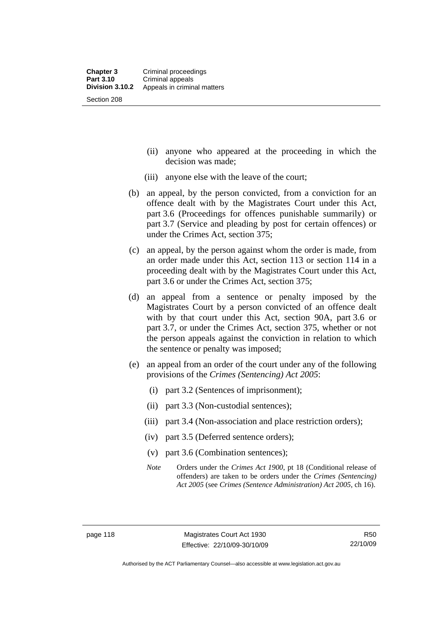- (ii) anyone who appeared at the proceeding in which the decision was made;
- (iii) anyone else with the leave of the court;
- (b) an appeal, by the person convicted, from a conviction for an offence dealt with by the Magistrates Court under this Act, part 3.6 (Proceedings for offences punishable summarily) or part 3.7 (Service and pleading by post for certain offences) or under the Crimes Act, section 375;
- (c) an appeal, by the person against whom the order is made, from an order made under this Act, section 113 or section 114 in a proceeding dealt with by the Magistrates Court under this Act, part 3.6 or under the Crimes Act, section 375;
- (d) an appeal from a sentence or penalty imposed by the Magistrates Court by a person convicted of an offence dealt with by that court under this Act, section 90A, part 3.6 or part 3.7, or under the Crimes Act, section 375, whether or not the person appeals against the conviction in relation to which the sentence or penalty was imposed;
- (e) an appeal from an order of the court under any of the following provisions of the *Crimes (Sentencing) Act 2005*:
	- (i) part 3.2 (Sentences of imprisonment);
	- (ii) part 3.3 (Non-custodial sentences);
	- (iii) part 3.4 (Non-association and place restriction orders);
	- (iv) part 3.5 (Deferred sentence orders);
	- (v) part 3.6 (Combination sentences);
	- *Note* Orders under the *Crimes Act 1900*, pt 18 (Conditional release of offenders) are taken to be orders under the *Crimes (Sentencing) Act 2005* (see *Crimes (Sentence Administration) Act 2005*, ch 16).

Authorised by the ACT Parliamentary Counsel—also accessible at www.legislation.act.gov.au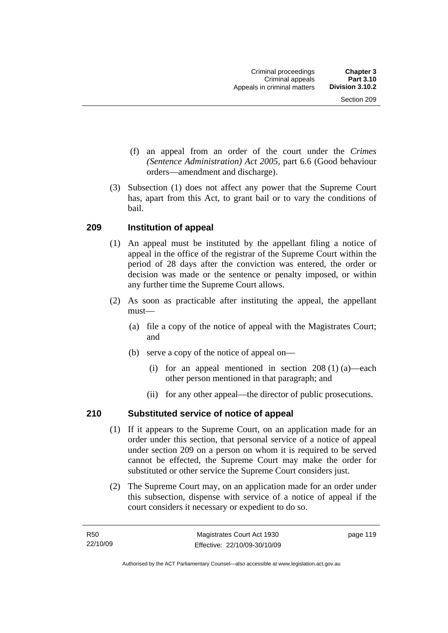- (f) an appeal from an order of the court under the *Crimes (Sentence Administration) Act 2005,* part 6.6 (Good behaviour orders—amendment and discharge).
- (3) Subsection (1) does not affect any power that the Supreme Court has, apart from this Act, to grant bail or to vary the conditions of bail.

# **209 Institution of appeal**

- (1) An appeal must be instituted by the appellant filing a notice of appeal in the office of the registrar of the Supreme Court within the period of 28 days after the conviction was entered, the order or decision was made or the sentence or penalty imposed, or within any further time the Supreme Court allows.
- (2) As soon as practicable after instituting the appeal, the appellant must—
	- (a) file a copy of the notice of appeal with the Magistrates Court; and
	- (b) serve a copy of the notice of appeal on—
		- (i) for an appeal mentioned in section 208 (1) (a)—each other person mentioned in that paragraph; and
		- (ii) for any other appeal—the director of public prosecutions.

# **210 Substituted service of notice of appeal**

- (1) If it appears to the Supreme Court, on an application made for an order under this section, that personal service of a notice of appeal under section 209 on a person on whom it is required to be served cannot be effected, the Supreme Court may make the order for substituted or other service the Supreme Court considers just.
- (2) The Supreme Court may, on an application made for an order under this subsection, dispense with service of a notice of appeal if the court considers it necessary or expedient to do so.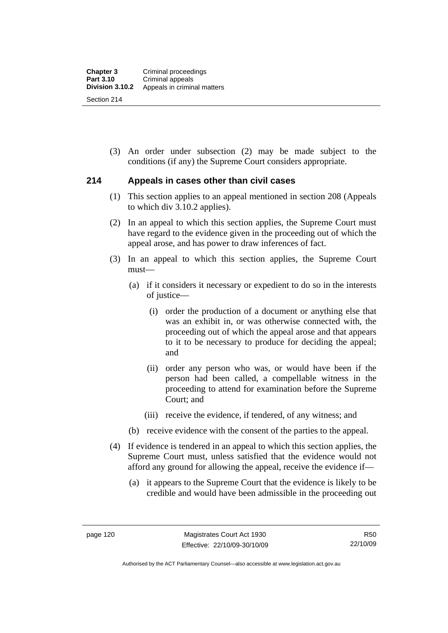(3) An order under subsection (2) may be made subject to the conditions (if any) the Supreme Court considers appropriate.

## **214 Appeals in cases other than civil cases**

- (1) This section applies to an appeal mentioned in section 208 (Appeals to which div 3.10.2 applies).
- (2) In an appeal to which this section applies, the Supreme Court must have regard to the evidence given in the proceeding out of which the appeal arose, and has power to draw inferences of fact.
- (3) In an appeal to which this section applies, the Supreme Court must—
	- (a) if it considers it necessary or expedient to do so in the interests of justice—
		- (i) order the production of a document or anything else that was an exhibit in, or was otherwise connected with, the proceeding out of which the appeal arose and that appears to it to be necessary to produce for deciding the appeal; and
		- (ii) order any person who was, or would have been if the person had been called, a compellable witness in the proceeding to attend for examination before the Supreme Court; and
		- (iii) receive the evidence, if tendered, of any witness; and
	- (b) receive evidence with the consent of the parties to the appeal.
- (4) If evidence is tendered in an appeal to which this section applies, the Supreme Court must, unless satisfied that the evidence would not afford any ground for allowing the appeal, receive the evidence if—
	- (a) it appears to the Supreme Court that the evidence is likely to be credible and would have been admissible in the proceeding out

Authorised by the ACT Parliamentary Counsel—also accessible at www.legislation.act.gov.au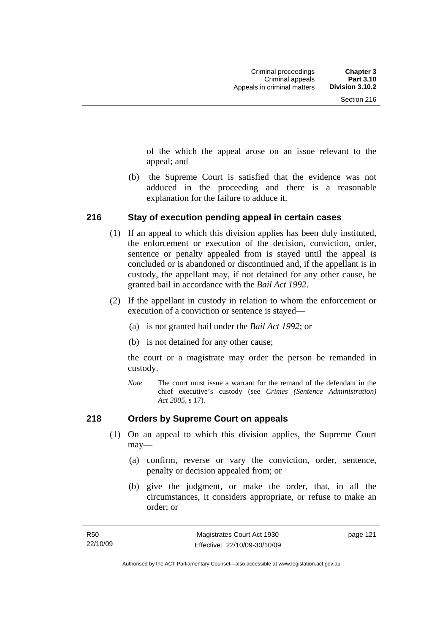of the which the appeal arose on an issue relevant to the appeal; and

 (b) the Supreme Court is satisfied that the evidence was not adduced in the proceeding and there is a reasonable explanation for the failure to adduce it.

## **216 Stay of execution pending appeal in certain cases**

- (1) If an appeal to which this division applies has been duly instituted, the enforcement or execution of the decision, conviction, order, sentence or penalty appealed from is stayed until the appeal is concluded or is abandoned or discontinued and, if the appellant is in custody, the appellant may, if not detained for any other cause, be granted bail in accordance with the *Bail Act 1992*.
- (2) If the appellant in custody in relation to whom the enforcement or execution of a conviction or sentence is stayed—
	- (a) is not granted bail under the *Bail Act 1992*; or
	- (b) is not detained for any other cause;

the court or a magistrate may order the person be remanded in custody.

*Note* The court must issue a warrant for the remand of the defendant in the chief executive's custody (see *Crimes (Sentence Administration) Act 2005*, s 17).

# **218 Orders by Supreme Court on appeals**

- (1) On an appeal to which this division applies, the Supreme Court may—
	- (a) confirm, reverse or vary the conviction, order, sentence, penalty or decision appealed from; or
	- (b) give the judgment, or make the order, that, in all the circumstances, it considers appropriate, or refuse to make an order; or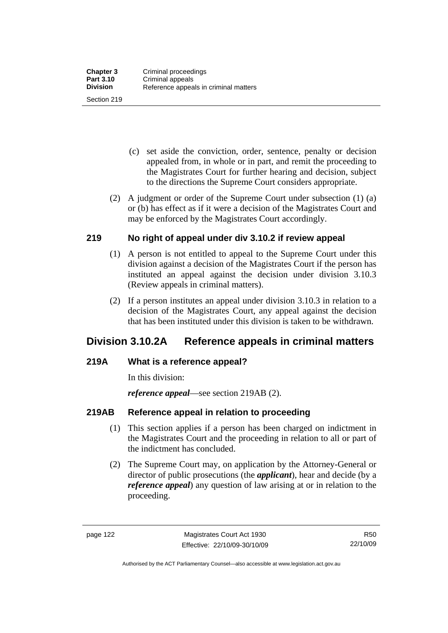Section 219

- (c) set aside the conviction, order, sentence, penalty or decision appealed from, in whole or in part, and remit the proceeding to the Magistrates Court for further hearing and decision, subject to the directions the Supreme Court considers appropriate.
- (2) A judgment or order of the Supreme Court under subsection (1) (a) or (b) has effect as if it were a decision of the Magistrates Court and may be enforced by the Magistrates Court accordingly.

# **219 No right of appeal under div 3.10.2 if review appeal**

- (1) A person is not entitled to appeal to the Supreme Court under this division against a decision of the Magistrates Court if the person has instituted an appeal against the decision under division 3.10.3 (Review appeals in criminal matters).
- (2) If a person institutes an appeal under division 3.10.3 in relation to a decision of the Magistrates Court, any appeal against the decision that has been instituted under this division is taken to be withdrawn.

# **Division 3.10.2A Reference appeals in criminal matters**

# **219A What is a reference appeal?**

In this division:

*reference appeal*—see section 219AB (2).

# **219AB Reference appeal in relation to proceeding**

- (1) This section applies if a person has been charged on indictment in the Magistrates Court and the proceeding in relation to all or part of the indictment has concluded.
- (2) The Supreme Court may, on application by the Attorney-General or director of public prosecutions (the *applicant*), hear and decide (by a *reference appeal*) any question of law arising at or in relation to the proceeding.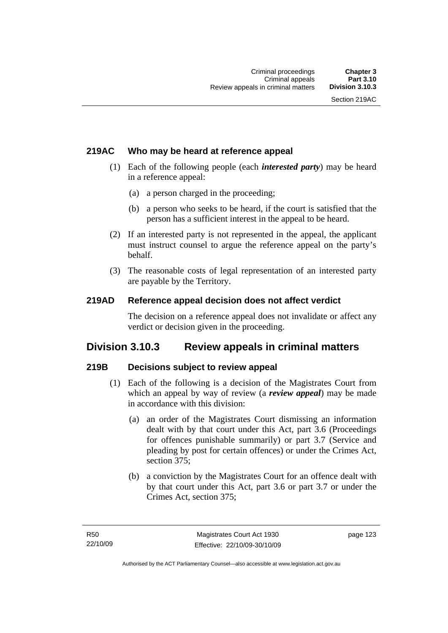# **219AC Who may be heard at reference appeal**

- (1) Each of the following people (each *interested party*) may be heard in a reference appeal:
	- (a) a person charged in the proceeding;
	- (b) a person who seeks to be heard, if the court is satisfied that the person has a sufficient interest in the appeal to be heard.
- (2) If an interested party is not represented in the appeal, the applicant must instruct counsel to argue the reference appeal on the party's behalf.
- (3) The reasonable costs of legal representation of an interested party are payable by the Territory.

## **219AD Reference appeal decision does not affect verdict**

The decision on a reference appeal does not invalidate or affect any verdict or decision given in the proceeding.

# **Division 3.10.3 Review appeals in criminal matters**

# **219B Decisions subject to review appeal**

- (1) Each of the following is a decision of the Magistrates Court from which an appeal by way of review (a *review appeal*) may be made in accordance with this division:
	- (a) an order of the Magistrates Court dismissing an information dealt with by that court under this Act, part 3.6 (Proceedings for offences punishable summarily) or part 3.7 (Service and pleading by post for certain offences) or under the Crimes Act, section 375;
	- (b) a conviction by the Magistrates Court for an offence dealt with by that court under this Act, part 3.6 or part 3.7 or under the Crimes Act, section 375;

page 123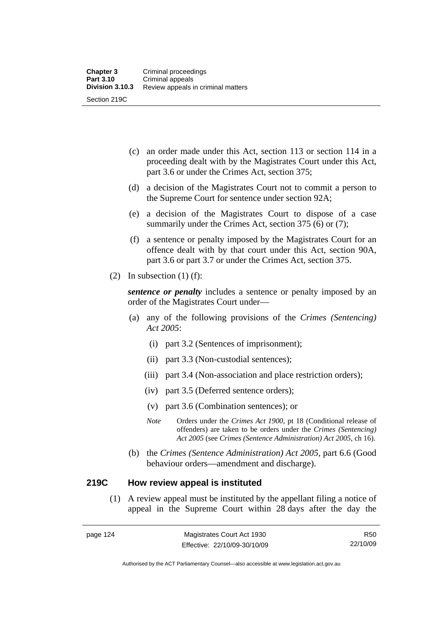- (c) an order made under this Act, section 113 or section 114 in a proceeding dealt with by the Magistrates Court under this Act, part 3.6 or under the Crimes Act, section 375;
- (d) a decision of the Magistrates Court not to commit a person to the Supreme Court for sentence under section 92A;
- (e) a decision of the Magistrates Court to dispose of a case summarily under the Crimes Act, section 375 (6) or (7);
- (f) a sentence or penalty imposed by the Magistrates Court for an offence dealt with by that court under this Act, section 90A, part 3.6 or part 3.7 or under the Crimes Act, section 375.
- (2) In subsection  $(1)$  (f):

*sentence or penalty* includes a sentence or penalty imposed by an order of the Magistrates Court under—

- (a) any of the following provisions of the *Crimes (Sentencing) Act 2005*:
	- (i) part 3.2 (Sentences of imprisonment);
	- (ii) part 3.3 (Non-custodial sentences);
	- (iii) part 3.4 (Non-association and place restriction orders);
	- (iv) part 3.5 (Deferred sentence orders);
	- (v) part 3.6 (Combination sentences); or
	- *Note* Orders under the *Crimes Act 1900*, pt 18 (Conditional release of offenders) are taken to be orders under the *Crimes (Sentencing) Act 2005* (see *Crimes (Sentence Administration) Act 2005*, ch 16).
- (b) the *Crimes (Sentence Administration) Act 2005,* part 6.6 (Good behaviour orders—amendment and discharge).

## **219C How review appeal is instituted**

 (1) A review appeal must be instituted by the appellant filing a notice of appeal in the Supreme Court within 28 days after the day the

R50 22/10/09

Authorised by the ACT Parliamentary Counsel—also accessible at www.legislation.act.gov.au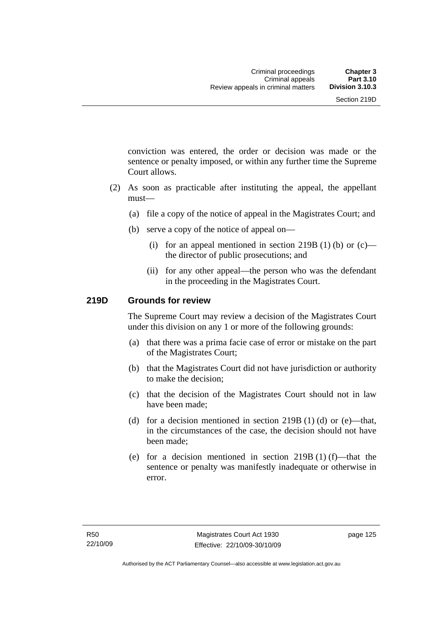conviction was entered, the order or decision was made or the sentence or penalty imposed, or within any further time the Supreme Court allows.

- (2) As soon as practicable after instituting the appeal, the appellant must—
	- (a) file a copy of the notice of appeal in the Magistrates Court; and
	- (b) serve a copy of the notice of appeal on—
		- (i) for an appeal mentioned in section 219B (1) (b) or  $(c)$  the director of public prosecutions; and
		- (ii) for any other appeal—the person who was the defendant in the proceeding in the Magistrates Court.

## **219D Grounds for review**

The Supreme Court may review a decision of the Magistrates Court under this division on any 1 or more of the following grounds:

- (a) that there was a prima facie case of error or mistake on the part of the Magistrates Court;
- (b) that the Magistrates Court did not have jurisdiction or authority to make the decision;
- (c) that the decision of the Magistrates Court should not in law have been made;
- (d) for a decision mentioned in section  $219B(1)$  (d) or (e)—that, in the circumstances of the case, the decision should not have been made;
- (e) for a decision mentioned in section  $219B(1)$  (f)—that the sentence or penalty was manifestly inadequate or otherwise in error.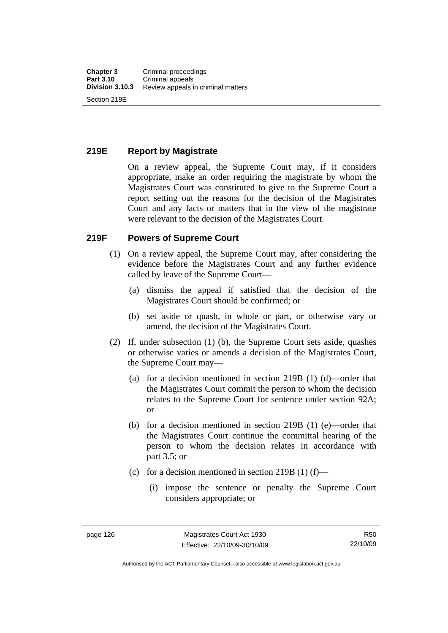## **219E Report by Magistrate**

On a review appeal, the Supreme Court may, if it considers appropriate, make an order requiring the magistrate by whom the Magistrates Court was constituted to give to the Supreme Court a report setting out the reasons for the decision of the Magistrates Court and any facts or matters that in the view of the magistrate were relevant to the decision of the Magistrates Court.

## **219F Powers of Supreme Court**

- (1) On a review appeal, the Supreme Court may, after considering the evidence before the Magistrates Court and any further evidence called by leave of the Supreme Court—
	- (a) dismiss the appeal if satisfied that the decision of the Magistrates Court should be confirmed; or
	- (b) set aside or quash, in whole or part, or otherwise vary or amend, the decision of the Magistrates Court.
- (2) If, under subsection (1) (b), the Supreme Court sets aside, quashes or otherwise varies or amends a decision of the Magistrates Court, the Supreme Court may—
	- (a) for a decision mentioned in section 219B (1) (d)—order that the Magistrates Court commit the person to whom the decision relates to the Supreme Court for sentence under section 92A; or
	- (b) for a decision mentioned in section 219B (1) (e)—order that the Magistrates Court continue the committal hearing of the person to whom the decision relates in accordance with part 3.5; or
	- (c) for a decision mentioned in section 219B (1) (f)—
		- (i) impose the sentence or penalty the Supreme Court considers appropriate; or

Authorised by the ACT Parliamentary Counsel—also accessible at www.legislation.act.gov.au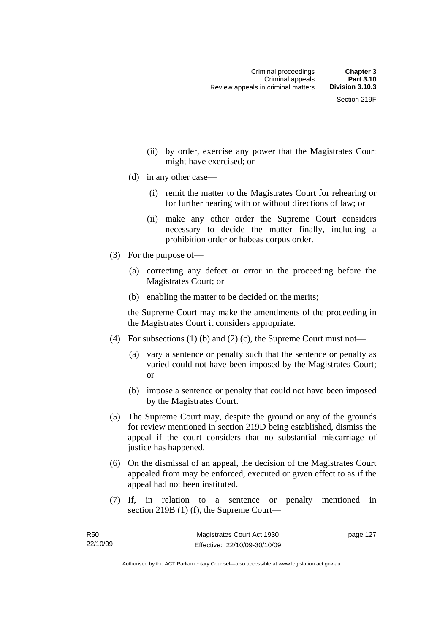- (ii) by order, exercise any power that the Magistrates Court might have exercised; or
- (d) in any other case—
	- (i) remit the matter to the Magistrates Court for rehearing or for further hearing with or without directions of law; or
	- (ii) make any other order the Supreme Court considers necessary to decide the matter finally, including a prohibition order or habeas corpus order.
- (3) For the purpose of—
	- (a) correcting any defect or error in the proceeding before the Magistrates Court; or
	- (b) enabling the matter to be decided on the merits;

the Supreme Court may make the amendments of the proceeding in the Magistrates Court it considers appropriate.

- (4) For subsections (1) (b) and (2) (c), the Supreme Court must not—
	- (a) vary a sentence or penalty such that the sentence or penalty as varied could not have been imposed by the Magistrates Court; or
	- (b) impose a sentence or penalty that could not have been imposed by the Magistrates Court.
- (5) The Supreme Court may, despite the ground or any of the grounds for review mentioned in section 219D being established, dismiss the appeal if the court considers that no substantial miscarriage of justice has happened.
- (6) On the dismissal of an appeal, the decision of the Magistrates Court appealed from may be enforced, executed or given effect to as if the appeal had not been instituted.
- (7) If, in relation to a sentence or penalty mentioned in section 219B (1) (f), the Supreme Court—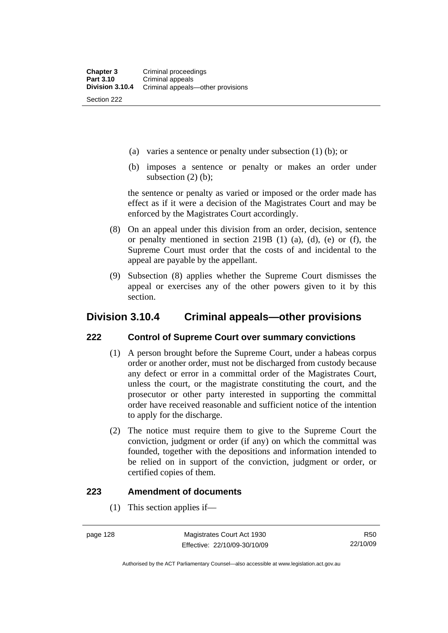- (a) varies a sentence or penalty under subsection (1) (b); or
- (b) imposes a sentence or penalty or makes an order under subsection  $(2)$  (b);

the sentence or penalty as varied or imposed or the order made has effect as if it were a decision of the Magistrates Court and may be enforced by the Magistrates Court accordingly.

- (8) On an appeal under this division from an order, decision, sentence or penalty mentioned in section 219B (1) (a), (d), (e) or (f), the Supreme Court must order that the costs of and incidental to the appeal are payable by the appellant.
- (9) Subsection (8) applies whether the Supreme Court dismisses the appeal or exercises any of the other powers given to it by this section.

# **Division 3.10.4 Criminal appeals—other provisions**

## **222 Control of Supreme Court over summary convictions**

- (1) A person brought before the Supreme Court, under a habeas corpus order or another order, must not be discharged from custody because any defect or error in a committal order of the Magistrates Court, unless the court, or the magistrate constituting the court, and the prosecutor or other party interested in supporting the committal order have received reasonable and sufficient notice of the intention to apply for the discharge.
- (2) The notice must require them to give to the Supreme Court the conviction, judgment or order (if any) on which the committal was founded, together with the depositions and information intended to be relied on in support of the conviction, judgment or order, or certified copies of them.

## **223 Amendment of documents**

(1) This section applies if—

R50 22/10/09

Authorised by the ACT Parliamentary Counsel—also accessible at www.legislation.act.gov.au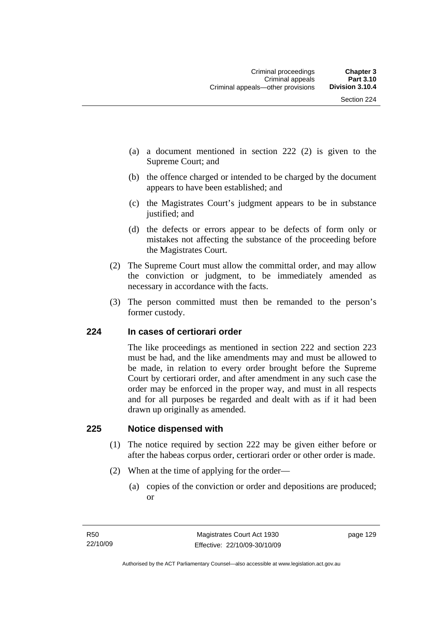- (a) a document mentioned in section 222 (2) is given to the Supreme Court; and
- (b) the offence charged or intended to be charged by the document appears to have been established; and
- (c) the Magistrates Court's judgment appears to be in substance justified; and
- (d) the defects or errors appear to be defects of form only or mistakes not affecting the substance of the proceeding before the Magistrates Court.
- (2) The Supreme Court must allow the committal order, and may allow the conviction or judgment, to be immediately amended as necessary in accordance with the facts.
- (3) The person committed must then be remanded to the person's former custody.

### **224 In cases of certiorari order**

The like proceedings as mentioned in section 222 and section 223 must be had, and the like amendments may and must be allowed to be made, in relation to every order brought before the Supreme Court by certiorari order, and after amendment in any such case the order may be enforced in the proper way, and must in all respects and for all purposes be regarded and dealt with as if it had been drawn up originally as amended.

#### **225 Notice dispensed with**

- (1) The notice required by section 222 may be given either before or after the habeas corpus order, certiorari order or other order is made.
- (2) When at the time of applying for the order—
	- (a) copies of the conviction or order and depositions are produced; or

page 129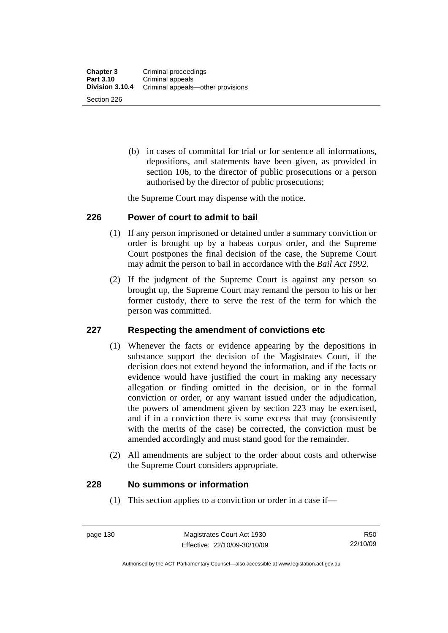(b) in cases of committal for trial or for sentence all informations, depositions, and statements have been given, as provided in section 106, to the director of public prosecutions or a person authorised by the director of public prosecutions;

the Supreme Court may dispense with the notice.

### **226 Power of court to admit to bail**

- (1) If any person imprisoned or detained under a summary conviction or order is brought up by a habeas corpus order, and the Supreme Court postpones the final decision of the case, the Supreme Court may admit the person to bail in accordance with the *Bail Act 1992*.
- (2) If the judgment of the Supreme Court is against any person so brought up, the Supreme Court may remand the person to his or her former custody, there to serve the rest of the term for which the person was committed.

### **227 Respecting the amendment of convictions etc**

- (1) Whenever the facts or evidence appearing by the depositions in substance support the decision of the Magistrates Court, if the decision does not extend beyond the information, and if the facts or evidence would have justified the court in making any necessary allegation or finding omitted in the decision, or in the formal conviction or order, or any warrant issued under the adjudication, the powers of amendment given by section 223 may be exercised, and if in a conviction there is some excess that may (consistently with the merits of the case) be corrected, the conviction must be amended accordingly and must stand good for the remainder.
- (2) All amendments are subject to the order about costs and otherwise the Supreme Court considers appropriate.

### **228 No summons or information**

(1) This section applies to a conviction or order in a case if—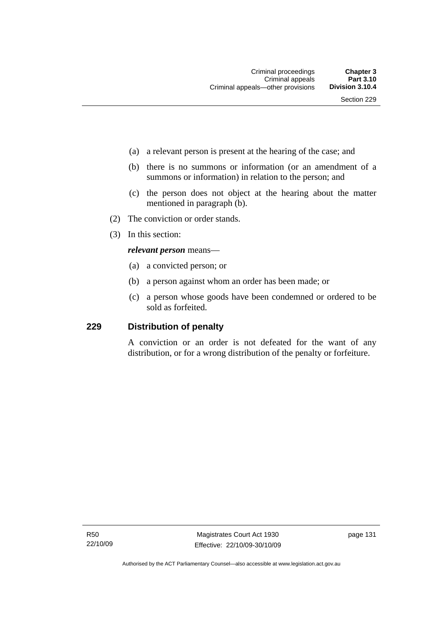- (a) a relevant person is present at the hearing of the case; and
- (b) there is no summons or information (or an amendment of a summons or information) in relation to the person; and
- (c) the person does not object at the hearing about the matter mentioned in paragraph (b).
- (2) The conviction or order stands.
- (3) In this section:

#### *relevant person* means—

- (a) a convicted person; or
- (b) a person against whom an order has been made; or
- (c) a person whose goods have been condemned or ordered to be sold as forfeited.

### **229 Distribution of penalty**

A conviction or an order is not defeated for the want of any distribution, or for a wrong distribution of the penalty or forfeiture.

page 131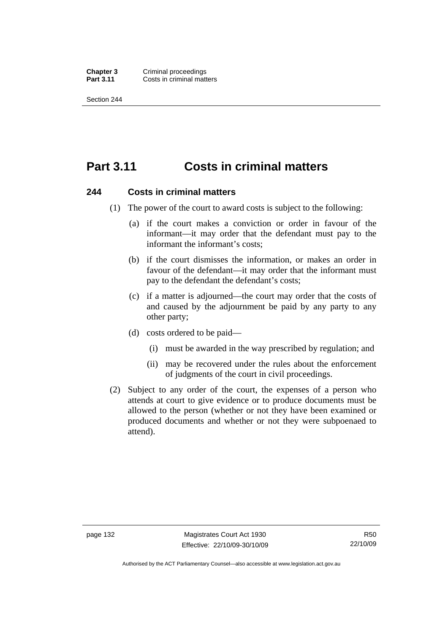**Chapter 3 Criminal proceedings**<br>**Part 3.11 Costs in criminal matt Costs in criminal matters** 

Section 244

# **Part 3.11 Costs in criminal matters**

#### **244 Costs in criminal matters**

- (1) The power of the court to award costs is subject to the following:
	- (a) if the court makes a conviction or order in favour of the informant—it may order that the defendant must pay to the informant the informant's costs;
	- (b) if the court dismisses the information, or makes an order in favour of the defendant—it may order that the informant must pay to the defendant the defendant's costs;
	- (c) if a matter is adjourned—the court may order that the costs of and caused by the adjournment be paid by any party to any other party;
	- (d) costs ordered to be paid—
		- (i) must be awarded in the way prescribed by regulation; and
		- (ii) may be recovered under the rules about the enforcement of judgments of the court in civil proceedings.
- (2) Subject to any order of the court, the expenses of a person who attends at court to give evidence or to produce documents must be allowed to the person (whether or not they have been examined or produced documents and whether or not they were subpoenaed to attend).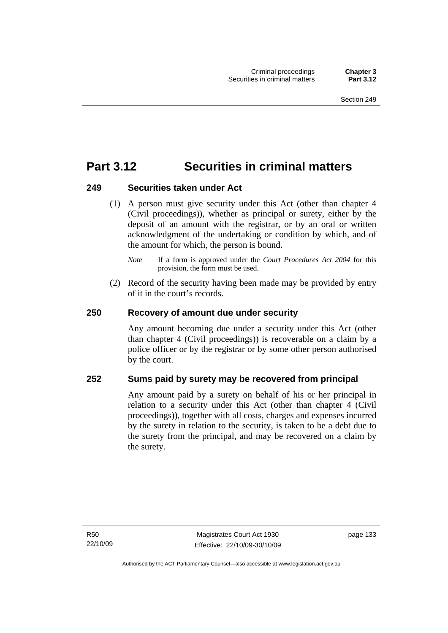# **Part 3.12 Securities in criminal matters**

## **249 Securities taken under Act**

 (1) A person must give security under this Act (other than chapter 4 (Civil proceedings)), whether as principal or surety, either by the deposit of an amount with the registrar, or by an oral or written acknowledgment of the undertaking or condition by which, and of the amount for which, the person is bound.

 (2) Record of the security having been made may be provided by entry of it in the court's records.

# **250 Recovery of amount due under security**

Any amount becoming due under a security under this Act (other than chapter 4 (Civil proceedings)) is recoverable on a claim by a police officer or by the registrar or by some other person authorised by the court.

# **252 Sums paid by surety may be recovered from principal**

Any amount paid by a surety on behalf of his or her principal in relation to a security under this Act (other than chapter 4 (Civil proceedings)), together with all costs, charges and expenses incurred by the surety in relation to the security, is taken to be a debt due to the surety from the principal, and may be recovered on a claim by the surety.

*Note* If a form is approved under the *Court Procedures Act 2004* for this provision, the form must be used.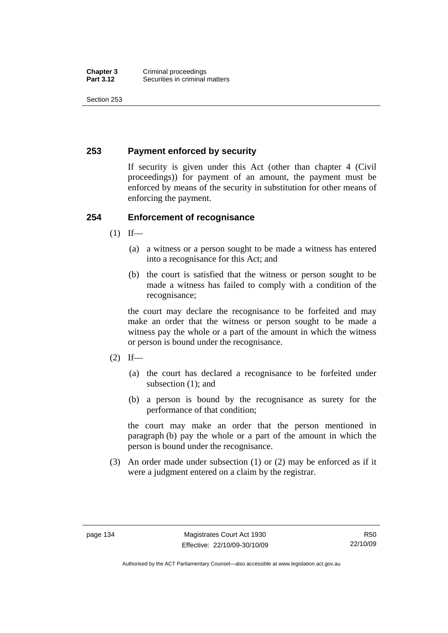# **253 Payment enforced by security**

If security is given under this Act (other than chapter 4 (Civil proceedings)) for payment of an amount, the payment must be enforced by means of the security in substitution for other means of enforcing the payment.

## **254 Enforcement of recognisance**

- $(1)$  If—
	- (a) a witness or a person sought to be made a witness has entered into a recognisance for this Act; and
	- (b) the court is satisfied that the witness or person sought to be made a witness has failed to comply with a condition of the recognisance;

the court may declare the recognisance to be forfeited and may make an order that the witness or person sought to be made a witness pay the whole or a part of the amount in which the witness or person is bound under the recognisance.

- $(2)$  If—
	- (a) the court has declared a recognisance to be forfeited under subsection (1); and
	- (b) a person is bound by the recognisance as surety for the performance of that condition;

the court may make an order that the person mentioned in paragraph (b) pay the whole or a part of the amount in which the person is bound under the recognisance.

 (3) An order made under subsection (1) or (2) may be enforced as if it were a judgment entered on a claim by the registrar.

Authorised by the ACT Parliamentary Counsel—also accessible at www.legislation.act.gov.au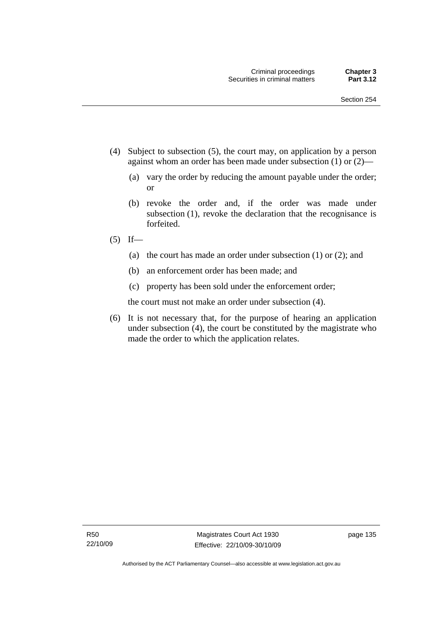- (4) Subject to subsection (5), the court may, on application by a person against whom an order has been made under subsection (1) or (2)—
	- (a) vary the order by reducing the amount payable under the order; or
	- (b) revoke the order and, if the order was made under subsection (1), revoke the declaration that the recognisance is forfeited.
- $(5)$  If—
	- (a) the court has made an order under subsection (1) or (2); and
	- (b) an enforcement order has been made; and
	- (c) property has been sold under the enforcement order;

the court must not make an order under subsection (4).

 (6) It is not necessary that, for the purpose of hearing an application under subsection (4), the court be constituted by the magistrate who made the order to which the application relates.

page 135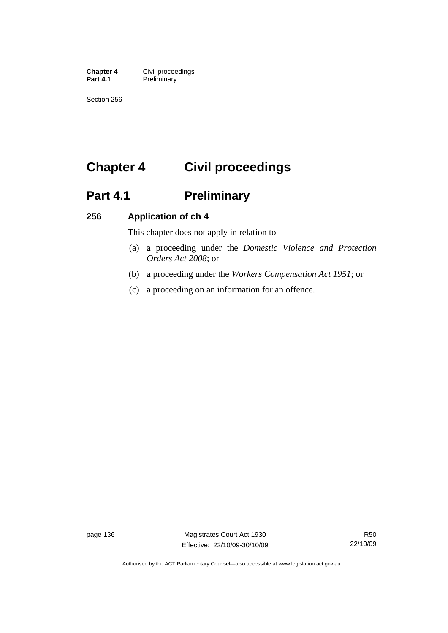**Chapter 4 Civil proceedings**<br>**Part 4.1 Preliminary Preliminary** 

Section 256

# **Chapter 4 Civil proceedings**

# Part 4.1 **Preliminary**

# **256 Application of ch 4**

This chapter does not apply in relation to—

- (a) a proceeding under the *Domestic Violence and Protection Orders Act 2008*; or
- (b) a proceeding under the *Workers Compensation Act 1951*; or
- (c) a proceeding on an information for an offence.

page 136 Magistrates Court Act 1930 Effective: 22/10/09-30/10/09

Authorised by the ACT Parliamentary Counsel—also accessible at www.legislation.act.gov.au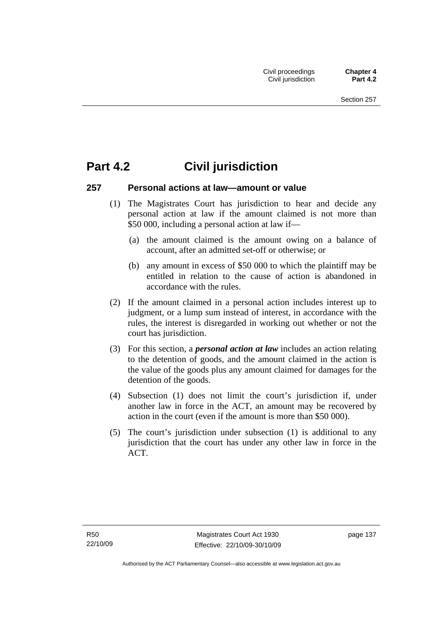# **Part 4.2 Civil jurisdiction**

### **257 Personal actions at law—amount or value**

- (1) The Magistrates Court has jurisdiction to hear and decide any personal action at law if the amount claimed is not more than \$50 000, including a personal action at law if—
	- (a) the amount claimed is the amount owing on a balance of account, after an admitted set-off or otherwise; or
	- (b) any amount in excess of \$50 000 to which the plaintiff may be entitled in relation to the cause of action is abandoned in accordance with the rules.
- (2) If the amount claimed in a personal action includes interest up to judgment, or a lump sum instead of interest, in accordance with the rules, the interest is disregarded in working out whether or not the court has jurisdiction.
- (3) For this section, a *personal action at law* includes an action relating to the detention of goods, and the amount claimed in the action is the value of the goods plus any amount claimed for damages for the detention of the goods.
- (4) Subsection (1) does not limit the court's jurisdiction if, under another law in force in the ACT, an amount may be recovered by action in the court (even if the amount is more than \$50 000).
- (5) The court's jurisdiction under subsection (1) is additional to any jurisdiction that the court has under any other law in force in the ACT.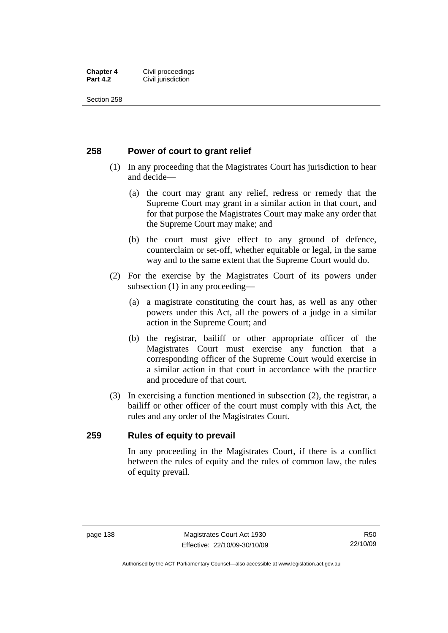#### **Chapter 4 Civil proceedings**<br>**Part 4.2 Civil iurisdiction Civil jurisdiction**

Section 258

# **258 Power of court to grant relief**

- (1) In any proceeding that the Magistrates Court has jurisdiction to hear and decide—
	- (a) the court may grant any relief, redress or remedy that the Supreme Court may grant in a similar action in that court, and for that purpose the Magistrates Court may make any order that the Supreme Court may make; and
	- (b) the court must give effect to any ground of defence, counterclaim or set-off, whether equitable or legal, in the same way and to the same extent that the Supreme Court would do.
- (2) For the exercise by the Magistrates Court of its powers under subsection (1) in any proceeding—
	- (a) a magistrate constituting the court has, as well as any other powers under this Act, all the powers of a judge in a similar action in the Supreme Court; and
	- (b) the registrar, bailiff or other appropriate officer of the Magistrates Court must exercise any function that a corresponding officer of the Supreme Court would exercise in a similar action in that court in accordance with the practice and procedure of that court.
- (3) In exercising a function mentioned in subsection (2), the registrar, a bailiff or other officer of the court must comply with this Act, the rules and any order of the Magistrates Court.

### **259 Rules of equity to prevail**

In any proceeding in the Magistrates Court, if there is a conflict between the rules of equity and the rules of common law, the rules of equity prevail.

R50 22/10/09

Authorised by the ACT Parliamentary Counsel—also accessible at www.legislation.act.gov.au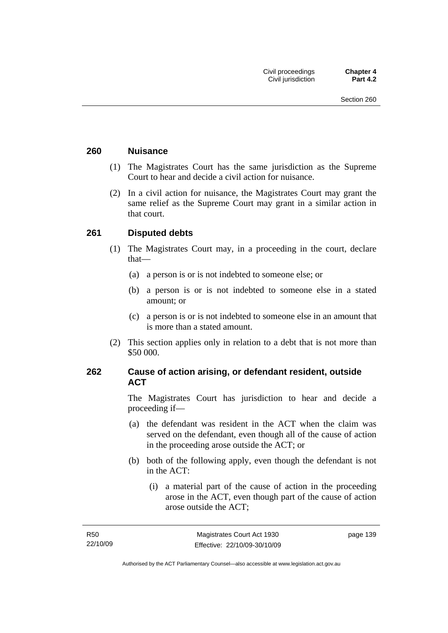### **260 Nuisance**

- (1) The Magistrates Court has the same jurisdiction as the Supreme Court to hear and decide a civil action for nuisance.
- (2) In a civil action for nuisance, the Magistrates Court may grant the same relief as the Supreme Court may grant in a similar action in that court.

# **261 Disputed debts**

- (1) The Magistrates Court may, in a proceeding in the court, declare that—
	- (a) a person is or is not indebted to someone else; or
	- (b) a person is or is not indebted to someone else in a stated amount; or
	- (c) a person is or is not indebted to someone else in an amount that is more than a stated amount.
- (2) This section applies only in relation to a debt that is not more than \$50 000.

# **262 Cause of action arising, or defendant resident, outside ACT**

The Magistrates Court has jurisdiction to hear and decide a proceeding if—

- (a) the defendant was resident in the ACT when the claim was served on the defendant, even though all of the cause of action in the proceeding arose outside the ACT; or
- (b) both of the following apply, even though the defendant is not in the ACT:
	- (i) a material part of the cause of action in the proceeding arose in the ACT, even though part of the cause of action arose outside the ACT;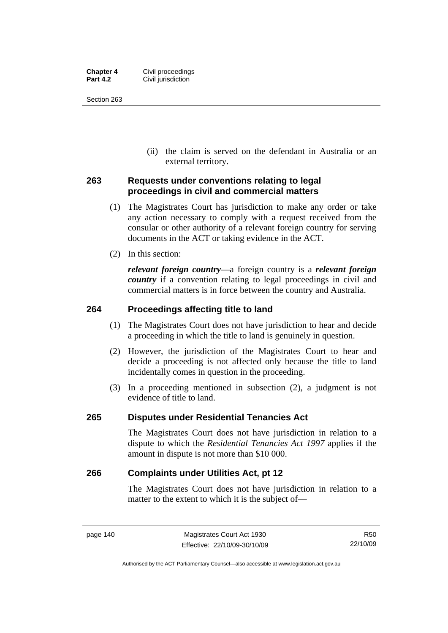| <b>Chapter 4</b> | Civil proceedings  |
|------------------|--------------------|
| <b>Part 4.2</b>  | Civil jurisdiction |

 (ii) the claim is served on the defendant in Australia or an external territory.

# **263 Requests under conventions relating to legal proceedings in civil and commercial matters**

- (1) The Magistrates Court has jurisdiction to make any order or take any action necessary to comply with a request received from the consular or other authority of a relevant foreign country for serving documents in the ACT or taking evidence in the ACT.
- (2) In this section:

*relevant foreign country*—a foreign country is a *relevant foreign country* if a convention relating to legal proceedings in civil and commercial matters is in force between the country and Australia.

## **264 Proceedings affecting title to land**

- (1) The Magistrates Court does not have jurisdiction to hear and decide a proceeding in which the title to land is genuinely in question.
- (2) However, the jurisdiction of the Magistrates Court to hear and decide a proceeding is not affected only because the title to land incidentally comes in question in the proceeding.
- (3) In a proceeding mentioned in subsection (2), a judgment is not evidence of title to land.

### **265 Disputes under Residential Tenancies Act**

The Magistrates Court does not have jurisdiction in relation to a dispute to which the *Residential Tenancies Act 1997* applies if the amount in dispute is not more than \$10 000.

### **266 Complaints under Utilities Act, pt 12**

The Magistrates Court does not have jurisdiction in relation to a matter to the extent to which it is the subject of—

Authorised by the ACT Parliamentary Counsel—also accessible at www.legislation.act.gov.au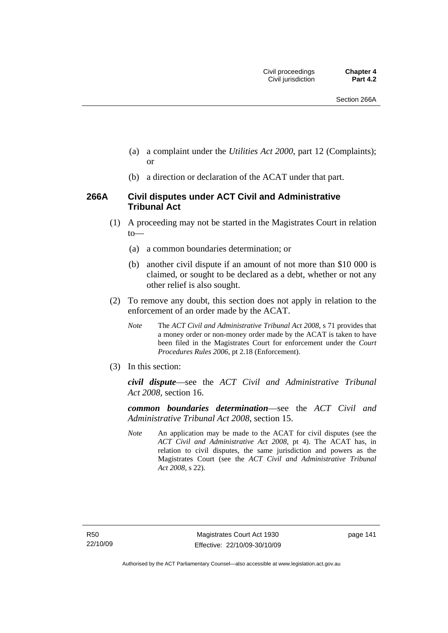- (a) a complaint under the *Utilities Act 2000*, part 12 (Complaints); or
- (b) a direction or declaration of the ACAT under that part.

## **266A Civil disputes under ACT Civil and Administrative Tribunal Act**

- (1) A proceeding may not be started in the Magistrates Court in relation to—
	- (a) a common boundaries determination; or
	- (b) another civil dispute if an amount of not more than \$10 000 is claimed, or sought to be declared as a debt, whether or not any other relief is also sought.
- (2) To remove any doubt, this section does not apply in relation to the enforcement of an order made by the ACAT.
	- *Note* The *ACT Civil and Administrative Tribunal Act 2008*, s 71 provides that a money order or non-money order made by the ACAT is taken to have been filed in the Magistrates Court for enforcement under the *Court Procedures Rules 2006*, pt 2.18 (Enforcement).
- (3) In this section:

*civil dispute*—see the *ACT Civil and Administrative Tribunal Act 2008*, section 16.

*common boundaries determination*—see the *ACT Civil and Administrative Tribunal Act 2008*, section 15.

*Note* An application may be made to the ACAT for civil disputes (see the *ACT Civil and Administrative Act 2008*, pt 4). The ACAT has, in relation to civil disputes, the same jurisdiction and powers as the Magistrates Court (see the *ACT Civil and Administrative Tribunal Act 2008*, s 22).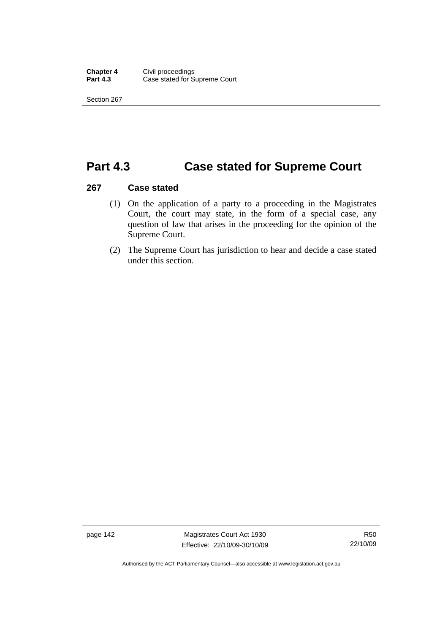# **Part 4.3 Case stated for Supreme Court**

#### **267 Case stated**

- (1) On the application of a party to a proceeding in the Magistrates Court, the court may state, in the form of a special case, any question of law that arises in the proceeding for the opinion of the Supreme Court.
- (2) The Supreme Court has jurisdiction to hear and decide a case stated under this section.

page 142 Magistrates Court Act 1930 Effective: 22/10/09-30/10/09

Authorised by the ACT Parliamentary Counsel—also accessible at www.legislation.act.gov.au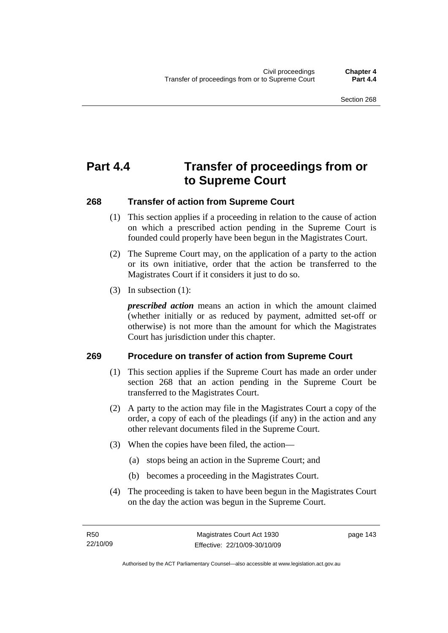# **Part 4.4 Transfer of proceedings from or to Supreme Court**

## **268 Transfer of action from Supreme Court**

- (1) This section applies if a proceeding in relation to the cause of action on which a prescribed action pending in the Supreme Court is founded could properly have been begun in the Magistrates Court.
- (2) The Supreme Court may, on the application of a party to the action or its own initiative, order that the action be transferred to the Magistrates Court if it considers it just to do so.
- (3) In subsection (1):

*prescribed action* means an action in which the amount claimed (whether initially or as reduced by payment, admitted set-off or otherwise) is not more than the amount for which the Magistrates Court has jurisdiction under this chapter.

### **269 Procedure on transfer of action from Supreme Court**

- (1) This section applies if the Supreme Court has made an order under section 268 that an action pending in the Supreme Court be transferred to the Magistrates Court.
- (2) A party to the action may file in the Magistrates Court a copy of the order, a copy of each of the pleadings (if any) in the action and any other relevant documents filed in the Supreme Court.
- (3) When the copies have been filed, the action—
	- (a) stops being an action in the Supreme Court; and
	- (b) becomes a proceeding in the Magistrates Court.
- (4) The proceeding is taken to have been begun in the Magistrates Court on the day the action was begun in the Supreme Court.

page 143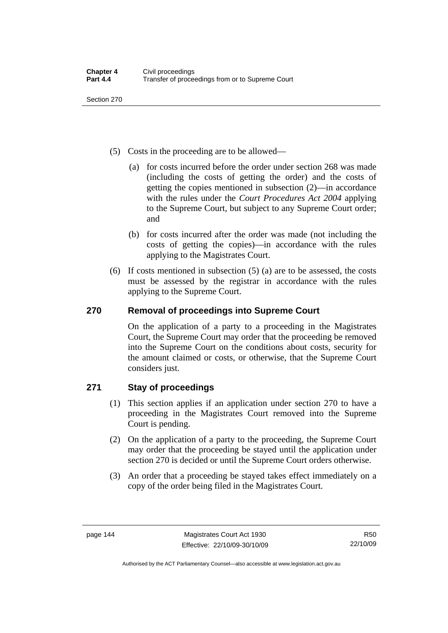- (5) Costs in the proceeding are to be allowed—
	- (a) for costs incurred before the order under section 268 was made (including the costs of getting the order) and the costs of getting the copies mentioned in subsection (2)—in accordance with the rules under the *Court Procedures Act 2004* applying to the Supreme Court, but subject to any Supreme Court order; and
	- (b) for costs incurred after the order was made (not including the costs of getting the copies)—in accordance with the rules applying to the Magistrates Court.
- (6) If costs mentioned in subsection (5) (a) are to be assessed, the costs must be assessed by the registrar in accordance with the rules applying to the Supreme Court.

# **270 Removal of proceedings into Supreme Court**

On the application of a party to a proceeding in the Magistrates Court, the Supreme Court may order that the proceeding be removed into the Supreme Court on the conditions about costs, security for the amount claimed or costs, or otherwise, that the Supreme Court considers just.

# **271 Stay of proceedings**

- (1) This section applies if an application under section 270 to have a proceeding in the Magistrates Court removed into the Supreme Court is pending.
- (2) On the application of a party to the proceeding, the Supreme Court may order that the proceeding be stayed until the application under section 270 is decided or until the Supreme Court orders otherwise.
- (3) An order that a proceeding be stayed takes effect immediately on a copy of the order being filed in the Magistrates Court.

Authorised by the ACT Parliamentary Counsel—also accessible at www.legislation.act.gov.au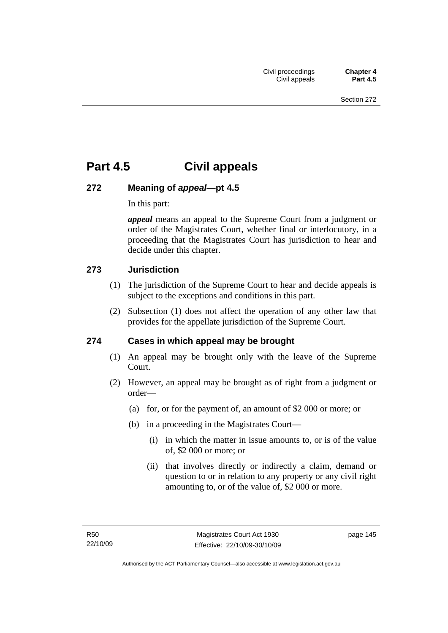# **Part 4.5 Civil appeals**

# **272 Meaning of** *appeal***—pt 4.5**

In this part:

*appeal* means an appeal to the Supreme Court from a judgment or order of the Magistrates Court, whether final or interlocutory, in a proceeding that the Magistrates Court has jurisdiction to hear and decide under this chapter.

# **273 Jurisdiction**

- (1) The jurisdiction of the Supreme Court to hear and decide appeals is subject to the exceptions and conditions in this part.
- (2) Subsection (1) does not affect the operation of any other law that provides for the appellate jurisdiction of the Supreme Court.

# **274 Cases in which appeal may be brought**

- (1) An appeal may be brought only with the leave of the Supreme Court.
- (2) However, an appeal may be brought as of right from a judgment or order—
	- (a) for, or for the payment of, an amount of \$2 000 or more; or
	- (b) in a proceeding in the Magistrates Court—
		- (i) in which the matter in issue amounts to, or is of the value of, \$2 000 or more; or
		- (ii) that involves directly or indirectly a claim, demand or question to or in relation to any property or any civil right amounting to, or of the value of, \$2 000 or more.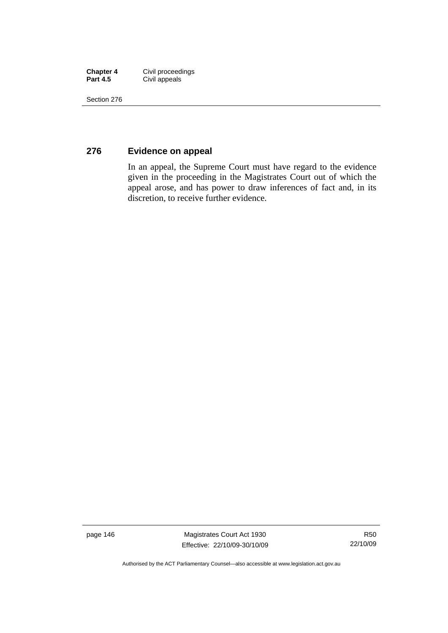| <b>Chapter 4</b> | Civil proceedings |
|------------------|-------------------|
| <b>Part 4.5</b>  | Civil appeals     |

# **276 Evidence on appeal**

In an appeal, the Supreme Court must have regard to the evidence given in the proceeding in the Magistrates Court out of which the appeal arose, and has power to draw inferences of fact and, in its discretion, to receive further evidence.

page 146 Magistrates Court Act 1930 Effective: 22/10/09-30/10/09

Authorised by the ACT Parliamentary Counsel—also accessible at www.legislation.act.gov.au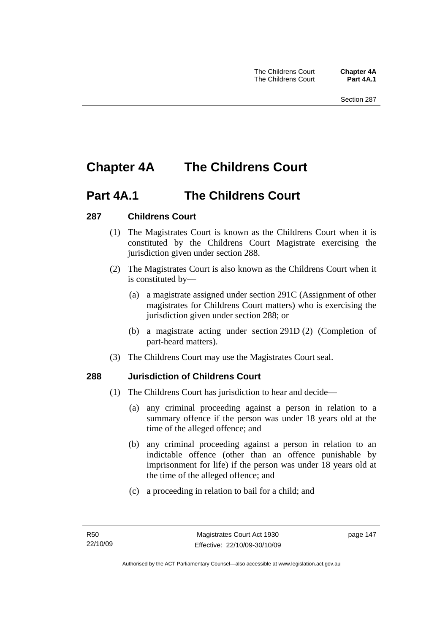# **Chapter 4A The Childrens Court**

# **Part 4A.1 The Childrens Court**

# **287 Childrens Court**

- (1) The Magistrates Court is known as the Childrens Court when it is constituted by the Childrens Court Magistrate exercising the jurisdiction given under section 288.
- (2) The Magistrates Court is also known as the Childrens Court when it is constituted by—
	- (a) a magistrate assigned under section 291C (Assignment of other magistrates for Childrens Court matters) who is exercising the jurisdiction given under section 288; or
	- (b) a magistrate acting under section 291D (2) (Completion of part-heard matters).
- (3) The Childrens Court may use the Magistrates Court seal.

# **288 Jurisdiction of Childrens Court**

- (1) The Childrens Court has jurisdiction to hear and decide—
	- (a) any criminal proceeding against a person in relation to a summary offence if the person was under 18 years old at the time of the alleged offence; and
	- (b) any criminal proceeding against a person in relation to an indictable offence (other than an offence punishable by imprisonment for life) if the person was under 18 years old at the time of the alleged offence; and
	- (c) a proceeding in relation to bail for a child; and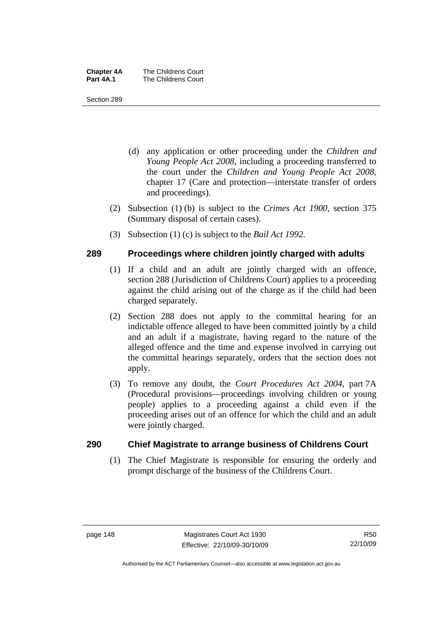| <b>Chapter 4A</b> | The Childrens Court |
|-------------------|---------------------|
| Part 4A.1         | The Childrens Court |

- (d) any application or other proceeding under the *Children and Young People Act 2008*, including a proceeding transferred to the court under the *Children and Young People Act 2008*, chapter 17 (Care and protection—interstate transfer of orders and proceedings).
- (2) Subsection (1) (b) is subject to the *Crimes Act 1900*, section 375 (Summary disposal of certain cases).
- (3) Subsection (1) (c) is subject to the *Bail Act 1992*.

## **289 Proceedings where children jointly charged with adults**

- (1) If a child and an adult are jointly charged with an offence, section 288 (Jurisdiction of Childrens Court) applies to a proceeding against the child arising out of the charge as if the child had been charged separately.
- (2) Section 288 does not apply to the committal hearing for an indictable offence alleged to have been committed jointly by a child and an adult if a magistrate, having regard to the nature of the alleged offence and the time and expense involved in carrying out the committal hearings separately, orders that the section does not apply.
- (3) To remove any doubt, the *Court Procedures Act 2004*, part 7A (Procedural provisions—proceedings involving children or young people) applies to a proceeding against a child even if the proceeding arises out of an offence for which the child and an adult were jointly charged.

### **290 Chief Magistrate to arrange business of Childrens Court**

 (1) The Chief Magistrate is responsible for ensuring the orderly and prompt discharge of the business of the Childrens Court.

Authorised by the ACT Parliamentary Counsel—also accessible at www.legislation.act.gov.au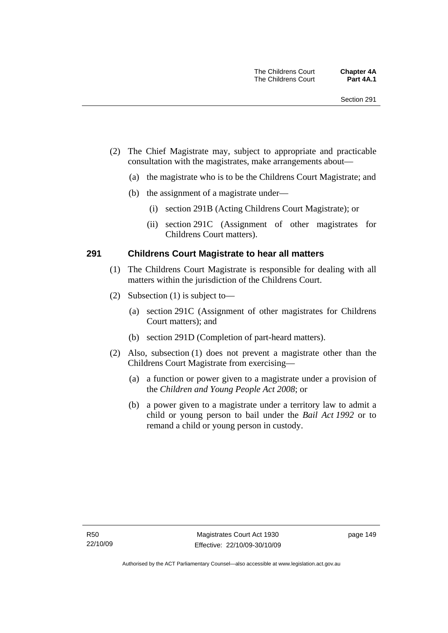- (2) The Chief Magistrate may, subject to appropriate and practicable consultation with the magistrates, make arrangements about—
	- (a) the magistrate who is to be the Childrens Court Magistrate; and
	- (b) the assignment of a magistrate under—
		- (i) section 291B (Acting Childrens Court Magistrate); or
		- (ii) section 291C (Assignment of other magistrates for Childrens Court matters).

### **291 Childrens Court Magistrate to hear all matters**

- (1) The Childrens Court Magistrate is responsible for dealing with all matters within the jurisdiction of the Childrens Court.
- (2) Subsection (1) is subject to—
	- (a) section 291C (Assignment of other magistrates for Childrens Court matters); and
	- (b) section 291D (Completion of part-heard matters).
- (2) Also, subsection (1) does not prevent a magistrate other than the Childrens Court Magistrate from exercising—
	- (a) a function or power given to a magistrate under a provision of the *Children and Young People Act 2008*; or
	- (b) a power given to a magistrate under a territory law to admit a child or young person to bail under the *Bail Act 1992* or to remand a child or young person in custody.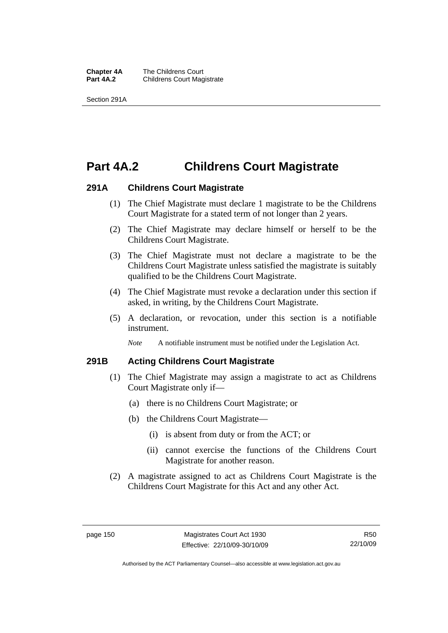**Chapter 4A** The Childrens Court<br>**Part 4A.2** Childrens Court Mag **Childrens Court Magistrate** 

Section 291A

# **Part 4A.2 Childrens Court Magistrate**

### **291A Childrens Court Magistrate**

- (1) The Chief Magistrate must declare 1 magistrate to be the Childrens Court Magistrate for a stated term of not longer than 2 years.
- (2) The Chief Magistrate may declare himself or herself to be the Childrens Court Magistrate.
- (3) The Chief Magistrate must not declare a magistrate to be the Childrens Court Magistrate unless satisfied the magistrate is suitably qualified to be the Childrens Court Magistrate.
- (4) The Chief Magistrate must revoke a declaration under this section if asked, in writing, by the Childrens Court Magistrate.
- (5) A declaration, or revocation, under this section is a notifiable instrument.

*Note* A notifiable instrument must be notified under the Legislation Act.

### **291B Acting Childrens Court Magistrate**

- (1) The Chief Magistrate may assign a magistrate to act as Childrens Court Magistrate only if—
	- (a) there is no Childrens Court Magistrate; or
	- (b) the Childrens Court Magistrate—
		- (i) is absent from duty or from the ACT; or
		- (ii) cannot exercise the functions of the Childrens Court Magistrate for another reason.
- (2) A magistrate assigned to act as Childrens Court Magistrate is the Childrens Court Magistrate for this Act and any other Act.

Authorised by the ACT Parliamentary Counsel—also accessible at www.legislation.act.gov.au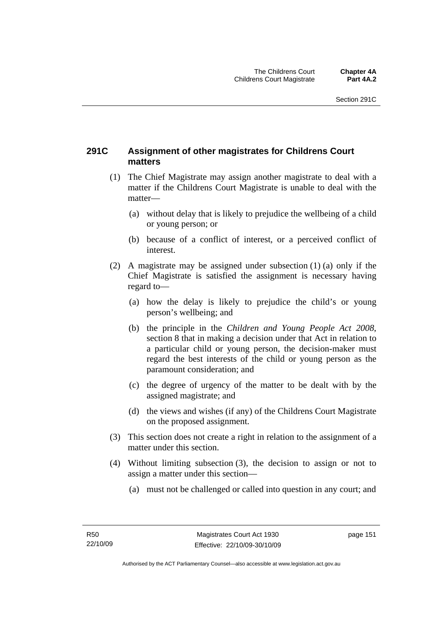# **291C Assignment of other magistrates for Childrens Court matters**

- (1) The Chief Magistrate may assign another magistrate to deal with a matter if the Childrens Court Magistrate is unable to deal with the matter—
	- (a) without delay that is likely to prejudice the wellbeing of a child or young person; or
	- (b) because of a conflict of interest, or a perceived conflict of interest.
- (2) A magistrate may be assigned under subsection (1) (a) only if the Chief Magistrate is satisfied the assignment is necessary having regard to—
	- (a) how the delay is likely to prejudice the child's or young person's wellbeing; and
	- (b) the principle in the *Children and Young People Act 2008*, section 8 that in making a decision under that Act in relation to a particular child or young person, the decision-maker must regard the best interests of the child or young person as the paramount consideration; and
	- (c) the degree of urgency of the matter to be dealt with by the assigned magistrate; and
	- (d) the views and wishes (if any) of the Childrens Court Magistrate on the proposed assignment.
- (3) This section does not create a right in relation to the assignment of a matter under this section.
- (4) Without limiting subsection (3), the decision to assign or not to assign a matter under this section—
	- (a) must not be challenged or called into question in any court; and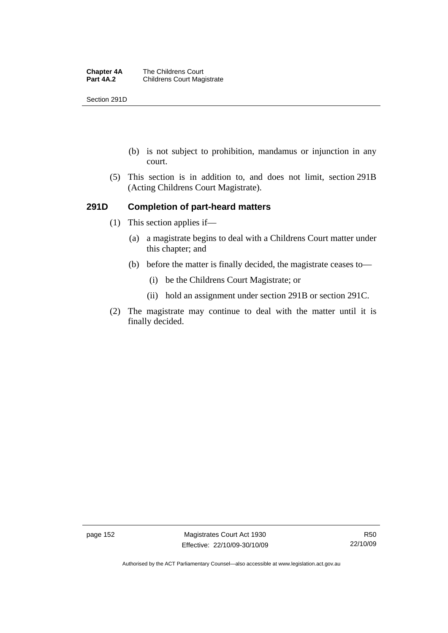Section 291D

- (b) is not subject to prohibition, mandamus or injunction in any court.
- (5) This section is in addition to, and does not limit, section 291B (Acting Childrens Court Magistrate).

## **291D Completion of part-heard matters**

- (1) This section applies if—
	- (a) a magistrate begins to deal with a Childrens Court matter under this chapter; and
	- (b) before the matter is finally decided, the magistrate ceases to—
		- (i) be the Childrens Court Magistrate; or
		- (ii) hold an assignment under section 291B or section 291C.
- (2) The magistrate may continue to deal with the matter until it is finally decided.

page 152 Magistrates Court Act 1930 Effective: 22/10/09-30/10/09

Authorised by the ACT Parliamentary Counsel—also accessible at www.legislation.act.gov.au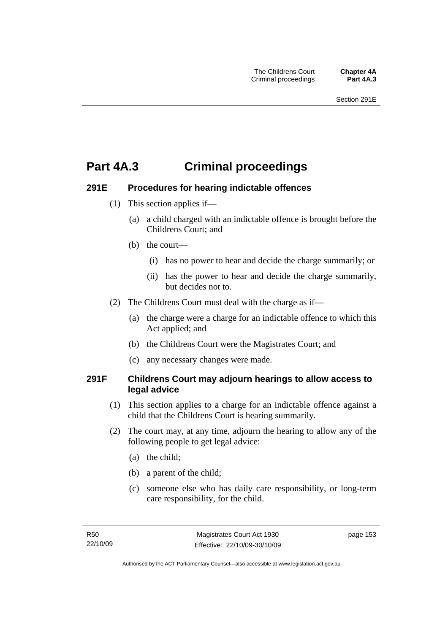# **Part 4A.3 Criminal proceedings**

## **291E Procedures for hearing indictable offences**

- (1) This section applies if—
	- (a) a child charged with an indictable offence is brought before the Childrens Court; and
	- (b) the court—
		- (i) has no power to hear and decide the charge summarily; or
		- (ii) has the power to hear and decide the charge summarily, but decides not to.
- (2) The Childrens Court must deal with the charge as if—
	- (a) the charge were a charge for an indictable offence to which this Act applied; and
	- (b) the Childrens Court were the Magistrates Court; and
	- (c) any necessary changes were made.

## **291F Childrens Court may adjourn hearings to allow access to legal advice**

- (1) This section applies to a charge for an indictable offence against a child that the Childrens Court is hearing summarily.
- (2) The court may, at any time, adjourn the hearing to allow any of the following people to get legal advice:
	- (a) the child;
	- (b) a parent of the child;
	- (c) someone else who has daily care responsibility, or long-term care responsibility, for the child.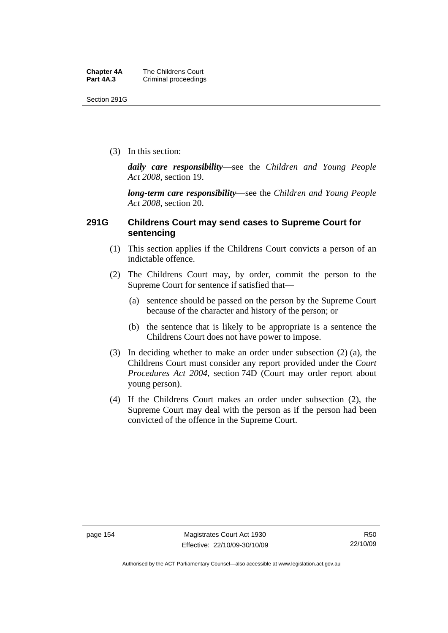Section 291G

(3) In this section:

*daily care responsibility*—see the *Children and Young People Act 2008*, section 19.

*long-term care responsibility*—see the *Children and Young People Act 2008*, section 20.

## **291G Childrens Court may send cases to Supreme Court for sentencing**

- (1) This section applies if the Childrens Court convicts a person of an indictable offence.
- (2) The Childrens Court may, by order, commit the person to the Supreme Court for sentence if satisfied that—
	- (a) sentence should be passed on the person by the Supreme Court because of the character and history of the person; or
	- (b) the sentence that is likely to be appropriate is a sentence the Childrens Court does not have power to impose.
- (3) In deciding whether to make an order under subsection (2) (a), the Childrens Court must consider any report provided under the *Court Procedures Act 2004*, section 74D (Court may order report about young person).
- (4) If the Childrens Court makes an order under subsection (2), the Supreme Court may deal with the person as if the person had been convicted of the offence in the Supreme Court.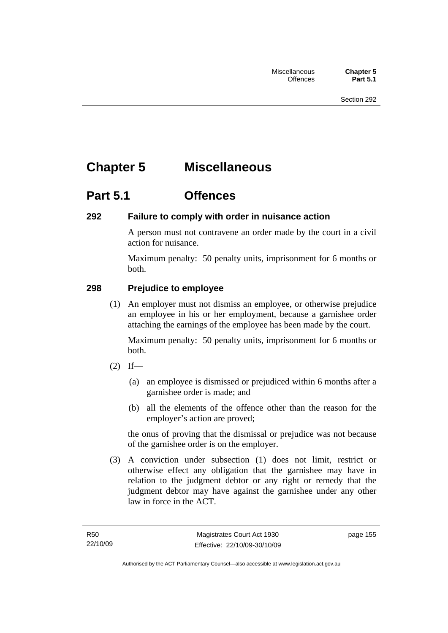# **Chapter 5 Miscellaneous**

# **Part 5.1 Offences**

# **292 Failure to comply with order in nuisance action**

A person must not contravene an order made by the court in a civil action for nuisance.

Maximum penalty: 50 penalty units, imprisonment for 6 months or both.

# **298 Prejudice to employee**

 (1) An employer must not dismiss an employee, or otherwise prejudice an employee in his or her employment, because a garnishee order attaching the earnings of the employee has been made by the court.

Maximum penalty: 50 penalty units, imprisonment for 6 months or both.

- $(2)$  If—
	- (a) an employee is dismissed or prejudiced within 6 months after a garnishee order is made; and
	- (b) all the elements of the offence other than the reason for the employer's action are proved;

the onus of proving that the dismissal or prejudice was not because of the garnishee order is on the employer.

 (3) A conviction under subsection (1) does not limit, restrict or otherwise effect any obligation that the garnishee may have in relation to the judgment debtor or any right or remedy that the judgment debtor may have against the garnishee under any other law in force in the ACT.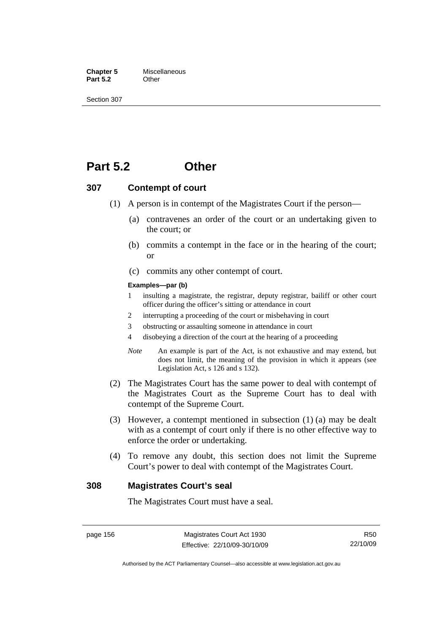**Chapter 5** Miscellaneous<br>**Part 5.2** Other **Part 5.2** 

Section 307

# **Part 5.2 Other**

#### **307 Contempt of court**

- (1) A person is in contempt of the Magistrates Court if the person—
	- (a) contravenes an order of the court or an undertaking given to the court; or
	- (b) commits a contempt in the face or in the hearing of the court; or
	- (c) commits any other contempt of court.

#### **Examples—par (b)**

- 1 insulting a magistrate, the registrar, deputy registrar, bailiff or other court officer during the officer's sitting or attendance in court
- 2 interrupting a proceeding of the court or misbehaving in court
- 3 obstructing or assaulting someone in attendance in court
- 4 disobeying a direction of the court at the hearing of a proceeding
- *Note* An example is part of the Act, is not exhaustive and may extend, but does not limit, the meaning of the provision in which it appears (see Legislation Act, s 126 and s 132).
- (2) The Magistrates Court has the same power to deal with contempt of the Magistrates Court as the Supreme Court has to deal with contempt of the Supreme Court.
- (3) However, a contempt mentioned in subsection (1) (a) may be dealt with as a contempt of court only if there is no other effective way to enforce the order or undertaking.
- (4) To remove any doubt, this section does not limit the Supreme Court's power to deal with contempt of the Magistrates Court.

#### **308 Magistrates Court's seal**

The Magistrates Court must have a seal.

Authorised by the ACT Parliamentary Counsel—also accessible at www.legislation.act.gov.au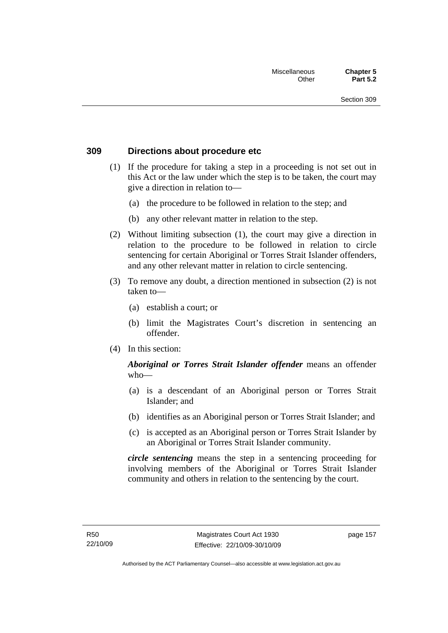### **309 Directions about procedure etc**

- (1) If the procedure for taking a step in a proceeding is not set out in this Act or the law under which the step is to be taken, the court may give a direction in relation to—
	- (a) the procedure to be followed in relation to the step; and
	- (b) any other relevant matter in relation to the step.
- (2) Without limiting subsection (1), the court may give a direction in relation to the procedure to be followed in relation to circle sentencing for certain Aboriginal or Torres Strait Islander offenders, and any other relevant matter in relation to circle sentencing.
- (3) To remove any doubt, a direction mentioned in subsection (2) is not taken to—
	- (a) establish a court; or
	- (b) limit the Magistrates Court's discretion in sentencing an offender.
- (4) In this section:

## *Aboriginal or Torres Strait Islander offender* means an offender who—

- (a) is a descendant of an Aboriginal person or Torres Strait Islander; and
- (b) identifies as an Aboriginal person or Torres Strait Islander; and
- (c) is accepted as an Aboriginal person or Torres Strait Islander by an Aboriginal or Torres Strait Islander community.

*circle sentencing* means the step in a sentencing proceeding for involving members of the Aboriginal or Torres Strait Islander community and others in relation to the sentencing by the court.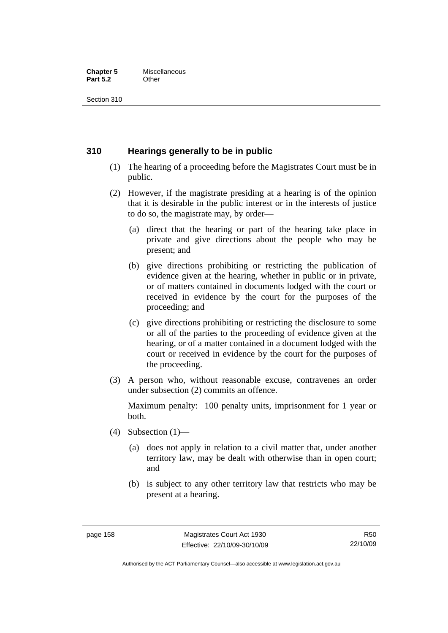#### **Chapter 5** Miscellaneous<br>**Part 5.2** Other **Part 5.2**

Section 310

## **310 Hearings generally to be in public**

- (1) The hearing of a proceeding before the Magistrates Court must be in public.
- (2) However, if the magistrate presiding at a hearing is of the opinion that it is desirable in the public interest or in the interests of justice to do so, the magistrate may, by order—
	- (a) direct that the hearing or part of the hearing take place in private and give directions about the people who may be present; and
	- (b) give directions prohibiting or restricting the publication of evidence given at the hearing, whether in public or in private, or of matters contained in documents lodged with the court or received in evidence by the court for the purposes of the proceeding; and
	- (c) give directions prohibiting or restricting the disclosure to some or all of the parties to the proceeding of evidence given at the hearing, or of a matter contained in a document lodged with the court or received in evidence by the court for the purposes of the proceeding.
- (3) A person who, without reasonable excuse, contravenes an order under subsection (2) commits an offence.

Maximum penalty: 100 penalty units, imprisonment for 1 year or both.

- (4) Subsection  $(1)$ 
	- (a) does not apply in relation to a civil matter that, under another territory law, may be dealt with otherwise than in open court; and
	- (b) is subject to any other territory law that restricts who may be present at a hearing.

Authorised by the ACT Parliamentary Counsel—also accessible at www.legislation.act.gov.au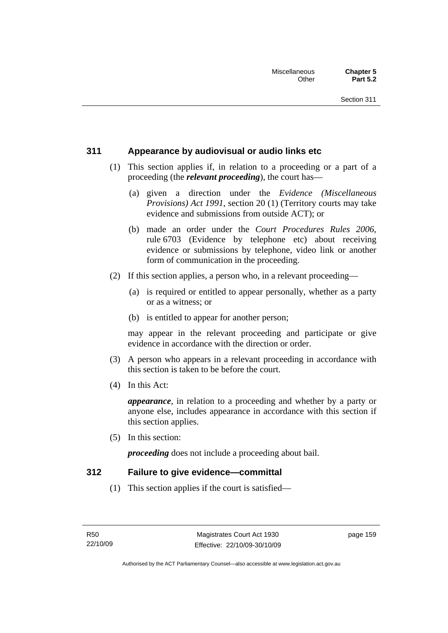# **311 Appearance by audiovisual or audio links etc**

- (1) This section applies if, in relation to a proceeding or a part of a proceeding (the *relevant proceeding*), the court has—
	- (a) given a direction under the *Evidence (Miscellaneous Provisions) Act 1991*, section 20 (1) (Territory courts may take evidence and submissions from outside ACT); or
	- (b) made an order under the *Court Procedures Rules 2006*, rule 6703 (Evidence by telephone etc) about receiving evidence or submissions by telephone, video link or another form of communication in the proceeding.
- (2) If this section applies, a person who, in a relevant proceeding—
	- (a) is required or entitled to appear personally, whether as a party or as a witness; or
	- (b) is entitled to appear for another person;

may appear in the relevant proceeding and participate or give evidence in accordance with the direction or order.

- (3) A person who appears in a relevant proceeding in accordance with this section is taken to be before the court.
- (4) In this Act:

*appearance*, in relation to a proceeding and whether by a party or anyone else, includes appearance in accordance with this section if this section applies.

(5) In this section:

*proceeding* does not include a proceeding about bail.

### **312 Failure to give evidence—committal**

(1) This section applies if the court is satisfied—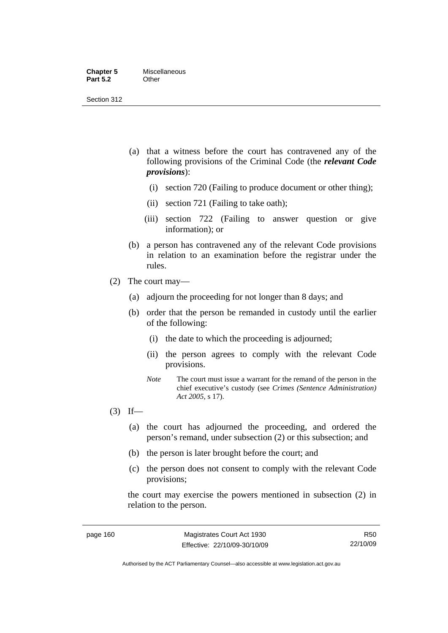- (a) that a witness before the court has contravened any of the following provisions of the Criminal Code (the *relevant Code provisions*):
	- (i) section 720 (Failing to produce document or other thing);
	- (ii) section 721 (Failing to take oath);
	- (iii) section 722 (Failing to answer question or give information); or
- (b) a person has contravened any of the relevant Code provisions in relation to an examination before the registrar under the rules.
- (2) The court may—
	- (a) adjourn the proceeding for not longer than 8 days; and
	- (b) order that the person be remanded in custody until the earlier of the following:
		- (i) the date to which the proceeding is adjourned;
		- (ii) the person agrees to comply with the relevant Code provisions.
		- *Note* The court must issue a warrant for the remand of the person in the chief executive's custody (see *Crimes (Sentence Administration) Act 2005*, s 17).
- $(3)$  If—
	- (a) the court has adjourned the proceeding, and ordered the person's remand, under subsection (2) or this subsection; and
	- (b) the person is later brought before the court; and
	- (c) the person does not consent to comply with the relevant Code provisions;

the court may exercise the powers mentioned in subsection (2) in relation to the person.

R50 22/10/09

Authorised by the ACT Parliamentary Counsel—also accessible at www.legislation.act.gov.au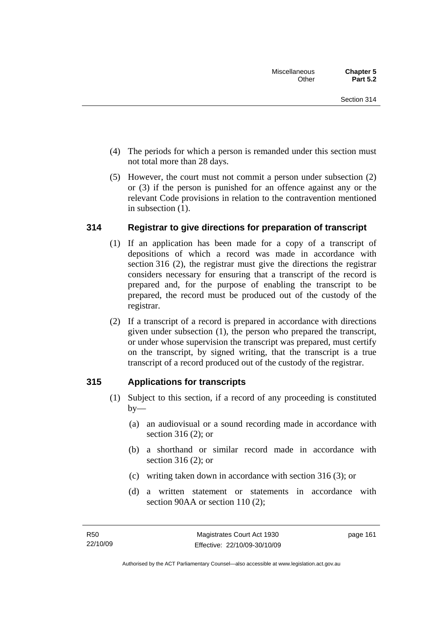- (4) The periods for which a person is remanded under this section must not total more than 28 days.
- (5) However, the court must not commit a person under subsection (2) or (3) if the person is punished for an offence against any or the relevant Code provisions in relation to the contravention mentioned in subsection (1).

# **314 Registrar to give directions for preparation of transcript**

- (1) If an application has been made for a copy of a transcript of depositions of which a record was made in accordance with section 316 (2), the registrar must give the directions the registrar considers necessary for ensuring that a transcript of the record is prepared and, for the purpose of enabling the transcript to be prepared, the record must be produced out of the custody of the registrar.
- (2) If a transcript of a record is prepared in accordance with directions given under subsection (1), the person who prepared the transcript, or under whose supervision the transcript was prepared, must certify on the transcript, by signed writing, that the transcript is a true transcript of a record produced out of the custody of the registrar.

### **315 Applications for transcripts**

- (1) Subject to this section, if a record of any proceeding is constituted  $by-$ 
	- (a) an audiovisual or a sound recording made in accordance with section 316 (2); or
	- (b) a shorthand or similar record made in accordance with section 316 (2); or
	- (c) writing taken down in accordance with section 316 (3); or
	- (d) a written statement or statements in accordance with section 90AA or section 110 (2):

page 161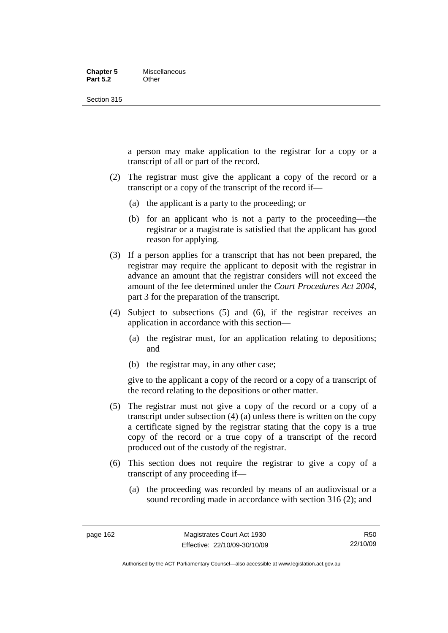#### **Chapter 5** Miscellaneous **Part 5.2** Other

Section 315

a person may make application to the registrar for a copy or a transcript of all or part of the record.

- (2) The registrar must give the applicant a copy of the record or a transcript or a copy of the transcript of the record if—
	- (a) the applicant is a party to the proceeding; or
	- (b) for an applicant who is not a party to the proceeding—the registrar or a magistrate is satisfied that the applicant has good reason for applying.
- (3) If a person applies for a transcript that has not been prepared, the registrar may require the applicant to deposit with the registrar in advance an amount that the registrar considers will not exceed the amount of the fee determined under the *Court Procedures Act 2004*, part 3 for the preparation of the transcript.
- (4) Subject to subsections (5) and (6), if the registrar receives an application in accordance with this section—
	- (a) the registrar must, for an application relating to depositions; and
	- (b) the registrar may, in any other case;

give to the applicant a copy of the record or a copy of a transcript of the record relating to the depositions or other matter.

- (5) The registrar must not give a copy of the record or a copy of a transcript under subsection (4) (a) unless there is written on the copy a certificate signed by the registrar stating that the copy is a true copy of the record or a true copy of a transcript of the record produced out of the custody of the registrar.
- (6) This section does not require the registrar to give a copy of a transcript of any proceeding if—
	- (a) the proceeding was recorded by means of an audiovisual or a sound recording made in accordance with section 316 (2); and

R50 22/10/09

Authorised by the ACT Parliamentary Counsel—also accessible at www.legislation.act.gov.au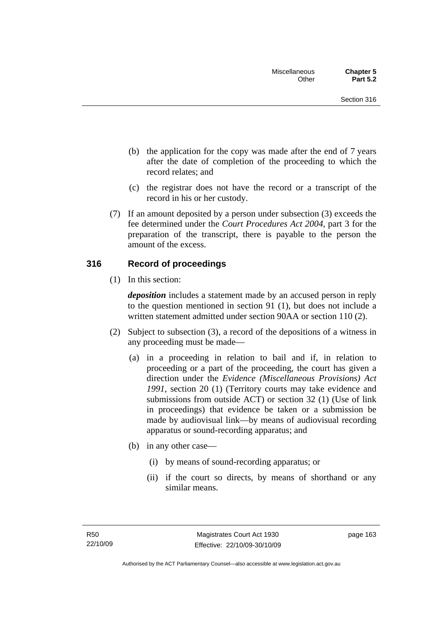- (b) the application for the copy was made after the end of 7 years after the date of completion of the proceeding to which the record relates; and
- (c) the registrar does not have the record or a transcript of the record in his or her custody.
- (7) If an amount deposited by a person under subsection (3) exceeds the fee determined under the *Court Procedures Act 2004*, part 3 for the preparation of the transcript, there is payable to the person the amount of the excess.

### **316 Record of proceedings**

(1) In this section:

*deposition* includes a statement made by an accused person in reply to the question mentioned in section 91 (1), but does not include a written statement admitted under section 90AA or section 110 (2).

- (2) Subject to subsection (3), a record of the depositions of a witness in any proceeding must be made—
	- (a) in a proceeding in relation to bail and if, in relation to proceeding or a part of the proceeding, the court has given a direction under the *Evidence (Miscellaneous Provisions) Act 1991*, section 20 (1) (Territory courts may take evidence and submissions from outside ACT) or section 32 (1) (Use of link in proceedings) that evidence be taken or a submission be made by audiovisual link—by means of audiovisual recording apparatus or sound-recording apparatus; and
	- (b) in any other case—
		- (i) by means of sound-recording apparatus; or
		- (ii) if the court so directs, by means of shorthand or any similar means.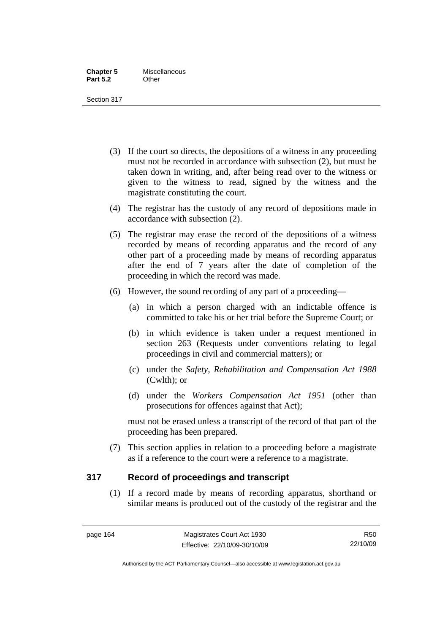- (3) If the court so directs, the depositions of a witness in any proceeding must not be recorded in accordance with subsection (2), but must be taken down in writing, and, after being read over to the witness or given to the witness to read, signed by the witness and the magistrate constituting the court.
- (4) The registrar has the custody of any record of depositions made in accordance with subsection (2).
- (5) The registrar may erase the record of the depositions of a witness recorded by means of recording apparatus and the record of any other part of a proceeding made by means of recording apparatus after the end of 7 years after the date of completion of the proceeding in which the record was made.
- (6) However, the sound recording of any part of a proceeding—
	- (a) in which a person charged with an indictable offence is committed to take his or her trial before the Supreme Court; or
	- (b) in which evidence is taken under a request mentioned in section 263 (Requests under conventions relating to legal proceedings in civil and commercial matters); or
	- (c) under the *Safety, Rehabilitation and Compensation Act 1988* (Cwlth); or
	- (d) under the *Workers Compensation Act 1951* (other than prosecutions for offences against that Act);

must not be erased unless a transcript of the record of that part of the proceeding has been prepared.

 (7) This section applies in relation to a proceeding before a magistrate as if a reference to the court were a reference to a magistrate.

# **317 Record of proceedings and transcript**

 (1) If a record made by means of recording apparatus, shorthand or similar means is produced out of the custody of the registrar and the

Authorised by the ACT Parliamentary Counsel—also accessible at www.legislation.act.gov.au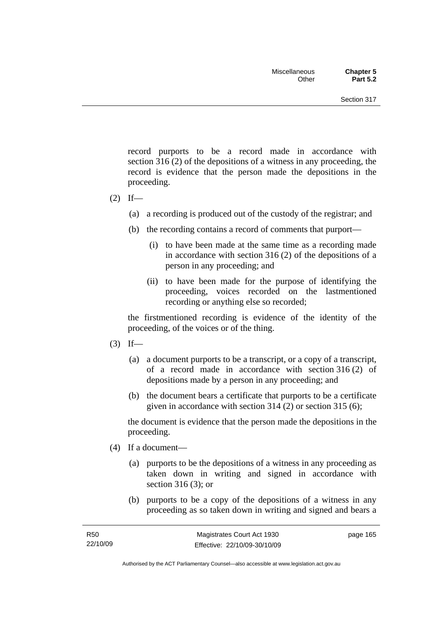record purports to be a record made in accordance with section 316 (2) of the depositions of a witness in any proceeding, the record is evidence that the person made the depositions in the proceeding.

- $(2)$  If—
	- (a) a recording is produced out of the custody of the registrar; and
	- (b) the recording contains a record of comments that purport—
		- (i) to have been made at the same time as a recording made in accordance with section 316 (2) of the depositions of a person in any proceeding; and
		- (ii) to have been made for the purpose of identifying the proceeding, voices recorded on the lastmentioned recording or anything else so recorded;

the firstmentioned recording is evidence of the identity of the proceeding, of the voices or of the thing.

- $(3)$  If—
	- (a) a document purports to be a transcript, or a copy of a transcript, of a record made in accordance with section 316 (2) of depositions made by a person in any proceeding; and
	- (b) the document bears a certificate that purports to be a certificate given in accordance with section 314 (2) or section 315 (6);

the document is evidence that the person made the depositions in the proceeding.

- (4) If a document—
	- (a) purports to be the depositions of a witness in any proceeding as taken down in writing and signed in accordance with section 316 (3); or
	- (b) purports to be a copy of the depositions of a witness in any proceeding as so taken down in writing and signed and bears a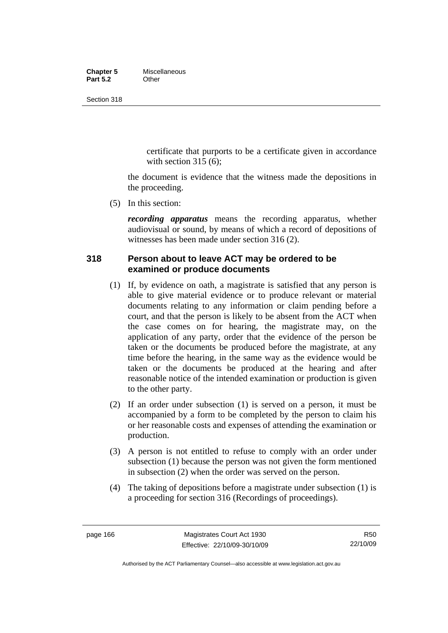### **Chapter 5** Miscellaneous<br>**Part 5.2** Other **Part 5.2**

Section 318

certificate that purports to be a certificate given in accordance with section  $315(6)$ :

the document is evidence that the witness made the depositions in the proceeding.

(5) In this section:

*recording apparatus* means the recording apparatus, whether audiovisual or sound, by means of which a record of depositions of witnesses has been made under section 316 (2).

# **318 Person about to leave ACT may be ordered to be examined or produce documents**

- (1) If, by evidence on oath, a magistrate is satisfied that any person is able to give material evidence or to produce relevant or material documents relating to any information or claim pending before a court, and that the person is likely to be absent from the ACT when the case comes on for hearing, the magistrate may, on the application of any party, order that the evidence of the person be taken or the documents be produced before the magistrate, at any time before the hearing, in the same way as the evidence would be taken or the documents be produced at the hearing and after reasonable notice of the intended examination or production is given to the other party.
- (2) If an order under subsection (1) is served on a person, it must be accompanied by a form to be completed by the person to claim his or her reasonable costs and expenses of attending the examination or production.
- (3) A person is not entitled to refuse to comply with an order under subsection (1) because the person was not given the form mentioned in subsection (2) when the order was served on the person.
- (4) The taking of depositions before a magistrate under subsection (1) is a proceeding for section 316 (Recordings of proceedings).

R50 22/10/09

Authorised by the ACT Parliamentary Counsel—also accessible at www.legislation.act.gov.au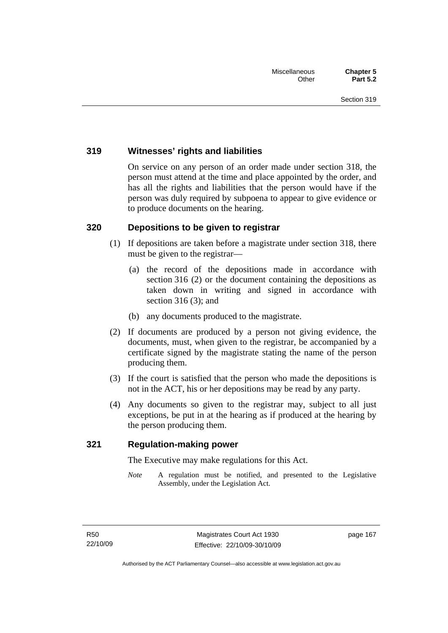# **319 Witnesses' rights and liabilities**

On service on any person of an order made under section 318, the person must attend at the time and place appointed by the order, and has all the rights and liabilities that the person would have if the person was duly required by subpoena to appear to give evidence or to produce documents on the hearing.

# **320 Depositions to be given to registrar**

- (1) If depositions are taken before a magistrate under section 318, there must be given to the registrar—
	- (a) the record of the depositions made in accordance with section 316 (2) or the document containing the depositions as taken down in writing and signed in accordance with section 316 (3); and
	- (b) any documents produced to the magistrate.
- (2) If documents are produced by a person not giving evidence, the documents, must, when given to the registrar, be accompanied by a certificate signed by the magistrate stating the name of the person producing them.
- (3) If the court is satisfied that the person who made the depositions is not in the ACT, his or her depositions may be read by any party.
- (4) Any documents so given to the registrar may, subject to all just exceptions, be put in at the hearing as if produced at the hearing by the person producing them.

# **321 Regulation-making power**

The Executive may make regulations for this Act.

*Note* A regulation must be notified, and presented to the Legislative Assembly, under the Legislation Act.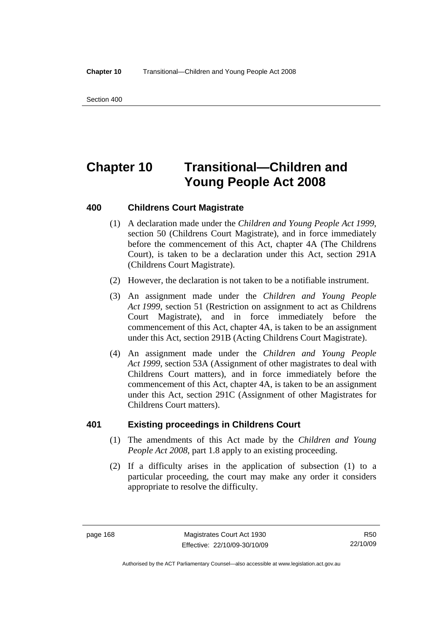Section 400

# **Chapter 10 Transitional—Children and Young People Act 2008**

# **400 Childrens Court Magistrate**

- (1) A declaration made under the *Children and Young People Act 1999*, section 50 (Childrens Court Magistrate), and in force immediately before the commencement of this Act, chapter 4A (The Childrens Court), is taken to be a declaration under this Act, section 291A (Childrens Court Magistrate).
- (2) However, the declaration is not taken to be a notifiable instrument.
- (3) An assignment made under the *Children and Young People Act 1999*, section 51 (Restriction on assignment to act as Childrens Court Magistrate), and in force immediately before the commencement of this Act, chapter 4A, is taken to be an assignment under this Act, section 291B (Acting Childrens Court Magistrate).
- (4) An assignment made under the *Children and Young People Act 1999*, section 53A (Assignment of other magistrates to deal with Childrens Court matters), and in force immediately before the commencement of this Act, chapter 4A, is taken to be an assignment under this Act, section 291C (Assignment of other Magistrates for Childrens Court matters).

# **401 Existing proceedings in Childrens Court**

- (1) The amendments of this Act made by the *Children and Young People Act 2008*, part 1.8 apply to an existing proceeding.
- (2) If a difficulty arises in the application of subsection (1) to a particular proceeding, the court may make any order it considers appropriate to resolve the difficulty.

R50 22/10/09

Authorised by the ACT Parliamentary Counsel—also accessible at www.legislation.act.gov.au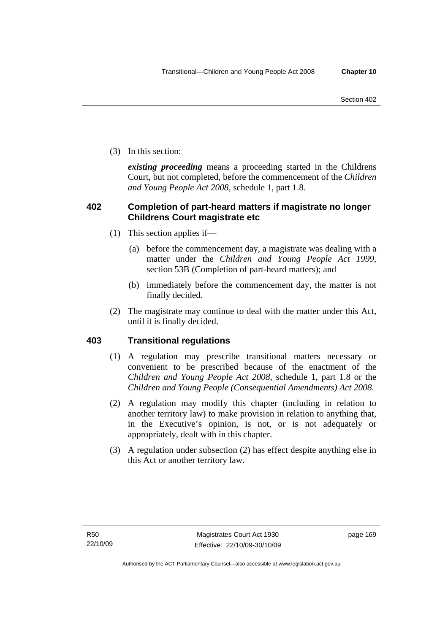(3) In this section:

*existing proceeding* means a proceeding started in the Childrens Court, but not completed, before the commencement of the *Children and Young People Act 2008*, schedule 1, part 1.8.

# **402 Completion of part-heard matters if magistrate no longer Childrens Court magistrate etc**

- (1) This section applies if—
	- (a) before the commencement day, a magistrate was dealing with a matter under the *Children and Young People Act 1999*, section 53B (Completion of part-heard matters); and
	- (b) immediately before the commencement day, the matter is not finally decided.
- (2) The magistrate may continue to deal with the matter under this Act, until it is finally decided.

# **403 Transitional regulations**

- (1) A regulation may prescribe transitional matters necessary or convenient to be prescribed because of the enactment of the *Children and Young People Act 2008*, schedule 1, part 1.8 or the *Children and Young People (Consequential Amendments) Act 2008*.
- (2) A regulation may modify this chapter (including in relation to another territory law) to make provision in relation to anything that, in the Executive's opinion, is not, or is not adequately or appropriately, dealt with in this chapter.
- (3) A regulation under subsection (2) has effect despite anything else in this Act or another territory law.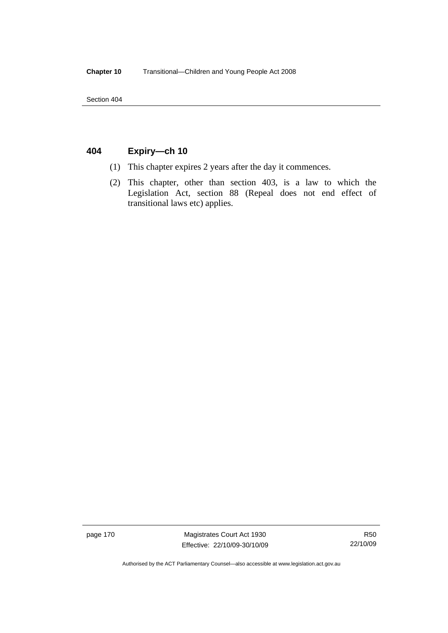Section 404

# **404 Expiry—ch 10**

- (1) This chapter expires 2 years after the day it commences.
- (2) This chapter, other than section 403, is a law to which the Legislation Act, section 88 (Repeal does not end effect of transitional laws etc) applies.

page 170 Magistrates Court Act 1930 Effective: 22/10/09-30/10/09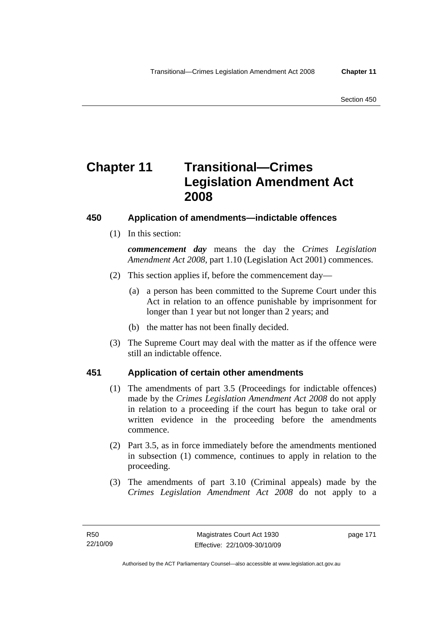# **Chapter 11 Transitional—Crimes Legislation Amendment Act 2008**

# **450 Application of amendments—indictable offences**

(1) In this section:

*commencement day* means the day the *Crimes Legislation Amendment Act 2008*, part 1.10 (Legislation Act 2001) commences.

- (2) This section applies if, before the commencement day—
	- (a) a person has been committed to the Supreme Court under this Act in relation to an offence punishable by imprisonment for longer than 1 year but not longer than 2 years; and
	- (b) the matter has not been finally decided.
- (3) The Supreme Court may deal with the matter as if the offence were still an indictable offence.

# **451 Application of certain other amendments**

- (1) The amendments of part 3.5 (Proceedings for indictable offences) made by the *Crimes Legislation Amendment Act 2008* do not apply in relation to a proceeding if the court has begun to take oral or written evidence in the proceeding before the amendments commence.
- (2) Part 3.5, as in force immediately before the amendments mentioned in subsection (1) commence, continues to apply in relation to the proceeding.
- (3) The amendments of part 3.10 (Criminal appeals) made by the *Crimes Legislation Amendment Act 2008* do not apply to a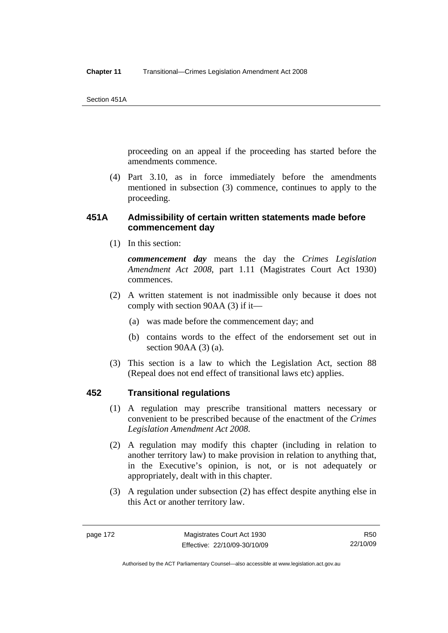proceeding on an appeal if the proceeding has started before the amendments commence.

 (4) Part 3.10, as in force immediately before the amendments mentioned in subsection (3) commence, continues to apply to the proceeding.

# **451A Admissibility of certain written statements made before commencement day**

(1) In this section:

*commencement day* means the day the *Crimes Legislation Amendment Act 2008*, part 1.11 (Magistrates Court Act 1930) commences.

- (2) A written statement is not inadmissible only because it does not comply with section 90AA (3) if it—
	- (a) was made before the commencement day; and
	- (b) contains words to the effect of the endorsement set out in section 90AA (3) (a).
- (3) This section is a law to which the Legislation Act, section 88 (Repeal does not end effect of transitional laws etc) applies.

# **452 Transitional regulations**

- (1) A regulation may prescribe transitional matters necessary or convenient to be prescribed because of the enactment of the *Crimes Legislation Amendment Act 2008*.
- (2) A regulation may modify this chapter (including in relation to another territory law) to make provision in relation to anything that, in the Executive's opinion, is not, or is not adequately or appropriately, dealt with in this chapter.
- (3) A regulation under subsection (2) has effect despite anything else in this Act or another territory law.

Authorised by the ACT Parliamentary Counsel—also accessible at www.legislation.act.gov.au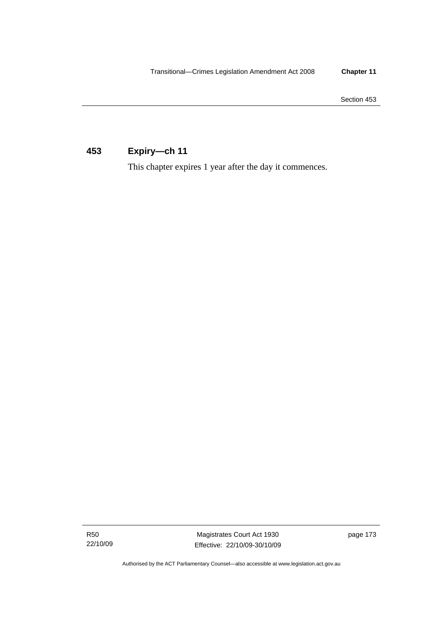Section 453

# **453 Expiry—ch 11**

This chapter expires 1 year after the day it commences.

R50 22/10/09

Magistrates Court Act 1930 Effective: 22/10/09-30/10/09 page 173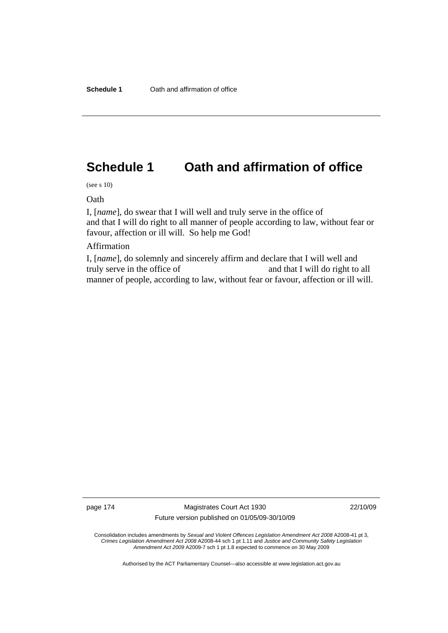# **Schedule 1 Oath and affirmation of office**

(see s 10)

Oath

I, [*name*], do swear that I will well and truly serve in the office of and that I will do right to all manner of people according to law, without fear or favour, affection or ill will. So help me God!

### Affirmation

I, [*name*], do solemnly and sincerely affirm and declare that I will well and truly serve in the office of and that I will do right to all manner of people, according to law, without fear or favour, affection or ill will.

page 174 Magistrates Court Act 1930 Future version published on 01/05/09-30/10/09 22/10/09

Consolidation includes amendments by *Sexual and Violent Offences Legislation Amendment Act 2008* A2008-41 pt 3, *Crimes Legislation Amendment Act 2008* A2008-44 sch 1 pt 1.11 and *Justice and Community Safety Legislation Amendment Act 2009* A2009-7 sch 1 pt 1.8 expected to commence on 30 May 2009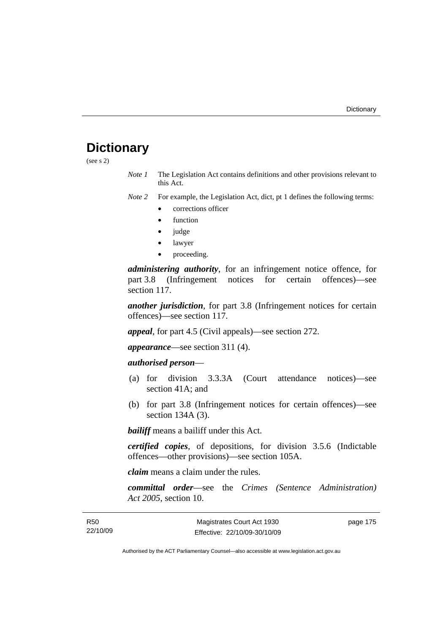# **Dictionary**

(see s 2)

*Note 1* The Legislation Act contains definitions and other provisions relevant to this Act.

*Note 2* For example, the Legislation Act, dict, pt 1 defines the following terms:

- corrections officer
- **function**
- judge
- lawyer
- proceeding.

*administering authority*, for an infringement notice offence, for part 3.8 (Infringement notices for certain offences)—see section 117.

*another jurisdiction*, for part 3.8 (Infringement notices for certain offences)—see section 117.

*appeal*, for part 4.5 (Civil appeals)—see section 272.

*appearance*—see section 311 (4).

# *authorised person*—

- (a) for division 3.3.3A (Court attendance notices)—see section 41A; and
- (b) for part 3.8 (Infringement notices for certain offences)—see section 134A (3).

*bailiff* means a bailiff under this Act.

*certified copies*, of depositions, for division 3.5.6 (Indictable offences—other provisions)—see section 105A.

*claim* means a claim under the rules.

*committal order*—see the *Crimes (Sentence Administration) Act 2005*, section 10.

| R <sub>50</sub> | Magistrates Court Act 1930   | page 175 |
|-----------------|------------------------------|----------|
| 22/10/09        | Effective: 22/10/09-30/10/09 |          |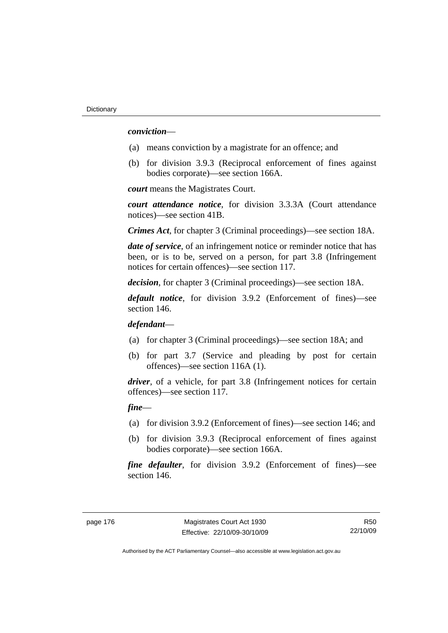### *conviction*—

- (a) means conviction by a magistrate for an offence; and
- (b) for division 3.9.3 (Reciprocal enforcement of fines against bodies corporate)—see section 166A.

*court* means the Magistrates Court.

*court attendance notice*, for division 3.3.3A (Court attendance notices)—see section 41B.

*Crimes Act*, for chapter 3 (Criminal proceedings)—see section 18A.

*date of service*, of an infringement notice or reminder notice that has been, or is to be, served on a person, for part 3.8 (Infringement notices for certain offences)—see section 117.

*decision*, for chapter 3 (Criminal proceedings)—see section 18A.

*default notice*, for division 3.9.2 (Enforcement of fines)—see section 146.

# *defendant*—

- (a) for chapter 3 (Criminal proceedings)—see section 18A; and
- (b) for part 3.7 (Service and pleading by post for certain offences)—see section 116A (1).

*driver*, of a vehicle, for part 3.8 (Infringement notices for certain offences)—see section 117.

# *fine*—

- (a) for division 3.9.2 (Enforcement of fines)—see section 146; and
- (b) for division 3.9.3 (Reciprocal enforcement of fines against bodies corporate)—see section 166A.

*fine defaulter*, for division 3.9.2 (Enforcement of fines)—see section 146.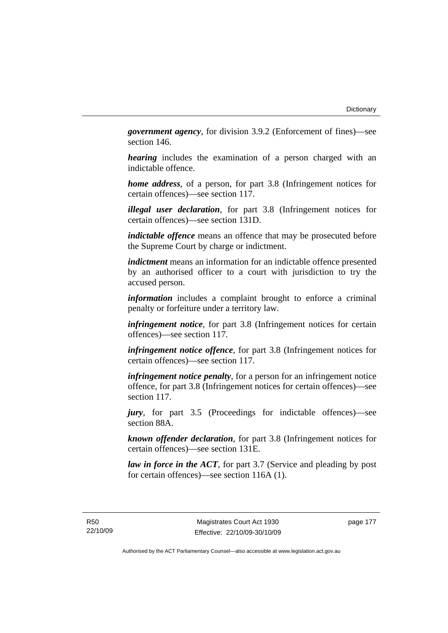*government agency*, for division 3.9.2 (Enforcement of fines)—see section 146.

*hearing* includes the examination of a person charged with an indictable offence.

*home address*, of a person, for part 3.8 (Infringement notices for certain offences)—see section 117.

*illegal user declaration*, for part 3.8 (Infringement notices for certain offences)—see section 131D.

*indictable offence* means an offence that may be prosecuted before the Supreme Court by charge or indictment.

*indictment* means an information for an indictable offence presented by an authorised officer to a court with jurisdiction to try the accused person.

*information* includes a complaint brought to enforce a criminal penalty or forfeiture under a territory law.

*infringement notice*, for part 3.8 (Infringement notices for certain offences)—see section 117.

*infringement notice offence*, for part 3.8 (Infringement notices for certain offences)—see section 117.

*infringement notice penalty*, for a person for an infringement notice offence, for part 3.8 (Infringement notices for certain offences)—see section 117.

*jury*, for part 3.5 (Proceedings for indictable offences)—see section 88A.

*known offender declaration*, for part 3.8 (Infringement notices for certain offences)—see section 131E.

*law in force in the ACT*, for part 3.7 (Service and pleading by post for certain offences)—see section 116A (1).

R50 22/10/09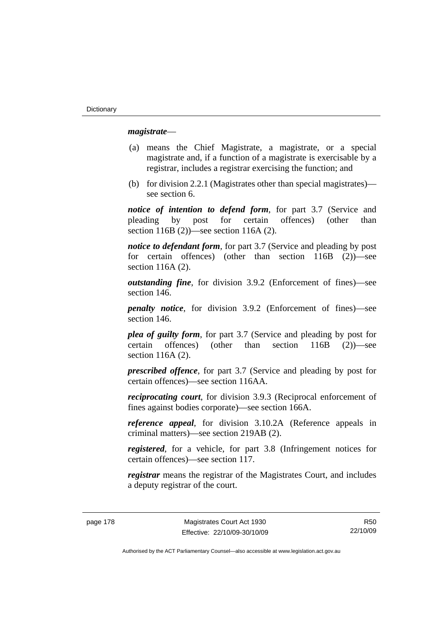# *magistrate*—

- (a) means the Chief Magistrate, a magistrate, or a special magistrate and, if a function of a magistrate is exercisable by a registrar, includes a registrar exercising the function; and
- (b) for division 2.2.1 (Magistrates other than special magistrates) see section 6.

*notice of intention to defend form*, for part 3.7 (Service and pleading by post for certain offences) (other than section 116B (2))—see section 116A (2).

*notice to defendant form*, for part 3.7 (Service and pleading by post for certain offences) (other than section 116B (2))—see section 116A (2).

*outstanding fine*, for division 3.9.2 (Enforcement of fines)—see section 146.

*penalty notice*, for division 3.9.2 (Enforcement of fines)—see section 146.

*plea of guilty form*, for part 3.7 (Service and pleading by post for certain offences) (other than section 116B (2))—see section 116A (2).

*prescribed offence*, for part 3.7 (Service and pleading by post for certain offences)—see section 116AA.

*reciprocating court*, for division 3.9.3 (Reciprocal enforcement of fines against bodies corporate)—see section 166A.

*reference appeal*, for division 3.10.2A (Reference appeals in criminal matters)—see section 219AB (2).

*registered*, for a vehicle, for part 3.8 (Infringement notices for certain offences)—see section 117.

*registrar* means the registrar of the Magistrates Court, and includes a deputy registrar of the court.

page 178 Magistrates Court Act 1930 Effective: 22/10/09-30/10/09

R50 22/10/09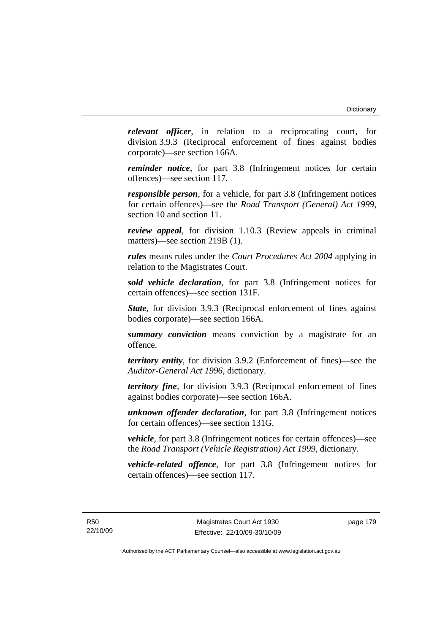*relevant officer*, in relation to a reciprocating court, for division 3.9.3 (Reciprocal enforcement of fines against bodies corporate)—see section 166A.

*reminder notice*, for part 3.8 (Infringement notices for certain offences)—see section 117.

*responsible person*, for a vehicle, for part 3.8 (Infringement notices for certain offences)—see the *Road Transport (General) Act 1999*, section 10 and section 11.

*review appeal*, for division 1.10.3 (Review appeals in criminal matters)—see section 219B (1).

*rules* means rules under the *Court Procedures Act 2004* applying in relation to the Magistrates Court.

*sold vehicle declaration*, for part 3.8 (Infringement notices for certain offences)—see section 131F.

*State*, for division 3.9.3 (Reciprocal enforcement of fines against bodies corporate)—see section 166A.

*summary conviction* means conviction by a magistrate for an offence.

*territory entity*, for division 3.9.2 (Enforcement of fines)—see the *Auditor-General Act 1996*, dictionary.

*territory fine*, for division 3.9.3 (Reciprocal enforcement of fines against bodies corporate)—see section 166A.

*unknown offender declaration*, for part 3.8 (Infringement notices for certain offences)—see section 131G.

*vehicle*, for part 3.8 (Infringement notices for certain offences)—see the *Road Transport (Vehicle Registration) Act 1999*, dictionary.

*vehicle-related offence*, for part 3.8 (Infringement notices for certain offences)—see section 117.

R50 22/10/09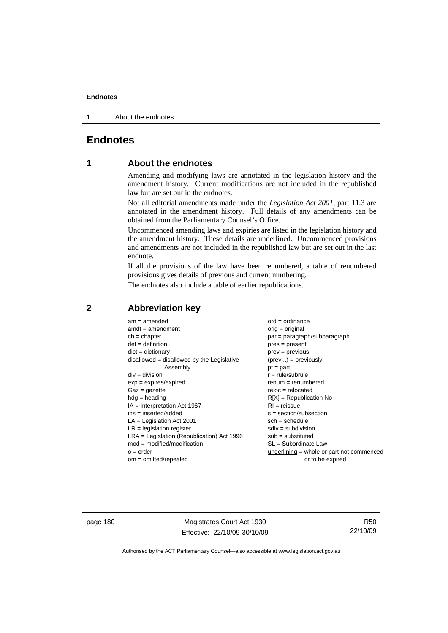1 About the endnotes

# **Endnotes**

# **1 About the endnotes**

Amending and modifying laws are annotated in the legislation history and the amendment history. Current modifications are not included in the republished law but are set out in the endnotes.

Not all editorial amendments made under the *Legislation Act 2001*, part 11.3 are annotated in the amendment history. Full details of any amendments can be obtained from the Parliamentary Counsel's Office.

Uncommenced amending laws and expiries are listed in the legislation history and the amendment history. These details are underlined. Uncommenced provisions and amendments are not included in the republished law but are set out in the last endnote.

If all the provisions of the law have been renumbered, a table of renumbered provisions gives details of previous and current numbering.

The endnotes also include a table of earlier republications.

| $am = amended$                               | $ord = ordinance$                         |
|----------------------------------------------|-------------------------------------------|
| $amdt = amendment$                           | orig = original                           |
| $ch = chapter$                               | par = paragraph/subparagraph              |
| $def = definition$                           | $pres = present$                          |
| $dict = dictionary$                          | $prev = previous$                         |
| $disallowed = disallowed by the Legislative$ | $(\text{prev}) = \text{previously}$       |
| Assembly                                     | $pt = part$                               |
| $div = division$                             | $r = rule/subrule$                        |
| $exp = expires/expired$                      | $renum = renumbered$                      |
| $Gaz = gazette$                              | $reloc = relocated$                       |
| $hdg =$ heading                              | $R[X]$ = Republication No                 |
| $IA = Interpretation Act 1967$               | $RI = reissue$                            |
| $ins = inserted/added$                       | $s = section/subsection$                  |
| $LA =$ Legislation Act 2001                  | $sch = schedule$                          |
| $LR =$ legislation register                  | $sdiv = subdivision$                      |
| $LRA =$ Legislation (Republication) Act 1996 | $sub = substituted$                       |
| $mod = modified/modification$                | SL = Subordinate Law                      |
| $o = order$                                  | underlining = whole or part not commenced |
| $om = omitted/repealed$                      | or to be expired                          |
|                                              |                                           |

# **2 Abbreviation key**

page 180 Magistrates Court Act 1930 Effective: 22/10/09-30/10/09

R50 22/10/09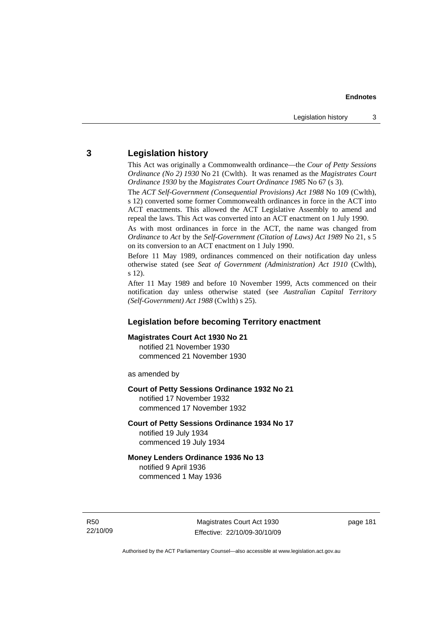# **3 Legislation history**

This Act was originally a Commonwealth ordinance—the *Cour of Petty Sessions Ordinance (No 2) 1930* No 21 (Cwlth). It was renamed as the *Magistrates Court Ordinance 1930* by the *Magistrates Court Ordinance 1985* No 67 (s 3).

The *ACT Self-Government (Consequential Provisions) Act 1988* No 109 (Cwlth), s 12) converted some former Commonwealth ordinances in force in the ACT into ACT enactments. This allowed the ACT Legislative Assembly to amend and repeal the laws. This Act was converted into an ACT enactment on 1 July 1990.

As with most ordinances in force in the ACT, the name was changed from *Ordinance* to *Act* by the *Self-Government (Citation of Laws) Act 1989* No 21, s 5 on its conversion to an ACT enactment on 1 July 1990.

Before 11 May 1989, ordinances commenced on their notification day unless otherwise stated (see *Seat of Government (Administration) Act 1910* (Cwlth), s 12).

After 11 May 1989 and before 10 November 1999, Acts commenced on their notification day unless otherwise stated (see *Australian Capital Territory (Self-Government) Act 1988* (Cwlth) s 25).

# **Legislation before becoming Territory enactment**

### **Magistrates Court Act 1930 No 21**

notified 21 November 1930 commenced 21 November 1930

as amended by

#### **Court of Petty Sessions Ordinance 1932 No 21**

notified 17 November 1932 commenced 17 November 1932

#### **Court of Petty Sessions Ordinance 1934 No 17**

notified 19 July 1934 commenced 19 July 1934

# **Money Lenders Ordinance 1936 No 13**  notified 9 April 1936

commenced 1 May 1936

R50 22/10/09

Magistrates Court Act 1930 Effective: 22/10/09-30/10/09 page 181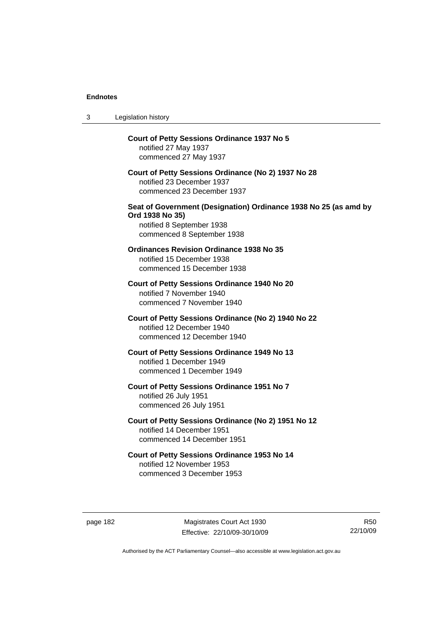| 3 | Legislation history                                                                                                                            |
|---|------------------------------------------------------------------------------------------------------------------------------------------------|
|   | <b>Court of Petty Sessions Ordinance 1937 No 5</b><br>notified 27 May 1937<br>commenced 27 May 1937                                            |
|   | Court of Petty Sessions Ordinance (No 2) 1937 No 28<br>notified 23 December 1937<br>commenced 23 December 1937                                 |
|   | Seat of Government (Designation) Ordinance 1938 No 25 (as amd by<br>Ord 1938 No 35)<br>notified 8 September 1938<br>commenced 8 September 1938 |
|   | <b>Ordinances Revision Ordinance 1938 No 35</b><br>notified 15 December 1938<br>commenced 15 December 1938                                     |
|   | Court of Petty Sessions Ordinance 1940 No 20<br>notified 7 November 1940<br>commenced 7 November 1940                                          |
|   | Court of Petty Sessions Ordinance (No 2) 1940 No 22<br>notified 12 December 1940<br>commenced 12 December 1940                                 |
|   | Court of Petty Sessions Ordinance 1949 No 13<br>notified 1 December 1949<br>commenced 1 December 1949                                          |
|   | Court of Petty Sessions Ordinance 1951 No 7<br>notified 26 July 1951<br>commenced 26 July 1951                                                 |
|   | Court of Petty Sessions Ordinance (No 2) 1951 No 12<br>notified 14 December 1951<br>commenced 14 December 1951                                 |
|   | Court of Petty Sessions Ordinance 1953 No 14<br>notified 12 November 1953<br>commenced 3 December 1953                                         |

page 182 Magistrates Court Act 1930 Effective: 22/10/09-30/10/09

R50 22/10/09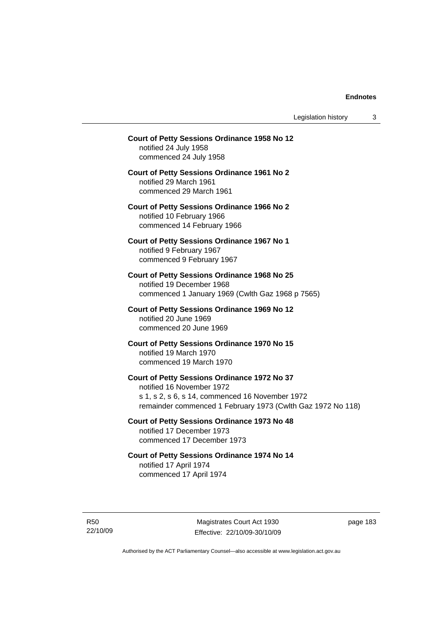Legislation history 3

# **Court of Petty Sessions Ordinance 1958 No 12**  notified 24 July 1958 commenced 24 July 1958 **Court of Petty Sessions Ordinance 1961 No 2**  notified 29 March 1961 commenced 29 March 1961 **Court of Petty Sessions Ordinance 1966 No 2**  notified 10 February 1966 commenced 14 February 1966 **Court of Petty Sessions Ordinance 1967 No 1**  notified 9 February 1967 commenced 9 February 1967 **Court of Petty Sessions Ordinance 1968 No 25**  notified 19 December 1968 commenced 1 January 1969 (Cwlth Gaz 1968 p 7565) **Court of Petty Sessions Ordinance 1969 No 12**  notified 20 June 1969 commenced 20 June 1969 **Court of Petty Sessions Ordinance 1970 No 15**  notified 19 March 1970 commenced 19 March 1970 **Court of Petty Sessions Ordinance 1972 No 37**  notified 16 November 1972 s 1, s 2, s 6, s 14, commenced 16 November 1972 remainder commenced 1 February 1973 (Cwlth Gaz 1972 No 118) **Court of Petty Sessions Ordinance 1973 No 48**  notified 17 December 1973 commenced 17 December 1973 **Court of Petty Sessions Ordinance 1974 No 14**  notified 17 April 1974 commenced 17 April 1974

R50

22/10/09

Magistrates Court Act 1930 Effective: 22/10/09-30/10/09 page 183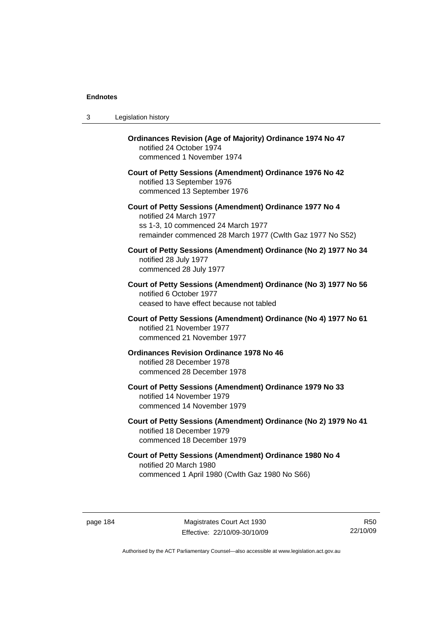| 3 | Legislation history                                                                                                                                                                  |
|---|--------------------------------------------------------------------------------------------------------------------------------------------------------------------------------------|
|   | <b>Ordinances Revision (Age of Majority) Ordinance 1974 No 47</b><br>notified 24 October 1974<br>commenced 1 November 1974                                                           |
|   | Court of Petty Sessions (Amendment) Ordinance 1976 No 42<br>notified 13 September 1976<br>commenced 13 September 1976                                                                |
|   | Court of Petty Sessions (Amendment) Ordinance 1977 No 4<br>notified 24 March 1977<br>ss 1-3, 10 commenced 24 March 1977<br>remainder commenced 28 March 1977 (Cwlth Gaz 1977 No S52) |
|   | Court of Petty Sessions (Amendment) Ordinance (No 2) 1977 No 34<br>notified 28 July 1977<br>commenced 28 July 1977                                                                   |
|   | Court of Petty Sessions (Amendment) Ordinance (No 3) 1977 No 56<br>notified 6 October 1977<br>ceased to have effect because not tabled                                               |
|   | Court of Petty Sessions (Amendment) Ordinance (No 4) 1977 No 61<br>notified 21 November 1977<br>commenced 21 November 1977                                                           |
|   | <b>Ordinances Revision Ordinance 1978 No 46</b><br>notified 28 December 1978<br>commenced 28 December 1978                                                                           |
|   | Court of Petty Sessions (Amendment) Ordinance 1979 No 33<br>notified 14 November 1979<br>commenced 14 November 1979                                                                  |
|   | Court of Petty Sessions (Amendment) Ordinance (No 2) 1979 No 41<br>notified 18 December 1979<br>commenced 18 December 1979                                                           |
|   | Court of Petty Sessions (Amendment) Ordinance 1980 No 4<br>notified 20 March 1980<br>commenced 1 April 1980 (Cwlth Gaz 1980 No S66)                                                  |

page 184 Magistrates Court Act 1930 Effective: 22/10/09-30/10/09

R50 22/10/09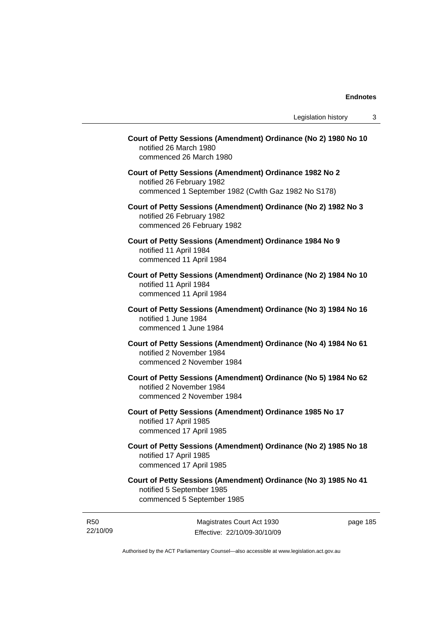| Court of Petty Sessions (Amendment) Ordinance (No 2) 1980 No 10<br>notified 26 March 1980<br>commenced 26 March 1980                        |
|---------------------------------------------------------------------------------------------------------------------------------------------|
| Court of Petty Sessions (Amendment) Ordinance 1982 No 2<br>notified 26 February 1982<br>commenced 1 September 1982 (Cwlth Gaz 1982 No S178) |
| Court of Petty Sessions (Amendment) Ordinance (No 2) 1982 No 3<br>notified 26 February 1982<br>commenced 26 February 1982                   |
| Court of Petty Sessions (Amendment) Ordinance 1984 No 9<br>notified 11 April 1984<br>commenced 11 April 1984                                |
| Court of Petty Sessions (Amendment) Ordinance (No 2) 1984 No 10<br>notified 11 April 1984<br>commenced 11 April 1984                        |
| Court of Petty Sessions (Amendment) Ordinance (No 3) 1984 No 16<br>notified 1 June 1984<br>commenced 1 June 1984                            |
| Court of Petty Sessions (Amendment) Ordinance (No 4) 1984 No 61<br>notified 2 November 1984<br>commenced 2 November 1984                    |
| Court of Petty Sessions (Amendment) Ordinance (No 5) 1984 No 62<br>notified 2 November 1984<br>commenced 2 November 1984                    |
| Court of Petty Sessions (Amendment) Ordinance 1985 No 17<br>notified 17 April 1985<br>commenced 17 April 1985                               |
| Court of Petty Sessions (Amendment) Ordinance (No 2) 1985 No 18<br>notified 17 April 1985<br>commenced 17 April 1985                        |
| Court of Petty Sessions (Amendment) Ordinance (No 3) 1985 No 41<br>notified 5 September 1985<br>commenced 5 September 1985                  |

R50 22/10/09

Magistrates Court Act 1930 Effective: 22/10/09-30/10/09 page 185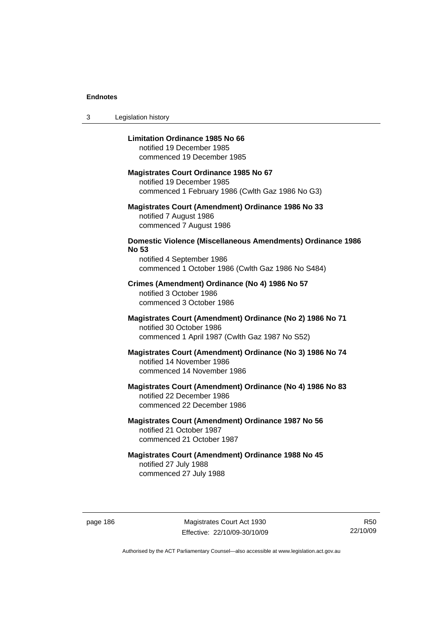3 Legislation history

# **Limitation Ordinance 1985 No 66**

notified 19 December 1985 commenced 19 December 1985

# **Magistrates Court Ordinance 1985 No 67**

notified 19 December 1985 commenced 1 February 1986 (Cwlth Gaz 1986 No G3)

# **Magistrates Court (Amendment) Ordinance 1986 No 33**  notified 7 August 1986 commenced 7 August 1986

# **Domestic Violence (Miscellaneous Amendments) Ordinance 1986 No 53**

notified 4 September 1986 commenced 1 October 1986 (Cwlth Gaz 1986 No S484)

# **Crimes (Amendment) Ordinance (No 4) 1986 No 57**  notified 3 October 1986 commenced 3 October 1986

# **Magistrates Court (Amendment) Ordinance (No 2) 1986 No 71**  notified 30 October 1986 commenced 1 April 1987 (Cwlth Gaz 1987 No S52)

# **Magistrates Court (Amendment) Ordinance (No 3) 1986 No 74**  notified 14 November 1986 commenced 14 November 1986

# **Magistrates Court (Amendment) Ordinance (No 4) 1986 No 83**  notified 22 December 1986 commenced 22 December 1986

# **Magistrates Court (Amendment) Ordinance 1987 No 56**  notified 21 October 1987 commenced 21 October 1987

# **Magistrates Court (Amendment) Ordinance 1988 No 45**  notified 27 July 1988 commenced 27 July 1988

page 186 Magistrates Court Act 1930 Effective: 22/10/09-30/10/09

R50 22/10/09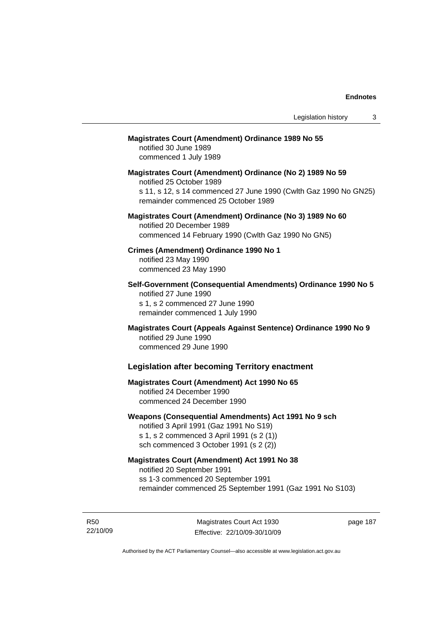# **Magistrates Court (Amendment) Ordinance 1989 No 55**

notified 30 June 1989 commenced 1 July 1989

**Magistrates Court (Amendment) Ordinance (No 2) 1989 No 59**  notified 25 October 1989 s 11, s 12, s 14 commenced 27 June 1990 (Cwlth Gaz 1990 No GN25) remainder commenced 25 October 1989

# **Magistrates Court (Amendment) Ordinance (No 3) 1989 No 60**  notified 20 December 1989 commenced 14 February 1990 (Cwlth Gaz 1990 No GN5)

**Crimes (Amendment) Ordinance 1990 No 1**  notified 23 May 1990

commenced 23 May 1990

**Self-Government (Consequential Amendments) Ordinance 1990 No 5**  notified 27 June 1990 s 1, s 2 commenced 27 June 1990 remainder commenced 1 July 1990

**Magistrates Court (Appeals Against Sentence) Ordinance 1990 No 9**  notified 29 June 1990 commenced 29 June 1990

# **Legislation after becoming Territory enactment**

# **Magistrates Court (Amendment) Act 1990 No 65**  notified 24 December 1990 commenced 24 December 1990

# **Weapons (Consequential Amendments) Act 1991 No 9 sch**

notified 3 April 1991 (Gaz 1991 No S19) s 1, s 2 commenced 3 April 1991 (s 2 (1)) sch commenced 3 October 1991 (s 2 (2))

# **Magistrates Court (Amendment) Act 1991 No 38**

notified 20 September 1991 ss 1-3 commenced 20 September 1991 remainder commenced 25 September 1991 (Gaz 1991 No S103)

R50 22/10/09

Magistrates Court Act 1930 Effective: 22/10/09-30/10/09 page 187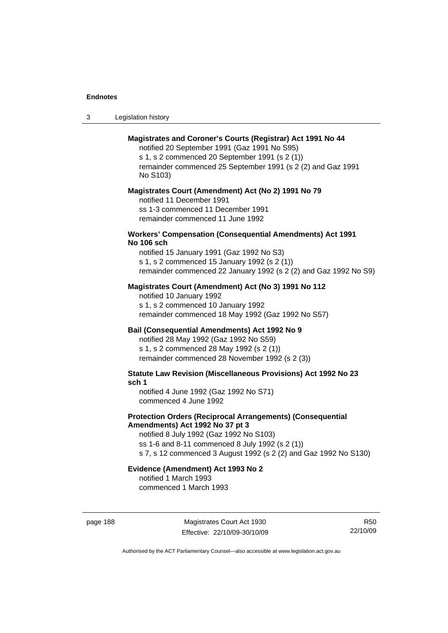| -3 | Legislation history |  |
|----|---------------------|--|
|----|---------------------|--|

# **Magistrates and Coroner's Courts (Registrar) Act 1991 No 44**

notified 20 September 1991 (Gaz 1991 No S95) s 1, s 2 commenced 20 September 1991 (s 2 (1)) remainder commenced 25 September 1991 (s 2 (2) and Gaz 1991 No S103)

#### **Magistrates Court (Amendment) Act (No 2) 1991 No 79**

notified 11 December 1991 ss 1-3 commenced 11 December 1991 remainder commenced 11 June 1992

### **Workers' Compensation (Consequential Amendments) Act 1991 No 106 sch**

notified 15 January 1991 (Gaz 1992 No S3) s 1, s 2 commenced 15 January 1992 (s 2 (1)) remainder commenced 22 January 1992 (s 2 (2) and Gaz 1992 No S9)

# **Magistrates Court (Amendment) Act (No 3) 1991 No 112**

notified 10 January 1992 s 1, s 2 commenced 10 January 1992 remainder commenced 18 May 1992 (Gaz 1992 No S57)

# **Bail (Consequential Amendments) Act 1992 No 9**

notified 28 May 1992 (Gaz 1992 No S59) s 1, s 2 commenced 28 May 1992 (s 2 (1)) remainder commenced 28 November 1992 (s 2 (3))

**Statute Law Revision (Miscellaneous Provisions) Act 1992 No 23 sch 1** 

notified 4 June 1992 (Gaz 1992 No S71) commenced 4 June 1992

# **Protection Orders (Reciprocal Arrangements) (Consequential Amendments) Act 1992 No 37 pt 3**

notified 8 July 1992 (Gaz 1992 No S103) ss 1-6 and 8-11 commenced 8 July 1992 (s 2 (1)) s 7, s 12 commenced 3 August 1992 (s 2 (2) and Gaz 1992 No S130)

# **Evidence (Amendment) Act 1993 No 2**

notified 1 March 1993 commenced 1 March 1993

page 188 Magistrates Court Act 1930 Effective: 22/10/09-30/10/09

R50 22/10/09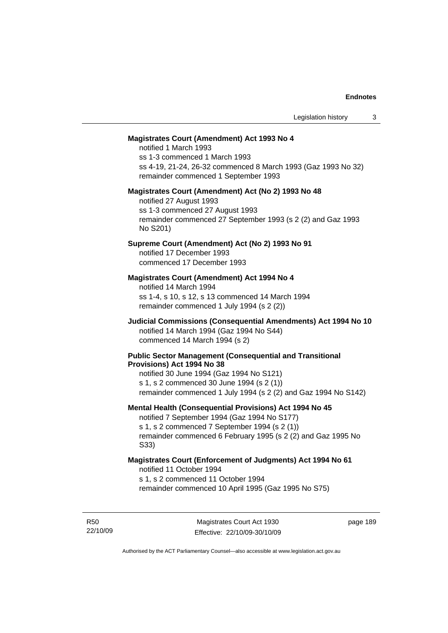### **Magistrates Court (Amendment) Act 1993 No 4**

notified 1 March 1993 ss 1-3 commenced 1 March 1993 ss 4-19, 21-24, 26-32 commenced 8 March 1993 (Gaz 1993 No 32) remainder commenced 1 September 1993

#### **Magistrates Court (Amendment) Act (No 2) 1993 No 48**

notified 27 August 1993 ss 1-3 commenced 27 August 1993 remainder commenced 27 September 1993 (s 2 (2) and Gaz 1993 No S201)

# **Supreme Court (Amendment) Act (No 2) 1993 No 91**

notified 17 December 1993 commenced 17 December 1993

# **Magistrates Court (Amendment) Act 1994 No 4**

notified 14 March 1994 ss 1-4, s 10, s 12, s 13 commenced 14 March 1994 remainder commenced 1 July 1994 (s 2 (2))

# **Judicial Commissions (Consequential Amendments) Act 1994 No 10**  notified 14 March 1994 (Gaz 1994 No S44) commenced 14 March 1994 (s 2)

#### **Public Sector Management (Consequential and Transitional Provisions) Act 1994 No 38**

notified 30 June 1994 (Gaz 1994 No S121) s 1, s 2 commenced 30 June 1994 (s 2 (1)) remainder commenced 1 July 1994 (s 2 (2) and Gaz 1994 No S142)

#### **Mental Health (Consequential Provisions) Act 1994 No 45**

notified 7 September 1994 (Gaz 1994 No S177) s 1, s 2 commenced 7 September 1994 (s 2 (1)) remainder commenced 6 February 1995 (s 2 (2) and Gaz 1995 No S33)

### **Magistrates Court (Enforcement of Judgments) Act 1994 No 61**  notified 11 October 1994

s 1, s 2 commenced 11 October 1994

remainder commenced 10 April 1995 (Gaz 1995 No S75)

R50 22/10/09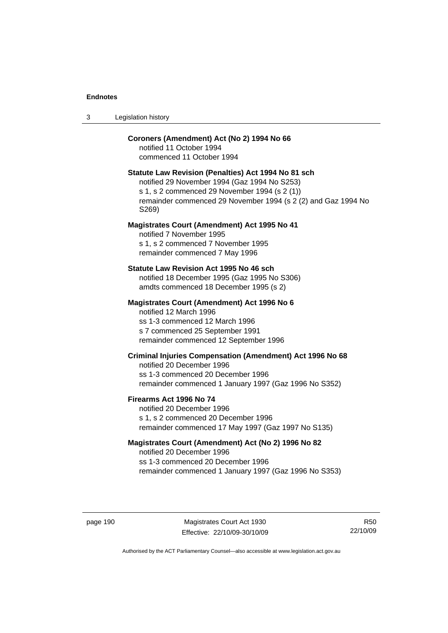| -3 | Legislation history |  |
|----|---------------------|--|
|----|---------------------|--|

# **Coroners (Amendment) Act (No 2) 1994 No 66**

notified 11 October 1994 commenced 11 October 1994

# **Statute Law Revision (Penalties) Act 1994 No 81 sch**

notified 29 November 1994 (Gaz 1994 No S253) s 1, s 2 commenced 29 November 1994 (s 2 (1)) remainder commenced 29 November 1994 (s 2 (2) and Gaz 1994 No S269)

### **Magistrates Court (Amendment) Act 1995 No 41**

notified 7 November 1995 s 1, s 2 commenced 7 November 1995 remainder commenced 7 May 1996

#### **Statute Law Revision Act 1995 No 46 sch**

notified 18 December 1995 (Gaz 1995 No S306) amdts commenced 18 December 1995 (s 2)

### **Magistrates Court (Amendment) Act 1996 No 6**

notified 12 March 1996 ss 1-3 commenced 12 March 1996 s 7 commenced 25 September 1991 remainder commenced 12 September 1996

# **Criminal Injuries Compensation (Amendment) Act 1996 No 68**

notified 20 December 1996 ss 1-3 commenced 20 December 1996 remainder commenced 1 January 1997 (Gaz 1996 No S352)

#### **Firearms Act 1996 No 74**

notified 20 December 1996 s 1, s 2 commenced 20 December 1996 remainder commenced 17 May 1997 (Gaz 1997 No S135)

# **Magistrates Court (Amendment) Act (No 2) 1996 No 82**

notified 20 December 1996 ss 1-3 commenced 20 December 1996 remainder commenced 1 January 1997 (Gaz 1996 No S353)

page 190 Magistrates Court Act 1930 Effective: 22/10/09-30/10/09

R50 22/10/09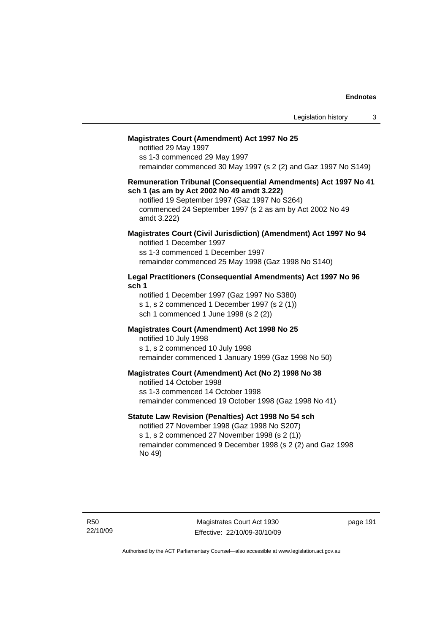### **Magistrates Court (Amendment) Act 1997 No 25**

notified 29 May 1997 ss 1-3 commenced 29 May 1997 remainder commenced 30 May 1997 (s 2 (2) and Gaz 1997 No S149)

#### **Remuneration Tribunal (Consequential Amendments) Act 1997 No 41 sch 1 (as am by Act 2002 No 49 amdt 3.222)**

notified 19 September 1997 (Gaz 1997 No S264) commenced 24 September 1997 (s 2 as am by Act 2002 No 49 amdt 3.222)

# **Magistrates Court (Civil Jurisdiction) (Amendment) Act 1997 No 94**

notified 1 December 1997 ss 1-3 commenced 1 December 1997 remainder commenced 25 May 1998 (Gaz 1998 No S140)

## **Legal Practitioners (Consequential Amendments) Act 1997 No 96 sch 1**

notified 1 December 1997 (Gaz 1997 No S380) s 1, s 2 commenced 1 December 1997 (s 2 (1)) sch 1 commenced 1 June 1998 (s 2 (2))

# **Magistrates Court (Amendment) Act 1998 No 25**

notified 10 July 1998 s 1, s 2 commenced 10 July 1998 remainder commenced 1 January 1999 (Gaz 1998 No 50)

#### **Magistrates Court (Amendment) Act (No 2) 1998 No 38**

notified 14 October 1998 ss 1-3 commenced 14 October 1998 remainder commenced 19 October 1998 (Gaz 1998 No 41)

# **Statute Law Revision (Penalties) Act 1998 No 54 sch**

notified 27 November 1998 (Gaz 1998 No S207) s 1, s 2 commenced 27 November 1998 (s 2 (1)) remainder commenced 9 December 1998 (s 2 (2) and Gaz 1998 No 49)

Magistrates Court Act 1930 Effective: 22/10/09-30/10/09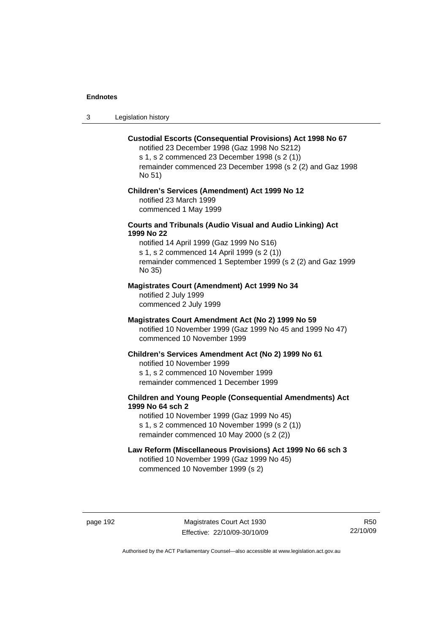3 Legislation history

### **Custodial Escorts (Consequential Provisions) Act 1998 No 67**

notified 23 December 1998 (Gaz 1998 No S212) s 1, s 2 commenced 23 December 1998 (s 2 (1)) remainder commenced 23 December 1998 (s 2 (2) and Gaz 1998 No 51)

# **Children's Services (Amendment) Act 1999 No 12**  notified 23 March 1999

commenced 1 May 1999

# **Courts and Tribunals (Audio Visual and Audio Linking) Act 1999 No 22**

notified 14 April 1999 (Gaz 1999 No S16) s 1, s 2 commenced 14 April 1999 (s 2 (1)) remainder commenced 1 September 1999 (s 2 (2) and Gaz 1999 No 35)

# **Magistrates Court (Amendment) Act 1999 No 34**

notified 2 July 1999 commenced 2 July 1999

### **Magistrates Court Amendment Act (No 2) 1999 No 59**

notified 10 November 1999 (Gaz 1999 No 45 and 1999 No 47) commenced 10 November 1999

#### **Children's Services Amendment Act (No 2) 1999 No 61**

notified 10 November 1999 s 1, s 2 commenced 10 November 1999 remainder commenced 1 December 1999

# **Children and Young People (Consequential Amendments) Act 1999 No 64 sch 2**

notified 10 November 1999 (Gaz 1999 No 45) s 1, s 2 commenced 10 November 1999 (s 2 (1)) remainder commenced 10 May 2000 (s 2 (2))

# **Law Reform (Miscellaneous Provisions) Act 1999 No 66 sch 3**

notified 10 November 1999 (Gaz 1999 No 45) commenced 10 November 1999 (s 2)

page 192 Magistrates Court Act 1930 Effective: 22/10/09-30/10/09

R50 22/10/09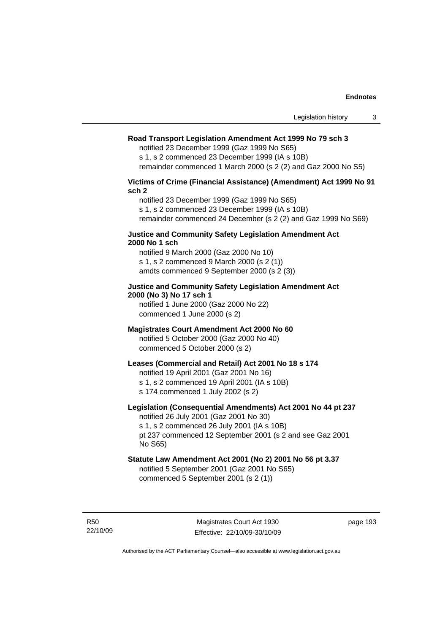# **Road Transport Legislation Amendment Act 1999 No 79 sch 3**

notified 23 December 1999 (Gaz 1999 No S65)

s 1, s 2 commenced 23 December 1999 (IA s 10B) remainder commenced 1 March 2000 (s 2 (2) and Gaz 2000 No S5)

# **Victims of Crime (Financial Assistance) (Amendment) Act 1999 No 91 sch 2**

notified 23 December 1999 (Gaz 1999 No S65) s 1, s 2 commenced 23 December 1999 (IA s 10B) remainder commenced 24 December (s 2 (2) and Gaz 1999 No S69)

### **Justice and Community Safety Legislation Amendment Act 2000 No 1 sch**

notified 9 March 2000 (Gaz 2000 No 10) s 1, s 2 commenced 9 March 2000 (s 2 (1)) amdts commenced 9 September 2000 (s 2 (3))

# **Justice and Community Safety Legislation Amendment Act 2000 (No 3) No 17 sch 1**

notified 1 June 2000 (Gaz 2000 No 22) commenced 1 June 2000 (s 2)

# **Magistrates Court Amendment Act 2000 No 60**

notified 5 October 2000 (Gaz 2000 No 40) commenced 5 October 2000 (s 2)

### **Leases (Commercial and Retail) Act 2001 No 18 s 174**

notified 19 April 2001 (Gaz 2001 No 16)

s 1, s 2 commenced 19 April 2001 (IA s 10B)

s 174 commenced 1 July 2002 (s 2)

# **Legislation (Consequential Amendments) Act 2001 No 44 pt 237**

notified 26 July 2001 (Gaz 2001 No 30) s 1, s 2 commenced 26 July 2001 (IA s 10B) pt 237 commenced 12 September 2001 (s 2 and see Gaz 2001

No S65)

# **Statute Law Amendment Act 2001 (No 2) 2001 No 56 pt 3.37**

notified 5 September 2001 (Gaz 2001 No S65) commenced 5 September 2001 (s 2 (1))

R50 22/10/09

Magistrates Court Act 1930 Effective: 22/10/09-30/10/09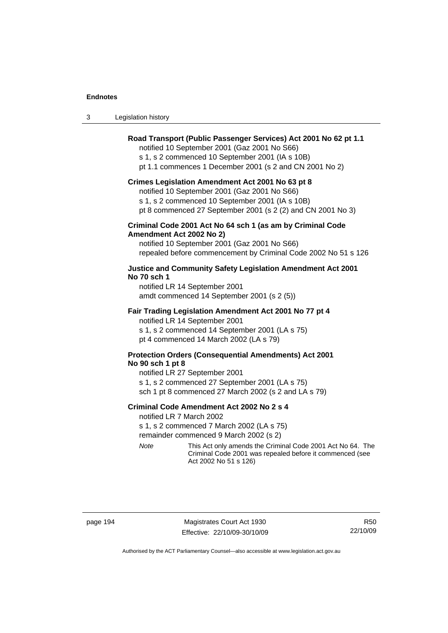| $\sqrt{2}$<br>- 3 | Legislation history |  |
|-------------------|---------------------|--|
|-------------------|---------------------|--|

# **Road Transport (Public Passenger Services) Act 2001 No 62 pt 1.1**

notified 10 September 2001 (Gaz 2001 No S66)

s 1, s 2 commenced 10 September 2001 (IA s 10B)

pt 1.1 commences 1 December 2001 (s 2 and CN 2001 No 2)

#### **Crimes Legislation Amendment Act 2001 No 63 pt 8**

notified 10 September 2001 (Gaz 2001 No S66)

s 1, s 2 commenced 10 September 2001 (IA s 10B)

pt 8 commenced 27 September 2001 (s 2 (2) and CN 2001 No 3)

# **Criminal Code 2001 Act No 64 sch 1 (as am by Criminal Code Amendment Act 2002 No 2)**

notified 10 September 2001 (Gaz 2001 No S66) repealed before commencement by Criminal Code 2002 No 51 s 126

# **Justice and Community Safety Legislation Amendment Act 2001 No 70 sch 1**

notified LR 14 September 2001 amdt commenced 14 September 2001 (s 2 (5))

### **Fair Trading Legislation Amendment Act 2001 No 77 pt 4**

notified LR 14 September 2001 s 1, s 2 commenced 14 September 2001 (LA s 75) pt 4 commenced 14 March 2002 (LA s 79)

# **Protection Orders (Consequential Amendments) Act 2001 No 90 sch 1 pt 8**

notified LR 27 September 2001 s 1, s 2 commenced 27 September 2001 (LA s 75) sch 1 pt 8 commenced 27 March 2002 (s 2 and LA s 79)

# **Criminal Code Amendment Act 2002 No 2 s 4**

notified LR 7 March 2002

s 1, s 2 commenced 7 March 2002 (LA s 75)

remainder commenced 9 March 2002 (s 2)

*Note* This Act only amends the Criminal Code 2001 Act No 64. The Criminal Code 2001 was repealed before it commenced (see Act 2002 No 51 s 126)

page 194 Magistrates Court Act 1930 Effective: 22/10/09-30/10/09

R50 22/10/09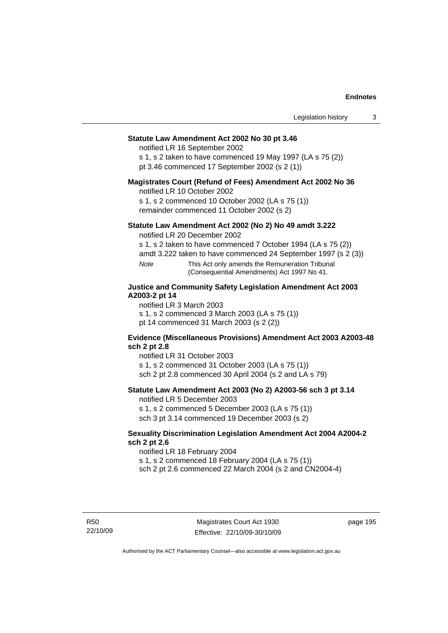### **Statute Law Amendment Act 2002 No 30 pt 3.46**

notified LR 16 September 2002

s 1, s 2 taken to have commenced 19 May 1997 (LA s 75 (2)) pt 3.46 commenced 17 September 2002 (s 2 (1))

# **Magistrates Court (Refund of Fees) Amendment Act 2002 No 36**

notified LR 10 October 2002

s 1, s 2 commenced 10 October 2002 (LA s 75 (1)) remainder commenced 11 October 2002 (s 2)

# **Statute Law Amendment Act 2002 (No 2) No 49 amdt 3.222**

notified LR 20 December 2002

s 1, s 2 taken to have commenced 7 October 1994 (LA s 75 (2))

amdt 3.222 taken to have commenced 24 September 1997 (s 2 (3))

*Note* This Act only amends the Remuneration Tribunal (Consequential Amendments) Act 1997 No 41.

# **Justice and Community Safety Legislation Amendment Act 2003 A2003-2 pt 14**

notified LR 3 March 2003

s 1, s 2 commenced 3 March 2003 (LA s 75 (1))

pt 14 commenced 31 March 2003 (s 2 (2))

### **Evidence (Miscellaneous Provisions) Amendment Act 2003 A2003-48 sch 2 pt 2.8**

notified LR 31 October 2003

s 1, s 2 commenced 31 October 2003 (LA s 75 (1))

sch 2 pt 2.8 commenced 30 April 2004 (s 2 and LA s 79)

# **Statute Law Amendment Act 2003 (No 2) A2003-56 sch 3 pt 3.14**

notified LR 5 December 2003

s 1, s 2 commenced 5 December 2003 (LA s 75 (1)) sch 3 pt 3.14 commenced 19 December 2003 (s 2)

## **Sexuality Discrimination Legislation Amendment Act 2004 A2004-2 sch 2 pt 2.6**

notified LR 18 February 2004

s 1, s 2 commenced 18 February 2004 (LA s 75 (1))

sch 2 pt 2.6 commenced 22 March 2004 (s 2 and CN2004-4)

R50 22/10/09

Magistrates Court Act 1930 Effective: 22/10/09-30/10/09 page 195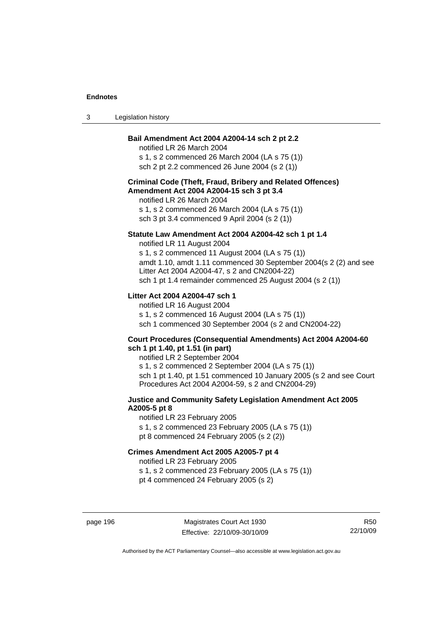| Legislation history<br>-3 |  |
|---------------------------|--|
|---------------------------|--|

# **Bail Amendment Act 2004 A2004-14 sch 2 pt 2.2**

notified LR 26 March 2004 s 1, s 2 commenced 26 March 2004 (LA s 75 (1)) sch 2 pt 2.2 commenced 26 June 2004 (s 2 (1))

# **Criminal Code (Theft, Fraud, Bribery and Related Offences) Amendment Act 2004 A2004-15 sch 3 pt 3.4**

notified LR 26 March 2004 s 1, s 2 commenced 26 March 2004 (LA s 75 (1)) sch 3 pt 3.4 commenced 9 April 2004 (s 2 (1))

### **Statute Law Amendment Act 2004 A2004-42 sch 1 pt 1.4**

notified LR 11 August 2004 s 1, s 2 commenced 11 August 2004 (LA s 75 (1)) amdt 1.10, amdt 1.11 commenced 30 September 2004(s 2 (2) and see Litter Act 2004 A2004-47, s 2 and CN2004-22) sch 1 pt 1.4 remainder commenced 25 August 2004 (s 2 (1))

# **Litter Act 2004 A2004-47 sch 1**

notified LR 16 August 2004 s 1, s 2 commenced 16 August 2004 (LA s 75 (1)) sch 1 commenced 30 September 2004 (s 2 and CN2004-22)

#### **Court Procedures (Consequential Amendments) Act 2004 A2004-60 sch 1 pt 1.40, pt 1.51 (in part)**

notified LR 2 September 2004 s 1, s 2 commenced 2 September 2004 (LA s 75 (1)) sch 1 pt 1.40, pt 1.51 commenced 10 January 2005 (s 2 and see Court Procedures Act 2004 A2004-59, s 2 and CN2004-29)

# **Justice and Community Safety Legislation Amendment Act 2005 A2005-5 pt 8**

notified LR 23 February 2005 s 1, s 2 commenced 23 February 2005 (LA s 75 (1)) pt 8 commenced 24 February 2005 (s 2 (2))

# **Crimes Amendment Act 2005 A2005-7 pt 4**

notified LR 23 February 2005

s 1, s 2 commenced 23 February 2005 (LA s 75 (1))

pt 4 commenced 24 February 2005 (s 2)

page 196 Magistrates Court Act 1930 Effective: 22/10/09-30/10/09

R50 22/10/09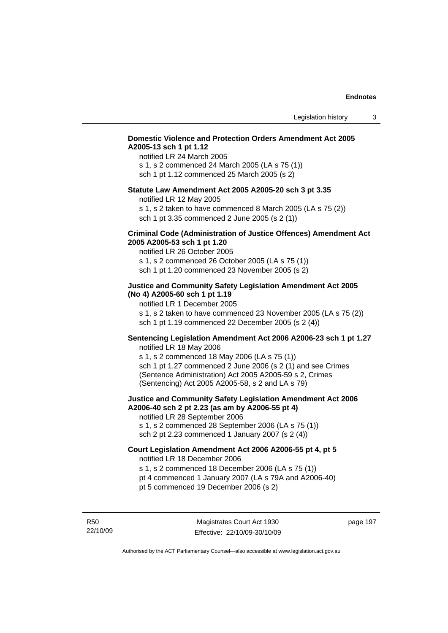# **Domestic Violence and Protection Orders Amendment Act 2005 A2005-13 sch 1 pt 1.12**

notified LR 24 March 2005 s 1, s 2 commenced 24 March 2005 (LA s 75 (1)) sch 1 pt 1.12 commenced 25 March 2005 (s 2)

### **Statute Law Amendment Act 2005 A2005-20 sch 3 pt 3.35**

notified LR 12 May 2005

s 1, s 2 taken to have commenced 8 March 2005 (LA s 75 (2)) sch 1 pt 3.35 commenced 2 June 2005 (s 2 (1))

### **Criminal Code (Administration of Justice Offences) Amendment Act 2005 A2005-53 sch 1 pt 1.20**

notified LR 26 October 2005 s 1, s 2 commenced 26 October 2005 (LA s 75 (1)) sch 1 pt 1.20 commenced 23 November 2005 (s 2)

# **Justice and Community Safety Legislation Amendment Act 2005 (No 4) A2005-60 sch 1 pt 1.19**

notified LR 1 December 2005

s 1, s 2 taken to have commenced 23 November 2005 (LA s 75 (2)) sch 1 pt 1.19 commenced 22 December 2005 (s 2 (4))

# **Sentencing Legislation Amendment Act 2006 A2006-23 sch 1 pt 1.27**  notified LR 18 May 2006

s 1, s 2 commenced 18 May 2006 (LA s 75 (1)) sch 1 pt 1.27 commenced 2 June 2006 (s 2 (1) and see Crimes (Sentence Administration) Act 2005 A2005-59 s 2, Crimes (Sentencing) Act 2005 A2005-58, s 2 and LA s 79)

### **Justice and Community Safety Legislation Amendment Act 2006 A2006-40 sch 2 pt 2.23 (as am by A2006-55 pt 4)**  notified LR 28 September 2006

s 1, s 2 commenced 28 September 2006 (LA s 75 (1)) sch 2 pt 2.23 commenced 1 January 2007 (s 2 (4))

# **Court Legislation Amendment Act 2006 A2006-55 pt 4, pt 5**  notified LR 18 December 2006

s 1, s 2 commenced 18 December 2006 (LA s 75 (1))

- pt 4 commenced 1 January 2007 (LA s 79A and A2006-40)
- pt 5 commenced 19 December 2006 (s 2)

R50 22/10/09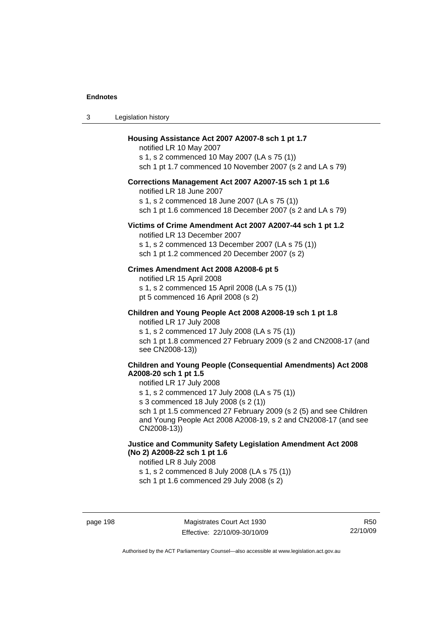### **Housing Assistance Act 2007 A2007-8 sch 1 pt 1.7**

notified LR 10 May 2007 s 1, s 2 commenced 10 May 2007 (LA s 75 (1)) sch 1 pt 1.7 commenced 10 November 2007 (s 2 and LA s 79)

# **Corrections Management Act 2007 A2007-15 sch 1 pt 1.6**

notified LR 18 June 2007

s 1, s 2 commenced 18 June 2007 (LA s 75 (1))

sch 1 pt 1.6 commenced 18 December 2007 (s 2 and LA s 79)

### **Victims of Crime Amendment Act 2007 A2007-44 sch 1 pt 1.2**

notified LR 13 December 2007 s 1, s 2 commenced 13 December 2007 (LA s 75 (1)) sch 1 pt 1.2 commenced 20 December 2007 (s 2)

### **Crimes Amendment Act 2008 A2008-6 pt 5**

notified LR 15 April 2008 s 1, s 2 commenced 15 April 2008 (LA s 75 (1)) pt 5 commenced 16 April 2008 (s 2)

### **Children and Young People Act 2008 A2008-19 sch 1 pt 1.8**  notified LR 17 July 2008

s 1, s 2 commenced 17 July 2008 (LA s 75 (1)) sch 1 pt 1.8 commenced 27 February 2009 (s 2 and CN2008-17 (and see CN2008-13))

# **Children and Young People (Consequential Amendments) Act 2008 A2008-20 sch 1 pt 1.5**

### notified LR 17 July 2008

s 1, s 2 commenced 17 July 2008 (LA s 75 (1))

s 3 commenced 18 July 2008 (s 2 (1))

sch 1 pt 1.5 commenced 27 February 2009 (s 2 (5) and see Children and Young People Act 2008 A2008-19, s 2 and CN2008-17 (and see CN2008-13))

# **Justice and Community Safety Legislation Amendment Act 2008 (No 2) A2008-22 sch 1 pt 1.6**

notified LR 8 July 2008

s 1, s 2 commenced 8 July 2008 (LA s 75 (1))

sch 1 pt 1.6 commenced 29 July 2008 (s 2)

R50 22/10/09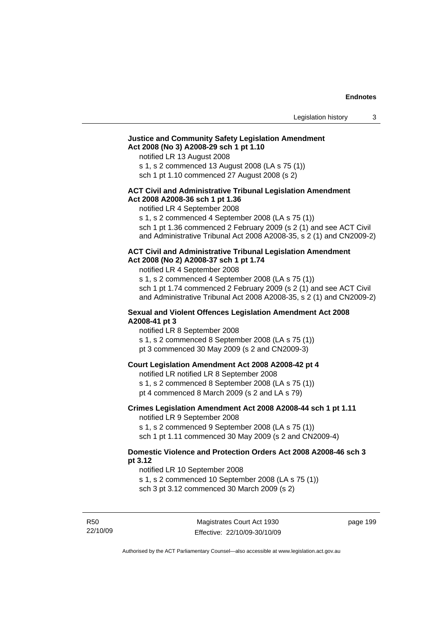# **Justice and Community Safety Legislation Amendment Act 2008 (No 3) A2008-29 sch 1 pt 1.10**

notified LR 13 August 2008

s 1, s 2 commenced 13 August 2008 (LA s 75 (1))

sch 1 pt 1.10 commenced 27 August 2008 (s 2)

# **ACT Civil and Administrative Tribunal Legislation Amendment Act 2008 A2008-36 sch 1 pt 1.36**

notified LR 4 September 2008

s 1, s 2 commenced 4 September 2008 (LA s 75 (1))

sch 1 pt 1.36 commenced 2 February 2009 (s 2 (1) and see ACT Civil and Administrative Tribunal Act 2008 A2008-35, s 2 (1) and CN2009-2)

#### **ACT Civil and Administrative Tribunal Legislation Amendment Act 2008 (No 2) A2008-37 sch 1 pt 1.74**

notified LR 4 September 2008

s 1, s 2 commenced 4 September 2008 (LA s 75 (1)) sch 1 pt 1.74 commenced 2 February 2009 (s 2 (1) and see ACT Civil and Administrative Tribunal Act 2008 A2008-35, s 2 (1) and CN2009-2)

### **Sexual and Violent Offences Legislation Amendment Act 2008 A2008-41 pt 3**

notified LR 8 September 2008

s 1, s 2 commenced 8 September 2008 (LA s 75 (1))

pt 3 commenced 30 May 2009 (s 2 and CN2009-3)

# **Court Legislation Amendment Act 2008 A2008-42 pt 4**

notified LR notified LR 8 September 2008

s 1, s 2 commenced 8 September 2008 (LA s 75 (1))

pt 4 commenced 8 March 2009 (s 2 and LA s 79)

# **Crimes Legislation Amendment Act 2008 A2008-44 sch 1 pt 1.11**

notified LR 9 September 2008

s 1, s 2 commenced 9 September 2008 (LA s 75 (1))

sch 1 pt 1.11 commenced 30 May 2009 (s 2 and CN2009-4)

# **Domestic Violence and Protection Orders Act 2008 A2008-46 sch 3 pt 3.12**

notified LR 10 September 2008

s 1, s 2 commenced 10 September 2008 (LA s 75 (1))

sch 3 pt 3.12 commenced 30 March 2009 (s 2)

R50 22/10/09 page 199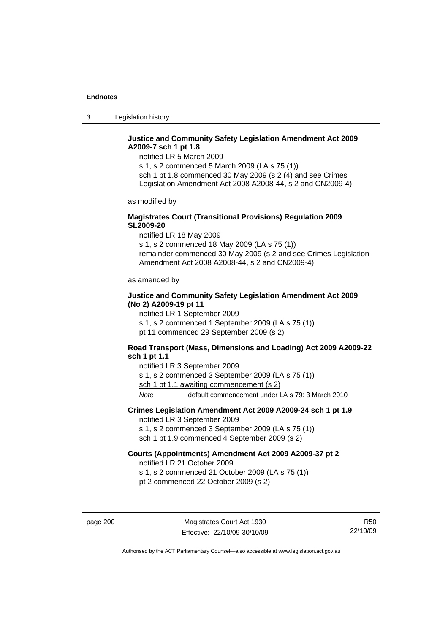3 Legislation history

# **Justice and Community Safety Legislation Amendment Act 2009 A2009-7 sch 1 pt 1.8**

notified LR 5 March 2009

s 1, s 2 commenced 5 March 2009 (LA s 75 (1)) sch 1 pt 1.8 commenced 30 May 2009 (s 2 (4) and see Crimes Legislation Amendment Act 2008 A2008-44, s 2 and CN2009-4)

as modified by

# **Magistrates Court (Transitional Provisions) Regulation 2009 SL2009-20**

notified LR 18 May 2009

s 1, s 2 commenced 18 May 2009 (LA s 75 (1)) remainder commenced 30 May 2009 (s 2 and see Crimes Legislation Amendment Act 2008 A2008-44, s 2 and CN2009-4)

as amended by

# **Justice and Community Safety Legislation Amendment Act 2009 (No 2) A2009-19 pt 11**

notified LR 1 September 2009 s 1, s 2 commenced 1 September 2009 (LA s 75 (1)) pt 11 commenced 29 September 2009 (s 2)

# **Road Transport (Mass, Dimensions and Loading) Act 2009 A2009-22 sch 1 pt 1.1**

notified LR 3 September 2009 s 1, s 2 commenced 3 September 2009 (LA s 75 (1)) sch 1 pt 1.1 awaiting commencement (s 2) *Note* default commencement under LA s 79: 3 March 2010

# **Crimes Legislation Amendment Act 2009 A2009-24 sch 1 pt 1.9**

notified LR 3 September 2009

s 1, s 2 commenced 3 September 2009 (LA s 75 (1))

sch 1 pt 1.9 commenced 4 September 2009 (s 2)

# **Courts (Appointments) Amendment Act 2009 A2009-37 pt 2**

notified LR 21 October 2009

s 1, s 2 commenced 21 October 2009 (LA s 75 (1))

pt 2 commenced 22 October 2009 (s 2)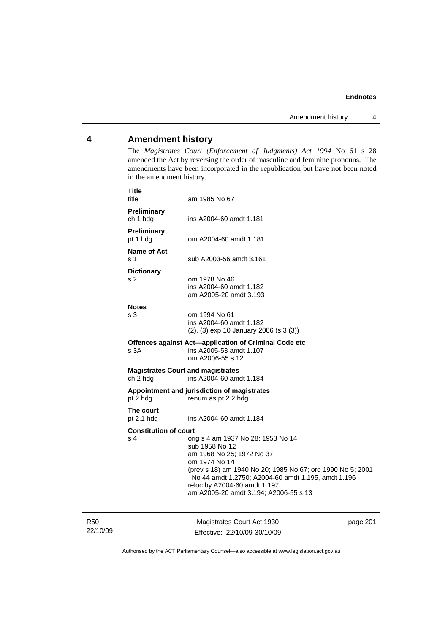## **4 Amendment history**

The *Magistrates Court (Enforcement of Judgments) Act 1994* No 61 s 28 amended the Act by reversing the order of masculine and feminine pronouns. The amendments have been incorporated in the republication but have not been noted in the amendment history.

| <b>Title</b><br>title                                | am 1985 No 67                                                                                                                                                                                                                                                                                   |  |
|------------------------------------------------------|-------------------------------------------------------------------------------------------------------------------------------------------------------------------------------------------------------------------------------------------------------------------------------------------------|--|
| Preliminary<br>ch 1 hdg                              | ins A2004-60 amdt 1.181                                                                                                                                                                                                                                                                         |  |
| Preliminary<br>pt 1 hdg                              | om A2004-60 amdt 1.181                                                                                                                                                                                                                                                                          |  |
| Name of Act<br>s 1                                   | sub A2003-56 amdt 3.161                                                                                                                                                                                                                                                                         |  |
| <b>Dictionary</b><br>s 2                             | om 1978 No 46<br>ins A2004-60 amdt 1.182<br>am A2005-20 amdt 3.193                                                                                                                                                                                                                              |  |
| <b>Notes</b><br>s 3                                  | om 1994 No 61<br>ins A2004-60 amdt 1.182<br>(2), (3) exp 10 January 2006 (s 3 (3))                                                                                                                                                                                                              |  |
| s 3A                                                 | Offences against Act-application of Criminal Code etc<br>ins A2005-53 amdt 1.107<br>om A2006-55 s 12                                                                                                                                                                                            |  |
| <b>Magistrates Court and magistrates</b><br>ch 2 hdg | ins A2004-60 amdt 1.184                                                                                                                                                                                                                                                                         |  |
| pt 2 hdg                                             | Appointment and jurisdiction of magistrates<br>renum as pt 2.2 hdg                                                                                                                                                                                                                              |  |
| The court<br>pt $2.1$ hdg                            | ins A2004-60 amdt 1.184                                                                                                                                                                                                                                                                         |  |
| <b>Constitution of court</b><br>s 4                  | orig s 4 am 1937 No 28; 1953 No 14<br>sub 1958 No 12<br>am 1968 No 25; 1972 No 37<br>om 1974 No 14<br>(prev s 18) am 1940 No 20; 1985 No 67; ord 1990 No 5; 2001<br>No 44 amdt 1.2750; A2004-60 amdt 1.195, amdt 1.196<br>reloc by A2004-60 amdt 1.197<br>am A2005-20 amdt 3.194; A2006-55 s 13 |  |
|                                                      |                                                                                                                                                                                                                                                                                                 |  |

R50 22/10/09

Magistrates Court Act 1930 Effective: 22/10/09-30/10/09 page 201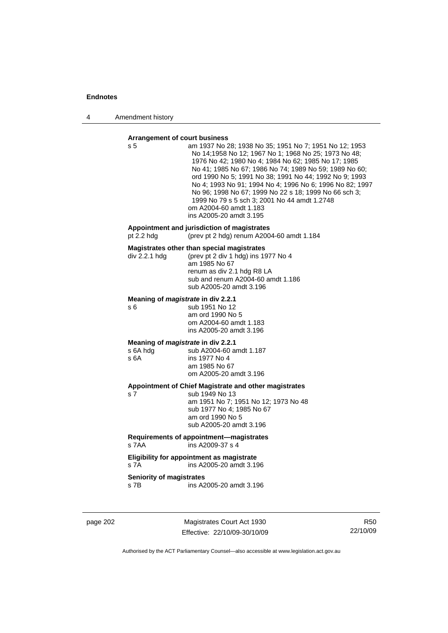4 Amendment history

## **Arrangement of court business**

| s 5                                     | am 1937 No 28; 1938 No 35; 1951 No 7; 1951 No 12; 1953<br>No 14;1958 No 12; 1967 No 1; 1968 No 25; 1973 No 48;<br>1976 No 42; 1980 No 4; 1984 No 62; 1985 No 17; 1985<br>No 41; 1985 No 67; 1986 No 74; 1989 No 59; 1989 No 60;<br>ord 1990 No 5; 1991 No 38; 1991 No 44; 1992 No 9; 1993<br>No 4; 1993 No 91; 1994 No 4; 1996 No 6; 1996 No 82; 1997<br>No 96; 1998 No 67; 1999 No 22 s 18; 1999 No 66 sch 3;<br>1999 No 79 s 5 sch 3; 2001 No 44 amdt 1.2748<br>om A2004-60 amdt 1.183<br>ins A2005-20 amdt 3.195 |
|-----------------------------------------|---------------------------------------------------------------------------------------------------------------------------------------------------------------------------------------------------------------------------------------------------------------------------------------------------------------------------------------------------------------------------------------------------------------------------------------------------------------------------------------------------------------------|
| pt $2.2$ hdg                            | Appointment and jurisdiction of magistrates<br>(prev pt 2 hdg) renum A2004-60 amdt 1.184                                                                                                                                                                                                                                                                                                                                                                                                                            |
| div 2.2.1 hdg                           | Magistrates other than special magistrates<br>(prev pt 2 div 1 hdg) ins 1977 No 4<br>am 1985 No 67<br>renum as div 2.1 hdg R8 LA<br>sub and renum A2004-60 amdt 1.186<br>sub A2005-20 amdt 3.196                                                                                                                                                                                                                                                                                                                    |
| s 6                                     | Meaning of magistrate in div 2.2.1<br>sub 1951 No 12<br>am ord 1990 No 5<br>om A2004-60 amdt 1.183<br>ins A2005-20 amdt 3.196                                                                                                                                                                                                                                                                                                                                                                                       |
| s 6A hdg<br>s 6A                        | Meaning of <i>magistrate</i> in div 2.2.1<br>sub A2004-60 amdt 1.187<br>ins 1977 No 4<br>am 1985 No 67<br>om A2005-20 amdt 3.196                                                                                                                                                                                                                                                                                                                                                                                    |
| s 7                                     | Appointment of Chief Magistrate and other magistrates<br>sub 1949 No 13<br>am 1951 No 7; 1951 No 12; 1973 No 48<br>sub 1977 No 4; 1985 No 67<br>am ord 1990 No 5<br>sub A2005-20 amdt 3.196                                                                                                                                                                                                                                                                                                                         |
| s 7AA                                   | Requirements of appointment-magistrates<br>ins A2009-37 s 4                                                                                                                                                                                                                                                                                                                                                                                                                                                         |
| s 7A                                    | Eligibility for appointment as magistrate<br>ins A2005-20 amdt 3.196                                                                                                                                                                                                                                                                                                                                                                                                                                                |
| <b>Seniority of magistrates</b><br>s 7B | ins A2005-20 amdt 3.196                                                                                                                                                                                                                                                                                                                                                                                                                                                                                             |
|                                         |                                                                                                                                                                                                                                                                                                                                                                                                                                                                                                                     |

page 202 Magistrates Court Act 1930 Effective: 22/10/09-30/10/09

R50 22/10/09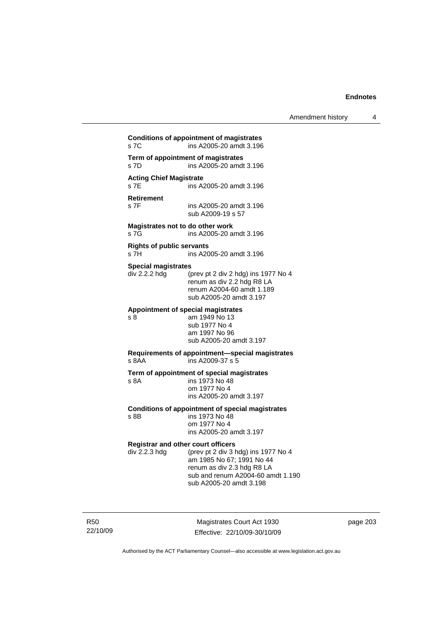**Conditions of appointment of magistrates**  s 7C ins A2005-20 amdt 3.196 **Term of appointment of magistrates**  s 7D ins A2005-20 amdt 3.196 **Acting Chief Magistrate**  ins A2005-20 amdt 3.196 **Retirement**  s 7F ins A2005-20 amdt 3.196 sub A2009-19 s 57 **Magistrates not to do other work**  s 7G ins A2005-20 amdt 3.196 **Rights of public servants**  s 7H ins A2005-20 amdt 3.196 **Special magistrates**   $div 2.2.2$  hdg (prev pt 2 div 2 hdg) ins 1977 No 4 renum as div 2.2 hdg R8 LA renum A2004-60 amdt 1.189 sub A2005-20 amdt 3.197 **Appointment of special magistrates**  s 8 am 1949 No 13 sub 1977 No 4 am 1997 No 96 sub A2005-20 amdt 3.197 **Requirements of appointment—special magistrates**  s 8AA ins A2009-37 s 5 **Term of appointment of special magistrates**  s 8A ins 1973 No 48 om 1977 No 4 ins A2005-20 amdt 3.197 **Conditions of appointment of special magistrates**  ins 1973 No 48 om 1977 No 4 ins A2005-20 amdt 3.197 **Registrar and other court officers**<br>div 2.2.3 hdg (prev pt 2 div 3 b (prev pt 2 div 3 hdg) ins 1977 No 4 am 1985 No 67; 1991 No 44 renum as div 2.3 hdg R8 LA sub and renum A2004-60 amdt 1.190 sub A2005-20 amdt 3.198

R50 22/10/09

Magistrates Court Act 1930 Effective: 22/10/09-30/10/09 page 203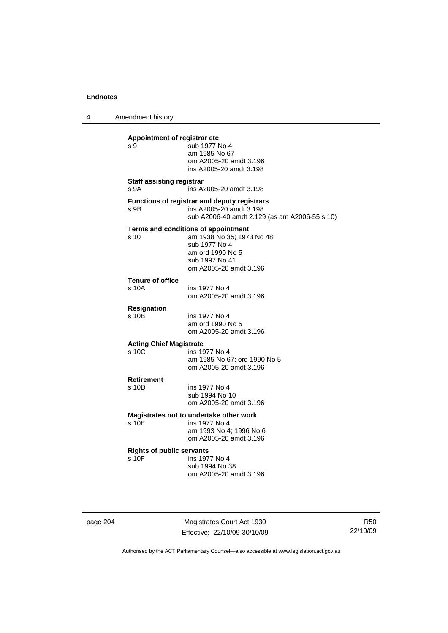4 Amendment history **Appointment of registrar etc**  s 9 5 sub 1977 No 4 am 1985 No 67 om A2005-20 amdt 3.196 ins A2005-20 amdt 3.198 **Staff assisting registrar**  s 9A ins A2005-20 amdt 3.198 **Functions of registrar and deputy registrars**  s 9B ins A2005-20 amdt 3.198 sub A2006-40 amdt 2.129 (as am A2006-55 s 10) **Terms and conditions of appointment**  s 10 am 1938 No 35; 1973 No 48 sub 1977 No 4 am ord 1990 No 5 sub 1997 No 41 om A2005-20 amdt 3.196 **Tenure of office**  s 10A ins 1977 No 4 om A2005-20 amdt 3.196 **Resignation**  ins 1977 No 4 am ord 1990 No 5 om A2005-20 amdt 3.196 **Acting Chief Magistrate**  ins 1977 No 4 am 1985 No 67; ord 1990 No 5 om A2005-20 amdt 3.196 **Retirement**  s 10D ins 1977 No 4 sub 1994 No 10 om A2005-20 amdt 3.196 **Magistrates not to undertake other work**  ins 1977 No 4 am 1993 No 4; 1996 No 6 om A2005-20 amdt 3.196 **Rights of public servants**  ins 1977 No 4 sub 1994 No 38 om A2005-20 amdt 3.196

page 204 Magistrates Court Act 1930 Effective: 22/10/09-30/10/09

R50 22/10/09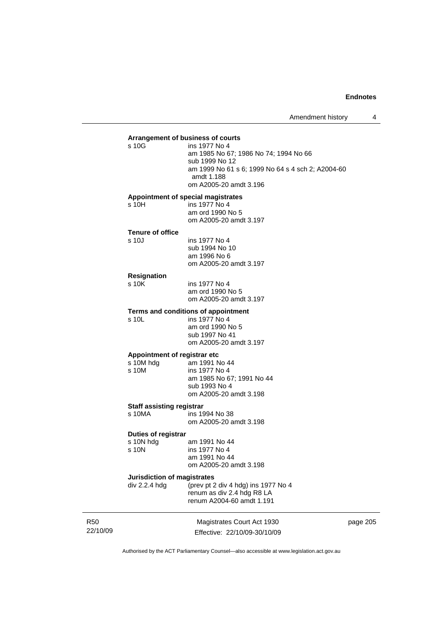## **Arrangement of business of courts**  ins 1977 No 4 am 1985 No 67; 1986 No 74; 1994 No 66 sub 1999 No 12 am 1999 No 61 s 6; 1999 No 64 s 4 sch 2; A2004-60 amdt 1.188 om A2005-20 amdt 3.196 **Appointment of special magistrates**  s 10H ins 1977 No 4 am ord 1990 No 5 om A2005-20 amdt 3.197 **Tenure of office**  s 10J ins 1977 No 4 sub 1994 No 10 am 1996 No 6 om A2005-20 amdt 3.197 **Resignation**  ins 1977 No 4 am ord 1990 No 5 om A2005-20 amdt 3.197 **Terms and conditions of appointment**  s 10L ins 1977 No 4 am ord 1990 No 5 sub 1997 No 41 om A2005-20 amdt 3.197 **Appointment of registrar etc**  s 10M hdg am 1991 No 44 s 10M ins 1977 No 4 am 1985 No 67; 1991 No 44 sub 1993 No 4 om A2005-20 amdt 3.198 **Staff assisting registrar**  s 10MA ins 1994 No 38 om A2005-20 amdt 3.198 **Duties of registrar**  s 10N hdg am 1991 No 44<br>s 10N ins 1977 No 4 ins 1977 No 4 am 1991 No 44 om A2005-20 amdt 3.198 **Jurisdiction of magistrates**  div 2.2.4 hdg (prev pt 2 div 4 hdg) ins 1977 No 4 renum as div 2.4 hdg R8 LA renum A2004-60 amdt 1.191

R50 22/10/09

Magistrates Court Act 1930 Effective: 22/10/09-30/10/09 page 205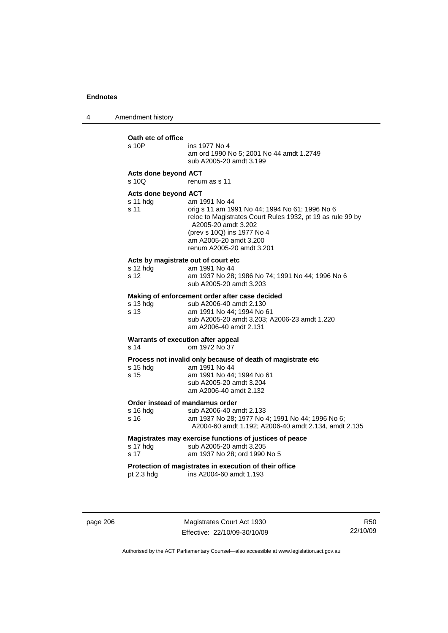4 Amendment history

| Oath etc of office<br>s 10P                                        | ins 1977 No 4<br>am ord 1990 No 5; 2001 No 44 amdt 1.2749<br>sub A2005-20 amdt 3.199                                                                                                                                                      |
|--------------------------------------------------------------------|-------------------------------------------------------------------------------------------------------------------------------------------------------------------------------------------------------------------------------------------|
| <b>Acts done beyond ACT</b><br>s 10Q                               | renum as s 11                                                                                                                                                                                                                             |
| Acts done beyond ACT<br>$s11$ hdg<br>s <sub>11</sub>               | am 1991 No 44<br>orig s 11 am 1991 No 44; 1994 No 61; 1996 No 6<br>reloc to Magistrates Court Rules 1932, pt 19 as rule 99 by<br>A2005-20 amdt 3.202<br>(prev s 10Q) ins 1977 No 4<br>am A2005-20 amdt 3.200<br>renum A2005-20 amdt 3.201 |
| Acts by magistrate out of court etc<br>s 12 hdg<br>s <sub>12</sub> | am 1991 No 44<br>am 1937 No 28; 1986 No 74; 1991 No 44; 1996 No 6<br>sub A2005-20 amdt 3.203                                                                                                                                              |
| s 13 hdg<br>s <sub>13</sub>                                        | Making of enforcement order after case decided<br>sub A2006-40 amdt 2.130<br>am 1991 No 44; 1994 No 61<br>sub A2005-20 amdt 3.203; A2006-23 amdt 1.220<br>am A2006-40 amdt 2.131                                                          |
| Warrants of execution after appeal<br>s <sub>14</sub>              | om 1972 No 37                                                                                                                                                                                                                             |
| s 15 hdg<br>s 15                                                   | Process not invalid only because of death of magistrate etc<br>am 1991 No 44<br>am 1991 No 44; 1994 No 61<br>sub A2005-20 amdt 3.204<br>am A2006-40 amdt 2.132                                                                            |
| Order instead of mandamus order<br>s 16 hdg<br>s 16                | sub A2006-40 amdt 2.133<br>am 1937 No 28; 1977 No 4; 1991 No 44; 1996 No 6;<br>A2004-60 amdt 1.192; A2006-40 amdt 2.134, amdt 2.135                                                                                                       |
| s 17 hdg<br>s <sub>17</sub>                                        | Magistrates may exercise functions of justices of peace<br>sub A2005-20 amdt 3.205<br>am 1937 No 28; ord 1990 No 5                                                                                                                        |
| pt $2.3$ hdg                                                       | Protection of magistrates in execution of their office<br>ins A2004-60 amdt 1.193                                                                                                                                                         |

page 206 Magistrates Court Act 1930 Effective: 22/10/09-30/10/09

R50 22/10/09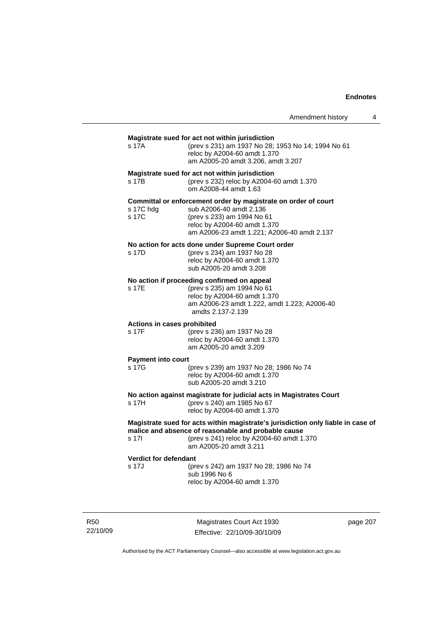## **Magistrate sued for act not within jurisdiction**  s 17A (prev s 231) am 1937 No 28; 1953 No 14; 1994 No 61 reloc by A2004-60 amdt 1.370 am A2005-20 amdt 3.206, amdt 3.207 **Magistrate sued for act not within jurisdiction**  s 17B (prev s 232) reloc by A2004-60 amdt 1.370 om A2008-44 amdt 1.63 **Committal or enforcement order by magistrate on order of court**  sub A2006-40 amdt 2.136 s 17C (prev s 233) am 1994 No 61 reloc by A2004-60 amdt 1.370 am A2006-23 amdt 1.221; A2006-40 amdt 2.137 **No action for acts done under Supreme Court order**  s 17D (prev s 234) am 1937 No 28 reloc by A2004-60 amdt 1.370 sub A2005-20 amdt 3.208 **No action if proceeding confirmed on appeal**  s 17E (prev s 235) am 1994 No 61 reloc by A2004-60 amdt 1.370 am A2006-23 amdt 1.222, amdt 1.223; A2006-40 amdts 2.137-2.139 **Actions in cases prohibited**  s 17F (prev s 236) am 1937 No 28 reloc by A2004-60 amdt 1.370 am A2005-20 amdt 3.209 **Payment into court**  (prev s 239) am 1937 No 28; 1986 No 74 reloc by A2004-60 amdt 1.370 sub A2005-20 amdt 3.210 **No action against magistrate for judicial acts in Magistrates Court**  s 17H (prev s 240) am 1985 No 67 reloc by A2004-60 amdt 1.370 **Magistrate sued for acts within magistrate's jurisdiction only liable in case of malice and absence of reasonable and probable cause**  s 17I (prev s 241) reloc by A2004-60 amdt 1.370 am A2005-20 amdt 3.211 **Verdict for defendant**  s 17J (prev s 242) am 1937 No 28; 1986 No 74 sub 1996 No 6 reloc by A2004-60 amdt 1.370

R50 22/10/09

Magistrates Court Act 1930 Effective: 22/10/09-30/10/09 page 207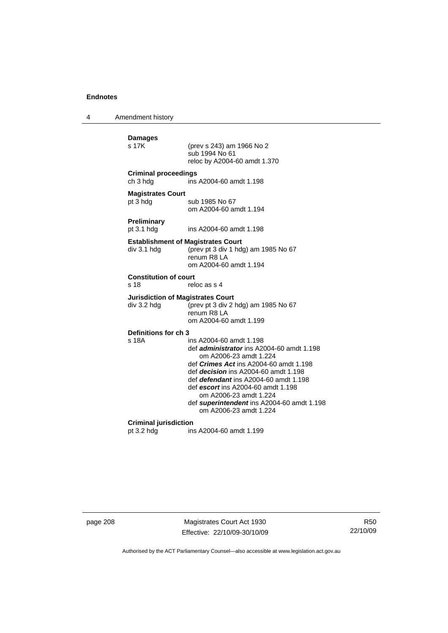4 Amendment history **Damages**  (prev s 243) am 1966 No 2 sub 1994 No 61 reloc by A2004-60 amdt 1.370 **Criminal proceedings**  ch 3 hdg ins A2004-60 amdt 1.198 **Magistrates Court**  pt 3 hdg sub 1985 No 67 om A2004-60 amdt 1.194 **Preliminary**  pt 3.1 hdg ins A2004-60 amdt 1.198 **Establishment of Magistrates Court**  div 3.1 hdg (prev pt 3 div 1 hdg) am 1985 No 67 renum R8 LA om A2004-60 amdt 1.194 **Constitution of court**  s 18 reloc as s 4 **Jurisdiction of Magistrates Court**  div 3.2 hdg (prev pt 3 div 2 hdg) am 1985 No 67 renum R8 LA om A2004-60 amdt 1.199 **Definitions for ch 3**  ins A2004-60 amdt 1.198 def *administrator* ins A2004-60 amdt 1.198 om A2006-23 amdt 1.224 def *Crimes Act* ins A2004-60 amdt 1.198 def *decision* ins A2004-60 amdt 1.198 def *defendant* ins A2004-60 amdt 1.198 def *escort* ins A2004-60 amdt 1.198 om A2006-23 amdt 1.224 def *superintendent* ins A2004-60 amdt 1.198 om A2006-23 amdt 1.224 **Criminal jurisdiction**  pt 3.2 hdg ins A2004-60 amdt 1.199

page 208 Magistrates Court Act 1930 Effective: 22/10/09-30/10/09

R50 22/10/09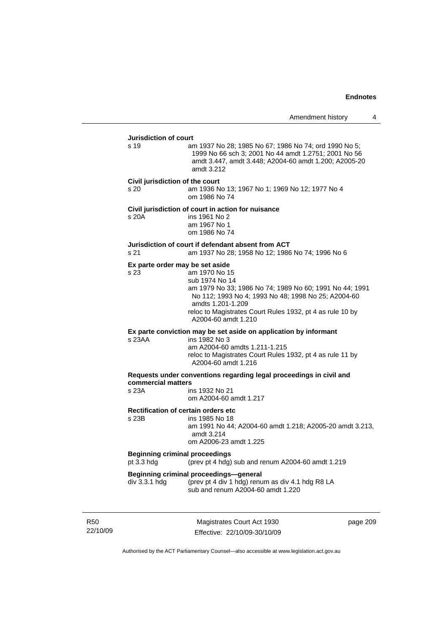## **Jurisdiction of court**  s 19 am 1937 No 28; 1985 No 67; 1986 No 74; ord 1990 No 5; 1999 No 66 sch 3; 2001 No 44 amdt 1.2751; 2001 No 56 amdt 3.447, amdt 3.448; A2004-60 amdt 1.200; A2005-20 amdt 3.212 **Civil jurisdiction of the court**  s 20 am 1936 No 13; 1967 No 1; 1969 No 12; 1977 No 4 om 1986 No 74 **Civil jurisdiction of court in action for nuisance**  s 20A ins 1961 No 2 am 1967 No 1 om 1986 No 74 **Jurisdiction of court if defendant absent from ACT**  s 21 am 1937 No 28; 1958 No 12; 1986 No 74; 1996 No 6 **Ex parte order may be set aside**  s 23 am 1970 No 15 sub 1974 No 14 am 1979 No 33; 1986 No 74; 1989 No 60; 1991 No 44; 1991 No 112; 1993 No 4; 1993 No 48; 1998 No 25; A2004-60 amdts 1.201-1.209 reloc to Magistrates Court Rules 1932, pt 4 as rule 10 by A2004-60 amdt 1.210 **Ex parte conviction may be set aside on application by informant**  s 23AA ins 1982 No 3 am A2004-60 amdts 1.211-1.215 reloc to Magistrates Court Rules 1932, pt 4 as rule 11 by A2004-60 amdt 1.216 **Requests under conventions regarding legal proceedings in civil and commercial matters**  ins 1932 No 21 om A2004-60 amdt 1.217 **Rectification of certain orders etc**<br>s 23B ins 1985 No 18 ins 1985 No 18 am 1991 No 44; A2004-60 amdt 1.218; A2005-20 amdt 3.213, amdt 3.214 om A2006-23 amdt 1.225 **Beginning criminal proceedings**  pt 3.3 hdg (prev pt 4 hdg) sub and renum A2004-60 amdt 1.219 **Beginning criminal proceedings—general div 3.3.1 hdg (prev pt 4 div 1 hdg) renu** (prev pt 4 div 1 hdg) renum as div 4.1 hdg R8 LA sub and renum A2004-60 amdt 1.220

R50 22/10/09

Magistrates Court Act 1930 Effective: 22/10/09-30/10/09 page 209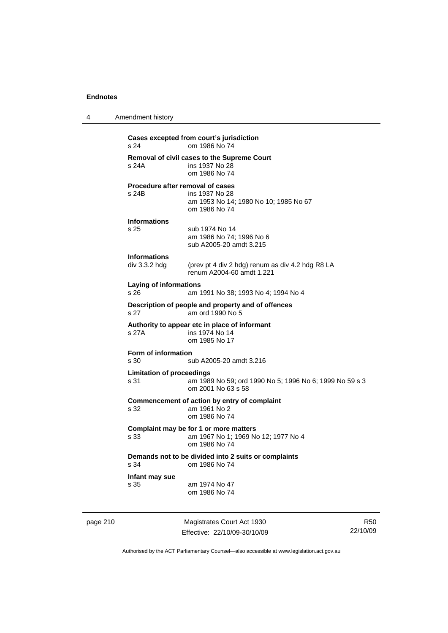| 4                                                                             | Amendment history                                                                                                         |
|-------------------------------------------------------------------------------|---------------------------------------------------------------------------------------------------------------------------|
|                                                                               | Cases excepted from court's jurisdiction<br>om 1986 No 74<br>s 24                                                         |
|                                                                               | <b>Removal of civil cases to the Supreme Court</b><br>s 24A<br>ins 1937 No 28<br>om 1986 No 74                            |
|                                                                               | Procedure after removal of cases<br>s 24B<br>ins 1937 No 28<br>am 1953 No 14; 1980 No 10; 1985 No 67<br>om 1986 No 74     |
|                                                                               | <b>Informations</b><br>s 25<br>sub 1974 No 14<br>am 1986 No 74; 1996 No 6<br>sub A2005-20 amdt 3.215                      |
|                                                                               | <b>Informations</b><br>div 3.3.2 hdg<br>(prev pt 4 div 2 hdg) renum as div 4.2 hdg R8 LA<br>renum A2004-60 amdt 1.221     |
|                                                                               | <b>Laying of informations</b><br>s 26<br>am 1991 No 38; 1993 No 4; 1994 No 4                                              |
|                                                                               | Description of people and property and of offences<br>s <sub>27</sub><br>am ord 1990 No 5                                 |
|                                                                               | Authority to appear etc in place of informant<br>s 27A<br>ins 1974 No 14<br>om 1985 No 17                                 |
|                                                                               | Form of information<br>s 30<br>sub A2005-20 amdt 3.216                                                                    |
|                                                                               | <b>Limitation of proceedings</b><br>s 31<br>am 1989 No 59; ord 1990 No 5; 1996 No 6; 1999 No 59 s 3<br>om 2001 No 63 s 58 |
|                                                                               | Commencement of action by entry of complaint<br>s 32<br>am 1961 No 2<br>om 1986 No 74                                     |
|                                                                               | Complaint may be for 1 or more matters<br>am 1967 No 1; 1969 No 12; 1977 No 4<br>s 33<br>om 1986 No 74                    |
| Demands not to be divided into 2 suits or complaints<br>s 34<br>om 1986 No 74 |                                                                                                                           |
|                                                                               | Infant may sue<br>s 35<br>am 1974 No 47<br>om 1986 No 74                                                                  |
|                                                                               |                                                                                                                           |

page 210 Magistrates Court Act 1930 Effective: 22/10/09-30/10/09

R50 22/10/09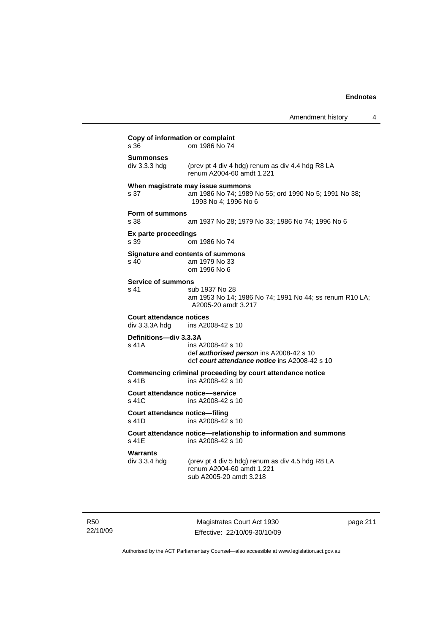|                                                   | Amendment history                                                                                                    | 4 |
|---------------------------------------------------|----------------------------------------------------------------------------------------------------------------------|---|
| Copy of information or complaint<br>s 36          | om 1986 No 74                                                                                                        |   |
| <b>Summonses</b><br>div 3.3.3 hdg                 | (prev pt 4 div 4 hdg) renum as div 4.4 hdg R8 LA<br>renum A2004-60 amdt 1.221                                        |   |
| s 37                                              | When magistrate may issue summons<br>am 1986 No 74; 1989 No 55; ord 1990 No 5; 1991 No 38;<br>1993 No 4; 1996 No 6   |   |
| Form of summons<br>s 38                           | am 1937 No 28; 1979 No 33; 1986 No 74; 1996 No 6                                                                     |   |
| Ex parte proceedings<br>s 39                      | om 1986 No 74                                                                                                        |   |
| s 40                                              | Signature and contents of summons<br>am 1979 No 33<br>om 1996 No 6                                                   |   |
| <b>Service of summons</b><br>s 41                 | sub 1937 No 28<br>am 1953 No 14; 1986 No 74; 1991 No 44; ss renum R10 LA;<br>A2005-20 amdt 3.217                     |   |
| <b>Court attendance notices</b><br>div 3.3.3A hdg | ins A2008-42 s 10                                                                                                    |   |
| Definitions-div 3.3.3A<br>s 41A                   | ins A2008-42 s 10<br>def <b>authorised person</b> ins A2008-42 s 10<br>def court attendance notice ins A2008-42 s 10 |   |
| s 41B                                             | Commencing criminal proceeding by court attendance notice<br>ins A2008-42 s 10                                       |   |
| Court attendance notice-service<br>s 41C          | ins A2008-42 s 10                                                                                                    |   |
| Court attendance notice-filing<br>s 41D           | ins A2008-42 s 10                                                                                                    |   |
| s 41E                                             | Court attendance notice—relationship to information and summons<br>ins A2008-42 s 10                                 |   |
| Warrants<br>div 3.3.4 hdg                         | (prev pt 4 div 5 hdg) renum as div 4.5 hdg R8 LA<br>renum A2004-60 amdt 1.221<br>sub A2005-20 amdt 3.218             |   |

R50 22/10/09

Magistrates Court Act 1930 Effective: 22/10/09-30/10/09 page 211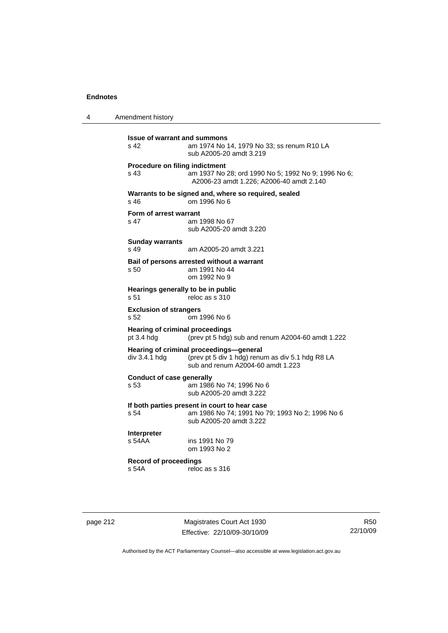4 Amendment history

**Issue of warrant and summons**<br>s 42 am 1974 No am 1974 No 14, 1979 No 33; ss renum R10 LA sub A2005-20 amdt 3.219 **Procedure on filing indictment**  s 43 am 1937 No 28; ord 1990 No 5; 1992 No 9; 1996 No 6; A2006-23 amdt 1.226; A2006-40 amdt 2.140 **Warrants to be signed and, where so required, sealed**  s 46 om 1996 No 6 **Form of arrest warrant**  s 47 am 1998 No 67 sub A2005-20 amdt 3.220 **Sunday warrants**  s 49 am A2005-20 amdt 3.221 **Bail of persons arrested without a warrant**  s 50 am 1991 No 44 om 1992 No 9 **Hearings generally to be in public**  s 51 reloc as s 310 **Exclusion of strangers**<br>s 52 om 1 om 1996 No 6 **Hearing of criminal proceedings**  pt 3.4 hdg (prev pt 5 hdg) sub and renum A2004-60 amdt 1.222 **Hearing of criminal proceedings—general**  div 3.4.1 hdg (prev pt 5 div 1 hdg) renum as div 5.1 hdg R8 LA sub and renum A2004-60 amdt 1.223 **Conduct of case generally**  s 53 am 1986 No 74; 1996 No 6 sub A2005-20 amdt 3.222 **If both parties present in court to hear case**  s 54 am 1986 No 74; 1991 No 79; 1993 No 2; 1996 No 6 sub A2005-20 amdt 3.222 **Interpreter**  ins 1991 No 79 om 1993 No 2 **Record of proceedings**   $reloc$  as s 316

page 212 Magistrates Court Act 1930 Effective: 22/10/09-30/10/09

R50 22/10/09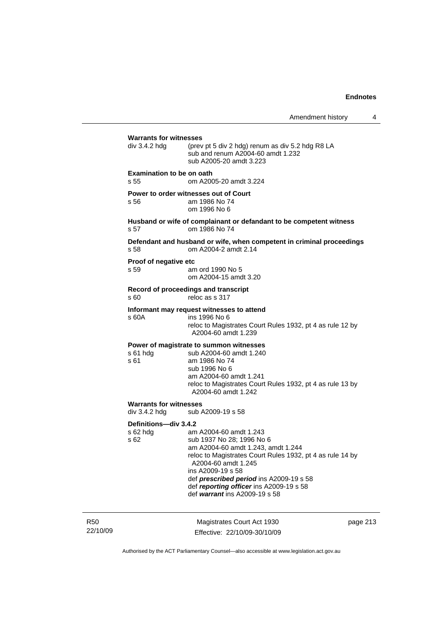Amendment history 4

| <b>Warrants for witnesses</b>                       |                                                                                                                                                                          |  |  |  |
|-----------------------------------------------------|--------------------------------------------------------------------------------------------------------------------------------------------------------------------------|--|--|--|
| div 3.4.2 hdg                                       | (prev pt 5 div 2 hdg) renum as div 5.2 hdg R8 LA<br>sub and renum A2004-60 amdt 1.232<br>sub A2005-20 amdt 3.223                                                         |  |  |  |
| <b>Examination to be on oath</b><br>s <sub>55</sub> | om A2005-20 amdt 3.224                                                                                                                                                   |  |  |  |
| s 56                                                | Power to order witnesses out of Court<br>am 1986 No 74<br>om 1996 No 6                                                                                                   |  |  |  |
| s 57                                                | Husband or wife of complainant or defandant to be competent witness<br>om 1986 No 74                                                                                     |  |  |  |
| s 58                                                | Defendant and husband or wife, when competent in criminal proceedings<br>om A2004-2 amdt 2.14                                                                            |  |  |  |
| Proof of negative etc<br>s 59                       | am ord 1990 No 5<br>om A2004-15 amdt 3.20                                                                                                                                |  |  |  |
| s60                                                 | Record of proceedings and transcript<br>reloc as s 317                                                                                                                   |  |  |  |
| s 60A                                               | Informant may request witnesses to attend<br>ins 1996 No 6<br>reloc to Magistrates Court Rules 1932, pt 4 as rule 12 by<br>A2004-60 amdt 1.239                           |  |  |  |
|                                                     | Power of magistrate to summon witnesses                                                                                                                                  |  |  |  |
| s 61 hdg<br>s 61                                    | sub A2004-60 amdt 1.240<br>am 1986 No 74                                                                                                                                 |  |  |  |
|                                                     | sub 1996 No 6<br>am A2004-60 amdt 1.241                                                                                                                                  |  |  |  |
|                                                     | reloc to Magistrates Court Rules 1932, pt 4 as rule 13 by<br>A2004-60 amdt 1.242                                                                                         |  |  |  |
| <b>Warrants for witnesses</b><br>div 3.4.2 hdg      | sub A2009-19 s 58                                                                                                                                                        |  |  |  |
| Definitions-div 3.4.2                               | am A2004-60 amdt 1.243                                                                                                                                                   |  |  |  |
| $s$ 62 hdg<br>s 62                                  | sub 1937 No 28; 1996 No 6<br>am A2004-60 amdt 1.243, amdt 1.244<br>reloc to Magistrates Court Rules 1932, pt 4 as rule 14 by<br>A2004-60 amdt 1.245<br>ins A2009-19 s 58 |  |  |  |
|                                                     | def prescribed period ins A2009-19 s 58<br>def reporting officer ins A2009-19 s 58<br>def warrant ins A2009-19 s 58                                                      |  |  |  |

R50 22/10/09

Magistrates Court Act 1930 Effective: 22/10/09-30/10/09 page 213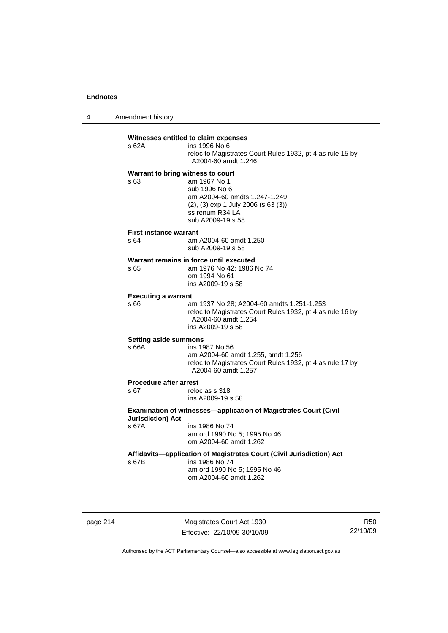4 Amendment history

#### **Witnesses entitled to claim expenses**

| s 62A | ins 1996 No 6                                             |
|-------|-----------------------------------------------------------|
|       | reloc to Magistrates Court Rules 1932, pt 4 as rule 15 by |
|       | A2004-60 amdt 1.246                                       |

## **Warrant to bring witness to court**

s 63 am 1967 No 1 sub 1996 No 6 am A2004-60 amdts 1.247-1.249 (2), (3) exp 1 July 2006 (s 63 (3)) ss renum R34 LA sub A2009-19 s 58

#### **First instance warrant**

| s 64 | am A2004-60 amdt 1.250 |
|------|------------------------|
|      | sub A2009-19 s 58      |

## **Warrant remains in force until executed**<br>s 65 am 1976 No 42; 1986

am 1976 No 42; 1986 No 74 om 1994 No 61 ins A2009-19 s 58

#### **Executing a warrant**

s 66 am 1937 No 28; A2004-60 amdts 1.251-1.253 reloc to Magistrates Court Rules 1932, pt 4 as rule 16 by A2004-60 amdt 1.254 ins A2009-19 s 58

#### **Setting aside summons**

## s 66A ins 1987 No 56

 am A2004-60 amdt 1.255, amdt 1.256 reloc to Magistrates Court Rules 1932, pt 4 as rule 17 by A2004-60 amdt 1.257

## **Procedure after arrest**<br>s 67 relow

reloc as s 318 ins A2009-19 s 58

### **Examination of witnesses—application of Magistrates Court (Civil Jurisdiction) Act**  s 67A ins 1986 No 74

 am ord 1990 No 5; 1995 No 46 om A2004-60 amdt 1.262

### **Affidavits—application of Magistrates Court (Civil Jurisdiction) Act**

s 67B ins 1986 No 74 am ord 1990 No 5; 1995 No 46

om A2004-60 amdt 1.262

page 214 Magistrates Court Act 1930 Effective: 22/10/09-30/10/09

R50 22/10/09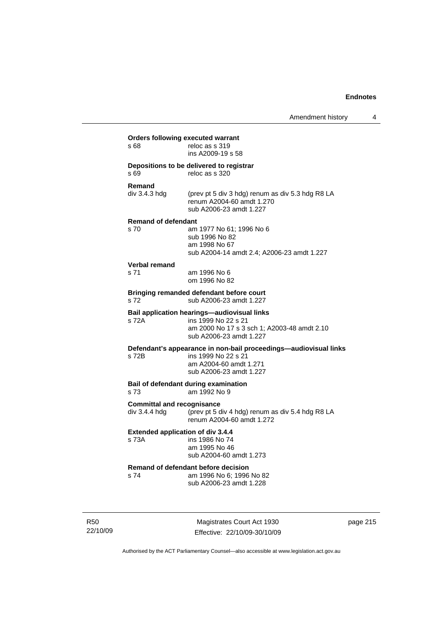| s 68                                               | <b>Orders following executed warrant</b><br>reloc as s 319<br>ins A2009-19 s 58                                                              |
|----------------------------------------------------|----------------------------------------------------------------------------------------------------------------------------------------------|
| s 69                                               | Depositions to be delivered to registrar<br>reloc as s 320                                                                                   |
| Remand<br>div 3.4.3 hdg                            | (prev pt 5 div 3 hdg) renum as div 5.3 hdg R8 LA<br>renum A2004-60 amdt 1.270<br>sub A2006-23 amdt 1.227                                     |
| <b>Remand of defendant</b><br>s 70                 | am 1977 No 61; 1996 No 6<br>sub 1996 No 82<br>am 1998 No 67<br>sub A2004-14 amdt 2.4; A2006-23 amdt 1.227                                    |
| <b>Verbal remand</b><br>s 71                       | am 1996 No 6<br>om 1996 No 82                                                                                                                |
| s 72                                               | Bringing remanded defendant before court<br>sub A2006-23 amdt 1.227                                                                          |
| s 72A                                              | Bail application hearings-audiovisual links<br>ins 1999 No 22 s 21<br>am 2000 No 17 s 3 sch 1; A2003-48 amdt 2.10<br>sub A2006-23 amdt 1.227 |
| s 72B                                              | Defendant's appearance in non-bail proceedings-audiovisual links<br>ins 1999 No 22 s 21<br>am A2004-60 amdt 1.271<br>sub A2006-23 amdt 1.227 |
| s 73                                               | Bail of defendant during examination<br>am 1992 No 9                                                                                         |
| <b>Committal and recognisance</b><br>div 3.4.4 hdg | (prev pt 5 div 4 hdg) renum as div 5.4 hdg R8 LA<br>renum A2004-60 amdt 1.272                                                                |
| <b>Extended application of div 3.4.4</b><br>s 73A  | ins 1986 No 74<br>am 1995 No 46<br>sub A2004-60 amdt 1.273                                                                                   |
| s 74                                               | Remand of defendant before decision<br>am 1996 No 6: 1996 No 82<br>sub A2006-23 amdt 1.228                                                   |

R50 22/10/09

Magistrates Court Act 1930 Effective: 22/10/09-30/10/09 page 215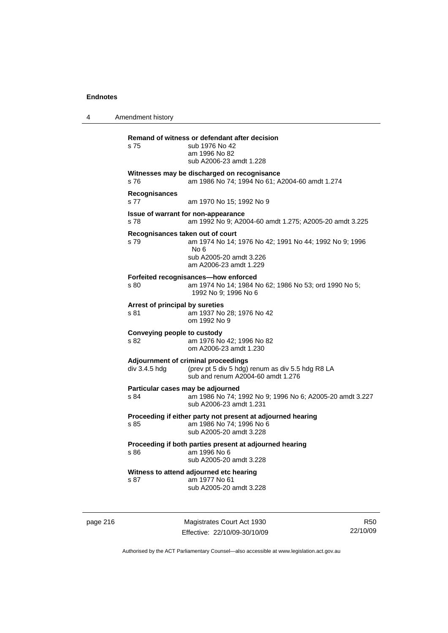4 Amendment history **Remand of witness or defendant after decision**  s 75 sub 1976 No 42 am 1996 No 82 sub A2006-23 amdt 1.228 **Witnesses may be discharged on recognisance**  s 76 am 1986 No 74; 1994 No 61; A2004-60 amdt 1.274 **Recognisances**  s 77 am 1970 No 15; 1992 No 9 **Issue of warrant for non-appearance**  s 78 am 1992 No 9; A2004-60 amdt 1.275; A2005-20 amdt 3.225 **Recognisances taken out of court**  s 79 am 1974 No 14; 1976 No 42; 1991 No 44; 1992 No 9; 1996 No 6 sub A2005-20 amdt 3.226 am A2006-23 amdt 1.229 **Forfeited recognisances—how enforced**  s 80 am 1974 No 14; 1984 No 62; 1986 No 53; ord 1990 No 5; 1992 No 9; 1996 No 6 **Arrest of principal by sureties**  s 81 am 1937 No 28; 1976 No 42 om 1992 No 9 **Conveying people to custody**  s 82 am 1976 No 42; 1996 No 82 om A2006-23 amdt 1.230 **Adjournment of criminal proceedings**  div 3.4.5 hdg (prev pt 5 div 5 hdg) renum as div 5.5 hdg R8 LA sub and renum A2004-60 amdt 1.276 **Particular cases may be adjourned**  s 84 am 1986 No 74; 1992 No 9; 1996 No 6; A2005-20 amdt 3.227 sub A2006-23 amdt 1.231 **Proceeding if either party not present at adjourned hearing**  s 85 am 1986 No 74; 1996 No 6 sub A2005-20 amdt 3.228 **Proceeding if both parties present at adjourned hearing**  s 86 am 1996 No 6 sub A2005-20 amdt 3.228 **Witness to attend adjourned etc hearing**  s 87 am 1977 No 61 sub A2005-20 amdt 3.228

page 216 Magistrates Court Act 1930 Effective: 22/10/09-30/10/09

R50 22/10/09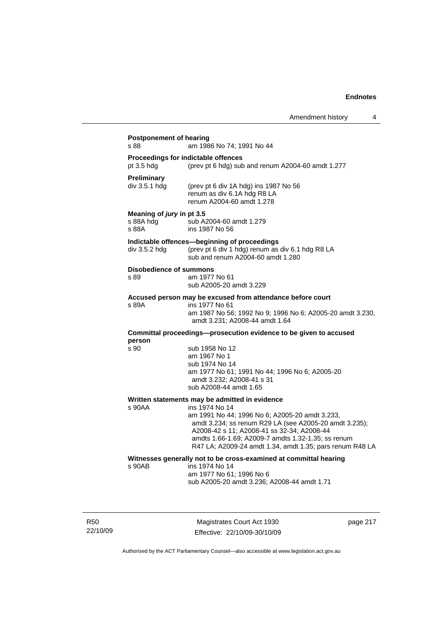## **Postponement of hearing**  s 88 **am 1986 No 74: 1991 No 44 Proceedings for indictable offences**  pt 3.5 hdg (prev pt 6 hdg) sub and renum A2004-60 amdt 1.277 **Preliminary**  (prev pt 6 div 1A hdg) ins 1987 No  $56$  renum as div 6.1A hdg R8 LA renum A2004-60 amdt 1.278 **Meaning of** *jury* **in pt 3.5**  s 88A hdg sub A2004-60 amdt 1.279 s 88A ins 1987 No 56 **Indictable offences—beginning of proceedings**  div 3.5.2 hdg (prev pt 6 div 1 hdg) renum as div 6.1 hdg R8 LA sub and renum A2004-60 amdt 1.280 **Disobedience of summons**  am 1977 No 61 sub A2005-20 amdt 3.229 **Accused person may be excused from attendance before court**  s 89A ins 1977 No 61 am 1987 No 56; 1992 No 9; 1996 No 6; A2005-20 amdt 3.230, amdt 3.231; A2008-44 amdt 1.64 **Committal proceedings—prosecution evidence to be given to accused person**  s 90 sub 1958 No 12 am 1967 No 1 sub 1974 No 14 am 1977 No 61; 1991 No 44; 1996 No 6; A2005-20 amdt 3.232; A2008-41 s 31 sub A2008-44 amdt 1.65 **Written statements may be admitted in evidence**  ins 1974 No 14 am 1991 No 44; 1996 No 6; A2005-20 amdt 3.233, amdt 3.234; ss renum R29 LA (see A2005-20 amdt 3.235); A2008-42 s 11; A2008-41 ss 32-34; A2008-44 amdts 1.66-1.69; A2009-7 amdts 1.32-1.35; ss renum R47 LA; A2009-24 amdt 1.34, amdt 1.35; pars renum R48 LA **Witnesses generally not to be cross-examined at committal hearing**  ins 1974 No 14 am 1977 No 61; 1996 No 6 sub A2005-20 amdt 3.236; A2008-44 amdt 1.71

R50 22/10/09

Magistrates Court Act 1930 Effective: 22/10/09-30/10/09 page 217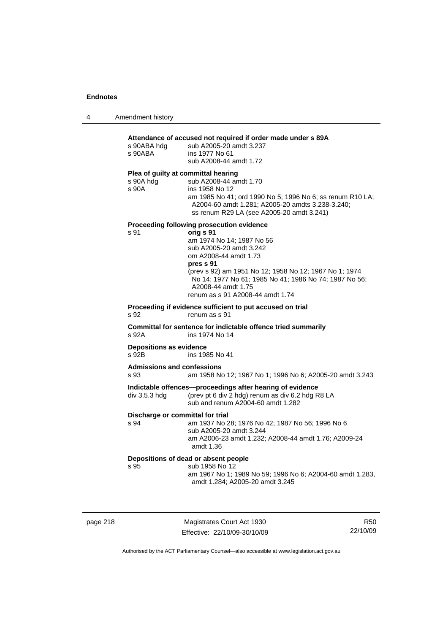|  | Amendment history |
|--|-------------------|
|--|-------------------|

| s 90ABA hdg<br>s 90ABA                  | sub A2005-20 amdt 3.237<br>ins 1977 No 61<br>sub A2008-44 amdt 1.72                                                                                                          |  |  |  |
|-----------------------------------------|------------------------------------------------------------------------------------------------------------------------------------------------------------------------------|--|--|--|
| Plea of guilty at committal hearing     |                                                                                                                                                                              |  |  |  |
| s 90A hdg                               | sub A2008-44 amdt 1.70                                                                                                                                                       |  |  |  |
| s 90A                                   | ins 1958 No 12<br>am 1985 No 41; ord 1990 No 5; 1996 No 6; ss renum R10 LA;<br>A2004-60 amdt 1.281; A2005-20 amdts 3.238-3.240;<br>ss renum R29 LA (see A2005-20 amdt 3.241) |  |  |  |
|                                         | Proceeding following prosecution evidence                                                                                                                                    |  |  |  |
| s 91                                    | orig s 91                                                                                                                                                                    |  |  |  |
|                                         | am 1974 No 14; 1987 No 56<br>sub A2005-20 amdt 3.242                                                                                                                         |  |  |  |
|                                         | om A2008-44 amdt 1.73                                                                                                                                                        |  |  |  |
|                                         | pres s 91                                                                                                                                                                    |  |  |  |
|                                         | (prev s 92) am 1951 No 12; 1958 No 12; 1967 No 1; 1974<br>No 14; 1977 No 61; 1985 No 41; 1986 No 74; 1987 No 56;                                                             |  |  |  |
|                                         | A2008-44 amdt 1.75                                                                                                                                                           |  |  |  |
|                                         | renum as s 91 A2008-44 amdt 1.74                                                                                                                                             |  |  |  |
|                                         | Proceeding if evidence sufficient to put accused on trial                                                                                                                    |  |  |  |
| s 92                                    | renum as s 91                                                                                                                                                                |  |  |  |
|                                         | Committal for sentence for indictable offence tried summarily                                                                                                                |  |  |  |
|                                         |                                                                                                                                                                              |  |  |  |
| s 92A                                   | ins 1974 No 14                                                                                                                                                               |  |  |  |
|                                         |                                                                                                                                                                              |  |  |  |
| <b>Depositions as evidence</b><br>s 92B | ins 1985 No 41                                                                                                                                                               |  |  |  |
| <b>Admissions and confessions</b>       |                                                                                                                                                                              |  |  |  |
|                                         |                                                                                                                                                                              |  |  |  |
| s 93<br>div 3.5.3 hdg                   | Indictable offences-proceedings after hearing of evidence<br>(prev pt 6 div 2 hdg) renum as div 6.2 hdg R8 LA<br>sub and renum A2004-60 amdt 1.282                           |  |  |  |
|                                         |                                                                                                                                                                              |  |  |  |
| s 94                                    | am 1958 No 12; 1967 No 1; 1996 No 6; A2005-20 amdt 3.243<br>Discharge or committal for trial<br>am 1937 No 28; 1976 No 42; 1987 No 56; 1996 No 6                             |  |  |  |
|                                         | sub A2005-20 amdt 3.244                                                                                                                                                      |  |  |  |
|                                         | am A2006-23 amdt 1.232; A2008-44 amdt 1.76; A2009-24<br>amdt 1.36                                                                                                            |  |  |  |
|                                         |                                                                                                                                                                              |  |  |  |
| s 95                                    | Depositions of dead or absent people<br>sub 1958 No 12                                                                                                                       |  |  |  |

|      | . . |  |
|------|-----|--|
| page |     |  |

Magistrates Court Act 1930 Effective: 22/10/09-30/10/09

R50 22/10/09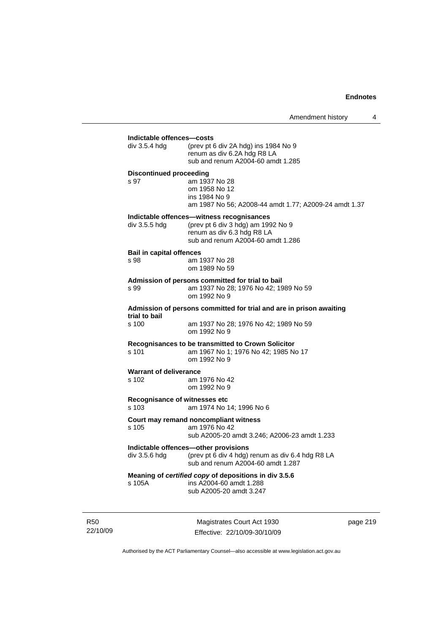| div $3.5.4$ hdg                         | (prev pt 6 div 2A hdg) ins 1984 No 9<br>renum as div 6.2A hdg R8 LA<br>sub and renum A2004-60 amdt 1.285                                           |
|-----------------------------------------|----------------------------------------------------------------------------------------------------------------------------------------------------|
| <b>Discontinued proceeding</b><br>s 97  | am 1937 No 28<br>om 1958 No 12<br>ins 1984 No 9<br>am 1987 No 56; A2008-44 amdt 1.77; A2009-24 amdt 1.37                                           |
| div 3.5.5 hdg                           | Indictable offences—witness recognisances<br>(prev pt 6 div 3 hdg) am 1992 No 9<br>renum as div 6.3 hdg R8 LA<br>sub and renum A2004-60 amdt 1.286 |
| <b>Bail in capital offences</b><br>s 98 | am 1937 No 28<br>om 1989 No 59                                                                                                                     |
| s 99                                    | Admission of persons committed for trial to bail<br>am 1937 No 28; 1976 No 42; 1989 No 59<br>om 1992 No 9                                          |
|                                         | Admission of persons committed for trial and are in prison awaiting                                                                                |
| trial to bail<br>s, 100                 | am 1937 No 28; 1976 No 42; 1989 No 59<br>om 1992 No 9                                                                                              |
| s 101                                   | Recognisances to be transmitted to Crown Solicitor<br>am 1967 No 1; 1976 No 42; 1985 No 17<br>om 1992 No 9                                         |
| <b>Warrant of deliverance</b><br>s 102  | am 1976 No 42<br>om 1992 No 9                                                                                                                      |
| s 103                                   | Recognisance of witnesses etc<br>am 1974 No 14; 1996 No 6                                                                                          |
| s 105                                   | Court may remand noncompliant witness<br>am 1976 No 42<br>sub A2005-20 amdt 3.246; A2006-23 amdt 1.233                                             |
| div 3.5.6 hdg                           | Indictable offences-other provisions<br>(prev pt 6 div 4 hdg) renum as div 6.4 hdg R8 LA<br>sub and renum A2004-60 amdt 1.287                      |
| s 105A                                  | Meaning of certified copy of depositions in div 3.5.6<br>ins A2004-60 amdt 1.288<br>sub A2005-20 amdt 3.247                                        |

R50 22/10/09

Magistrates Court Act 1930 Effective: 22/10/09-30/10/09 page 219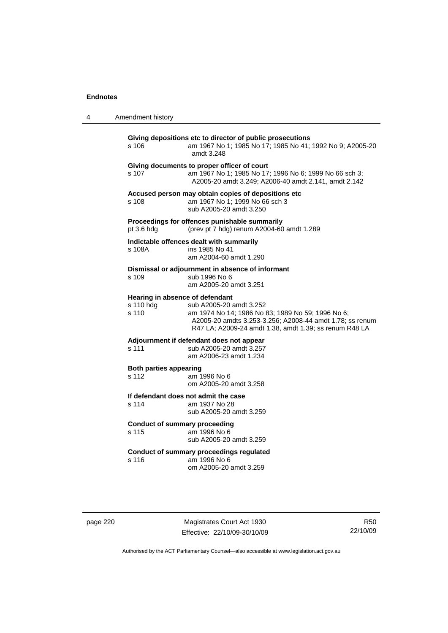| 4 | Amendment history                                     |                                                                                                                                                                                                    |
|---|-------------------------------------------------------|----------------------------------------------------------------------------------------------------------------------------------------------------------------------------------------------------|
|   | s 106                                                 | Giving depositions etc to director of public prosecutions<br>am 1967 No 1; 1985 No 17; 1985 No 41; 1992 No 9; A2005-20<br>amdt 3.248                                                               |
|   | s 107                                                 | Giving documents to proper officer of court<br>am 1967 No 1; 1985 No 17; 1996 No 6; 1999 No 66 sch 3;<br>A2005-20 amdt 3.249; A2006-40 amdt 2.141, amdt 2.142                                      |
|   | s 108                                                 | Accused person may obtain copies of depositions etc<br>am 1967 No 1; 1999 No 66 sch 3<br>sub A2005-20 amdt 3.250                                                                                   |
|   | pt 3.6 hdg                                            | Proceedings for offences punishable summarily<br>(prev pt 7 hdg) renum A2004-60 amdt 1.289                                                                                                         |
|   | s 108A                                                | Indictable offences dealt with summarily<br>ins 1985 No 41<br>am A2004-60 amdt 1.290                                                                                                               |
|   | s 109                                                 | Dismissal or adjournment in absence of informant<br>sub 1996 No 6<br>am A2005-20 amdt 3.251                                                                                                        |
|   | Hearing in absence of defendant<br>s 110 hdg<br>s 110 | sub A2005-20 amdt 3.252<br>am 1974 No 14; 1986 No 83; 1989 No 59; 1996 No 6;<br>A2005-20 amdts 3.253-3.256; A2008-44 amdt 1.78; ss renum<br>R47 LA; A2009-24 amdt 1.38, amdt 1.39; ss renum R48 LA |
|   | s 111                                                 | Adjournment if defendant does not appear<br>sub A2005-20 amdt 3.257<br>am A2006-23 amdt 1.234                                                                                                      |
|   | <b>Both parties appearing</b><br>s 112                | am 1996 No 6<br>om A2005-20 amdt 3.258                                                                                                                                                             |
|   | s 114                                                 | If defendant does not admit the case<br>am 1937 No 28<br>sub A2005-20 amdt 3.259                                                                                                                   |
|   | <b>Conduct of summary proceeding</b><br>s 115         | am 1996 No 6<br>sub A2005-20 amdt 3.259                                                                                                                                                            |
|   | s 116                                                 | <b>Conduct of summary proceedings regulated</b><br>am 1996 No 6<br>om A2005-20 amdt 3.259                                                                                                          |

| page 220 |  |  |
|----------|--|--|
|----------|--|--|

page 220 Magistrates Court Act 1930 Effective: 22/10/09-30/10/09

R50 22/10/09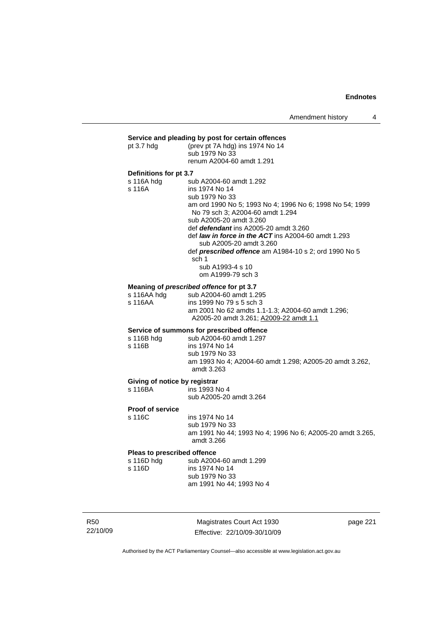## **Service and pleading by post for certain offences**<br>pt 3.7 hdg (prev pt 7A hdg) ins 1974 No 14

| pt $3.7$ hdg           | (prev pt 7A hdg) ins 1974 No 14<br>sub 1979 No 33<br>renum A2004-60 amdt 1.291                                          |
|------------------------|-------------------------------------------------------------------------------------------------------------------------|
| Definitions for pt 3.7 |                                                                                                                         |
| s 116A hdg             | sub A2004-60 amdt 1.292                                                                                                 |
| s 116A                 | ins 1974 No 14                                                                                                          |
|                        | sub 1979 No 33                                                                                                          |
|                        | am ord 1990 No 5: 1993 No 4: 1996 No 6: 1998 No 54: 1999<br>No 79 sch 3; A2004-60 amdt 1.294<br>sub A2005-20 amdt 3.260 |
|                        | def <i>defendant</i> ins A2005-20 amdt 3.260                                                                            |
|                        | def <i>law in force in the ACT</i> ins A2004-60 amdt 1.293<br>sub A2005-20 amdt 3.260                                   |
|                        | def <b>prescribed offence</b> am A1984-10 s 2; ord 1990 No 5<br>sch 1                                                   |
|                        | sub A1993-4 s 10                                                                                                        |
|                        | om A1999-79 sch 3                                                                                                       |
|                        | Meaning of prescribed offence for pt 3.7                                                                                |
|                        |                                                                                                                         |

|                 | meaning or <i>prescribed</i> offerice for priori |
|-----------------|--------------------------------------------------|
| - 11C A A L J - |                                                  |

| s 116AA hdg | sub A2004-60 amdt 1.295                           |
|-------------|---------------------------------------------------|
| s 116AA     | ins 1999 No 79 s 5 sch 3                          |
|             | am 2001 No 62 amdts 1.1-1.3; A2004-60 amdt 1.296; |
|             | A2005-20 amdt 3.261: A2009-22 amdt 1.1            |
|             |                                                   |

## **Service of summons for prescribed offence**

| s 116B hdg | sub A2004-60 amdt 1.297                                               |
|------------|-----------------------------------------------------------------------|
| s 116B     | ins 1974 No 14                                                        |
|            | sub 1979 No 33                                                        |
|            | am 1993 No 4; A2004-60 amdt 1.298; A2005-20 amdt 3.262,<br>amdt 3.263 |
|            |                                                                       |

# **Giving of notice by registrar s** 116BA ins 1993 N

 $\overline{\phantom{0}}$  ins 1993 No 4 sub A2005-20 amdt 3.264

## **Proof of service**

ins 1974 No 14 sub 1979 No 33 am 1991 No 44; 1993 No 4; 1996 No 6; A2005-20 amdt 3.265, amdt 3.266

### **Pleas to prescribed offence**

| s 116D hdq | sub A2004-60 amdt 1.299  |
|------------|--------------------------|
| s 116D.    | ins 1974 No 14           |
|            | sub 1979 No 33           |
|            | am 1991 No 44; 1993 No 4 |
|            |                          |

R50 22/10/09

Magistrates Court Act 1930 Effective: 22/10/09-30/10/09 page 221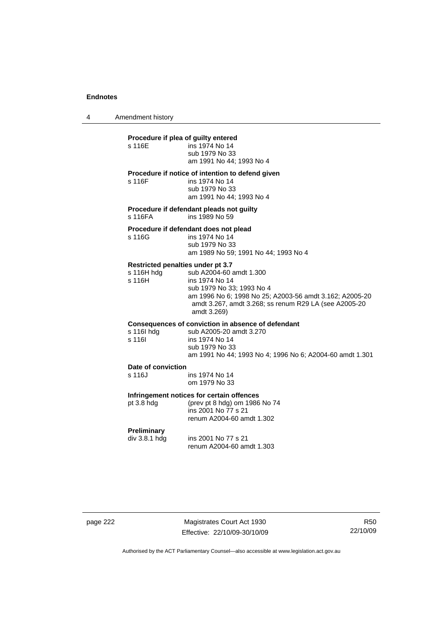4 Amendment history

## **Procedure if plea of guilty entered**<br>s 116E **ins 1974** No 14

| s 116E | ins 1974 No 14           |
|--------|--------------------------|
|        | sub 1979 No 33           |
|        | am 1991 No 44: 1993 No 4 |

#### **Procedure if notice of intention to defend given**

s 116F ins 1974 No 14

 sub 1979 No 33 am 1991 No 44; 1993 No 4

**Procedure if defendant pleads not guilty**  s 116FA ins 1989 No 59

#### **Procedure if defendant does not plead**

| s 116G | ins 1974 No 14                       |
|--------|--------------------------------------|
|        | sub 1979 No 33                       |
|        | am 1989 No 59; 1991 No 44; 1993 No 4 |

### **Restricted penalties under pt 3.7**

| s 116H hdg | sub A2004-60 amdt 1.300                                 |
|------------|---------------------------------------------------------|
| s 116H     | ins 1974 No 14                                          |
|            | sub 1979 No 33: 1993 No 4                               |
|            | am 1996 No 6: 1998 No 25: A2003-56 amdt 3.162: A2005-20 |
|            | amdt 3.267, amdt 3.268; ss renum R29 LA (see A2005-20   |
|            | amdt 3.269)                                             |
|            |                                                         |

### **Consequences of conviction in absence of defendant**

| s 116I hda | sub A2005-20 amdt 3.270                                  |
|------------|----------------------------------------------------------|
| s 116I     | ins 1974 No 14                                           |
|            | sub 1979 No 33                                           |
|            | am 1991 No 44; 1993 No 4; 1996 No 6; A2004-60 amdt 1.301 |
|            |                                                          |

#### **Date of conviction**

s 116J ins 1974 No 14 om 1979 No 33

#### **Infringement notices for certain offences**

pt 3.8 hdg (prev pt 8 hdg) om 1986 No 74 ins 2001 No 77 s 21 renum A2004-60 amdt 1.302

#### **Preliminary**

div 3.8.1 hdg ins 2001 No 77 s 21 renum A2004-60 amdt 1.303

page 222 Magistrates Court Act 1930 Effective: 22/10/09-30/10/09

R50 22/10/09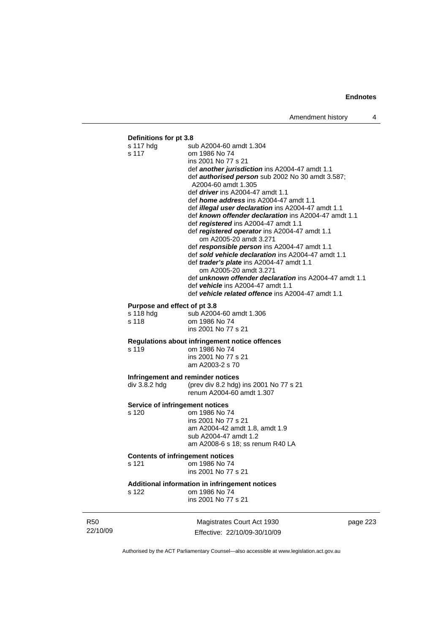## **Definitions for pt 3.8**

| s 117 hdg                               | sub A2004-60 amdt 1.304                                                 |
|-----------------------------------------|-------------------------------------------------------------------------|
| s 117                                   | om 1986 No 74                                                           |
|                                         | ins 2001 No 77 s 21                                                     |
|                                         | def another jurisdiction ins A2004-47 amdt 1.1                          |
|                                         | def authorised person sub 2002 No 30 amdt 3.587;<br>A2004-60 amdt 1.305 |
|                                         | def <i>driver</i> ins A2004-47 amdt 1.1                                 |
|                                         | def <i>home address</i> ins A2004-47 amdt 1.1                           |
|                                         | def <i>illegal user declaration</i> ins A2004-47 amdt 1.1               |
|                                         | def known offender declaration ins A2004-47 amdt 1.1                    |
|                                         | def registered ins A2004-47 amdt 1.1                                    |
|                                         | def registered operator ins A2004-47 amdt 1.1                           |
|                                         | om A2005-20 amdt 3.271                                                  |
|                                         | def responsible person ins A2004-47 amdt 1.1                            |
|                                         | def sold vehicle declaration ins A2004-47 amdt 1.1                      |
|                                         | def trader's plate ins A2004-47 amdt 1.1                                |
|                                         | om A2005-20 amdt 3.271                                                  |
|                                         | def <i>unknown offender declaration</i> ins A2004-47 amdt 1.1           |
|                                         | def vehicle ins A2004-47 amdt 1.1                                       |
|                                         | def vehicle related offence ins A2004-47 amdt 1.1                       |
| Purpose and effect of pt 3.8            |                                                                         |
| s 118 hdg                               | sub A2004-60 amdt 1.306                                                 |
| s 118                                   | om 1986 No 74                                                           |
|                                         | ins 2001 No 77 s 21                                                     |
|                                         | Regulations about infringement notice offences                          |
| s 119                                   | om 1986 No 74                                                           |
|                                         | ins 2001 No 77 s 21                                                     |
|                                         | am A2003-2 s 70                                                         |
| Infringement and reminder notices       |                                                                         |
| div 3.8.2 hdg                           | (prev div 8.2 hdg) ins 2001 No 77 s 21                                  |
|                                         | renum A2004-60 amdt 1.307                                               |
|                                         |                                                                         |
| Service of infringement notices         |                                                                         |
| s 120                                   | om 1986 No 74                                                           |
|                                         | ins 2001 No 77 s 21<br>am A2004-42 amdt 1.8, amdt 1.9                   |
|                                         | sub A2004-47 amdt 1.2                                                   |
|                                         | am A2008-6 s 18; ss renum R40 LA                                        |
|                                         |                                                                         |
| <b>Contents of infringement notices</b> |                                                                         |
| s 121                                   | om 1986 No 74                                                           |
|                                         | ins 2001 No 77 s 21                                                     |
|                                         | Additional information in infringement notices                          |
| s 122                                   | om 1986 No 74                                                           |
|                                         | ins 2001 No 77 s 21                                                     |
|                                         |                                                                         |
|                                         |                                                                         |

R50 22/10/09

Magistrates Court Act 1930 Effective: 22/10/09-30/10/09 page 223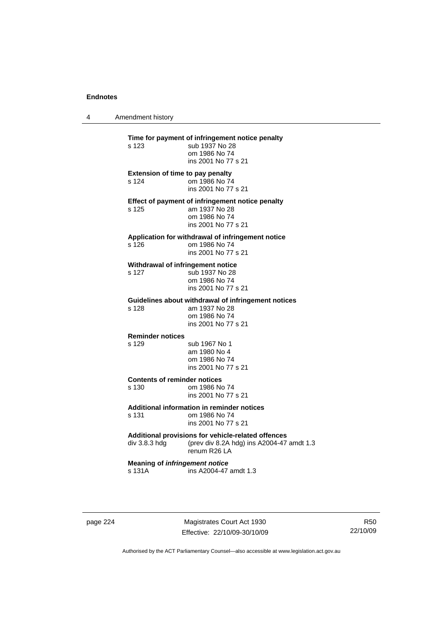4 Amendment history **Time for payment of infringement notice penalty**<br>s 123 sub 1937 No 28 sub 1937 No 28 om 1986 No 74 ins 2001 No 77 s 21 **Extension of time to pay penalty**  s 124 om 1986 No 74 ins 2001 No 77 s 21 **Effect of payment of infringement notice penalty**  am 1937 No 28 om 1986 No 74 ins 2001 No 77 s 21 **Application for withdrawal of infringement notice**  s 126 om 1986 No 74 ins 2001 No 77 s 21 **Withdrawal of infringement notice**  s 127 sub 1937 No 28 om 1986 No 74 ins 2001 No 77 s 21 **Guidelines about withdrawal of infringement notices**  am 1937 No 28 om 1986 No 74 ins 2001 No 77 s 21 **Reminder notices**  s 129 sub 1967 No 1 am 1980 No 4 om 1986 No 74 ins 2001 No 77 s 21 **Contents of reminder notices**  s 130 om 1986 No 74 ins 2001 No 77 s 21 **Additional information in reminder notices**  s 131 om 1986 No 74 ins 2001 No 77 s 21 **Additional provisions for vehicle-related offences**  div 3.8.3 hdg (prev div 8.2A hdg) ins A2004-47 amdt 1.3 renum R26 LA **Meaning of** *infringement notice* s 131A ins A2004-47 amdt 1.3

page 224 Magistrates Court Act 1930 Effective: 22/10/09-30/10/09

R50 22/10/09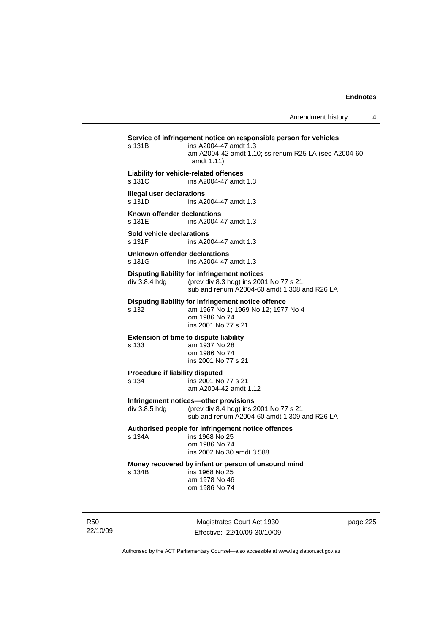|                                            | ins A2004-47 amdt 1.3<br>am A2004-42 amdt 1.10; ss renum R25 LA (see A2004-60<br>amdt 1.11)                                            |  |
|--------------------------------------------|----------------------------------------------------------------------------------------------------------------------------------------|--|
| s 131C                                     | Liability for vehicle-related offences<br>ins A2004-47 amdt 1.3                                                                        |  |
| <b>Illegal user declarations</b><br>s 131D | ins A2004-47 amdt 1.3                                                                                                                  |  |
| Known offender declarations<br>s 131E      | ins A2004-47 amdt 1.3                                                                                                                  |  |
| Sold vehicle declarations<br>s 131F        | ins A2004-47 amdt 1.3                                                                                                                  |  |
| s 131G                                     | Unknown offender declarations<br>ins A2004-47 amdt 1.3                                                                                 |  |
| div 3.8.4 hdg                              | Disputing liability for infringement notices<br>(prev div 8.3 hdg) ins 2001 No 77 s 21<br>sub and renum A2004-60 amdt 1,308 and R26 LA |  |
| s 132                                      | Disputing liability for infringement notice offence<br>am 1967 No 1; 1969 No 12; 1977 No 4<br>om 1986 No 74<br>ins 2001 No 77 s 21     |  |
| s 133                                      | <b>Extension of time to dispute liability</b><br>am 1937 No 28<br>om 1986 No 74<br>ins 2001 No 77 s 21                                 |  |
| Procedure if liability disputed<br>s 134   | ins 2001 No 77 s 21<br>am A2004-42 amdt 1.12                                                                                           |  |
| div 3.8.5 hdg                              | Infringement notices-other provisions<br>(prev div 8.4 hdg) ins 2001 No 77 s 21<br>sub and renum A2004-60 amdt 1,309 and R26 LA        |  |
| s 134A                                     | Authorised people for infringement notice offences<br>ins 1968 No 25<br>om 1986 No 74<br>ins 2002 No 30 amdt 3.588                     |  |
| s 134B                                     | Money recovered by infant or person of unsound mind<br>ins 1968 No 25<br>am 1978 No 46<br>om 1986 No 74                                |  |

R50 22/10/09

Authorised by the ACT Parliamentary Counsel—also accessible at www.legislation.act.gov.au

Effective: 22/10/09-30/10/09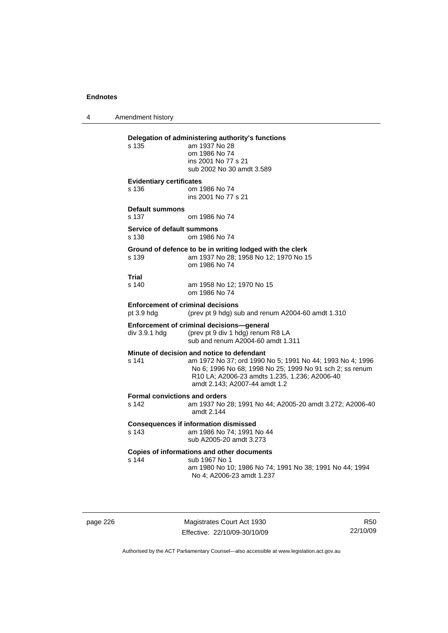4 Amendment history

## **Delegation of administering authority's functions**  am 1937 No 28 om 1986 No 74 ins 2001 No 77 s 21 sub 2002 No 30 amdt 3.589 **Evidentiary certificates**  s 136 om 1986 No 74 ins 2001 No 77 s 21 **Default summons**  s 137 om 1986 No 74 **Service of default summons**  s 138 om 1986 No 74 **Ground of defence to be in writing lodged with the clerk**  s 139 am 1937 No 28; 1958 No 12; 1970 No 15 om 1986 No 74 **Trial**  am 1958 No 12; 1970 No 15 om 1986 No 74 **Enforcement of criminal decisions**  pt 3.9 hdg (prev pt 9 hdg) sub and renum A2004-60 amdt 1.310 **Enforcement of criminal decisions—general**  div 3.9.1 hdg (prev pt 9 div 1 hdg) renum R8 LA sub and renum A2004-60 amdt 1.311 **Minute of decision and notice to defendant**  s 141 am 1972 No 37; ord 1990 No 5; 1991 No 44; 1993 No 4; 1996 No 6; 1996 No 68; 1998 No 25; 1999 No 91 sch 2; ss renum R10 LA; A2006-23 amdts 1.235, 1.236; A2006-40 amdt 2.143; A2007-44 amdt 1.2 **Formal convictions and orders**  s 142 am 1937 No 28; 1991 No 44; A2005-20 amdt 3.272; A2006-40 amdt 2.144 **Consequences if information dismissed**  s 143 am 1986 No 74; 1991 No 44 sub A2005-20 amdt 3.273 **Copies of informations and other documents**  s 144 sub 1967 No 1

 am 1980 No 10; 1986 No 74; 1991 No 38; 1991 No 44; 1994 No 4; A2006-23 amdt 1.237

page 226 Magistrates Court Act 1930 Effective: 22/10/09-30/10/09

R50 22/10/09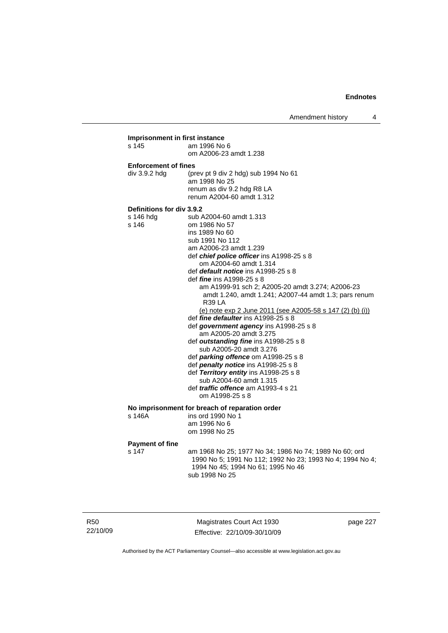Amendment history 4

## **Imprisonment in first instance**  am 1996 No 6 om A2006-23 amdt 1.238 **Enforcement of fines**  div 3.9.2 hdg (prev pt 9 div 2 hdg) sub 1994 No 61 am 1998 No 25 renum as div 9.2 hdg R8 LA renum A2004-60 amdt 1.312 **Definitions for div 3.9.2**  s 146 hdg sub A2004-60 amdt 1.313 s 146 om 1986 No 57 ins 1989 No 60 sub 1991 No 112 am A2006-23 amdt 1.239 def *chief police officer* ins A1998-25 s 8 om A2004-60 amdt 1.314 def *default notice* ins A1998-25 s 8 def *fine* ins A1998-25 s 8 am A1999-91 sch 2; A2005-20 amdt 3.274; A2006-23 amdt 1.240, amdt 1.241; A2007-44 amdt 1.3; pars renum R39 LA (e) note exp 2 June 2011 (see A2005-58 s 147 (2) (b) (i)) def *fine defaulter* ins A1998-25 s 8 def *government agency* ins A1998-25 s 8 am A2005-20 amdt 3.275 def *outstanding fine* ins A1998-25 s 8 sub A2005-20 amdt 3.276 def *parking offence* om A1998-25 s 8 def *penalty notice* ins A1998-25 s 8 def *Territory entity* ins A1998-25 s 8 sub A2004-60 amdt 1.315 def *traffic offence* am A1993-4 s 21 om A1998-25 s 8 **No imprisonment for breach of reparation order**  ins ord 1990 No 1 am 1996 No 6 om 1998 No 25 **Payment of fine**  s 147 am 1968 No 25; 1977 No 34; 1986 No 74; 1989 No 60; ord 1990 No 5; 1991 No 112; 1992 No 23; 1993 No 4; 1994 No 4; 1994 No 45; 1994 No 61; 1995 No 46 sub 1998 No 25

R50 22/10/09

Magistrates Court Act 1930 Effective: 22/10/09-30/10/09 page 227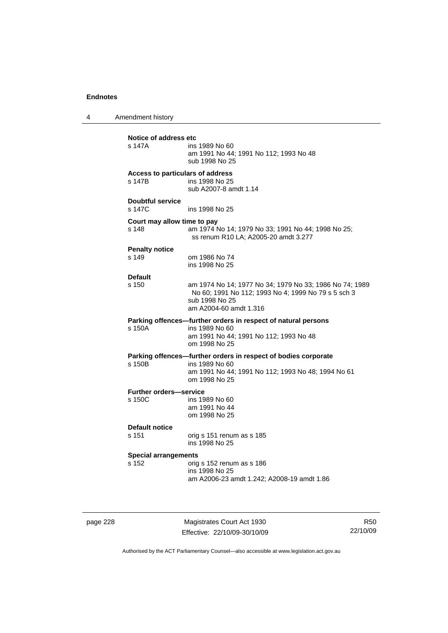4 Amendment history

| Notice of address etc                      |                                                                                                                                                            |  |
|--------------------------------------------|------------------------------------------------------------------------------------------------------------------------------------------------------------|--|
| s 147A                                     | ins 1989 No 60<br>am 1991 No 44; 1991 No 112; 1993 No 48<br>sub 1998 No 25                                                                                 |  |
| Access to particulars of address<br>s 147B | ins 1998 No 25<br>sub A2007-8 amdt 1.14                                                                                                                    |  |
| <b>Doubtful service</b><br>s 147C          | ins 1998 No 25                                                                                                                                             |  |
| Court may allow time to pay<br>s 148       | am 1974 No 14; 1979 No 33; 1991 No 44; 1998 No 25;<br>ss renum R10 LA; A2005-20 amdt 3.277                                                                 |  |
| <b>Penalty notice</b><br>s 149             | om 1986 No 74<br>ins 1998 No 25                                                                                                                            |  |
| <b>Default</b><br>s 150                    | am 1974 No 14; 1977 No 34; 1979 No 33; 1986 No 74; 1989<br>No 60; 1991 No 112; 1993 No 4; 1999 No 79 s 5 sch 3<br>sub 1998 No 25<br>am A2004-60 amdt 1.316 |  |
| s 150A                                     | Parking offences-further orders in respect of natural persons<br>ins 1989 No 60<br>am 1991 No 44; 1991 No 112; 1993 No 48<br>om 1998 No 25                 |  |
| s 150B                                     | Parking offences—further orders in respect of bodies corporate<br>ins 1989 No 60<br>am 1991 No 44; 1991 No 112; 1993 No 48; 1994 No 61<br>om 1998 No 25    |  |
| <b>Further orders-service</b><br>s 150C    | ins 1989 No 60<br>am 1991 No 44<br>om 1998 No 25                                                                                                           |  |
| Default notice<br>s 151                    | orig s 151 renum as s 185<br>ins 1998 No 25                                                                                                                |  |
| <b>Special arrangements</b><br>s 152       | orig s 152 renum as s 186<br>ins 1998 No 25<br>am A2006-23 amdt 1.242; A2008-19 amdt 1.86                                                                  |  |
|                                            |                                                                                                                                                            |  |

page 228 Magistrates Court Act 1930 Effective: 22/10/09-30/10/09

R50 22/10/09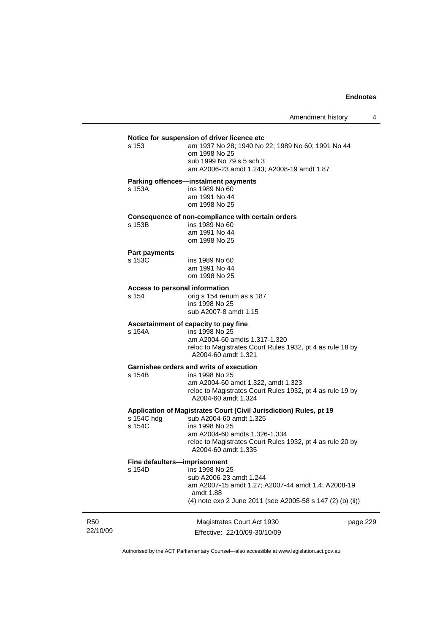#### **Notice for suspension of driver licence etc**

s 153 am 1937 No 28; 1940 No 22; 1989 No 60; 1991 No 44 om 1998 No 25 sub 1999 No 79 s 5 sch 3

am A2006-23 amdt 1.243; A2008-19 amdt 1.87

#### **Parking offences—instalment payments**

| s 153A | ins 1989 No 60 |
|--------|----------------|
|        | am 1991 No 44  |
|        | om 1998 No 25  |

#### **Consequence of non-compliance with certain orders**  s 153B

| s 153B | ins 1989 No 60 |
|--------|----------------|
|        | am 1991 No 44  |
|        | om 1998 No 25  |

## **Part payments**

ins 1989 No 60 am 1991 No 44 om 1998 No 25

#### **Access to personal information**

s 154 orig s 154 renum as s 187 ins 1998 No 25 sub A2007-8 amdt 1.15

### **Ascertainment of capacity to pay fine**

s 154A ins 1998 No 25 am A2004-60 amdts 1.317-1.320 reloc to Magistrates Court Rules 1932, pt 4 as rule 18 by A2004-60 amdt 1.321

## **Garnishee orders and writs of execution**

ins 1998 No 25 am A2004-60 amdt 1.322, amdt 1.323 reloc to Magistrates Court Rules 1932, pt 4 as rule 19 by A2004-60 amdt 1.324

#### **Application of Magistrates Court (Civil Jurisdiction) Rules, pt 19**

| s 154C hdg | sub A2004-60 amdt 1.325                                   |
|------------|-----------------------------------------------------------|
| s 154C     | ins 1998 No 25                                            |
|            | am A2004-60 amdts 1.326-1.334                             |
|            | reloc to Magistrates Court Rules 1932, pt 4 as rule 20 by |
|            | A2004-60 amdt 1.335                                       |
|            |                                                           |

#### **Fine defaulters—imprisonment**

| s 154D | ins 1998 No 25                                                  |
|--------|-----------------------------------------------------------------|
|        | sub A2006-23 amdt 1.244                                         |
|        | am A2007-15 amdt 1.27; A2007-44 amdt 1.4; A2008-19<br>amdt 1.88 |
|        | (4) note exp 2 June 2011 (see A2005-58 s 147 (2) (b) (ii))      |
|        |                                                                 |

| R50      | Magistrates Court Act 1930   | page 229 |
|----------|------------------------------|----------|
| 22/10/09 | Effective: 22/10/09-30/10/09 |          |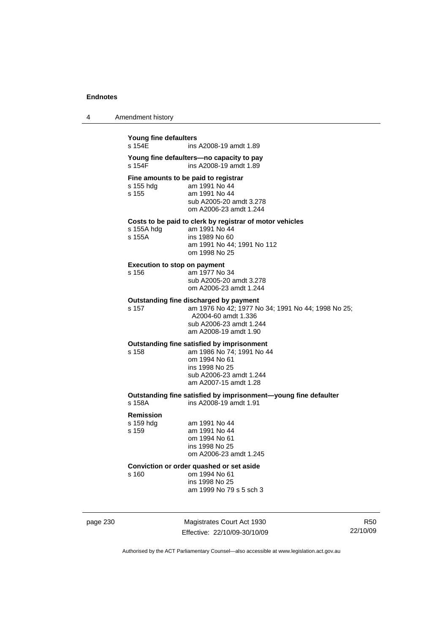| Amendment history<br>4 |  |
|------------------------|--|
|------------------------|--|

| Young fine defaulters<br>s 154F                                                                     | ins A2008-19 amdt 1.89                                                                                                                                                  |  |
|-----------------------------------------------------------------------------------------------------|-------------------------------------------------------------------------------------------------------------------------------------------------------------------------|--|
| s 154F                                                                                              | Young fine defaulters-no capacity to pay<br>ins A2008-19 amdt 1.89                                                                                                      |  |
| s 155 hdg<br>s 155                                                                                  | Fine amounts to be paid to registrar<br>am 1991 No 44<br>am 1991 No 44<br>sub A2005-20 amdt 3.278<br>om A2006-23 amdt 1.244                                             |  |
| s 155A hdg<br>s 155A                                                                                | Costs to be paid to clerk by registrar of motor vehicles<br>am 1991 No 44<br>ins 1989 No 60<br>am 1991 No 44; 1991 No 112<br>om 1998 No 25                              |  |
| <b>Execution to stop on payment</b><br>s 156                                                        | am 1977 No 34<br>sub A2005-20 amdt 3.278<br>om A2006-23 amdt 1.244                                                                                                      |  |
| s 157                                                                                               | Outstanding fine discharged by payment<br>am 1976 No 42; 1977 No 34; 1991 No 44; 1998 No 25;<br>A2004-60 amdt 1.336<br>sub A2006-23 amdt 1.244<br>am A2008-19 amdt 1.90 |  |
| s 158                                                                                               | Outstanding fine satisfied by imprisonment<br>am 1986 No 74; 1991 No 44<br>om 1994 No 61<br>ins 1998 No 25<br>sub A2006-23 amdt 1.244<br>am A2007-15 amdt 1.28          |  |
| Outstanding fine satisfied by imprisonment-young fine defaulter<br>ins A2008-19 amdt 1.91<br>s 158A |                                                                                                                                                                         |  |
| <b>Remission</b><br>s 159 hdg<br>s 159                                                              | am 1991 No 44<br>am 1991 No 44<br>om 1994 No 61<br>ins 1998 No 25<br>om A2006-23 amdt 1.245                                                                             |  |
| s 160                                                                                               | Conviction or order quashed or set aside<br>om 1994 No 61<br>ins 1998 No 25<br>am 1999 No 79 s 5 sch 3                                                                  |  |

page 230 Magistrates Court Act 1930 Effective: 22/10/09-30/10/09

R50 22/10/09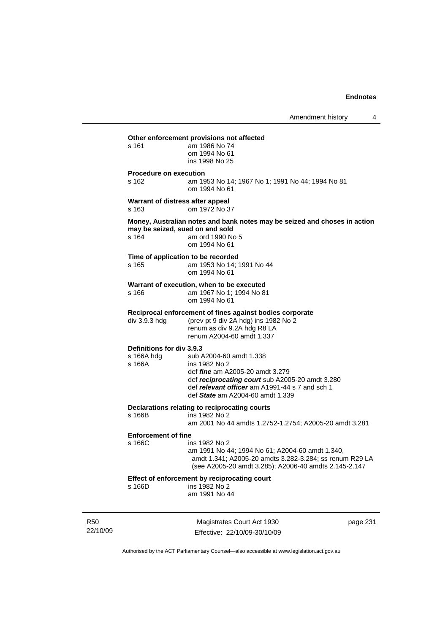**Other enforcement provisions not affected**  s 161 am 1986 No 74 om 1994 No 61 ins 1998 No 25 **Procedure on execution**  s 162 am 1953 No 14; 1967 No 1; 1991 No 44; 1994 No 81 om 1994 No 61 **Warrant of distress after appeal**  s 163 om 1972 No 37 **Money, Australian notes and bank notes may be seized and choses in action may be seized, sued on and sold**  s 164 am ord 1990 No 5 om 1994 No 61 **Time of application to be recorded**  s 165 am 1953 No 14; 1991 No 44 om 1994 No 61 **Warrant of execution, when to be executed**  s 166 am 1967 No 1; 1994 No 81 om 1994 No 61 **Reciprocal enforcement of fines against bodies corporate**  div 3.9.3 hdg (prev pt 9 div 2A hdg) ins 1982 No 2 renum as div 9.2A hdg R8 LA renum A2004-60 amdt 1.337 **Definitions for div 3.9.3**  s 166A hdg sub A2004-60 amdt 1.338<br>s 166A ins 1982 No 2 ins 1982 No 2 def *fine* am A2005-20 amdt 3.279 def *reciprocating court* sub A2005-20 amdt 3.280 def *relevant officer* am A1991-44 s 7 and sch 1 def *State* am A2004-60 amdt 1.339 **Declarations relating to reciprocating courts**  s 166B ins 1982 No 2 am 2001 No 44 amdts 1.2752-1.2754; A2005-20 amdt 3.281 **Enforcement of fine**  s 166C ins 1982 No 2 am 1991 No 44; 1994 No 61; A2004-60 amdt 1.340, amdt 1.341; A2005-20 amdts 3.282-3.284; ss renum R29 LA (see A2005-20 amdt 3.285); A2006-40 amdts 2.145-2.147 **Effect of enforcement by reciprocating court**<br>s 166D ins 1982 No 2  $ins$  1982 No 2 am 1991 No 44

R50 22/10/09

Magistrates Court Act 1930 Effective: 22/10/09-30/10/09 page 231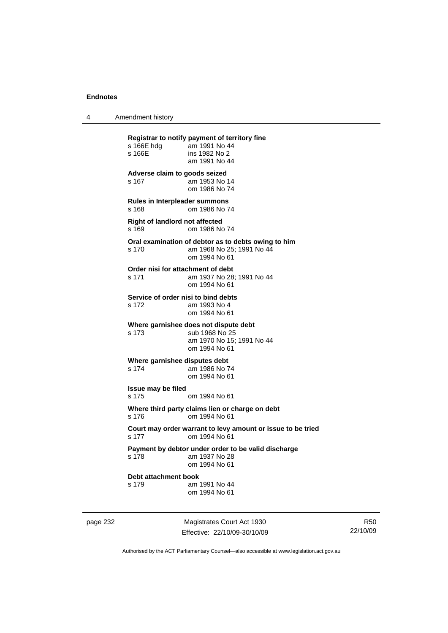4 Amendment history

**Registrar to notify payment of territory fine**  am 1991 No 44 s 166E ins 1982 No 2 am 1991 No 44 **Adverse claim to goods seized**  s 167 am 1953 No 14 om 1986 No 74 **Rules in Interpleader summons**  s 168 om 1986 No 74 **Right of landlord not affected**  s 169 om 1986 No 74 **Oral examination of debtor as to debts owing to him**  s 170 am 1968 No 25; 1991 No 44 om 1994 No 61 **Order nisi for attachment of debt**  s 171 am 1937 No 28; 1991 No 44 om 1994 No 61 **Service of order nisi to bind debts**  s 172 am 1993 No 4 om 1994 No 61 **Where garnishee does not dispute debt**  s 173 sub 1968 No 25 am 1970 No 15; 1991 No 44 om 1994 No 61 **Where garnishee disputes debt**  s 174 am 1986 No 74 om 1994 No 61 **Issue may be filed**  s 175 om 1994 No 61 **Where third party claims lien or charge on debt**  s 176 om 1994 No 61 **Court may order warrant to levy amount or issue to be tried**  s 177 om 1994 No 61 **Payment by debtor under order to be valid discharge**  am 1937 No 28 om 1994 No 61 **Debt attachment book**  s 179 am 1991 No 44 om 1994 No 61

page 232 Magistrates Court Act 1930 Effective: 22/10/09-30/10/09

R50 22/10/09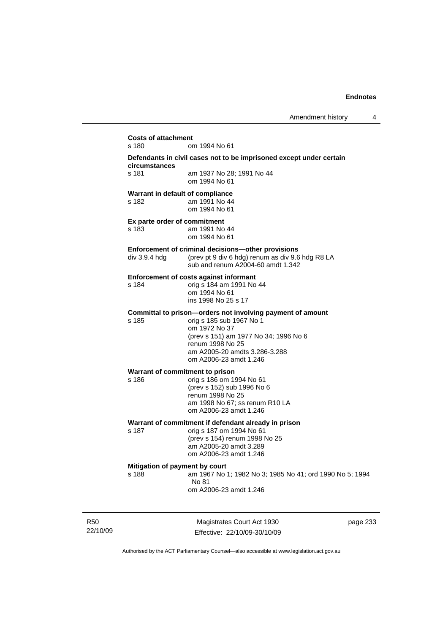| s 180                                   | om 1994 No 61                                                                                                                                                                                                                   |
|-----------------------------------------|---------------------------------------------------------------------------------------------------------------------------------------------------------------------------------------------------------------------------------|
| circumstances                           | Defendants in civil cases not to be imprisoned except under certain                                                                                                                                                             |
| s 181                                   | am 1937 No 28: 1991 No 44<br>om 1994 No 61                                                                                                                                                                                      |
| s 182                                   | Warrant in default of compliance<br>am 1991 No 44<br>om 1994 No 61                                                                                                                                                              |
| Ex parte order of commitment<br>s 183   | am 1991 No 44<br>om 1994 No 61                                                                                                                                                                                                  |
| div 3.9.4 hdg                           | Enforcement of criminal decisions—other provisions<br>(prev pt 9 div 6 hdg) renum as div 9.6 hdg R8 LA<br>sub and renum A2004-60 amdt 1.342                                                                                     |
| s 184                                   | <b>Enforcement of costs against informant</b><br>orig s 184 am 1991 No 44<br>om 1994 No 61<br>ins 1998 No 25 s 17                                                                                                               |
| s 185                                   | Committal to prison-orders not involving payment of amount<br>orig s 185 sub 1967 No 1<br>om 1972 No 37<br>(prev s 151) am 1977 No 34; 1996 No 6<br>renum 1998 No 25<br>am A2005-20 amdts 3.286-3.288<br>om A2006-23 amdt 1.246 |
| s 186                                   | Warrant of commitment to prison<br>orig s 186 om 1994 No 61<br>(prev s 152) sub 1996 No 6<br>renum 1998 No 25<br>am 1998 No 67; ss renum R10 LA<br>om A2006-23 amdt 1.246                                                       |
| s 187                                   | Warrant of commitment if defendant already in prison<br>orig s 187 om 1994 No 61<br>(prev s 154) renum 1998 No 25<br>am A2005-20 amdt 3.289<br>om A2006-23 amdt 1.246                                                           |
| Mitigation of payment by court<br>s 188 | am 1967 No 1; 1982 No 3; 1985 No 41; ord 1990 No 5; 1994<br>No 81<br>om A2006-23 amdt 1.246                                                                                                                                     |

R50 22/10/09

Magistrates Court Act 1930 Effective: 22/10/09-30/10/09 page 233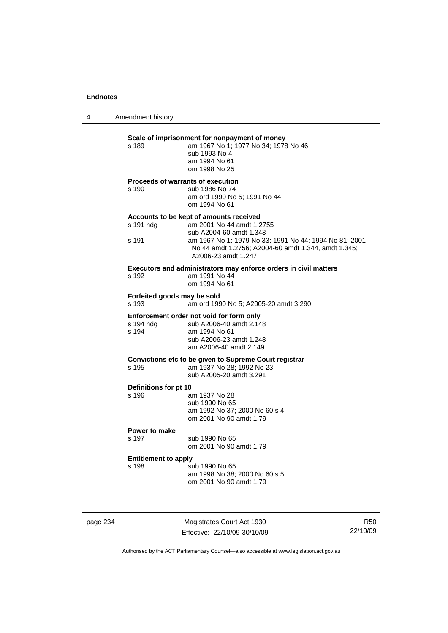4 Amendment history

## **Scale of imprisonment for nonpayment of money**<br>
s 189 am 1967 No 1: 1977 No 34: 1978

| s 189 | am 1967 No 1: 1977 No 34: 1978 No 46 |
|-------|--------------------------------------|
|       | sub 1993 No 4                        |
|       | am 1994 No 61                        |
|       | om 1998 No 25                        |

## **Proceeds of warrants of execution**

s 190 sub 1986 No 74 am ord 1990 No 5; 1991 No 44 om 1994 No 61

#### **Accounts to be kept of amounts received**

| s 191 hdq | am 2001 No 44 amdt 1.2755                                                                                                            |
|-----------|--------------------------------------------------------------------------------------------------------------------------------------|
|           | sub A2004-60 amdt 1.343                                                                                                              |
| s 191     | am 1967 No 1: 1979 No 33: 1991 No 44: 1994 No 81: 2001<br>No 44 amdt 1.2756; A2004-60 amdt 1.344, amdt 1.345;<br>A2006-23 amdt 1.247 |
|           |                                                                                                                                      |

#### **Executors and administrators may enforce orders in civil matters**  s 192 am 1991 No 44

|  | ---------------- |  |
|--|------------------|--|
|  | om 1994 No 61    |  |
|  |                  |  |

## **Forfeited goods may be sold**

s 193 am ord 1990 No 5; A2005-20 amdt 3.290

## **Enforcement order not void for form only**<br>s 194 hdg sub A2006-40 amdt 2.148

| s 194 hda | sub A2006-40 amdt 2.148 |
|-----------|-------------------------|
| s 194     | am 1994 No 61           |
|           | sub A2006-23 amdt 1.248 |
|           | am A2006-40 amdt 2.149  |
|           |                         |

## **Convictions etc to be given to Supreme Court registrar**

| s 195 | am 1937 No 28; 1992 No 23 |
|-------|---------------------------|
|       | sub A2005-20 amdt 3.291   |

## **Definitions for pt 10**

| <b>DEITINUS IO DU DU</b> |                               |  |
|--------------------------|-------------------------------|--|
| s 196                    | am 1937 No 28                 |  |
|                          | sub 1990 No 65                |  |
|                          | am 1992 No 37; 2000 No 60 s 4 |  |
|                          | om 2001 No 90 amdt 1.79       |  |
|                          |                               |  |

#### **Power to make**

| s 197 | sub 1990 No 65          |
|-------|-------------------------|
|       | om 2001 No 90 amdt 1.79 |

### **Entitlement to apply**

| s 198 | sub 1990 No 65                |
|-------|-------------------------------|
|       | am 1998 No 38; 2000 No 60 s 5 |
|       | om 2001 No 90 amdt 1.79       |

page 234 Magistrates Court Act 1930 Effective: 22/10/09-30/10/09

R50 22/10/09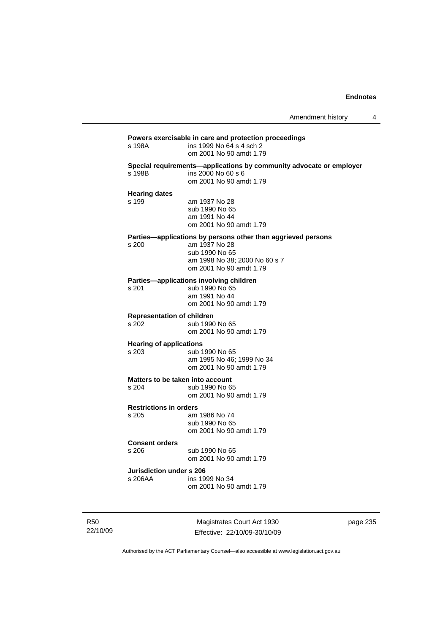## **Powers exercisable in care and protection proceedings**  ins 1999 No 64 s 4 sch 2 om 2001 No 90 amdt 1.79 **Special requirements—applications by community advocate or employer**  s 198B ins 2000 No 60 s 6 om 2001 No 90 amdt 1.79 **Hearing dates**  s 199 am 1937 No 28 sub 1990 No 65 am 1991 No 44 om 2001 No 90 amdt 1.79 **Parties—applications by persons other than aggrieved persons s 200 am 1937 No 28** am 1937 No 28 sub 1990 No 65 am 1998 No 38; 2000 No 60 s 7 om 2001 No 90 amdt 1.79 **Parties—applications involving children**  s 201 sub 1990 No 65 am 1991 No 44 om 2001 No 90 amdt 1.79 **Representation of children**  sub 1990 No 65 om 2001 No 90 amdt 1.79 **Hearing of applications**<br>s 203 sub 1 sub 1990 No 65 am 1995 No 46; 1999 No 34 om 2001 No 90 amdt 1.79 **Matters to be taken into account**  s 204 sub 1990 No 65 om 2001 No 90 amdt 1.79 **Restrictions in orders**  s 205 am 1986 No 74 sub 1990 No 65 om 2001 No 90 amdt 1.79 **Consent orders**  s 206 sub 1990 No 65 om 2001 No 90 amdt 1.79 **Jurisdiction under s 206**  s 206AA ins 1999 No 34 om 2001 No 90 amdt 1.79

R50 22/10/09

Magistrates Court Act 1930 Effective: 22/10/09-30/10/09 page 235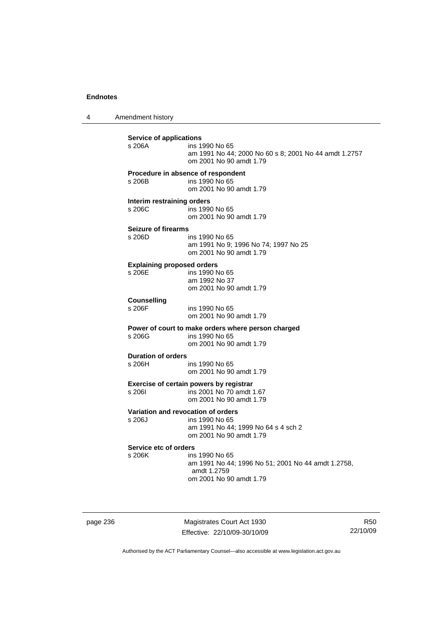4 Amendment history

| <b>Service of applications</b><br>s 206A    | ins 1990 No 65<br>am 1991 No 44; 2000 No 60 s 8; 2001 No 44 amdt 1.2757<br>om 2001 No 90 amdt 1.79                     |
|---------------------------------------------|------------------------------------------------------------------------------------------------------------------------|
| s 206B                                      | Procedure in absence of respondent<br>ins 1990 No 65<br>om 2001 No 90 amdt 1.79                                        |
| Interim restraining orders<br>s 206C        | ins 1990 No 65<br>om 2001 No 90 amdt 1.79                                                                              |
| <b>Seizure of firearms</b><br>s 206D        | ins 1990 No 65<br>am 1991 No 9; 1996 No 74; 1997 No 25<br>om 2001 No 90 amdt 1.79                                      |
| <b>Explaining proposed orders</b><br>s 206E | ins 1990 No 65<br>am 1992 No 37<br>om 2001 No 90 amdt 1.79                                                             |
| <b>Counselling</b><br>s 206F                | ins 1990 No 65<br>om 2001 No 90 amdt 1.79                                                                              |
| s 206G                                      | Power of court to make orders where person charged<br>ins 1990 No 65<br>om 2001 No 90 amdt 1.79                        |
| <b>Duration of orders</b><br>s 206H         | ins 1990 No 65<br>om 2001 No 90 amdt 1.79                                                                              |
| s 2061                                      | Exercise of certain powers by registrar<br>ins 2001 No 70 amdt 1.67<br>om 2001 No 90 amdt 1.79                         |
| s 206J                                      | Variation and revocation of orders<br>ins 1990 No 65<br>am 1991 No 44; 1999 No 64 s 4 sch 2<br>om 2001 No 90 amdt 1.79 |
| Service etc of orders<br>s 206K             | ins 1990 No 65<br>am 1991 No 44; 1996 No 51; 2001 No 44 amdt 1.2758,<br>amdt 1.2759<br>om 2001 No 90 amdt 1.79         |

page 236 Magistrates Court Act 1930 Effective: 22/10/09-30/10/09

R50 22/10/09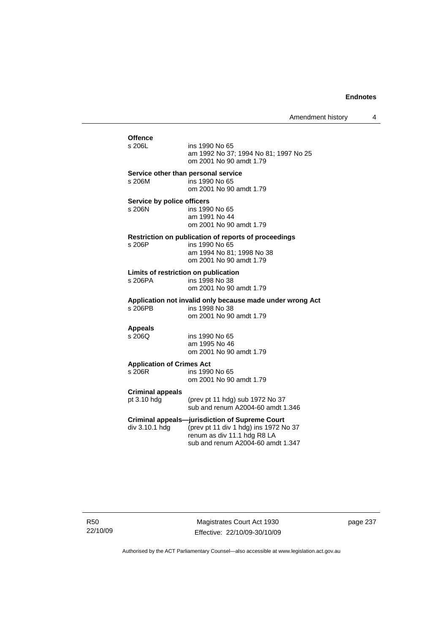# Offence<br>s 206L ins 1990 No 65 am 1992 No 37; 1994 No 81; 1997 No 25 om 2001 No 90 amdt 1.79 **Service other than personal service**  s 206M ins 1990 No 65 om 2001 No 90 amdt 1.79 **Service by police officers**<br>s 206N ins 199 ins 1990 No 65 am 1991 No 44 om 2001 No 90 amdt 1.79 **Restriction on publication of reports of proceedings**  ins 1990 No 65 am 1994 No 81; 1998 No 38 om 2001 No 90 amdt 1.79 **Limits of restriction on publication**  s 206PA ins 1998 No 38 om 2001 No 90 amdt 1.79 **Application not invalid only because made under wrong Act**  ins 1998 No 38 om 2001 No 90 amdt 1.79 **Appeals**  ins 1990 No 65 am 1995 No 46 om 2001 No 90 amdt 1.79 **Application of Crimes Act**  ins 1990 No 65 om 2001 No 90 amdt 1.79 **Criminal appeals**  (prev pt 11 hdg) sub 1972 No  $37$  sub and renum A2004-60 amdt 1.346 **Criminal appeals—jurisdiction of Supreme Court**  div 3.10.1 hdg (prev pt 11 div 1 hdg) ins 1972 No 37 renum as div 11.1 hdg R8 LA sub and renum A2004-60 amdt 1.347

Magistrates Court Act 1930 Effective: 22/10/09-30/10/09 page 237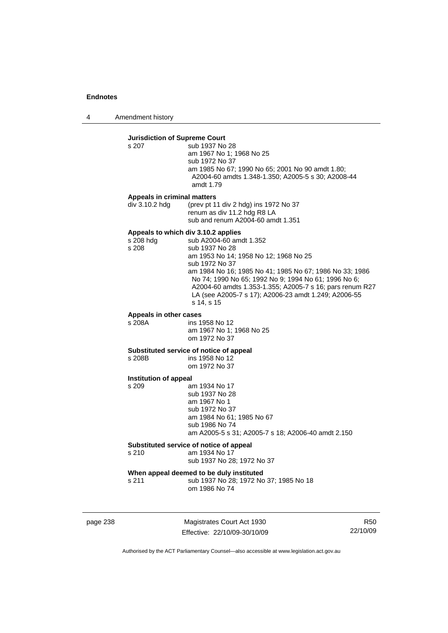4 Amendment history

#### **Jurisdiction of Supreme Court**  s 207

| s 207 | sub 1937 No 28                                     |
|-------|----------------------------------------------------|
|       | am 1967 No 1: 1968 No 25                           |
|       | sub 1972 No 37                                     |
|       | am 1985 No 67: 1990 No 65: 2001 No 90 amdt 1.80:   |
|       | A2004-60 amdts 1.348-1.350: A2005-5 s 30: A2008-44 |
|       | amdt 1.79                                          |

#### **Appeals in criminal matters**

div 3.10.2 hdg (prev pt 11 div 2 hdg) ins 1972 No 37 renum as div 11.2 hdg R8 LA sub and renum A2004-60 amdt 1.351

#### **Appeals to which div 3.10.2 applies**

s 208 hdg sub A2004-60 amdt 1.352<br>s 208 sub 1937 No 28 sub 1937 No 28 am 1953 No 14; 1958 No 12; 1968 No 25 sub 1972 No 37 am 1984 No 16; 1985 No 41; 1985 No 67; 1986 No 33; 1986 No 74; 1990 No 65; 1992 No 9; 1994 No 61; 1996 No 6; A2004-60 amdts 1.353-1.355; A2005-7 s 16; pars renum R27 LA (see A2005-7 s 17); A2006-23 amdt 1.249; A2006-55 s 14, s 15

# **Appeals in other cases**

s 208A ins 1958 No 12 am 1967 No 1; 1968 No 25 om 1972 No 37

# **Substituted service of notice of appeal**

s 208B ins 1958 No 12 om 1972 No 37

#### **Institution of appeal**

s 209 am 1934 No 17 sub 1937 No 28 am 1967 No 1 sub 1972 No 37 am 1984 No 61; 1985 No 67 sub 1986 No 74 am A2005-5 s 31; A2005-7 s 18; A2006-40 amdt 2.150

#### **Substituted service of notice of appeal**

s 210 am 1934 No 17

sub 1937 No 28; 1972 No 37

# **When appeal deemed to be duly instituted**

s 211 sub 1937 No 28; 1972 No 37; 1985 No 18 om 1986 No 74

page 238 Magistrates Court Act 1930 Effective: 22/10/09-30/10/09

R50 22/10/09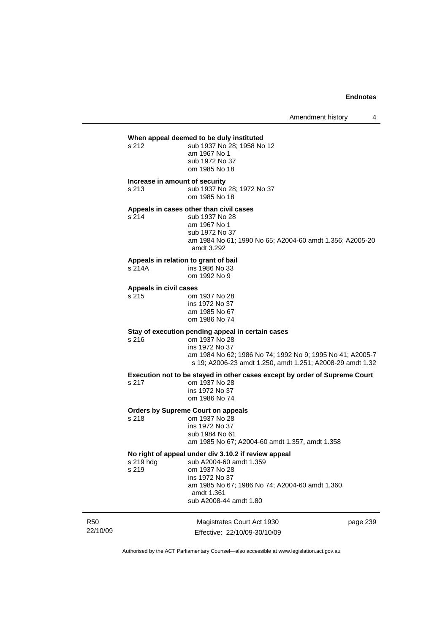Amendment history 4

## **When appeal deemed to be duly instituted**

s 212 sub 1937 No 28: 1958 No 12 am 1967 No 1 sub 1972 No 37 om 1985 No 18

#### **Increase in amount of security**

s 213 sub 1937 No 28; 1972 No 37 om 1985 No 18

# **Appeals in cases other than civil cases**

s 214 sub 1937 No 28 am 1967 No 1 sub 1972 No 37 am 1984 No 61; 1990 No 65; A2004-60 amdt 1.356; A2005-20 amdt 3.292

# **Appeals in relation to grant of bail**

ins 1986 No 33 om 1992 No 9

#### **Appeals in civil cases**

s 215 om 1937 No 28 ins 1972 No 37 am 1985 No 67 om 1986 No 74

## **Stay of execution pending appeal in certain cases**

 $s$  217

s 216 om 1937 No 28 ins 1972 No 37 am 1984 No 62; 1986 No 74; 1992 No 9; 1995 No 41; A2005-7 s 19; A2006-23 amdt 1.250, amdt 1.251; A2008-29 amdt 1.32

**Execution not to be stayed in other cases except by order of Supreme Court** 

| s 217 | om 1937 No 28  |
|-------|----------------|
|       | ins 1972 No 37 |
|       | om 1986 No 74  |
|       |                |

# **Orders by Supreme Court on appeals**

om 1937 No 28 ins 1972 No 37 sub 1984 No 61 am 1985 No 67; A2004-60 amdt 1.357, amdt 1.358

**No right of appeal under div 3.10.2 if review appeal**  sub A2004-60 amdt 1.359 s 219 om 1937 No 28 ins 1972 No 37 am 1985 No 67; 1986 No 74; A2004-60 amdt 1.360, amdt 1.361 sub A2008-44 amdt 1.80

R50 22/10/09 Magistrates Court Act 1930 Effective: 22/10/09-30/10/09 page 239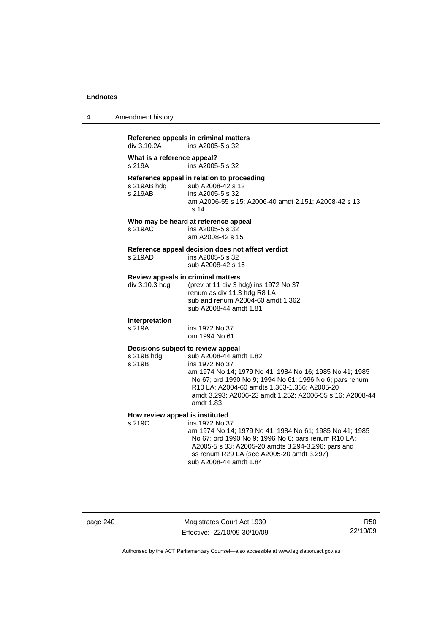| 4 | Amendment history |  |
|---|-------------------|--|
|---|-------------------|--|

#### **Reference appeals in criminal matters**  ins A2005-5 s 32

**What is a reference appeal?**  s 219A ins A2005-5 s 32

**Reference appeal in relation to proceeding** 

sub A2008-42 s 12 s 219AB ins A2005-5 s 32 am A2006-55 s 15; A2006-40 amdt 2.151; A2008-42 s 13, s 14

#### **Who may be heard at reference appeal**

s 219AC ins A2005-5 s 32 am A2008-42 s 15

#### **Reference appeal decision does not affect verdict**

s 219AD ins A2005-5 s 32 sub A2008-42 s 16

#### **Review appeals in criminal matters**

| div 3.10.3 hdq | (prev pt 11 div 3 hdg) ins 1972 No 37 |
|----------------|---------------------------------------|
|                | renum as div 11.3 hdg R8 LA           |
|                | sub and renum A2004-60 amdt 1.362     |
|                | sub A2008-44 amdt 1.81                |

# **Interpretation**

s 219A ins 1972 No 37 om 1994 No 61

## **Decisions subject to review appeal**

s 219B hdg sub A2008-44 amdt 1.82 s 219B ins 1972 No 37 am 1974 No 14; 1979 No 41; 1984 No 16; 1985 No 41; 1985 No 67; ord 1990 No 9; 1994 No 61; 1996 No 6; pars renum R10 LA; A2004-60 amdts 1.363-1.366; A2005-20 amdt 3.293; A2006-23 amdt 1.252; A2006-55 s 16; A2008-44 amdt 1.83

# **How review appeal is instituted**<br>s 219C **ins 1972** No 3

ins 1972 No 37 am 1974 No 14; 1979 No 41; 1984 No 61; 1985 No 41; 1985 No 67; ord 1990 No 9; 1996 No 6; pars renum R10 LA; A2005-5 s 33; A2005-20 amdts 3.294-3.296; pars and ss renum R29 LA (see A2005-20 amdt 3.297) sub A2008-44 amdt 1.84

Magistrates Court Act 1930 Effective: 22/10/09-30/10/09

R50 22/10/09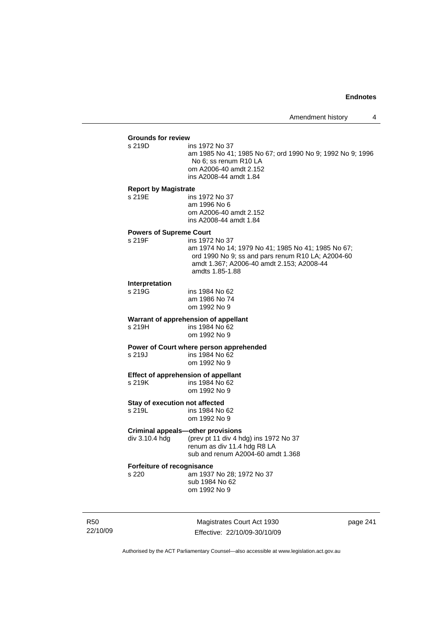# **Grounds for review**

ins 1972 No 37

 am 1985 No 41; 1985 No 67; ord 1990 No 9; 1992 No 9; 1996 No 6; ss renum R10 LA om A2006-40 amdt 2.152 ins A2008-44 amdt 1.84

#### **Report by Magistrate**

s 219E ins 1972 No 37 am 1996 No 6 om A2006-40 amdt 2.152 ins A2008-44 amdt 1.84

#### **Powers of Supreme Court**

s 219F ins 1972 No 37 am 1974 No 14; 1979 No 41; 1985 No 41; 1985 No 67; ord 1990 No 9; ss and pars renum R10 LA; A2004-60 amdt 1.367; A2006-40 amdt 2.153; A2008-44 amdts 1.85-1.88

# **Interpretation**

ins 1984 No 62 am 1986 No 74 om 1992 No 9

# **Warrant of apprehension of appellant**<br>  $\frac{x}{219H}$  ins 1984 No 62

ins 1984 No 62 om 1992 No 9

## **Power of Court where person apprehended**

s 219J ins 1984 No 62 om 1992 No 9

# **Effect of apprehension of appellant**<br>s 219K ins 1984 No 62

ins 1984 No 62 om 1992 No 9

#### **Stay of execution not affected**

s 219L ins 1984 No 62 om 1992 No 9

#### **Criminal appeals—other provisions**

div 3.10.4 hdg (prev pt 11 div 4 hdg) ins 1972 No 37 renum as div 11.4 hdg R8 LA

sub and renum A2004-60 amdt 1.368

# **Forfeiture of recognisance**

s 220 am 1937 No 28; 1972 No 37 sub 1984 No 62 om 1992 No 9

R50 22/10/09

Magistrates Court Act 1930 Effective: 22/10/09-30/10/09 page 241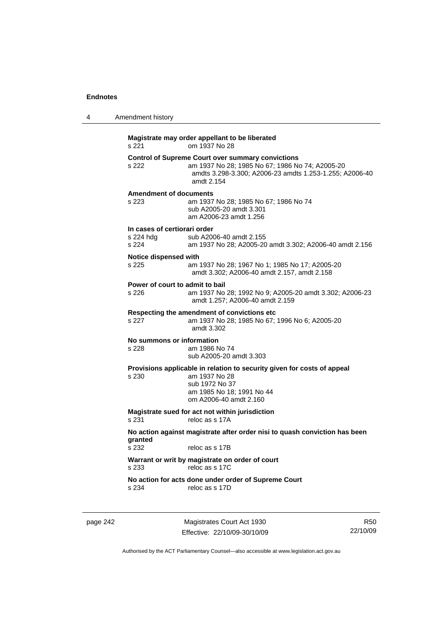| 4 | Amendment history                                                                                                                                                                             |
|---|-----------------------------------------------------------------------------------------------------------------------------------------------------------------------------------------------|
|   | Magistrate may order appellant to be liberated<br>om 1937 No 28<br>s 221                                                                                                                      |
|   | <b>Control of Supreme Court over summary convictions</b><br>s 222<br>am 1937 No 28; 1985 No 67; 1986 No 74; A2005-20<br>amdts 3.298-3.300; A2006-23 amdts 1.253-1.255; A2006-40<br>amdt 2.154 |
|   | <b>Amendment of documents</b><br>s 223<br>am 1937 No 28; 1985 No 67; 1986 No 74<br>sub A2005-20 amdt 3.301<br>am A2006-23 amdt 1.256                                                          |
|   | In cases of certiorari order<br>s 224 hdg<br>sub A2006-40 amdt 2.155<br>s 224<br>am 1937 No 28; A2005-20 amdt 3.302; A2006-40 amdt 2.156                                                      |
|   | Notice dispensed with<br>s 225<br>am 1937 No 28; 1967 No 1; 1985 No 17; A2005-20<br>amdt 3.302; A2006-40 amdt 2.157, amdt 2.158                                                               |
|   | Power of court to admit to bail<br>s 226<br>am 1937 No 28; 1992 No 9; A2005-20 amdt 3.302; A2006-23<br>amdt 1.257; A2006-40 amdt 2.159                                                        |
|   | Respecting the amendment of convictions etc.<br>s 227<br>am 1937 No 28; 1985 No 67; 1996 No 6; A2005-20<br>amdt 3.302                                                                         |
|   | No summons or information<br>s 228<br>am 1986 No 74<br>sub A2005-20 amdt 3.303                                                                                                                |
|   | Provisions applicable in relation to security given for costs of appeal<br>s 230<br>am 1937 No 28<br>sub 1972 No 37<br>am 1985 No 18; 1991 No 44<br>om A2006-40 amdt 2.160                    |
|   | Magistrate sued for act not within jurisdiction<br>s 231<br>reloc as s 17A                                                                                                                    |
|   | No action against magistrate after order nisi to quash conviction has been<br>granted<br>s 232<br>reloc as s 17B                                                                              |
|   | Warrant or writ by magistrate on order of court<br>reloc as s 17C<br>s 233                                                                                                                    |
|   | No action for acts done under order of Supreme Court<br>reloc as s 17D<br>s 234                                                                                                               |
|   |                                                                                                                                                                                               |

page 242 Magistrates Court Act 1930 Effective: 22/10/09-30/10/09

R50 22/10/09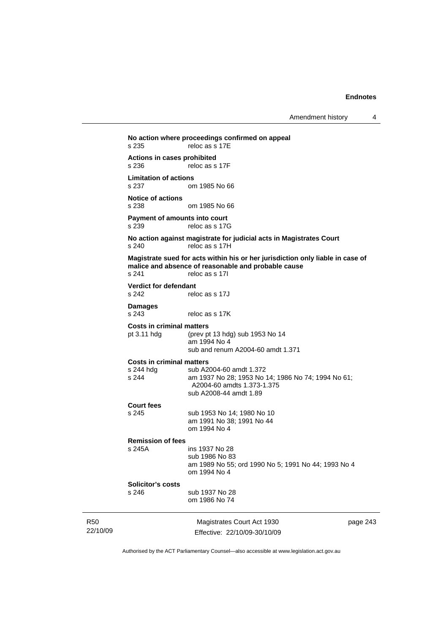Amendment history 4

```
Magistrates Court Act 1930 
                                                                 page 243 
No action where proceedings confirmed on appeal 
s 235 reloc as s 17E
Actions in cases prohibited 
                 reloc as s 17F
Limitation of actions 
                 om 1985 No 66
Notice of actions 
s 238 om 1985 No 66 
Payment of amounts into court<br>s 239 reloc as s 170
                 reloc as s 17G
No action against magistrate for judicial acts in Magistrates Court 
s 240 reloc as s 17H
Magistrate sued for acts within his or her jurisdiction only liable in case of 
malice and absence of reasonable and probable cause 
s 241 reloc as s 17I
Verdict for defendant 
s 242 reloc as s 17J 
Damages 
s 243 reloc as s 17K
Costs in criminal matters<br>pt 3.11 hdg (prev p)
                  (prev pt 13 hdg) sub 1953 No 14
                   am 1994 No 4 
                   sub and renum A2004-60 amdt 1.371 
Costs in criminal matters 
s 244 hdg sub A2004-60 amdt 1.372 
s 244 am 1937 No 28; 1953 No 14; 1986 No 74; 1994 No 61; 
                   A2004-60 amdts 1.373-1.375 
                   sub A2008-44 amdt 1.89 
Court fees 
s 245 sub 1953 No 14; 1980 No 10 
                   am 1991 No 38; 1991 No 44 
                   om 1994 No 4 
Remission of fees 
s 245A ins 1937 No 28 
                   sub 1986 No 83 
                   am 1989 No 55; ord 1990 No 5; 1991 No 44; 1993 No 4 
                   om 1994 No 4 
Solicitor's costs 
s 246 sub 1937 No 28 
                   om 1986 No 74
```
Authorised by the ACT Parliamentary Counsel—also accessible at www.legislation.act.gov.au

Effective: 22/10/09-30/10/09

R50 22/10/09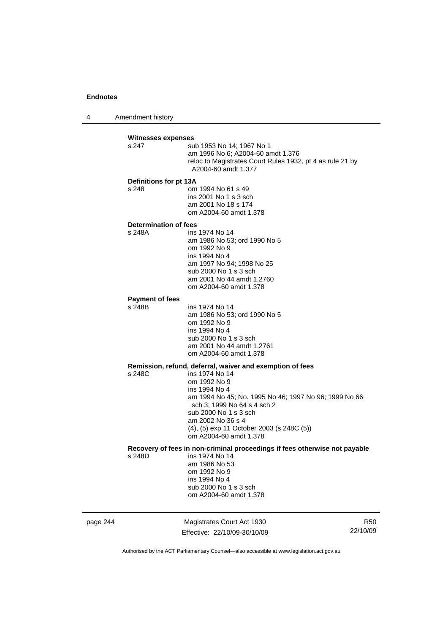4 Amendment history

|          | <b>Witnesses expenses</b><br>s 247<br>Definitions for pt 13A<br>s 248 | sub 1953 No 14; 1967 No 1<br>am 1996 No 6; A2004-60 amdt 1.376<br>reloc to Magistrates Court Rules 1932, pt 4 as rule 21 by<br>A2004-60 amdt 1.377<br>om 1994 No 61 s 49<br>ins 2001 No 1 s 3 sch<br>am 2001 No 18 s 174<br>om A2004-60 amdt 1.378                                                                        |                        |
|----------|-----------------------------------------------------------------------|---------------------------------------------------------------------------------------------------------------------------------------------------------------------------------------------------------------------------------------------------------------------------------------------------------------------------|------------------------|
|          | Determination of fees<br>s 248A                                       | ins 1974 No 14<br>am 1986 No 53; ord 1990 No 5<br>om 1992 No 9<br>ins 1994 No 4<br>am 1997 No 94; 1998 No 25<br>sub 2000 No 1 s 3 sch<br>am 2001 No 44 amdt 1.2760<br>om A2004-60 amdt 1.378                                                                                                                              |                        |
|          | <b>Payment of fees</b><br>s 248B                                      | ins 1974 No 14<br>am 1986 No 53; ord 1990 No 5<br>om 1992 No 9<br>ins 1994 No 4<br>sub 2000 No 1 s 3 sch<br>am 2001 No 44 amdt 1.2761<br>om A2004-60 amdt 1.378                                                                                                                                                           |                        |
|          | s 248C                                                                | Remission, refund, deferral, waiver and exemption of fees<br>ins 1974 No 14<br>om 1992 No 9<br>ins 1994 No 4<br>am 1994 No 45; No. 1995 No 46; 1997 No 96; 1999 No 66<br>sch 3; 1999 No 64 s 4 sch 2<br>sub 2000 No 1 s 3 sch<br>am 2002 No 36 s 4<br>(4), (5) exp 11 October 2003 (s 248C (5))<br>om A2004-60 amdt 1.378 |                        |
|          | s 248D                                                                | Recovery of fees in non-criminal proceedings if fees otherwise not payable<br>ins 1974 No 14<br>am 1986 No 53<br>om 1992 No 9<br>ins 1994 No 4<br>sub 2000 No 1 s 3 sch<br>om A2004-60 amdt 1.378                                                                                                                         |                        |
| page 244 |                                                                       | Magistrates Court Act 1930<br>Effective: 22/10/09-30/10/09                                                                                                                                                                                                                                                                | <b>R50</b><br>22/10/09 |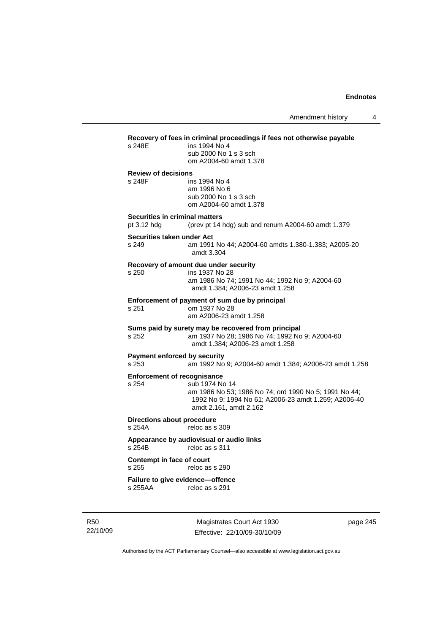# **Recovery of fees in criminal proceedings if fees not otherwise payable**  ins 1994 No 4 sub 2000 No 1 s 3 sch om A2004-60 amdt 1.378 **Review of decisions**  s 248F ins 1994 No 4 am 1996 No 6 sub 2000 No 1 s 3 sch om A2004-60 amdt 1.378 **Securities in criminal matters**  pt 3.12 hdg (prev pt 14 hdg) sub and renum A2004-60 amdt 1.379 **Securities taken under Act**  s 249 am 1991 No 44; A2004-60 amdts 1.380-1.383; A2005-20 amdt 3.304 **Recovery of amount due under security**  s 250 ins 1937 No 28 am 1986 No 74; 1991 No 44; 1992 No 9; A2004-60 amdt 1.384; A2006-23 amdt 1.258 **Enforcement of payment of sum due by principal**<br>s 251 cm 1937 No 28 s 251 om 1937 No 28 am A2006-23 amdt 1.258 **Sums paid by surety may be recovered from principal**  s 252 am 1937 No 28; 1986 No 74; 1992 No 9; A2004-60 amdt 1.384; A2006-23 amdt 1.258 **Payment enforced by security**  s 253 am 1992 No 9; A2004-60 amdt 1.384; A2006-23 amdt 1.258 **Enforcement of recognisance**<br>s 254 sub 1974 No sub 1974 No 14 am 1986 No 53; 1986 No 74; ord 1990 No 5; 1991 No 44; 1992 No 9; 1994 No 61; A2006-23 amdt 1.259; A2006-40 amdt 2.161, amdt 2.162 **Directions about procedure**  s 254A reloc as s 309 **Appearance by audiovisual or audio links**  reloc as s 311 **Contempt in face of court**  reloc as s 290 **Failure to give evidence—offence**  s 255AA reloc as s 291

R50 22/10/09

Magistrates Court Act 1930 Effective: 22/10/09-30/10/09 page 245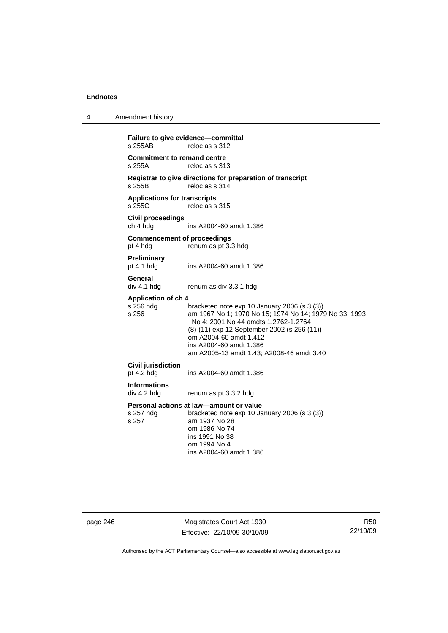| 4 | Amendment history                                                                                                                                                                                                                                                                                                                                   |  |  |
|---|-----------------------------------------------------------------------------------------------------------------------------------------------------------------------------------------------------------------------------------------------------------------------------------------------------------------------------------------------------|--|--|
|   | Failure to give evidence-committal<br>s 255AB<br>reloc as s 312                                                                                                                                                                                                                                                                                     |  |  |
|   | <b>Commitment to remand centre</b><br>s 255A<br>reloc as s 313                                                                                                                                                                                                                                                                                      |  |  |
|   | Registrar to give directions for preparation of transcript<br>s 255B<br>reloc as s 314                                                                                                                                                                                                                                                              |  |  |
|   | <b>Applications for transcripts</b><br>s 255C<br>reloc as s 315                                                                                                                                                                                                                                                                                     |  |  |
|   | <b>Civil proceedings</b><br>ch 4 hdg<br>ins A2004-60 amdt 1.386                                                                                                                                                                                                                                                                                     |  |  |
|   | <b>Commencement of proceedings</b><br>pt 4 hdg<br>renum as pt 3.3 hdg                                                                                                                                                                                                                                                                               |  |  |
|   | <b>Preliminary</b><br>pt 4.1 hdg<br>ins A2004-60 amdt 1.386                                                                                                                                                                                                                                                                                         |  |  |
|   | General<br>div 4.1 hdg<br>renum as div 3.3.1 hdg                                                                                                                                                                                                                                                                                                    |  |  |
|   | <b>Application of ch 4</b><br>s 256 hdg<br>bracketed note exp 10 January 2006 (s 3 (3))<br>s 256<br>am 1967 No 1; 1970 No 15; 1974 No 14; 1979 No 33; 1993<br>No 4; 2001 No 44 amdts 1.2762-1.2764<br>(8)-(11) exp 12 September 2002 (s 256 (11))<br>om A2004-60 amdt 1.412<br>ins A2004-60 amdt 1.386<br>am A2005-13 amdt 1.43; A2008-46 amdt 3.40 |  |  |
|   | <b>Civil jurisdiction</b><br>pt $4.2$ hdg<br>ins A2004-60 amdt 1.386                                                                                                                                                                                                                                                                                |  |  |
|   | <b>Informations</b><br>div 4.2 hdg<br>renum as pt 3.3.2 hdg                                                                                                                                                                                                                                                                                         |  |  |
|   | Personal actions at law—amount or value<br>s 257 hdg<br>bracketed note exp 10 January 2006 (s 3 (3))<br>s 257<br>am 1937 No 28<br>om 1986 No 74<br>ins 1991 No 38<br>om 1994 No 4<br>ins A2004-60 amdt 1.386                                                                                                                                        |  |  |

page 246 Magistrates Court Act 1930 Effective: 22/10/09-30/10/09

R50 22/10/09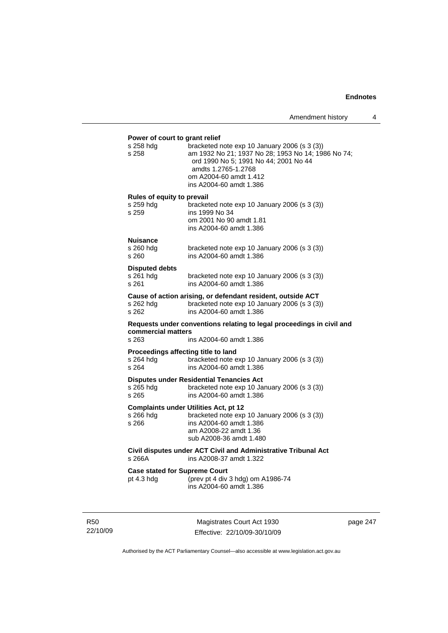# **Power of court to grant relief**  s 258 hdg bracketed note exp 10 January 2006 (s 3 (3)) s 258 am 1932 No 21; 1937 No 28; 1953 No 14; 1986 No 74; ord 1990 No 5; 1991 No 44; 2001 No 44 amdts 1.2765-1.2768 om A2004-60 amdt 1.412 ins A2004-60 amdt 1.386 **Rules of equity to prevail**  s 259 hdg bracketed note exp 10 January 2006 (s 3 (3)) s 259 ins 1999 No 34 om 2001 No 90 amdt 1.81 ins A2004-60 amdt 1.386 **Nuisance**  s 260 hdg bracketed note exp 10 January 2006 (s 3 (3))<br>s 260 bracketed note exp 10 January 2006 (s 3 (3)) s 260 ins A2004-60 amdt 1.386 **Disputed debts**  s 261 hdg bracketed note exp 10 January 2006 (s 3 (3)) s 261 ins A2004-60 amdt 1.386 **Cause of action arising, or defendant resident, outside ACT**  s 262 hdg bracketed note exp 10 January 2006 (s 3 (3)) s 262 ins A2004-60 amdt 1.386 **Requests under conventions relating to legal proceedings in civil and commercial matters**  s 263 ins A2004-60 amdt 1.386 **Proceedings affecting title to land<br>s 264 hdg bracketed note 6** bracketed note exp 10 January 2006 (s 3 (3)) s 264 ins A2004-60 amdt 1.386 **Disputes under Residential Tenancies Act**  s 265 hdg bracketed note exp 10 January 2006 (s 3 (3))<br>s 265 bracketed note exp 10 January 2006 (s 3 (3)) s 265 ins A2004-60 amdt 1.386 **Complaints under Utilities Act, pt 12**  s 266 hdg bracketed note exp 10 January 2006 (s 3 (3)) s 266 ins A2004-60 amdt 1.386 am A2008-22 amdt 1.36 sub A2008-36 amdt 1.480 **Civil disputes under ACT Civil and Administrative Tribunal Act**  ins A2008-37 amdt 1.322 **Case stated for Supreme Court**  pt 4.3 hdg (prev pt 4 div 3 hdg) om A1986-74 ins A2004-60 amdt 1.386

R50 22/10/09

Magistrates Court Act 1930 Effective: 22/10/09-30/10/09 page 247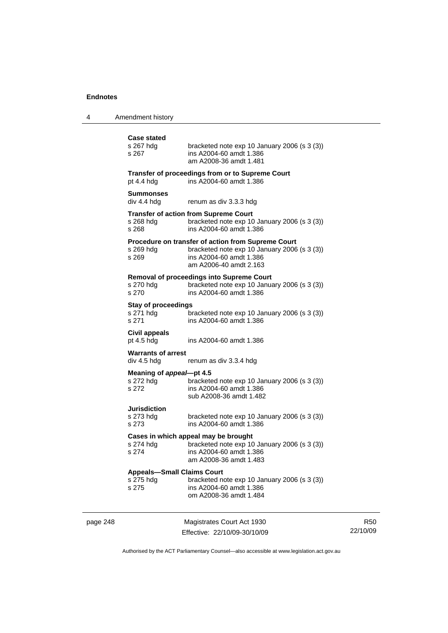| 4        | Amendment history                                       |                                                                                                                                                                |
|----------|---------------------------------------------------------|----------------------------------------------------------------------------------------------------------------------------------------------------------------|
|          | <b>Case stated</b><br>s 267 hdg<br>s 267                | bracketed note exp 10 January 2006 (s 3 (3))<br>ins A2004-60 amdt 1.386<br>am A2008-36 amdt 1.481                                                              |
|          | pt $4.4$ hdg                                            | Transfer of proceedings from or to Supreme Court<br>ins A2004-60 amdt 1.386                                                                                    |
|          | Summonses<br>div 4.4 hdg                                | renum as div 3.3.3 hdg                                                                                                                                         |
|          | s 268 hdg<br>s 268                                      | <b>Transfer of action from Supreme Court</b><br>bracketed note $exp 10$ January 2006 (s 3 (3))<br>ins A2004-60 amdt 1.386                                      |
|          | s 269 hdg<br>s 269                                      | <b>Procedure on transfer of action from Supreme Court</b><br>bracketed note exp 10 January 2006 (s 3 (3))<br>ins A2004-60 amdt 1.386<br>am A2006-40 amdt 2.163 |
|          | s 270 hdg<br>s 270                                      | Removal of proceedings into Supreme Court<br>bracketed note exp 10 January 2006 (s 3 (3))<br>ins A2004-60 amdt 1.386                                           |
|          | <b>Stay of proceedings</b><br>s 271 hdg<br>s 271        | bracketed note $exp 10$ January 2006 (s 3 (3))<br>ins A2004-60 amdt 1.386                                                                                      |
|          | Civil appeals<br>pt 4.5 hdg                             | ins A2004-60 amdt 1.386                                                                                                                                        |
|          | <b>Warrants of arrest</b><br>div 4.5 hdg                | renum as div 3.3.4 hdg                                                                                                                                         |
|          | Meaning of appeal-pt 4.5<br>s 272 hdg<br>s 272          | bracketed note $exp 10$ January 2006 (s 3 (3))<br>ins A2004-60 amdt 1.386<br>sub A2008-36 amdt 1.482                                                           |
|          | <b>Jurisdiction</b><br>s 273 hdg<br>s 273               | bracketed note exp 10 January 2006 (s 3 (3))<br>ins A2004-60 amdt 1.386                                                                                        |
|          | s 274 hdg<br>s 274                                      | Cases in which appeal may be brought<br>bracketed note exp 10 January 2006 (s 3 (3))<br>ins A2004-60 amdt 1.386<br>am A2008-36 amdt 1.483                      |
|          | <b>Appeals-Small Claims Court</b><br>s 275 hdg<br>s 275 | bracketed note $exp 10$ January 2006 (s 3 (3))<br>ins A2004-60 amdt 1.386<br>om A2008-36 amdt 1.484                                                            |
| page 248 |                                                         | Magistrates Court Act 1930<br>Effective: 22/10/09-30/10/09                                                                                                     |

R50 22/10/09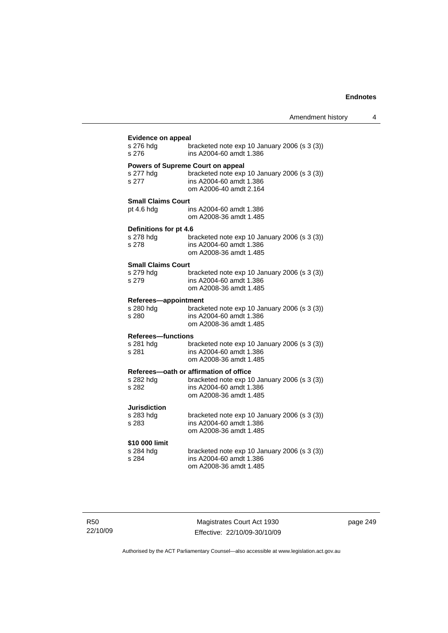| <b>Evidence on appeal</b>              |                                                                                        |
|----------------------------------------|----------------------------------------------------------------------------------------|
| s 276 hdg                              | bracketed note exp 10 January 2006 (s 3 (3))                                           |
| s 276                                  | ins A2004-60 amdt 1.386                                                                |
|                                        | Powers of Supreme Court on appeal                                                      |
| s 277 hdg                              | bracketed note exp 10 January 2006 (s 3 (3))                                           |
| s 277                                  | ins A2004-60 amdt 1.386                                                                |
|                                        | om A2006-40 amdt 2.164                                                                 |
| <b>Small Claims Court</b>              |                                                                                        |
| pt $4.6$ hdg                           | ins A2004-60 amdt 1.386                                                                |
|                                        | om A2008-36 amdt 1.485                                                                 |
| Definitions for pt 4.6                 |                                                                                        |
| s 278 hdg                              | bracketed note exp 10 January 2006 (s 3 (3))                                           |
| s 278                                  | ins A2004-60 amdt 1.386                                                                |
|                                        | om A2008-36 amdt 1.485                                                                 |
|                                        |                                                                                        |
| <b>Small Claims Court</b><br>s 279 hdg | bracketed note exp 10 January 2006 (s 3 (3))                                           |
| s 279                                  | ins A2004-60 amdt 1.386                                                                |
|                                        | om A2008-36 amdt 1.485                                                                 |
|                                        |                                                                                        |
| Referees-appointment                   |                                                                                        |
| s 280 hdg<br>s 280                     | bracketed note exp 10 January 2006 (s 3 (3))<br>ins A2004-60 amdt 1.386                |
|                                        | om A2008-36 amdt 1.485                                                                 |
|                                        |                                                                                        |
| <b>Referees-functions</b>              |                                                                                        |
| s 281 hdg<br>s 281                     | bracketed note exp 10 January 2006 (s 3 (3))<br>ins A2004-60 amdt 1.386                |
|                                        | om A2008-36 amdt 1.485                                                                 |
|                                        |                                                                                        |
| s 282 hdg                              | Referees-oath or affirmation of office<br>bracketed note exp 10 January 2006 (s 3 (3)) |
| s 282                                  | ins A2004-60 amdt 1.386                                                                |
|                                        | om A2008-36 amdt 1.485                                                                 |
|                                        |                                                                                        |
| Jurisdiction                           |                                                                                        |
| s 283 hdg<br>s 283                     | bracketed note exp 10 January 2006 (s 3 (3))<br>ins A2004-60 amdt 1.386                |
|                                        | om A2008-36 amdt 1.485                                                                 |
|                                        |                                                                                        |
| \$10 000 limit                         |                                                                                        |
| s 284 hdg<br>s 284                     | bracketed note exp 10 January 2006 (s 3 (3))<br>ins A2004-60 amdt 1.386                |
|                                        | om A2008-36 amdt 1.485                                                                 |
|                                        |                                                                                        |
|                                        |                                                                                        |
|                                        |                                                                                        |

R50 22/10/09

Magistrates Court Act 1930 Effective: 22/10/09-30/10/09 page 249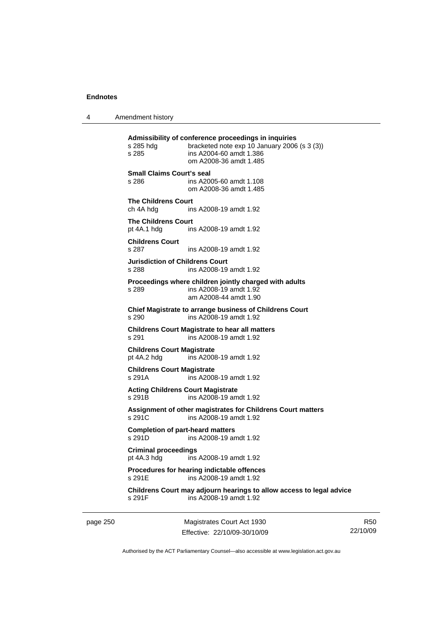4 Amendment history

page 250 Magistrates Court Act 1930 **Admissibility of conference proceedings in inquiries**  s 285 hdg bracketed note exp 10 January 2006 (s 3 (3)) s 285 ins A2004-60 amdt 1.386 om A2008-36 amdt 1.485 **Small Claims Court's seal**  s 286 ins A2005-60 amdt 1.108 om A2008-36 amdt 1.485 **The Childrens Court**  ch 4A hdg ins A2008-19 amdt 1.92 **The Childrens Court**  pt 4A.1 hdg ins A2008-19 amdt 1.92 **Childrens Court**  s 287 ins A2008-19 amdt 1.92 **Jurisdiction of Childrens Court**  s 288 ins A2008-19 amdt 1.92 **Proceedings where children jointly charged with adults**  s 289 ins A2008-19 amdt 1.92 am A2008-44 amdt 1.90 **Chief Magistrate to arrange business of Childrens Court**  s 290 ins A2008-19 amdt 1.92 **Childrens Court Magistrate to hear all matters**  s 291 ins A2008-19 amdt 1.92 **Childrens Court Magistrate**<br>pt 4A.2 hdg ins A200 ins A2008-19 amdt 1.92 **Childrens Court Magistrate**  s 291A ins A2008-19 amdt 1.92 **Acting Childrens Court Magistrate**  s 291B ins A2008-19 amdt 1.92 **Assignment of other magistrates for Childrens Court matters**  s 291C ins A2008-19 amdt 1.92 **Completion of part-heard matters**  s 291D ins A2008-19 amdt 1.92 **Criminal proceedings**  pt 4A.3 hdg ins A2008-19 amdt 1.92 **Procedures for hearing indictable offences**  s 291E ins A2008-19 amdt 1.92 **Childrens Court may adjourn hearings to allow access to legal advice**  s 291F ins A2008-19 amdt 1.92

R50 22/10/09

Authorised by the ACT Parliamentary Counsel—also accessible at www.legislation.act.gov.au

Effective: 22/10/09-30/10/09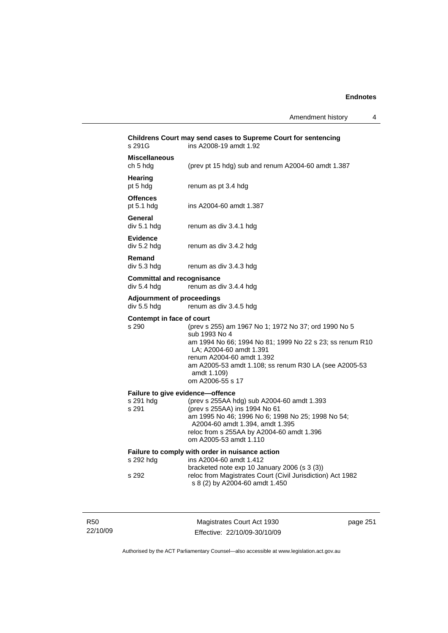| Amendment history |  |  |
|-------------------|--|--|
|-------------------|--|--|

|            | s 291G                                                 | Childrens Court may send cases to Supreme Court for sentencing<br>ins A2008-19 amdt 1.92                                                                                                                                                                                              |          |
|------------|--------------------------------------------------------|---------------------------------------------------------------------------------------------------------------------------------------------------------------------------------------------------------------------------------------------------------------------------------------|----------|
|            | <b>Miscellaneous</b><br>ch 5 hdg                       | (prev pt 15 hdg) sub and renum A2004-60 amdt 1.387                                                                                                                                                                                                                                    |          |
|            | Hearing<br>pt 5 hdg                                    | renum as pt 3.4 hdg                                                                                                                                                                                                                                                                   |          |
|            | <b>Offences</b><br>pt $5.1$ hdg                        | ins A2004-60 amdt 1.387                                                                                                                                                                                                                                                               |          |
|            | General<br>div 5.1 hdg                                 | renum as div 3.4.1 hdg                                                                                                                                                                                                                                                                |          |
|            | <b>Evidence</b><br>div 5.2 hdg                         | renum as div 3.4.2 hdg                                                                                                                                                                                                                                                                |          |
|            | Remand<br>div 5.3 hdg                                  | renum as div 3.4.3 hdg                                                                                                                                                                                                                                                                |          |
|            | <b>Committal and recognisance</b><br>div 5.4 hdg       | renum as div 3.4.4 hdg                                                                                                                                                                                                                                                                |          |
|            | <b>Adjournment of proceedings</b><br>div 5.5 hdg       | renum as div 3.4.5 hdg                                                                                                                                                                                                                                                                |          |
|            | Contempt in face of court<br>s 290                     | (prev s 255) am 1967 No 1; 1972 No 37; ord 1990 No 5<br>sub 1993 No 4<br>am 1994 No 66; 1994 No 81; 1999 No 22 s 23; ss renum R10<br>LA; A2004-60 amdt 1.391<br>renum A2004-60 amdt 1.392<br>am A2005-53 amdt 1.108; ss renum R30 LA (see A2005-53<br>amdt 1.109)<br>om A2006-55 s 17 |          |
|            | Failure to give evidence-offence<br>s 291 hdg<br>s 291 | (prev s 255AA hdg) sub A2004-60 amdt 1.393<br>(prev s 255AA) ins 1994 No 61<br>am 1995 No 46; 1996 No 6; 1998 No 25; 1998 No 54;<br>A2004-60 amdt 1.394, amdt 1.395<br>reloc from s 255AA by A2004-60 amdt 1.396<br>om A2005-53 amdt 1.110                                            |          |
|            | s 292 hdg                                              | Failure to comply with order in nuisance action<br>ins A2004-60 amdt 1.412                                                                                                                                                                                                            |          |
|            | s 292                                                  | bracketed note exp 10 January 2006 (s 3 (3))<br>reloc from Magistrates Court (Civil Jurisdiction) Act 1982<br>s 8 (2) by A2004-60 amdt 1.450                                                                                                                                          |          |
| <b>R50</b> |                                                        | Magistrates Court Act 1930                                                                                                                                                                                                                                                            | page 251 |

Authorised by the ACT Parliamentary Counsel—also accessible at www.legislation.act.gov.au

Effective: 22/10/09-30/10/09

22/10/09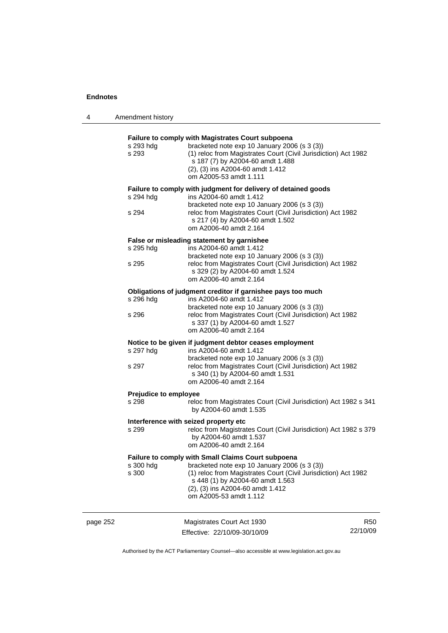|          | s 293 hdg<br>s 293<br>s 294 hdg<br>s 294                                                                                            | Failure to comply with Magistrates Court subpoena<br>bracketed note exp 10 January 2006 (s 3 (3))<br>(1) reloc from Magistrates Court (Civil Jurisdiction) Act 1982<br>s 187 (7) by A2004-60 amdt 1.488<br>(2), (3) ins A2004-60 amdt 1.412<br>om A2005-53 amdt 1.111<br>Failure to comply with judgment for delivery of detained goods<br>ins A2004-60 amdt 1.412<br>bracketed note exp 10 January 2006 (s 3 (3))<br>reloc from Magistrates Court (Civil Jurisdiction) Act 1982<br>s 217 (4) by A2004-60 amdt 1.502<br>om A2006-40 amdt 2.164 |                        |
|----------|-------------------------------------------------------------------------------------------------------------------------------------|------------------------------------------------------------------------------------------------------------------------------------------------------------------------------------------------------------------------------------------------------------------------------------------------------------------------------------------------------------------------------------------------------------------------------------------------------------------------------------------------------------------------------------------------|------------------------|
|          | s 295 hdg<br>s 295                                                                                                                  | False or misleading statement by garnishee<br>ins A2004-60 amdt 1.412<br>bracketed note exp 10 January 2006 (s 3 (3))<br>reloc from Magistrates Court (Civil Jurisdiction) Act 1982<br>s 329 (2) by A2004-60 amdt 1.524<br>om A2006-40 amdt 2.164                                                                                                                                                                                                                                                                                              |                        |
|          | s 296 hdg<br>s 296                                                                                                                  | Obligations of judgment creditor if garnishee pays too much<br>ins A2004-60 amdt 1.412<br>bracketed note exp 10 January 2006 (s 3 (3))<br>reloc from Magistrates Court (Civil Jurisdiction) Act 1982<br>s 337 (1) by A2004-60 amdt 1.527<br>om A2006-40 amdt 2.164                                                                                                                                                                                                                                                                             |                        |
|          | s 297 hdg<br>s 297                                                                                                                  | Notice to be given if judgment debtor ceases employment<br>ins A2004-60 amdt 1.412<br>bracketed note exp 10 January 2006 (s 3 (3))<br>reloc from Magistrates Court (Civil Jurisdiction) Act 1982<br>s 340 (1) by A2004-60 amdt 1.531<br>om A2006-40 amdt 2.164                                                                                                                                                                                                                                                                                 |                        |
|          | <b>Prejudice to employee</b><br>s 298<br>reloc from Magistrates Court (Civil Jurisdiction) Act 1982 s 341<br>by A2004-60 amdt 1.535 |                                                                                                                                                                                                                                                                                                                                                                                                                                                                                                                                                |                        |
|          | s 299                                                                                                                               | Interference with seized property etc<br>reloc from Magistrates Court (Civil Jurisdiction) Act 1982 s 379<br>by A2004-60 amdt 1.537<br>om A2006-40 amdt 2.164                                                                                                                                                                                                                                                                                                                                                                                  |                        |
|          | s 300 hdg<br>s 300                                                                                                                  | Failure to comply with Small Claims Court subpoena<br>bracketed note exp 10 January 2006 (s 3 (3))<br>(1) reloc from Magistrates Court (Civil Jurisdiction) Act 1982<br>s 448 (1) by A2004-60 amdt 1.563<br>(2), (3) ins A2004-60 amdt 1.412<br>om A2005-53 amdt 1.112                                                                                                                                                                                                                                                                         |                        |
| page 252 |                                                                                                                                     | Magistrates Court Act 1930<br>Effective: 22/10/09-30/10/09                                                                                                                                                                                                                                                                                                                                                                                                                                                                                     | <b>R50</b><br>22/10/09 |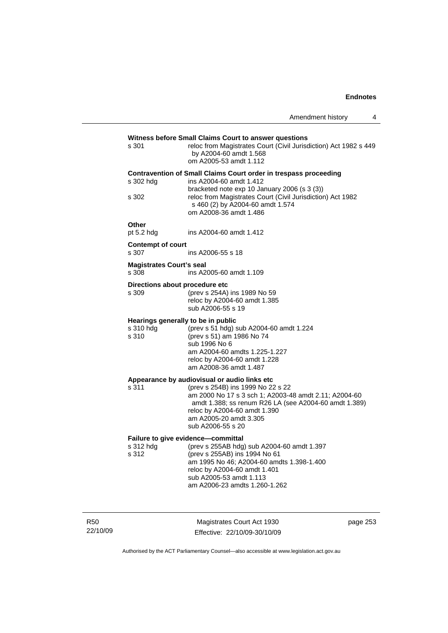|                                                                  | Witness before Small Claims Court to answer questions            |  |
|------------------------------------------------------------------|------------------------------------------------------------------|--|
| s 301                                                            | reloc from Magistrates Court (Civil Jurisdiction) Act 1982 s 449 |  |
|                                                                  | by A2004-60 amdt 1.568                                           |  |
|                                                                  | om A2005-53 amdt 1.112                                           |  |
| Contravention of Small Claims Court order in trespass proceeding |                                                                  |  |

| s 302 hda | ins A2004-60 amdt 1.412                                                                                                  |
|-----------|--------------------------------------------------------------------------------------------------------------------------|
|           | bracketed note $exp 10$ January 2006 (s 3 (3))                                                                           |
| s 302     | reloc from Magistrates Court (Civil Jurisdiction) Act 1982<br>s 460 (2) by A2004-60 amdt 1.574<br>om A2008-36 amdt 1.486 |
|           |                                                                                                                          |

**Other**<br>pt 5.2 hdg ins A2004-60 amdt 1.412

## **Contempt of court**

s 307 ins A2006-55 s 18

# **Magistrates Court's seal**

ins A2005-60 amdt 1.109

#### **Directions about procedure etc**

| s 309 | (prev s 254A) ins 1989 No 59 |
|-------|------------------------------|
|       | reloc by A2004-60 amdt 1.385 |
|       | sub A2006-55 s 19            |

## **Hearings generally to be in public**

| s 310 hdg | (prev s 51 hdg) sub A2004-60 amdt 1.224 |
|-----------|-----------------------------------------|
| s 310     | (prev s 51) am 1986 No 74               |
|           | sub 1996 No 6                           |
|           | am A2004-60 amdts 1.225-1.227           |
|           | reloc by A2004-60 amdt 1.228            |
|           | am A2008-36 amdt 1.487                  |
|           |                                         |

# **Appearance by audiovisual or audio links etc**

s 311 (prev s 254B) ins 1999 No 22 s 22 am 2000 No 17 s 3 sch 1; A2003-48 amdt 2.11; A2004-60 amdt 1.388; ss renum R26 LA (see A2004-60 amdt 1.389) reloc by A2004-60 amdt 1.390 am A2005-20 amdt 3.305 sub A2006-55 s 20

## **Failure to give evidence—committal**

| am 1995 No 46; A2004-60 amdts 1.398-1.400 |
|-------------------------------------------|
|                                           |
|                                           |
|                                           |
|                                           |

R50 22/10/09

Magistrates Court Act 1930 Effective: 22/10/09-30/10/09 page 253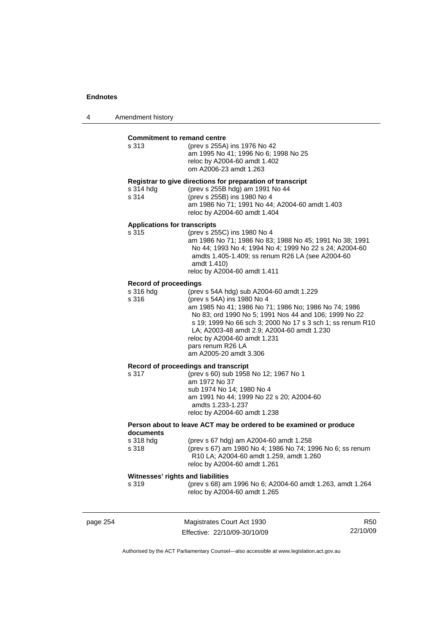| Amendment history<br>4 |  |
|------------------------|--|
|------------------------|--|

|          | <b>Commitment to remand centre</b><br>s 313                        | (prev s 255A) ins 1976 No 42<br>am 1995 No 41; 1996 No 6; 1998 No 25<br>reloc by A2004-60 amdt 1.402<br>om A2006-23 amdt 1.263                                                                                                                                                                                                                                                     |          |
|----------|--------------------------------------------------------------------|------------------------------------------------------------------------------------------------------------------------------------------------------------------------------------------------------------------------------------------------------------------------------------------------------------------------------------------------------------------------------------|----------|
|          | s 314 hdg<br>s 314                                                 | Registrar to give directions for preparation of transcript<br>(prev s 255B hdg) am 1991 No 44<br>(prev s 255B) ins 1980 No 4<br>am 1986 No 71; 1991 No 44; A2004-60 amdt 1.403<br>reloc by A2004-60 amdt 1.404                                                                                                                                                                     |          |
|          | <b>Applications for transcripts</b><br>s 315                       | (prev s 255C) ins 1980 No 4<br>am 1986 No 71; 1986 No 83; 1988 No 45; 1991 No 38; 1991<br>No 44; 1993 No 4; 1994 No 4; 1999 No 22 s 24; A2004-60<br>amdts 1.405-1.409; ss renum R26 LA (see A2004-60<br>amdt 1.410)<br>reloc by A2004-60 amdt 1.411                                                                                                                                |          |
|          | <b>Record of proceedings</b><br>s 316 hdg<br>s 316                 | (prev s 54A hdg) sub A2004-60 amdt 1.229<br>(prev s 54A) ins 1980 No 4<br>am 1985 No 41; 1986 No 71; 1986 No; 1986 No 74; 1986<br>No 83; ord 1990 No 5; 1991 Nos 44 and 106; 1999 No 22<br>s 19; 1999 No 66 sch 3; 2000 No 17 s 3 sch 1; ss renum R10<br>LA; A2003-48 amdt 2.9; A2004-60 amdt 1.230<br>reloc by A2004-60 amdt 1.231<br>pars renum R26 LA<br>am A2005-20 amdt 3.306 |          |
|          | s 317                                                              | Record of proceedings and transcript<br>(prev s 60) sub 1958 No 12; 1967 No 1<br>am 1972 No 37<br>sub 1974 No 14; 1980 No 4<br>am 1991 No 44; 1999 No 22 s 20; A2004-60<br>amdts 1.233-1.237<br>reloc by A2004-60 amdt 1.238                                                                                                                                                       |          |
|          | Person about to leave ACT may be ordered to be examined or produce |                                                                                                                                                                                                                                                                                                                                                                                    |          |
|          | documents<br>s 318 hdg<br>s 318                                    | (prev s 67 hdg) am A2004-60 amdt 1.258<br>(prev s 67) am 1980 No 4; 1986 No 74; 1996 No 6; ss renum<br>R10 LA; A2004-60 amdt 1.259, amdt 1.260<br>reloc by A2004-60 amdt 1.261                                                                                                                                                                                                     |          |
|          | Witnesses' rights and liabilities                                  |                                                                                                                                                                                                                                                                                                                                                                                    |          |
|          | s 319                                                              | (prev s 68) am 1996 No 6; A2004-60 amdt 1.263, amdt 1.264<br>reloc by A2004-60 amdt 1.265                                                                                                                                                                                                                                                                                          |          |
| page 254 |                                                                    | Magistrates Court Act 1930                                                                                                                                                                                                                                                                                                                                                         | R50      |
|          |                                                                    | Effective: 22/10/09-30/10/09                                                                                                                                                                                                                                                                                                                                                       | 22/10/09 |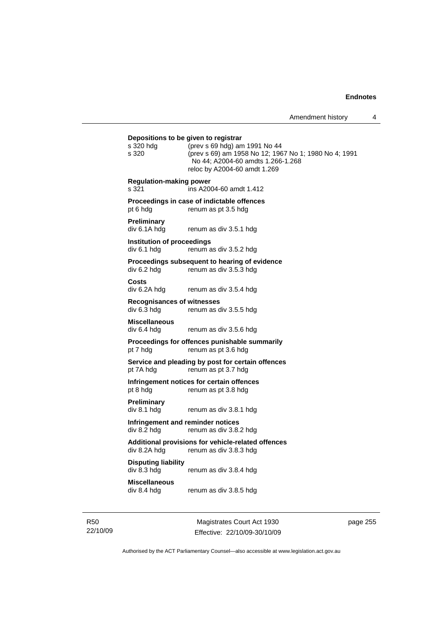# **Depositions to be given to registrar**  s 320 hdg (prev s 69 hdg) am 1991 No 44 s 320 (prev s 69) am 1958 No 12; 1967 No 1; 1980 No 4; 1991 No 44; A2004-60 amdts 1.266-1.268 reloc by A2004-60 amdt 1.269 **Regulation-making power**  s 321 ins A2004-60 amdt 1.412 **Proceedings in case of indictable offences**  pt 6 hdg renum as pt 3.5 hdg **Preliminary**  div 6.1A hdg renum as div 3.5.1 hdg **Institution of proceedings**  div 6.1 hdg renum as div 3.5.2 hdg **Proceedings subsequent to hearing of evidence**  div 6.2 hdg renum as div 3.5.3 hdg **Costs**  div 6.2A hdg renum as div 3.5.4 hdg **Recognisances of witnesses**   $div 6.\overline{3}$  hdg renum as div  $3.5.5$  hdg **Miscellaneous**  renum as div 3.5.6 hdg **Proceedings for offences punishable summarily**  pt 7 hdg renum as pt 3.6 hdg **Service and pleading by post for certain offences**  pt 7A hdg renum as pt 3.7 hdg **Infringement notices for certain offences**  pt 8 hdg renum as pt 3.8 hdg **Preliminary**  div 8.1 hdg renum as div 3.8.1 hdg **Infringement and reminder notices**  div 8.2 hdg renum as div 3.8.2 hdg **Additional provisions for vehicle-related offences**  div 8.2A hdg renum as div 3.8.3 hdg **Disputing liability**  div 8.3 hdg renum as div 3.8.4 hdg **Miscellaneous**  renum as div 3.8.5 hdg

R50 22/10/09

Magistrates Court Act 1930 Effective: 22/10/09-30/10/09 page 255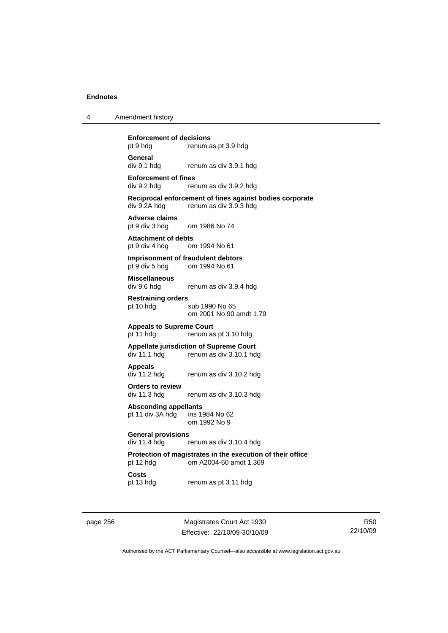| 4 | Amendment history |
|---|-------------------|
|---|-------------------|

**Enforcement of decisions** 

pt 9 hdg renum as pt 3.9 hdg **General** 

div 9.1 hdg renum as div 3.9.1 hdg

**Enforcement of fines** 

div 9.2 hdg renum as div 3.9.2 hdg

**Reciprocal enforcement of fines against bodies corporate**  div 9.2A hdg renum as div 3.9.3 hdg

**Adverse claims**  om 1986 No 74

**Attachment of debts**  pt 9 div 4 hdg om 1994 No 61

**Imprisonment of fraudulent debtors**  pt 9 div 5 hdg om 1994 No 61

**Miscellaneous** 

div 9.6 hdg renum as div 3.9.4 hdg

**Restraining orders**  pt 10 hdg sub 1990 No 65

om 2001 No 90 amdt 1.79

**Appeals to Supreme Court** 

pt 11 hdg renum as pt 3.10 hdg

**Appellate jurisdiction of Supreme Court**  div 11.1 hdg renum as div 3.10.1 hdg

**Appeals** 

renum as div 3.10.2 hdg

**Orders to review**  div 11.3 hdg renum as div 3.10.3 hdg

Absconding appellants<br>pt 11 div 3A hdg ins 1984 No 62 pt 11 div 3A hdg om 1992 No 9

**General provisions** 

div 11.4 hdg renum as div 3.10.4 hdg

**Protection of magistrates in the execution of their office**  pt 12 hdg om A2004-60 amdt 1.369

**Costs** 

pt 13 hdg renum as pt 3.11 hdg

page 256 Magistrates Court Act 1930 Effective: 22/10/09-30/10/09

R50 22/10/09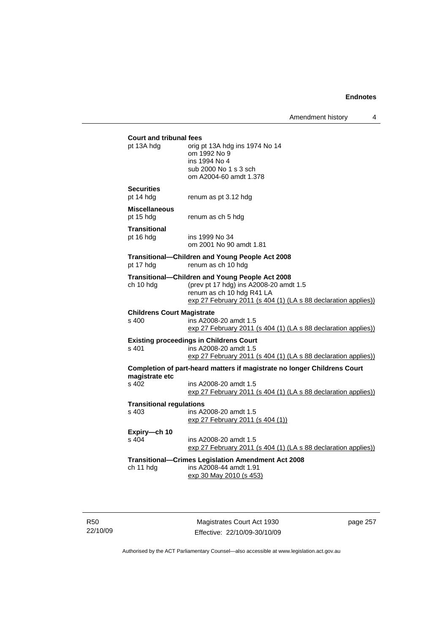| <b>Court and tribunal fees</b><br>pt 13A hdg | orig pt 13A hdg ins 1974 No 14<br>om 1992 No 9                           |
|----------------------------------------------|--------------------------------------------------------------------------|
|                                              | ins 1994 No 4                                                            |
|                                              | sub 2000 No 1 s 3 sch                                                    |
|                                              | om A2004-60 amdt 1.378                                                   |
| <b>Securities</b><br>pt 14 hdg               | renum as pt 3.12 hdg                                                     |
| <b>Miscellaneous</b><br>pt 15 hdg            | renum as ch 5 hdg                                                        |
| <b>Transitional</b>                          |                                                                          |
| pt 16 hdg                                    | ins 1999 No 34<br>om 2001 No 90 amdt 1.81                                |
| pt 17 hdg                                    | Transitional—Children and Young People Act 2008<br>renum as ch 10 hdg    |
|                                              | Transitional-Children and Young People Act 2008                          |
| ch 10 hdg                                    | (prev pt 17 hdg) ins A2008-20 amdt 1.5                                   |
|                                              | renum as ch 10 hdg R41 LA                                                |
|                                              | exp 27 February 2011 (s 404 (1) (LA s 88 declaration applies))           |
| <b>Childrens Court Magistrate</b>            |                                                                          |
| s 400                                        | ins A2008-20 amdt 1.5                                                    |
|                                              | exp 27 February 2011 (s 404 (1) (LA s 88 declaration applies))           |
|                                              | <b>Existing proceedings in Childrens Court</b>                           |
| s 401                                        | ins A2008-20 amdt 1.5                                                    |
|                                              | exp 27 February 2011 (s 404 (1) (LA s 88 declaration applies))           |
| magistrate etc                               | Completion of part-heard matters if magistrate no longer Childrens Court |
| s 402                                        | ins A2008-20 amdt 1.5                                                    |
|                                              | exp 27 February 2011 (s 404 (1) (LA s 88 declaration applies))           |
| <b>Transitional regulations</b>              |                                                                          |
| s 403                                        | ins A2008-20 amdt 1.5                                                    |
|                                              | exp 27 February 2011 (s 404 (1))                                         |
| Expiry-ch 10                                 |                                                                          |
| s 404                                        | ins A2008-20 amdt 1.5                                                    |
|                                              | exp 27 February 2011 (s 404 (1) (LA s 88 declaration applies))           |
|                                              | Transitional—Crimes Legislation Amendment Act 2008                       |
| ch 11 hdg                                    | ins A2008-44 amdt 1.91                                                   |
|                                              | exp 30 May 2010 (s 453)                                                  |
|                                              |                                                                          |
|                                              |                                                                          |

R50 22/10/09

Magistrates Court Act 1930 Effective: 22/10/09-30/10/09 page 257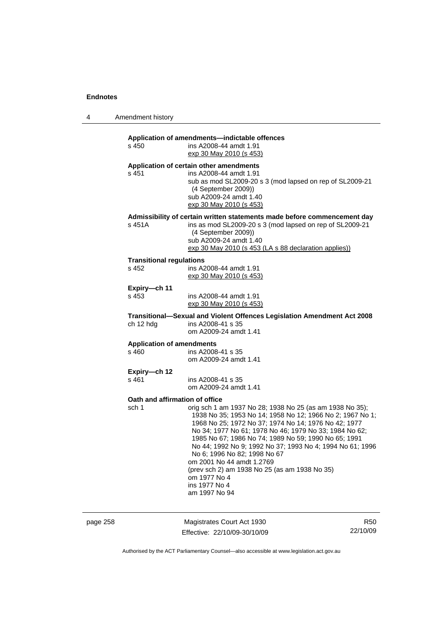| 4 | Amendment history |
|---|-------------------|
|---|-------------------|

# **Application of amendments—indictable offences**

| s 450                                     | Application or amendments—indictable offences<br>ins A2008-44 amdt 1.91<br>exp 30 May 2010 (s 453)                                                                                                                                                                                                                                                                                                                                                                                                                           |
|-------------------------------------------|------------------------------------------------------------------------------------------------------------------------------------------------------------------------------------------------------------------------------------------------------------------------------------------------------------------------------------------------------------------------------------------------------------------------------------------------------------------------------------------------------------------------------|
| s 451                                     | Application of certain other amendments<br>ins A2008-44 amdt 1.91<br>sub as mod SL2009-20 s 3 (mod lapsed on rep of SL2009-21<br>(4 September 2009))<br>sub A2009-24 amdt 1.40<br>exp 30 May 2010 (s 453)                                                                                                                                                                                                                                                                                                                    |
| s 451A                                    | Admissibility of certain written statements made before commencement day<br>ins as mod SL2009-20 s 3 (mod lapsed on rep of SL2009-21<br>(4 September 2009))<br>sub A2009-24 amdt 1.40<br>exp 30 May 2010 (s 453 (LA s 88 declaration applies))                                                                                                                                                                                                                                                                               |
| <b>Transitional regulations</b><br>s 452  | ins A2008-44 amdt 1.91<br>exp 30 May 2010 (s 453)                                                                                                                                                                                                                                                                                                                                                                                                                                                                            |
| Expiry-ch 11<br>s 453                     | ins A2008-44 amdt 1.91<br>exp 30 May 2010 (s 453)                                                                                                                                                                                                                                                                                                                                                                                                                                                                            |
| ch 12 hdg                                 | Transitional—Sexual and Violent Offences Legislation Amendment Act 2008<br>ins A2008-41 s 35<br>om A2009-24 amdt 1.41                                                                                                                                                                                                                                                                                                                                                                                                        |
| <b>Application of amendments</b><br>s 460 | ins A2008-41 s 35<br>om A2009-24 amdt 1.41                                                                                                                                                                                                                                                                                                                                                                                                                                                                                   |
| Expiry-ch 12<br>$s$ 461                   | ins A2008-41 s 35<br>om A2009-24 amdt 1.41                                                                                                                                                                                                                                                                                                                                                                                                                                                                                   |
| Oath and affirmation of office<br>sch 1   | orig sch 1 am 1937 No 28; 1938 No 25 (as am 1938 No 35);<br>1938 No 35; 1953 No 14; 1958 No 12; 1966 No 2; 1967 No 1;<br>1968 No 25; 1972 No 37; 1974 No 14; 1976 No 42; 1977<br>No 34; 1977 No 61; 1978 No 46; 1979 No 33; 1984 No 62;<br>1985 No 67; 1986 No 74; 1989 No 59; 1990 No 65; 1991<br>No 44; 1992 No 9; 1992 No 37; 1993 No 4; 1994 No 61; 1996<br>No 6; 1996 No 82; 1998 No 67<br>om 2001 No 44 amdt 1.2769<br>(prev sch 2) am 1938 No 25 (as am 1938 No 35)<br>om 1977 No 4<br>ins 1977 No 4<br>am 1997 No 94 |

page 258 Magistrates Court Act 1930 Effective: 22/10/09-30/10/09

R50 22/10/09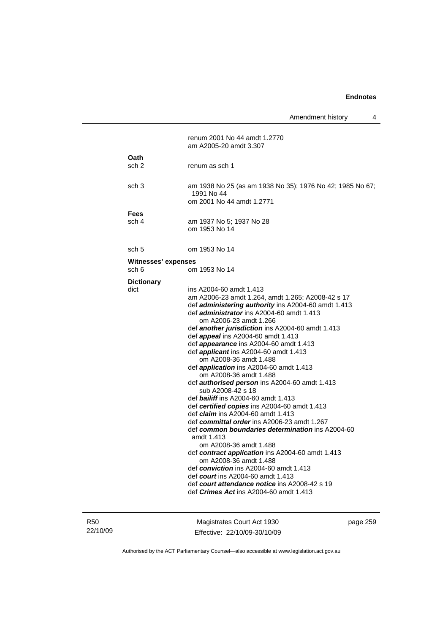Amendment history 4

|                              | renum 2001 No 44 amdt 1.2770<br>am A2005-20 amdt 3.307                                                                                                                                                                                                                                                                                                                                                                                                                                                                                                                                                                                                                                                                                                                                                                                                                                                                                                                                                                                                                                                                                                              |
|------------------------------|---------------------------------------------------------------------------------------------------------------------------------------------------------------------------------------------------------------------------------------------------------------------------------------------------------------------------------------------------------------------------------------------------------------------------------------------------------------------------------------------------------------------------------------------------------------------------------------------------------------------------------------------------------------------------------------------------------------------------------------------------------------------------------------------------------------------------------------------------------------------------------------------------------------------------------------------------------------------------------------------------------------------------------------------------------------------------------------------------------------------------------------------------------------------|
| Oath<br>sch 2                | renum as sch 1                                                                                                                                                                                                                                                                                                                                                                                                                                                                                                                                                                                                                                                                                                                                                                                                                                                                                                                                                                                                                                                                                                                                                      |
| sch <sub>3</sub>             | am 1938 No 25 (as am 1938 No 35); 1976 No 42; 1985 No 67;<br>1991 No 44<br>om 2001 No 44 amdt 1.2771                                                                                                                                                                                                                                                                                                                                                                                                                                                                                                                                                                                                                                                                                                                                                                                                                                                                                                                                                                                                                                                                |
| Fees<br>sch 4                | am 1937 No 5; 1937 No 28<br>om 1953 No 14                                                                                                                                                                                                                                                                                                                                                                                                                                                                                                                                                                                                                                                                                                                                                                                                                                                                                                                                                                                                                                                                                                                           |
| sch 5                        | om 1953 No 14                                                                                                                                                                                                                                                                                                                                                                                                                                                                                                                                                                                                                                                                                                                                                                                                                                                                                                                                                                                                                                                                                                                                                       |
| Witnesses' expenses<br>sch 6 | om 1953 No 14                                                                                                                                                                                                                                                                                                                                                                                                                                                                                                                                                                                                                                                                                                                                                                                                                                                                                                                                                                                                                                                                                                                                                       |
| <b>Dictionary</b><br>dict    | ins A2004-60 amdt 1.413<br>am A2006-23 amdt 1.264, amdt 1.265; A2008-42 s 17<br>def administering authority ins A2004-60 amdt 1.413<br>def <i>administrator</i> ins A2004-60 amdt 1.413<br>om A2006-23 amdt 1.266<br>def <b>another jurisdiction</b> ins A2004-60 amdt 1.413<br>def <b>appeal</b> ins A2004-60 amdt 1.413<br>def <i>appearance</i> ins A2004-60 amdt 1.413<br>def <i>applicant</i> ins A2004-60 amdt 1.413<br>om A2008-36 amdt 1.488<br>def <b>application</b> ins $A2004-60$ amdt 1.413<br>om A2008-36 amdt 1.488<br>def <b>authorised person</b> ins A2004-60 amdt 1.413<br>sub A2008-42 s 18<br>def <b>bailiff</b> ins A2004-60 amdt 1.413<br>def certified copies ins A2004-60 amdt 1.413<br>def claim ins A2004-60 amdt 1.413<br>def committal order ins A2006-23 amdt 1.267<br>def common boundaries determination ins A2004-60<br>amdt 1.413<br>om A2008-36 amdt 1.488<br>def contract application ins A2004-60 amdt 1.413<br>om A2008-36 amdt 1.488<br>def conviction ins A2004-60 amdt 1.413<br>def <i>court</i> ins A2004-60 amdt 1.413<br>def court attendance notice ins A2008-42 s 19<br>def <i>Crimes Act</i> ins A2004-60 amdt 1.413 |

R50 22/10/09

Magistrates Court Act 1930 Effective: 22/10/09-30/10/09 page 259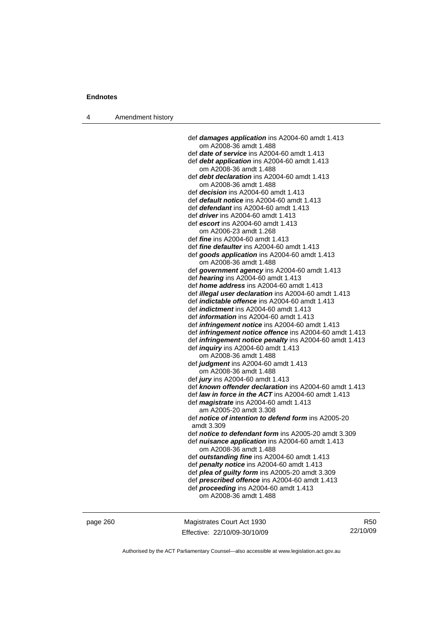4 Amendment history

 def *damages application* ins A2004-60 amdt 1.413 om A2008-36 amdt 1.488 def *date of service* ins A2004-60 amdt 1.413 def *debt application* ins A2004-60 amdt 1.413 om A2008-36 amdt 1.488 def *debt declaration* ins A2004-60 amdt 1.413 om A2008-36 amdt 1.488 def *decision* ins A2004-60 amdt 1.413 def *default notice* ins A2004-60 amdt 1.413 def *defendant* ins A2004-60 amdt 1.413 def *driver* ins A2004-60 amdt 1.413 def *escort* ins A2004-60 amdt 1.413 om A2006-23 amdt 1.268 def *fine* ins A2004-60 amdt 1.413 def *fine defaulter* ins A2004-60 amdt 1.413 def *goods application* ins A2004-60 amdt 1.413 om A2008-36 amdt 1.488 def *government agency* ins A2004-60 amdt 1.413 def *hearing* ins A2004-60 amdt 1.413 def *home address* ins A2004-60 amdt 1.413 def *illegal user declaration* ins A2004-60 amdt 1.413 def *indictable offence* ins A2004-60 amdt 1.413 def *indictment* ins A2004-60 amdt 1.413 def *information* ins A2004-60 amdt 1.413 def *infringement notice* ins A2004-60 amdt 1.413 def *infringement notice offence* ins A2004-60 amdt 1.413 def *infringement notice penalty* ins A2004-60 amdt 1.413 def *inquiry* ins A2004-60 amdt 1.413 om A2008-36 amdt 1.488 def *judgment* ins A2004-60 amdt 1.413 om A2008-36 amdt 1.488 def *jury* ins A2004-60 amdt 1.413 def *known offender declaration* ins A2004-60 amdt 1.413 def *law in force in the ACT* ins A2004-60 amdt 1.413 def *magistrate* ins A2004-60 amdt 1.413 am A2005-20 amdt 3.308 def *notice of intention to defend form* ins A2005-20 amdt 3.309 def *notice to defendant form* ins A2005-20 amdt 3.309 def *nuisance application* ins A2004-60 amdt 1.413 om A2008-36 amdt 1.488 def *outstanding fine* ins A2004-60 amdt 1.413 def *penalty notice* ins A2004-60 amdt 1.413 def *plea of guilty form* ins A2005-20 amdt 3.309 def *prescribed offence* ins A2004-60 amdt 1.413 def *proceeding* ins A2004-60 amdt 1.413 om A2008-36 amdt 1.488

page 260 Magistrates Court Act 1930 Effective: 22/10/09-30/10/09

R50 22/10/09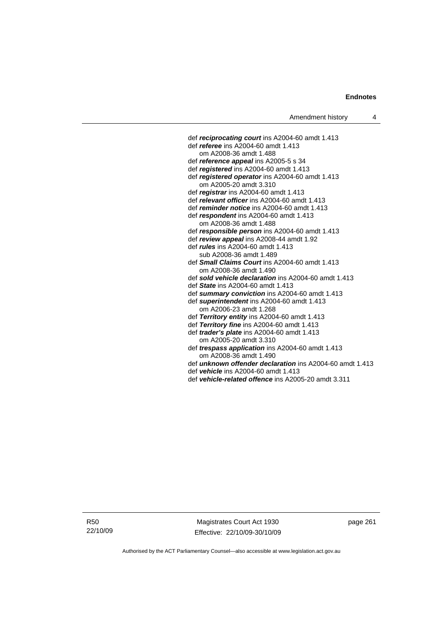def *reciprocating court* ins A2004-60 amdt 1.413 def *referee* ins A2004-60 amdt 1.413 om A2008-36 amdt 1.488 def *reference appeal* ins A2005-5 s 34 def *registered* ins A2004-60 amdt 1.413 def *registered operator* ins A2004-60 amdt 1.413 om A2005-20 amdt 3.310 def *registrar* ins A2004-60 amdt 1.413 def *relevant officer* ins A2004-60 amdt 1.413 def *reminder notice* ins A2004-60 amdt 1.413 def *respondent* ins A2004-60 amdt 1.413 om A2008-36 amdt 1.488 def *responsible person* ins A2004-60 amdt 1.413 def *review appeal* ins A2008-44 amdt 1.92 def *rules* ins A2004-60 amdt 1.413 sub A2008-36 amdt 1.489 def *Small Claims Court* ins A2004-60 amdt 1.413 om A2008-36 amdt 1.490 def *sold vehicle declaration* ins A2004-60 amdt 1.413 def *State* ins A2004-60 amdt 1.413 def *summary conviction* ins A2004-60 amdt 1.413 def *superintendent* ins A2004-60 amdt 1.413 om A2006-23 amdt 1.268 def *Territory entity* ins A2004-60 amdt 1.413 def *Territory fine* ins A2004-60 amdt 1.413 def *trader's plate* ins A2004-60 amdt 1.413 om A2005-20 amdt 3.310 def *trespass application* ins A2004-60 amdt 1.413 om A2008-36 amdt 1.490 def *unknown offender declaration* ins A2004-60 amdt 1.413 def *vehicle* ins A2004-60 amdt 1.413

def *vehicle-related offence* ins A2005-20 amdt 3.311

R50 22/10/09

Magistrates Court Act 1930 Effective: 22/10/09-30/10/09 page 261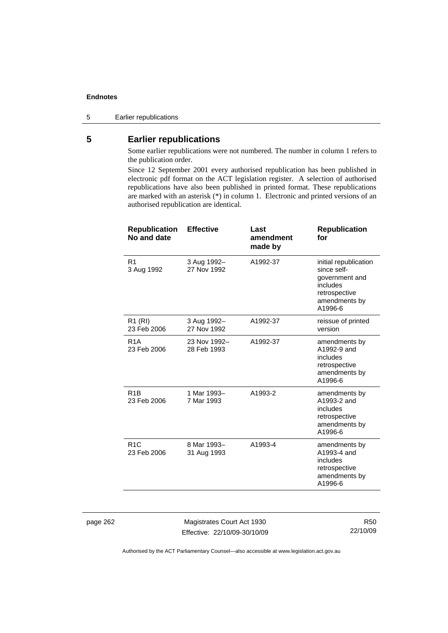5 Earlier republications

# **5 Earlier republications**

Some earlier republications were not numbered. The number in column 1 refers to the publication order.

Since 12 September 2001 every authorised republication has been published in electronic pdf format on the ACT legislation register. A selection of authorised republications have also been published in printed format. These republications are marked with an asterisk (\*) in column 1. Electronic and printed versions of an authorised republication are identical.

| <b>Republication</b><br>No and date | <b>Effective</b>            | Last<br>amendment<br>made by | <b>Republication</b><br>for                                                                                     |
|-------------------------------------|-----------------------------|------------------------------|-----------------------------------------------------------------------------------------------------------------|
| R <sub>1</sub><br>3 Aug 1992        | 3 Aug 1992-<br>27 Nov 1992  | A1992-37                     | initial republication<br>since self-<br>government and<br>includes<br>retrospective<br>amendments by<br>A1996-6 |
| R <sub>1</sub> (RI)<br>23 Feb 2006  | 3 Aug 1992-<br>27 Nov 1992  | A1992-37                     | reissue of printed<br>version                                                                                   |
| R <sub>1</sub> A<br>23 Feb 2006     | 23 Nov 1992-<br>28 Feb 1993 | A1992-37                     | amendments by<br>A1992-9 and<br>includes<br>retrospective<br>amendments by<br>A1996-6                           |
| R <sub>1</sub> B<br>23 Feb 2006     | 1 Mar 1993-<br>7 Mar 1993   | A1993-2                      | amendments by<br>A1993-2 and<br>includes<br>retrospective<br>amendments by<br>A1996-6                           |
| R1C<br>23 Feb 2006                  | 8 Mar 1993-<br>31 Aug 1993  | A1993-4                      | amendments by<br>A1993-4 and<br>includes<br>retrospective<br>amendments by<br>A1996-6                           |
|                                     |                             |                              |                                                                                                                 |

page 262 Magistrates Court Act 1930 Effective: 22/10/09-30/10/09

R50 22/10/09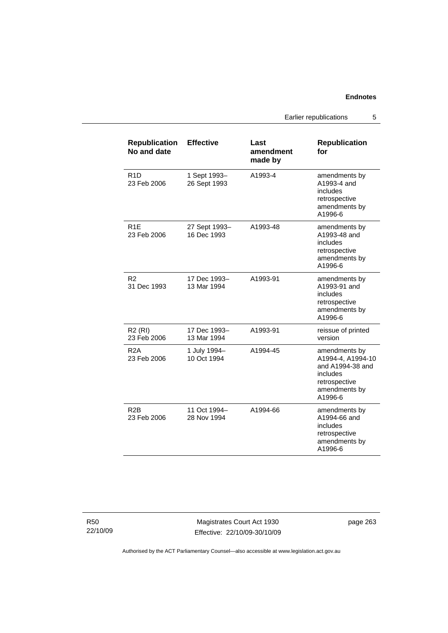Earlier republications 5

| <b>Republication</b><br>No and date | <b>Effective</b>             | Last<br>amendment<br>made by | <b>Republication</b><br>for                                                                                     |
|-------------------------------------|------------------------------|------------------------------|-----------------------------------------------------------------------------------------------------------------|
| R <sub>1</sub> D<br>23 Feb 2006     | 1 Sept 1993-<br>26 Sept 1993 | A1993-4                      | amendments by<br>A1993-4 and<br>includes<br>retrospective<br>amendments by<br>A1996-6                           |
| R <sub>1</sub> E<br>23 Feb 2006     | 27 Sept 1993-<br>16 Dec 1993 | A1993-48                     | amendments by<br>A1993-48 and<br>includes<br>retrospective<br>amendments by<br>A1996-6                          |
| R2<br>31 Dec 1993                   | 17 Dec 1993-<br>13 Mar 1994  | A1993-91                     | amendments by<br>A1993-91 and<br>includes<br>retrospective<br>amendments by<br>A1996-6                          |
| R2(RI)<br>23 Feb 2006               | 17 Dec 1993-<br>13 Mar 1994  | A1993-91                     | reissue of printed<br>version                                                                                   |
| R <sub>2</sub> A<br>23 Feb 2006     | 1 July 1994-<br>10 Oct 1994  | A1994-45                     | amendments by<br>A1994-4, A1994-10<br>and A1994-38 and<br>includes<br>retrospective<br>amendments by<br>A1996-6 |
| R <sub>2</sub> B<br>23 Feb 2006     | 11 Oct 1994-<br>28 Nov 1994  | A1994-66                     | amendments by<br>A1994-66 and<br>includes<br>retrospective<br>amendments by<br>A1996-6                          |

R50 22/10/09

Magistrates Court Act 1930 Effective: 22/10/09-30/10/09 page 263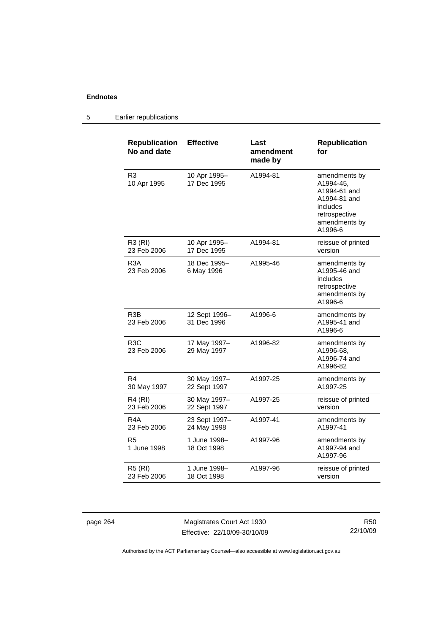| <b>Republication</b><br>No and date | <b>Effective</b>             | Last<br>amendment<br>made by | <b>Republication</b><br>for                                                                                         |
|-------------------------------------|------------------------------|------------------------------|---------------------------------------------------------------------------------------------------------------------|
| R3<br>10 Apr 1995                   | 10 Apr 1995-<br>17 Dec 1995  | A1994-81                     | amendments by<br>A1994-45,<br>A1994-61 and<br>A1994-81 and<br>includes<br>retrospective<br>amendments by<br>A1996-6 |
| R3 (RI)<br>23 Feb 2006              | 10 Apr 1995-<br>17 Dec 1995  | A1994-81                     | reissue of printed<br>version                                                                                       |
| R <sub>3</sub> A<br>23 Feb 2006     | 18 Dec 1995-<br>6 May 1996   | A1995-46                     | amendments by<br>A1995-46 and<br>includes<br>retrospective<br>amendments by<br>A1996-6                              |
| R <sub>3</sub> B<br>23 Feb 2006     | 12 Sept 1996-<br>31 Dec 1996 | A1996-6                      | amendments by<br>A1995-41 and<br>A1996-6                                                                            |
| R <sub>3</sub> C<br>23 Feb 2006     | 17 May 1997-<br>29 May 1997  | A1996-82                     | amendments by<br>A1996-68,<br>A1996-74 and<br>A1996-82                                                              |
| R4<br>30 May 1997                   | 30 May 1997-<br>22 Sept 1997 | A1997-25                     | amendments by<br>A1997-25                                                                                           |
| R4 (RI)<br>23 Feb 2006              | 30 May 1997-<br>22 Sept 1997 | A1997-25                     | reissue of printed<br>version                                                                                       |
| R4A<br>23 Feb 2006                  | 23 Sept 1997-<br>24 May 1998 | A1997-41                     | amendments by<br>A1997-41                                                                                           |
| R5<br>1 June 1998                   | 1 June 1998-<br>18 Oct 1998  | A1997-96                     | amendments by<br>A1997-94 and<br>A1997-96                                                                           |
| <b>R5 (RI)</b><br>23 Feb 2006       | 1 June 1998–<br>18 Oct 1998  | A1997-96                     | reissue of printed<br>version                                                                                       |

# 5 Earlier republications

page 264 Magistrates Court Act 1930 Effective: 22/10/09-30/10/09

R50 22/10/09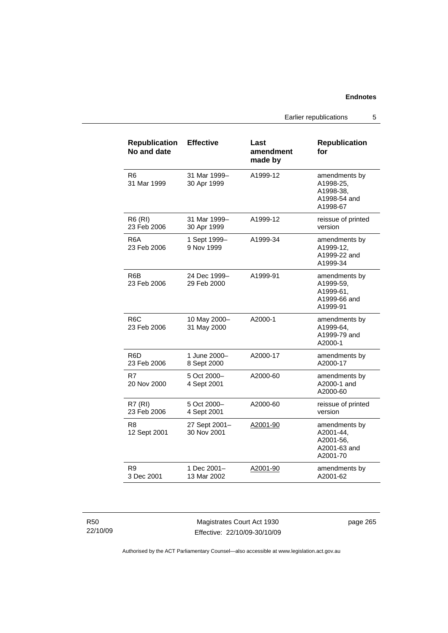Earlier republications 5

| <b>Republication</b><br>No and date | <b>Effective</b>             | Last<br>amendment<br>made by | <b>Republication</b><br>for                                         |
|-------------------------------------|------------------------------|------------------------------|---------------------------------------------------------------------|
| R6<br>31 Mar 1999                   | 31 Mar 1999-<br>30 Apr 1999  | A1999-12                     | amendments by<br>A1998-25,<br>A1998-38,<br>A1998-54 and<br>A1998-67 |
| R6 (RI)<br>23 Feb 2006              | 31 Mar 1999-<br>30 Apr 1999  | A1999-12                     | reissue of printed<br>version                                       |
| R6A<br>23 Feb 2006                  | 1 Sept 1999-<br>9 Nov 1999   | A1999-34                     | amendments by<br>A1999-12,<br>A1999-22 and<br>A1999-34              |
| R <sub>6</sub> B<br>23 Feb 2006     | 24 Dec 1999-<br>29 Feb 2000  | A1999-91                     | amendments by<br>A1999-59,<br>A1999-61,<br>A1999-66 and<br>A1999-91 |
| R <sub>6</sub> C<br>23 Feb 2006     | 10 May 2000-<br>31 May 2000  | A2000-1                      | amendments by<br>A1999-64,<br>A1999-79 and<br>A2000-1               |
| R6D<br>23 Feb 2006                  | 1 June 2000-<br>8 Sept 2000  | A2000-17                     | amendments by<br>A2000-17                                           |
| R7<br>20 Nov 2000                   | 5 Oct 2000-<br>4 Sept 2001   | A2000-60                     | amendments by<br>A2000-1 and<br>A2000-60                            |
| <b>R7 (RI)</b><br>23 Feb 2006       | 5 Oct 2000-<br>4 Sept 2001   | A2000-60                     | reissue of printed<br>version                                       |
| R8<br>12 Sept 2001                  | 27 Sept 2001-<br>30 Nov 2001 | A2001-90                     | amendments by<br>A2001-44,<br>A2001-56,<br>A2001-63 and<br>A2001-70 |
| R9<br>3 Dec 2001                    | 1 Dec 2001-<br>13 Mar 2002   | A2001-90                     | amendments by<br>A2001-62                                           |

| R50      |
|----------|
| 22/10/09 |

Magistrates Court Act 1930 Effective: 22/10/09-30/10/09 page 265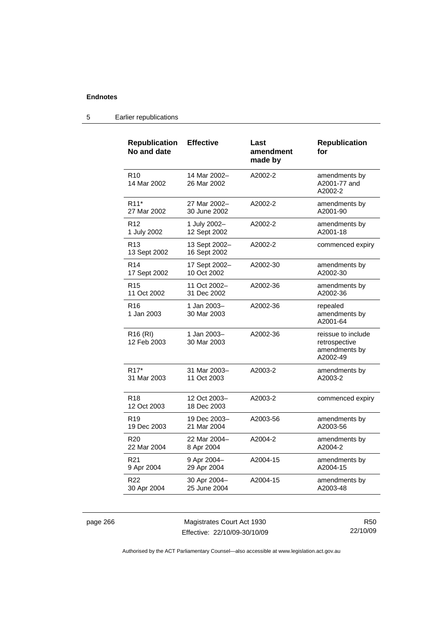| <b>Republication</b><br>No and date | <b>Effective</b>              | Last<br>amendment<br>made by | <b>Republication</b><br>for                                      |
|-------------------------------------|-------------------------------|------------------------------|------------------------------------------------------------------|
| R <sub>10</sub><br>14 Mar 2002      | 14 Mar 2002-<br>26 Mar 2002   | A2002-2                      | amendments by<br>A2001-77 and<br>A2002-2                         |
| R <sub>11</sub> *                   | 27 Mar 2002-                  | A2002-2                      | amendments by                                                    |
| 27 Mar 2002                         | 30 June 2002                  |                              | A2001-90                                                         |
| R <sub>12</sub>                     | 1 July 2002-                  | A2002-2                      | amendments by                                                    |
| 1 July 2002                         | 12 Sept 2002                  |                              | A2001-18                                                         |
| R <sub>13</sub><br>13 Sept 2002     | 13 Sept 2002-<br>16 Sept 2002 | A2002-2                      | commenced expiry                                                 |
| R <sub>14</sub>                     | 17 Sept 2002-                 | A2002-30                     | amendments by                                                    |
| 17 Sept 2002                        | 10 Oct 2002                   |                              | A2002-30                                                         |
| R <sub>15</sub>                     | 11 Oct 2002-                  | A2002-36                     | amendments by                                                    |
| 11 Oct 2002                         | 31 Dec 2002                   |                              | A2002-36                                                         |
| R <sub>16</sub><br>1 Jan 2003       | 1 Jan 2003-<br>30 Mar 2003    | A2002-36                     | repealed<br>amendments by<br>A2001-64                            |
| R <sub>16</sub> (RI)<br>12 Feb 2003 | 1 Jan 2003–<br>30 Mar 2003    | A2002-36                     | reissue to include<br>retrospective<br>amendments by<br>A2002-49 |
| R <sub>17</sub> *                   | 31 Mar 2003-                  | A2003-2                      | amendments by                                                    |
| 31 Mar 2003                         | 11 Oct 2003                   |                              | A2003-2                                                          |
| R <sub>18</sub><br>12 Oct 2003      | 12 Oct 2003-<br>18 Dec 2003   | A2003-2                      | commenced expiry                                                 |
| R <sub>19</sub>                     | 19 Dec 2003-                  | A2003-56                     | amendments by                                                    |
| 19 Dec 2003                         | 21 Mar 2004                   |                              | A2003-56                                                         |
| R <sub>20</sub>                     | 22 Mar 2004-                  | A2004-2                      | amendments by                                                    |
| 22 Mar 2004                         | 8 Apr 2004                    |                              | A2004-2                                                          |
| R <sub>21</sub>                     | 9 Apr 2004-                   | A2004-15                     | amendments by                                                    |
| 9 Apr 2004                          | 29 Apr 2004                   |                              | A2004-15                                                         |
| R22                                 | 30 Apr 2004-                  | A2004-15                     | amendments by                                                    |
| 30 Apr 2004                         | 25 June 2004                  |                              | A2003-48                                                         |

# 5 Earlier republications

page 266 Magistrates Court Act 1930 Effective: 22/10/09-30/10/09

R50 22/10/09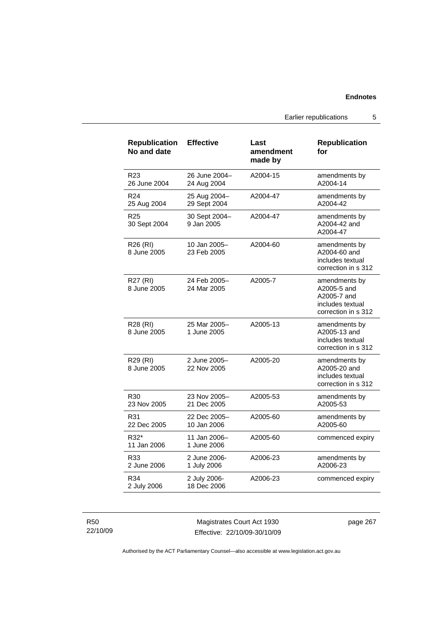Earlier republications 5

| <b>Republication</b><br>No and date | <b>Effective</b>             | Last<br>amendment<br>made by | <b>Republication</b><br>for                                                            |
|-------------------------------------|------------------------------|------------------------------|----------------------------------------------------------------------------------------|
| R23<br>26 June 2004                 | 26 June 2004-<br>24 Aug 2004 | A2004-15                     | amendments by<br>A2004-14                                                              |
| R <sub>24</sub><br>25 Aug 2004      | 25 Aug 2004-<br>29 Sept 2004 | A2004-47                     | amendments by<br>A2004-42                                                              |
| R <sub>25</sub><br>30 Sept 2004     | 30 Sept 2004-<br>9 Jan 2005  | A2004-47                     | amendments by<br>A2004-42 and<br>A2004-47                                              |
| R <sub>26</sub> (RI)<br>8 June 2005 | 10 Jan 2005-<br>23 Feb 2005  | A2004-60                     | amendments by<br>A2004-60 and<br>includes textual<br>correction in s 312               |
| R27 (RI)<br>8 June 2005             | 24 Feb 2005-<br>24 Mar 2005  | A2005-7                      | amendments by<br>A2005-5 and<br>A2005-7 and<br>includes textual<br>correction in s 312 |
| R28 (RI)<br>8 June 2005             | 25 Mar 2005-<br>1 June 2005  | A2005-13                     | amendments by<br>A2005-13 and<br>includes textual<br>correction in s 312               |
| R <sub>29</sub> (RI)<br>8 June 2005 | 2 June 2005-<br>22 Nov 2005  | A2005-20                     | amendments by<br>A2005-20 and<br>includes textual<br>correction in s 312               |
| R30<br>23 Nov 2005                  | 23 Nov 2005-<br>21 Dec 2005  | A2005-53                     | amendments by<br>A2005-53                                                              |
| R31<br>22 Dec 2005                  | 22 Dec 2005-<br>10 Jan 2006  | A2005-60                     | amendments by<br>A2005-60                                                              |
| R32*<br>11 Jan 2006                 | 11 Jan 2006-<br>1 June 2006  | A2005-60                     | commenced expiry                                                                       |
| R33<br>2 June 2006                  | 2 June 2006-<br>1 July 2006  | A2006-23                     | amendments by<br>A2006-23                                                              |
| R34<br>2 July 2006                  | 2 July 2006-<br>18 Dec 2006  | A2006-23                     | commenced expiry                                                                       |

R50 22/10/09

Magistrates Court Act 1930 Effective: 22/10/09-30/10/09 page 267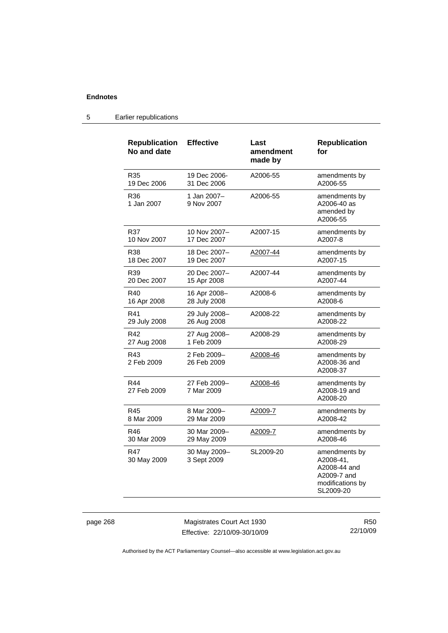# 5 Earlier republications

| <b>Republication</b><br>No and date | <b>Effective</b>            | Last<br>amendment<br>made by | <b>Republication</b><br>for                                                                |
|-------------------------------------|-----------------------------|------------------------------|--------------------------------------------------------------------------------------------|
| R35                                 | 19 Dec 2006-                | A2006-55                     | amendments by                                                                              |
| 19 Dec 2006                         | 31 Dec 2006                 |                              | A2006-55                                                                                   |
| R36<br>1 Jan 2007                   | 1 Jan 2007-<br>9 Nov 2007   | A2006-55                     | amendments by<br>A2006-40 as<br>amended by<br>A2006-55                                     |
| R37                                 | 10 Nov 2007-                | A2007-15                     | amendments by                                                                              |
| 10 Nov 2007                         | 17 Dec 2007                 |                              | A2007-8                                                                                    |
| R38                                 | 18 Dec 2007-                | A2007-44                     | amendments by                                                                              |
| 18 Dec 2007                         | 19 Dec 2007                 |                              | A2007-15                                                                                   |
| R39                                 | 20 Dec 2007-                | A2007-44                     | amendments by                                                                              |
| 20 Dec 2007                         | 15 Apr 2008                 |                              | A2007-44                                                                                   |
| R40                                 | 16 Apr 2008-                | A2008-6                      | amendments by                                                                              |
| 16 Apr 2008                         | 28 July 2008                |                              | A2008-6                                                                                    |
| R41                                 | 29 July 2008-               | A2008-22                     | amendments by                                                                              |
| 29 July 2008                        | 26 Aug 2008                 |                              | A2008-22                                                                                   |
| R42                                 | 27 Aug 2008-                | A2008-29                     | amendments by                                                                              |
| 27 Aug 2008                         | 1 Feb 2009                  |                              | A2008-29                                                                                   |
| R43<br>2 Feb 2009                   | 2 Feb 2009-<br>26 Feb 2009  | A2008-46                     | amendments by<br>A2008-36 and<br>A2008-37                                                  |
| R44<br>27 Feb 2009                  | 27 Feb 2009–<br>7 Mar 2009  | A2008-46                     | amendments by<br>A2008-19 and<br>A2008-20                                                  |
| R45                                 | 8 Mar 2009-                 | A2009-7                      | amendments by                                                                              |
| 8 Mar 2009                          | 29 Mar 2009                 |                              | A2008-42                                                                                   |
| R46                                 | 30 Mar 2009-                | A2009-7                      | amendments by                                                                              |
| 30 Mar 2009                         | 29 May 2009                 |                              | A2008-46                                                                                   |
| R47<br>30 May 2009                  | 30 May 2009-<br>3 Sept 2009 | SL2009-20                    | amendments by<br>A2008-41,<br>A2008-44 and<br>A2009-7 and<br>modifications by<br>SL2009-20 |

page 268 Magistrates Court Act 1930 Effective: 22/10/09-30/10/09

R50 22/10/09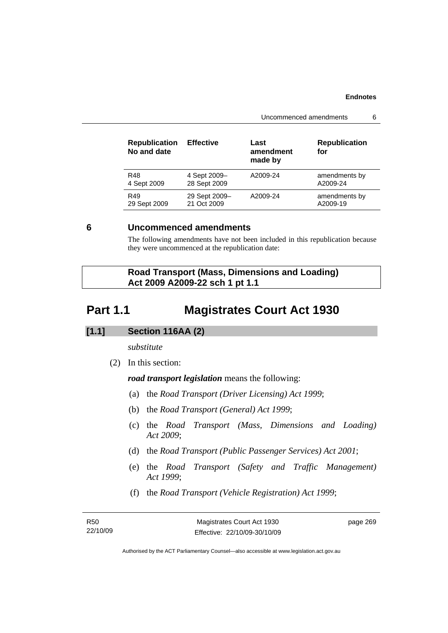Uncommenced amendments 6

| 4 Sept 2009-<br>A2009-24<br>R48<br>28 Sept 2009<br>4 Sept 2009  |                           |
|-----------------------------------------------------------------|---------------------------|
|                                                                 | amendments by<br>A2009-24 |
| 29 Sept 2009-<br>A2009-24<br>R49<br>21 Oct 2009<br>29 Sept 2009 | amendments by<br>A2009-19 |

# **6 Uncommenced amendments**

The following amendments have not been included in this republication because they were uncommenced at the republication date:

|                                | <b>Road Transport (Mass, Dimensions and Loading)</b> |
|--------------------------------|------------------------------------------------------|
| Act 2009 A2009-22 sch 1 pt 1.1 |                                                      |

# **Part 1.1 Magistrates Court Act 1930**

# **[1.1] Section 116AA (2)**

*substitute* 

(2) In this section:

*road transport legislation* means the following:

- (a) the *Road Transport (Driver Licensing) Act 1999*;
- (b) the *Road Transport (General) Act 1999*;
- (c) the *Road Transport (Mass, Dimensions and Loading) Act 2009*;
- (d) the *Road Transport (Public Passenger Services) Act 2001*;
- (e) the *Road Transport (Safety and Traffic Management) Act 1999*;
- (f) the *Road Transport (Vehicle Registration) Act 1999*;

| R50      | Magistrates Court Act 1930   | page 269 |
|----------|------------------------------|----------|
| 22/10/09 | Effective: 22/10/09-30/10/09 |          |